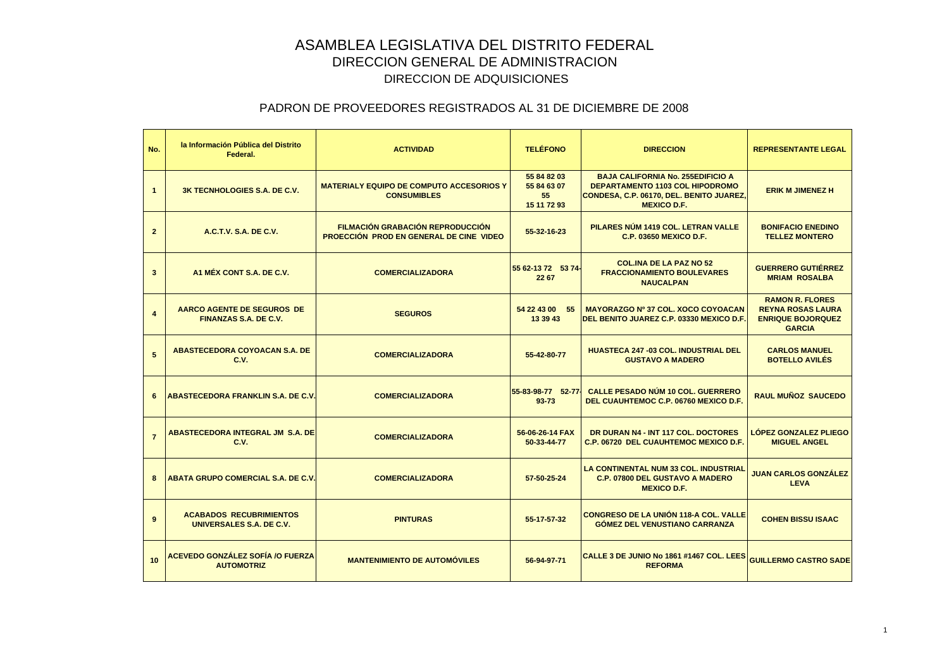| No.                     | la Información Pública del Distrito<br>Federal.              | <b>ACTIVIDAD</b>                                                            | <b>TELÉFONO</b>                                 | <b>DIRECCION</b>                                                                                                                                     | <b>REPRESENTANTE LEGAL</b>                                                                      |
|-------------------------|--------------------------------------------------------------|-----------------------------------------------------------------------------|-------------------------------------------------|------------------------------------------------------------------------------------------------------------------------------------------------------|-------------------------------------------------------------------------------------------------|
| $\overline{1}$          | <b>3K TECNHOLOGIES S.A. DE C.V.</b>                          | <b>MATERIALY EQUIPO DE COMPUTO ACCESORIOS Y</b><br><b>CONSUMIBLES</b>       | 55 84 82 03<br>55 84 63 07<br>55<br>15 11 72 93 | <b>BAJA CALIFORNIA No. 255EDIFICIO A</b><br><b>DEPARTAMENTO 1103 COL HIPODROMO</b><br>CONDESA, C.P. 06170, DEL. BENITO JUAREZ,<br><b>MEXICO D.F.</b> | <b>ERIK M JIMENEZ H</b>                                                                         |
| $\overline{2}$          | A.C.T.V. S.A. DE C.V.                                        | FILMACIÓN GRABACIÓN REPRODUCCIÓN<br>PROECCIÓN PROD EN GENERAL DE CINE VIDEO | 55-32-16-23                                     | PILARES NÚM 1419 COL. LETRAN VALLE<br><b>C.P. 03650 MEXICO D.F.</b>                                                                                  | <b>BONIFACIO ENEDINO</b><br><b>TELLEZ MONTERO</b>                                               |
| $\mathbf{3}$            | A1 MÉX CONT S.A. DE C.V.                                     | <b>COMERCIALIZADORA</b>                                                     | 55 62-13 72 53 74-<br>22 67                     | <b>COL.INA DE LA PAZ NO 52</b><br><b>FRACCIONAMIENTO BOULEVARES</b><br><b>NAUCALPAN</b>                                                              | <b>GUERRERO GUTIERREZ</b><br><b>MRIAM ROSALBA</b>                                               |
| $\overline{\mathbf{4}}$ | AARCO AGENTE DE SEGUROS DE<br><b>FINANZAS S.A. DE C.V.</b>   | <b>SEGUROS</b>                                                              | 54 22 43 00 55<br>13 39 43                      | MAYORAZGO Nº 37 COL. XOCO COYOACAN<br>DEL BENITO JUAREZ C.P. 03330 MEXICO D.F.                                                                       | <b>RAMON R. FLORES</b><br><b>REYNA ROSAS LAURA</b><br><b>ENRIQUE BOJORQUEZ</b><br><b>GARCIA</b> |
| 5                       | ABASTECEDORA COYOACAN S.A. DE<br>C.V.                        | <b>COMERCIALIZADORA</b>                                                     | 55-42-80-77                                     | <b>HUASTECA 247 -03 COL. INDUSTRIAL DEL</b><br><b>GUSTAVO A MADERO</b>                                                                               | <b>CARLOS MANUEL</b><br><b>BOTELLO AVILÉS</b>                                                   |
| 6                       | <b>ABASTECEDORA FRANKLIN S.A. DE C.V.</b>                    | <b>COMERCIALIZADORA</b>                                                     | 55-83-98-77 52-77<br>$93 - 73$                  | <b>CALLE PESADO NÚM 10 COL. GUERRERO</b><br>DEL CUAUHTEMOC C.P. 06760 MEXICO D.F.                                                                    | <b>RAUL MUÑOZ SAUCEDO</b>                                                                       |
| $\overline{7}$          | ABASTECEDORA INTEGRAL JM S.A. DE<br>C.V.                     | <b>COMERCIALIZADORA</b>                                                     | 56-06-26-14 FAX<br>50-33-44-77                  | DR DURAN N4 - INT 117 COL. DOCTORES<br>C.P. 06720 DEL CUAUHTEMOC MEXICO D.F.                                                                         | <b>LÓPEZ GONZALEZ PLIEGO</b><br><b>MIGUEL ANGEL</b>                                             |
| 8                       | <b>ABATA GRUPO COMERCIAL S.A. DE C.V.</b>                    | <b>COMERCIALIZADORA</b>                                                     | 57-50-25-24                                     | <b>LA CONTINENTAL NUM 33 COL. INDUSTRIAL</b><br><b>C.P. 07800 DEL GUSTAVO A MADERO</b><br><b>MEXICO D.F.</b>                                         | <b>JUAN CARLOS GONZÁLEZ</b><br><b>LEVA</b>                                                      |
| 9                       | <b>ACABADOS RECUBRIMIENTOS</b><br>UNIVERSALES S.A. DE C.V.   | <b>PINTURAS</b>                                                             | 55-17-57-32                                     | <b>CONGRESO DE LA UNIÓN 118-A COL. VALLE</b><br><b>GOMEZ DEL VENUSTIANO CARRANZA</b>                                                                 | <b>COHEN BISSU ISAAC</b>                                                                        |
| 10                      | <b>ACEVEDO GONZÁLEZ SOFÍA /O FUERZA</b><br><b>AUTOMOTRIZ</b> | <b>MANTENIMIENTO DE AUTOMÓVILES</b>                                         | 56-94-97-71                                     | CALLE 3 DE JUNIO No 1861 #1467 COL. LEES<br><b>REFORMA</b>                                                                                           | <b>GUILLERMO CASTRO SADE</b>                                                                    |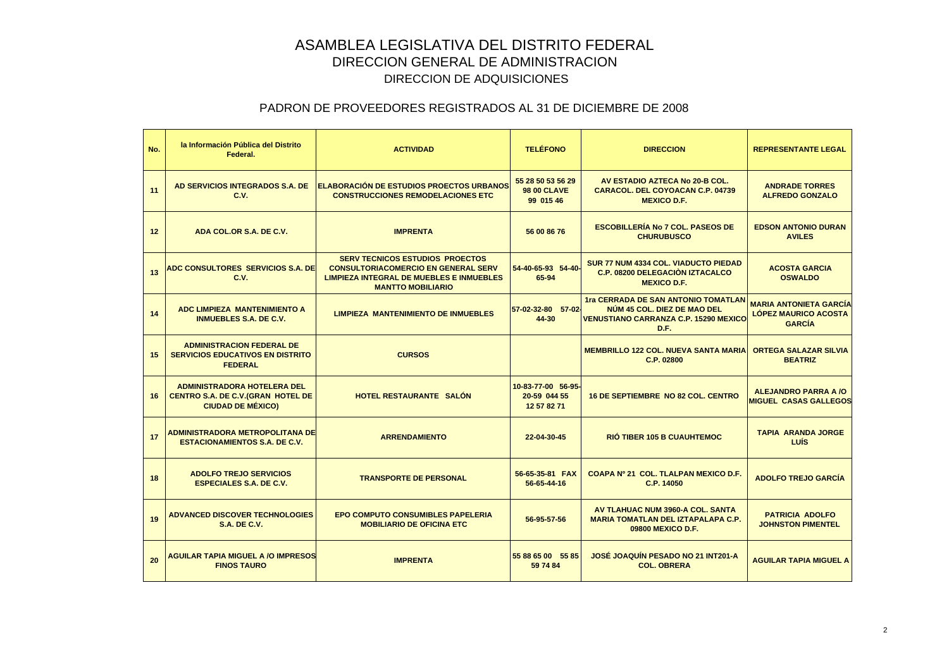| No. | la Información Pública del Distrito<br>Federal.                                                             | <b>ACTIVIDAD</b>                                                                                                                                                    | <b>TELÉFONO</b>                                      | <b>DIRECCION</b>                                                                                                           | <b>REPRESENTANTE LEGAL</b>                                                    |
|-----|-------------------------------------------------------------------------------------------------------------|---------------------------------------------------------------------------------------------------------------------------------------------------------------------|------------------------------------------------------|----------------------------------------------------------------------------------------------------------------------------|-------------------------------------------------------------------------------|
| 11  | AD SERVICIOS INTEGRADOS S.A. DE<br>C.V.                                                                     | ELABORACIÓN DE ESTUDIOS PROECTOS URBANOS<br><b>CONSTRUCCIONES REMODELACIONES ETC</b>                                                                                | 55 28 50 53 56 29<br><b>98 00 CLAVE</b><br>99 015 46 | AV ESTADIO AZTECA No 20-B COL.<br><b>CARACOL. DEL COYOACAN C.P. 04739</b><br><b>MEXICO D.F.</b>                            | <b>ANDRADE TORRES</b><br><b>ALFREDO GONZALO</b>                               |
| 12  | ADA COL.OR S.A. DE C.V.                                                                                     | <b>IMPRENTA</b>                                                                                                                                                     | 56 00 86 76                                          | <b>ESCOBILLERÍA No 7 COL. PASEOS DE</b><br><b>CHURUBUSCO</b>                                                               | <b>EDSON ANTONIO DURAN</b><br><b>AVILES</b>                                   |
| 13  | <b>ADC CONSULTORES SERVICIOS S.A. DE</b><br>C.V.                                                            | <b>SERV TECNICOS ESTUDIOS PROECTOS</b><br><b>CONSULTORIACOMERCIO EN GENERAL SERV</b><br><b>LIMPIEZA INTEGRAL DE MUEBLES E INMUEBLES</b><br><b>MANTTO MOBILIARIO</b> | 54-40-65-93 54-40-<br>65-94                          | <b>SUR 77 NUM 4334 COL. VIADUCTO PIEDAD</b><br><b>C.P. 08200 DELEGACIÓN IZTACALCO</b><br><b>MEXICO D.F.</b>                | <b>ACOSTA GARCIA</b><br><b>OSWALDO</b>                                        |
| 14  | <b>ADC LIMPIEZA MANTENIMIENTO A</b><br><b>INMUEBLES S.A. DE C.V.</b>                                        | <b>LIMPIEZA MANTENIMIENTO DE INMUEBLES</b>                                                                                                                          | 57-02-32-80 57-02<br>44-30                           | <b>1ra CERRADA DE SAN ANTONIO TOMATLAN</b><br>NÚM 45 COL. DIEZ DE MAO DEL<br>VENUSTIANO CARRANZA C.P. 15290 MEXICO<br>D.F. | <b>MARIA ANTONIETA GARCÍA</b><br><b>LÓPEZ MAURICO ACOSTA</b><br><b>GARCIA</b> |
| 15  | <b>ADMINISTRACION FEDERAL DE</b><br><b>SERVICIOS EDUCATIVOS EN DISTRITO</b><br><b>FEDERAL</b>               | <b>CURSOS</b>                                                                                                                                                       |                                                      | <b>MEMBRILLO 122 COL. NUEVA SANTA MARIA</b><br>C.P. 02800                                                                  | <b>ORTEGA SALAZAR SILVIA</b><br><b>BEATRIZ</b>                                |
| 16  | <b>ADMINISTRADORA HOTELERA DEL</b><br><b>CENTRO S.A. DE C.V. (GRAN HOTEL DE</b><br><b>CIUDAD DE MÉXICO)</b> | HOTEL RESTAURANTE SALÓN                                                                                                                                             | 10-83-77-00 56-95-<br>20-59 044 55<br>12 57 82 71    | <b>16 DE SEPTIEMBRE NO 82 COL. CENTRO</b>                                                                                  | <b>ALEJANDRO PARRA A /O</b><br><b>MIGUEL CASAS GALLEGOS</b>                   |
| 17  | ADMINISTRADORA METROPOLITANA DE<br><b>ESTACIONAMIENTOS S.A. DE C.V.</b>                                     | <b>ARRENDAMIENTO</b>                                                                                                                                                | 22-04-30-45                                          | <b>RIO TIBER 105 B CUAUHTEMOC</b>                                                                                          | <b>TAPIA ARANDA JORGE</b><br><b>LUÍS</b>                                      |
| 18  | <b>ADOLFO TREJO SERVICIOS</b><br><b>ESPECIALES S.A. DE C.V.</b>                                             | <b>TRANSPORTE DE PERSONAL</b>                                                                                                                                       | 56-65-35-81 FAX<br>56-65-44-16                       | COAPA Nº 21 COL. TLALPAN MEXICO D.F.<br>C.P. 14050                                                                         | <b>ADOLFO TREJO GARCÍA</b>                                                    |
| 19  | <b>ADVANCED DISCOVER TECHNOLOGIES</b><br><b>S.A. DE C.V.</b>                                                | <b>EPO COMPUTO CONSUMIBLES PAPELERIA</b><br><b>MOBILIARIO DE OFICINA ETC</b>                                                                                        | 56-95-57-56                                          | AV TLAHUAC NUM 3960-A COL. SANTA<br><b>MARIA TOMATLAN DEL IZTAPALAPA C.P.</b><br>09800 MEXICO D.F.                         | <b>PATRICIA ADOLFO</b><br><b>JOHNSTON PIMENTEL</b>                            |
| 20  | <b>AGUILAR TAPIA MIGUEL A /O IMPRESOS</b><br><b>FINOS TAURO</b>                                             | <b>IMPRENTA</b>                                                                                                                                                     | 55 88 65 00 55 85<br>59 74 84                        | JOSÉ JOAQUÍN PESADO NO 21 INT201-A<br><b>COL. OBRERA</b>                                                                   | <b>AGUILAR TAPIA MIGUEL A</b>                                                 |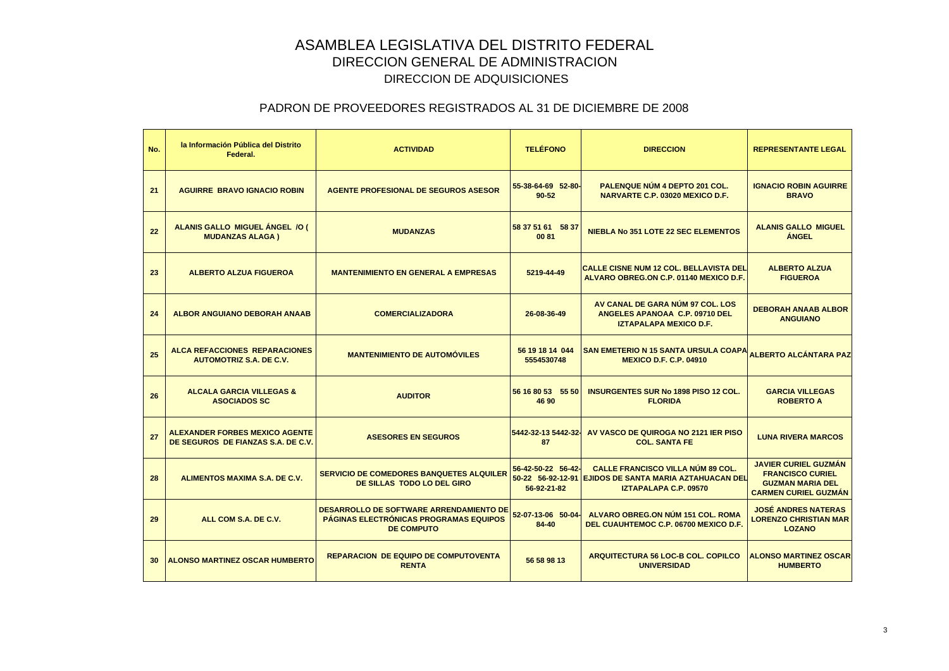| No.             | la Información Pública del Distrito<br>Federal.                             | <b>ACTIVIDAD</b>                                                                                       | <b>TELÉFONO</b>                                        | <b>DIRECCION</b>                                                                                                 | <b>REPRESENTANTE LEGAL</b>                                                                                       |
|-----------------|-----------------------------------------------------------------------------|--------------------------------------------------------------------------------------------------------|--------------------------------------------------------|------------------------------------------------------------------------------------------------------------------|------------------------------------------------------------------------------------------------------------------|
| 21              | <b>AGUIRRE BRAVO IGNACIO ROBIN</b>                                          | <b>AGENTE PROFESIONAL DE SEGUROS ASESOR</b>                                                            | 55-38-64-69 52-80-<br>$90 - 52$                        | PALENQUE NÚM 4 DEPTO 201 COL.<br><b>NARVARTE C.P. 03020 MEXICO D.F.</b>                                          | <b>IGNACIO ROBIN AGUIRRE</b><br><b>BRAVO</b>                                                                     |
| 22              | ALANIS GALLO MIGUEL ÁNGEL /O (<br><b>MUDANZAS ALAGA)</b>                    | <b>MUDANZAS</b>                                                                                        | 58 37 51 61 58 37<br>0081                              | <b>NIEBLA No 351 LOTE 22 SEC ELEMENTOS</b>                                                                       | <b>ALANIS GALLO MIGUEL</b><br><b>ÁNGEL</b>                                                                       |
| 23              | <b>ALBERTO ALZUA FIGUEROA</b>                                               | <b>MANTENIMIENTO EN GENERAL A EMPRESAS</b>                                                             | 5219-44-49                                             | <b>CALLE CISNE NUM 12 COL. BELLAVISTA DEL</b><br>ALVARO OBREG.ON C.P. 01140 MEXICO D.F.                          | <b>ALBERTO ALZUA</b><br><b>FIGUEROA</b>                                                                          |
| 24              | <b>ALBOR ANGUIANO DEBORAH ANAAB</b>                                         | <b>COMERCIALIZADORA</b>                                                                                | 26-08-36-49                                            | AV CANAL DE GARA NÚM 97 COL. LOS<br>ANGELES APANOAA C.P. 09710 DEL<br><b>IZTAPALAPA MEXICO D.F.</b>              | <b>DEBORAH ANAAB ALBOR</b><br><b>ANGUIANO</b>                                                                    |
| 25              | <b>ALCA REFACCIONES REPARACIONES</b><br><b>AUTOMOTRIZ S.A. DE C.V.</b>      | <b>MANTENIMIENTO DE AUTOMÓVILES</b>                                                                    | 56 19 18 14 044<br>5554530748                          | SAN EMETERIO N 15 SANTA URSULA COAPA <sub>ALBERTO</sub> ALCÁNTARA PAZ<br><b>MEXICO D.F. C.P. 04910</b>           |                                                                                                                  |
| 26              | <b>ALCALA GARCIA VILLEGAS &amp;</b><br><b>ASOCIADOS SC</b>                  | <b>AUDITOR</b>                                                                                         | 56 16 80 53 55 50<br>46 90                             | <b>INSURGENTES SUR No 1898 PISO 12 COL.</b><br><b>FLORIDA</b>                                                    | <b>GARCIA VILLEGAS</b><br><b>ROBERTO A</b>                                                                       |
| 27              | <b>ALEXANDER FORBES MEXICO AGENTE</b><br>DE SEGUROS DE FIANZAS S.A. DE C.V. | <b>ASESORES EN SEGUROS</b>                                                                             | 5442-32-13 5442-32-<br>87                              | AV VASCO DE QUIROGA NO 2121 IER PISO<br><b>COL. SANTA FE</b>                                                     | <b>LUNA RIVERA MARCOS</b>                                                                                        |
| 28              | ALIMENTOS MAXIMA S.A. DE C.V.                                               | <b>SERVICIO DE COMEDORES BANQUETES ALQUILER</b><br><b>DE SILLAS TODO LO DEL GIRO</b>                   | 56-42-50-22 56-42-<br>50-22 56-92-12-91<br>56-92-21-82 | <b>CALLE FRANCISCO VILLA NUM 89 COL.</b><br><b>EJIDOS DE SANTA MARIA AZTAHUACAN DEL</b><br>IZTAPALAPA C.P. 09570 | <b>JAVIER CURIEL GUZMÁN</b><br><b>FRANCISCO CURIEL</b><br><b>GUZMAN MARIA DEL</b><br><b>CARMEN CURIEL GUZMÁN</b> |
| 29              | ALL COM S.A. DE C.V.                                                        | DESARROLLO DE SOFTWARE ARRENDAMIENTO DE<br>PÁGINAS ELECTRÓNICAS PROGRAMAS EQUIPOS<br><b>DE COMPUTO</b> | 52-07-13-06 50-04-<br>84-40                            | ALVARO OBREG.ON NÚM 151 COL. ROMA<br>DEL CUAUHTEMOC C.P. 06700 MEXICO D.F.                                       | <b>JOSÉ ANDRES NATERAS</b><br><b>LORENZO CHRISTIAN MAR</b><br><b>LOZANO</b>                                      |
| 30 <sup>°</sup> | <b>ALONSO MARTINEZ OSCAR HUMBERTO</b>                                       | <b>REPARACION DE EQUIPO DE COMPUTOVENTA</b><br><b>RENTA</b>                                            | 56 58 98 13                                            | ARQUITECTURA 56 LOC-B COL. COPILCO<br><b>UNIVERSIDAD</b>                                                         | <b>ALONSO MARTINEZ OSCAR</b><br><b>HUMBERTO</b>                                                                  |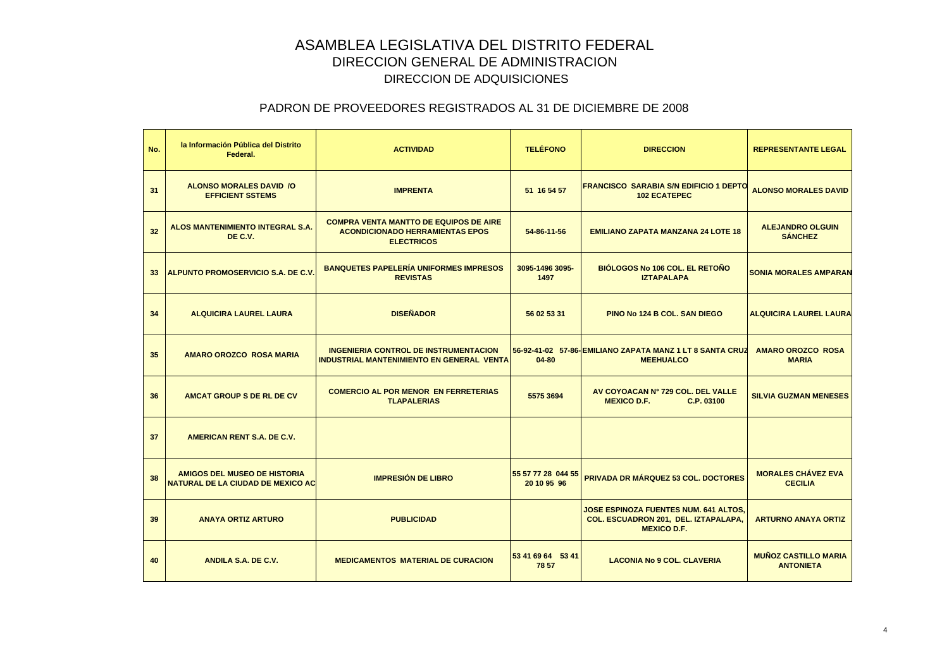| No. | la Información Pública del Distrito<br>Federal.                          | <b>ACTIVIDAD</b>                                                                                             | <b>TELÉFONO</b>                   | <b>DIRECCION</b>                                                                                    | <b>REPRESENTANTE LEGAL</b>                      |
|-----|--------------------------------------------------------------------------|--------------------------------------------------------------------------------------------------------------|-----------------------------------|-----------------------------------------------------------------------------------------------------|-------------------------------------------------|
| 31  | <b>ALONSO MORALES DAVID /O</b><br><b>EFFICIENT SSTEMS</b>                | <b>IMPRENTA</b>                                                                                              | 51 16 54 57                       | <b>FRANCISCO SARABIA S/N EDIFICIO 1 DEPTO</b><br><b>102 ECATEPEC</b>                                | <b>ALONSO MORALES DAVID</b>                     |
| 32  | <b>ALOS MANTENIMIENTO INTEGRAL S.A.</b><br>DE C.V.                       | <b>COMPRA VENTA MANTTO DE EQUIPOS DE AIRE</b><br><b>ACONDICIONADO HERRAMIENTAS EPOS</b><br><b>ELECTRICOS</b> | 54-86-11-56                       | <b>EMILIANO ZAPATA MANZANA 24 LOTE 18</b>                                                           | <b>ALEJANDRO OLGUIN</b><br><b>SÁNCHEZ</b>       |
|     | 33 ALPUNTO PROMOSERVICIO S.A. DE C.V.                                    | <b>BANQUETES PAPELERÍA UNIFORMES IMPRESOS</b><br><b>REVISTAS</b>                                             | 3095-1496 3095-<br>1497           | <b>BIÓLOGOS No 106 COL. EL RETOÑO</b><br><b>IZTAPALAPA</b>                                          | <b>SONIA MORALES AMPARAN</b>                    |
| 34  | <b>ALQUICIRA LAUREL LAURA</b>                                            | <b>DISEÑADOR</b>                                                                                             | 56 02 53 31                       | <b>PINO No 124 B COL, SAN DIEGO</b>                                                                 | <b>ALQUICIRA LAUREL LAURA</b>                   |
| 35  | <b>AMARO OROZCO ROSA MARIA</b>                                           | <b>INGENIERIA CONTROL DE INSTRUMENTACION</b><br><b>INDUSTRIAL MANTENIMIENTO EN GENERAL VENTA</b>             | $04 - 80$                         | 56-92-41-02 57-86-EMILIANO ZAPATA MANZ 1 LT 8 SANTA CRUZ<br><b>MEEHUALCO</b>                        | <b>AMARO OROZCO ROSA</b><br><b>MARIA</b>        |
| 36  | <b>AMCAT GROUP S DE RL DE CV</b>                                         | <b>COMERCIO AL POR MENOR EN FERRETERIAS</b><br><b>TLAPALERIAS</b>                                            | 5575 3694                         | AV COYOACAN Nº 729 COL. DEL VALLE<br><b>MEXICO D.F.</b><br>C.P. 03100                               | <b>SILVIA GUZMAN MENESES</b>                    |
| 37  | <b>AMERICAN RENT S.A. DE C.V.</b>                                        |                                                                                                              |                                   |                                                                                                     |                                                 |
| 38  | <b>AMIGOS DEL MUSEO DE HISTORIA</b><br>NATURAL DE LA CIUDAD DE MEXICO AC | <b>IMPRESIÓN DE LIBRO</b>                                                                                    | 55 57 77 28 044 55<br>20 10 95 96 | PRIVADA DR MÁRQUEZ 53 COL. DOCTORES                                                                 | <b>MORALES CHÁVEZ EVA</b><br><b>CECILIA</b>     |
| 39  | <b>ANAYA ORTIZ ARTURO</b>                                                | <b>PUBLICIDAD</b>                                                                                            |                                   | JOSE ESPINOZA FUENTES NUM. 641 ALTOS,<br>COL. ESCUADRON 201, DEL. IZTAPALAPA,<br><b>MEXICO D.F.</b> | <b>ARTURNO ANAYA ORTIZ</b>                      |
| 40  | ANDILA S.A. DE C.V.                                                      | <b>MEDICAMENTOS MATERIAL DE CURACION</b>                                                                     | 53 41 69 64 53 41<br>78 57        | <b>LACONIA No 9 COL. CLAVERIA</b>                                                                   | <b>MUÑOZ CASTILLO MARIA</b><br><b>ANTONIETA</b> |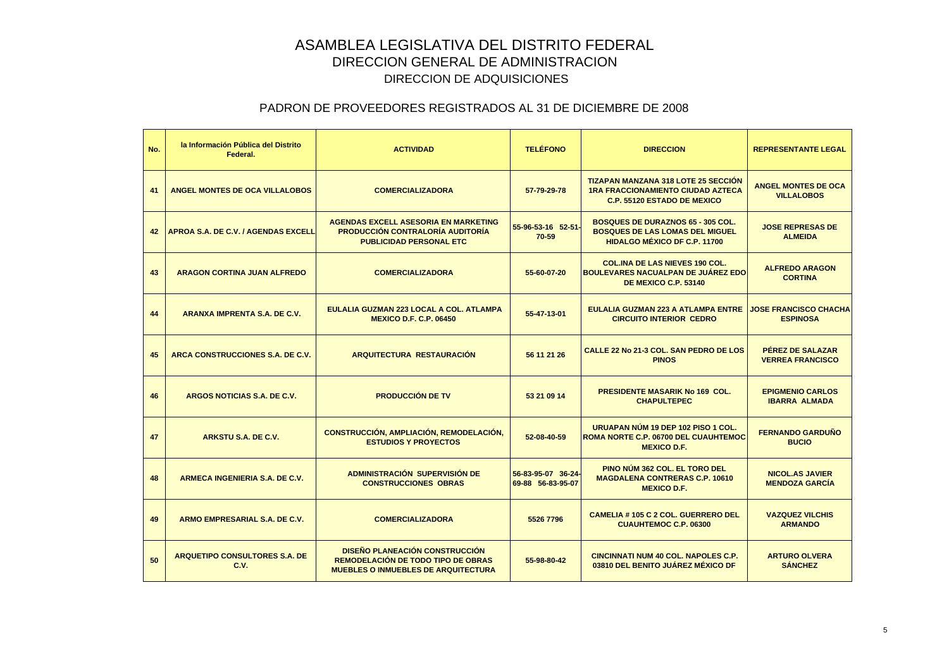| No. | la Información Pública del Distrito<br>Federal. | <b>ACTIVIDAD</b>                                                                                                                 | <b>TELÉFONO</b>                         | <b>DIRECCION</b>                                                                                                             | <b>REPRESENTANTE LEGAL</b>                      |
|-----|-------------------------------------------------|----------------------------------------------------------------------------------------------------------------------------------|-----------------------------------------|------------------------------------------------------------------------------------------------------------------------------|-------------------------------------------------|
| 41  | <b>ANGEL MONTES DE OCA VILLALOBOS</b>           | <b>COMERCIALIZADORA</b>                                                                                                          | 57-79-29-78                             | <b>TIZAPAN MANZANA 318 LOTE 25 SECCIÓN</b><br><b>1RA FRACCIONAMIENTO CIUDAD AZTECA</b><br><b>C.P. 55120 ESTADO DE MEXICO</b> | <b>ANGEL MONTES DE OCA</b><br><b>VILLALOBOS</b> |
| 42  | APROA S.A. DE C.V. / AGENDAS EXCELL             | <b>AGENDAS EXCELL ASESORIA EN MARKETING</b><br><b>PRODUCCIÓN CONTRALORÍA AUDITORÍA</b><br><b>PUBLICIDAD PERSONAL ETC</b>         | 55-96-53-16 52-51-<br>70-59             | <b>BOSQUES DE DURAZNOS 65 - 305 COL.</b><br><b>BOSQUES DE LAS LOMAS DEL MIGUEL</b><br><b>HIDALGO MÉXICO DF C.P. 11700</b>    | <b>JOSE REPRESAS DE</b><br><b>ALMEIDA</b>       |
| 43  | <b>ARAGON CORTINA JUAN ALFREDO</b>              | <b>COMERCIALIZADORA</b>                                                                                                          | 55-60-07-20                             | <b>COL.INA DE LAS NIEVES 190 COL.</b><br><b>BOULEVARES NACUALPAN DE JUAREZ EDO</b><br><b>DE MEXICO C.P. 53140</b>            | <b>ALFREDO ARAGON</b><br><b>CORTINA</b>         |
| 44  | ARANXA IMPRENTA S.A. DE C.V.                    | EULALIA GUZMAN 223 LOCAL A COL. ATLAMPA<br><b>MEXICO D.F. C.P. 06450</b>                                                         | 55-47-13-01                             | <b>EULALIA GUZMAN 223 A ATLAMPA ENTRE</b><br><b>CIRCUITO INTERIOR CEDRO</b>                                                  | <b>JOSE FRANCISCO CHACHA</b><br><b>ESPINOSA</b> |
| 45  | ARCA CONSTRUCCIONES S.A. DE C.V.                | <b>ARQUITECTURA RESTAURACIÓN</b>                                                                                                 | 56 11 21 26                             | CALLE 22 No 21-3 COL. SAN PEDRO DE LOS<br><b>PINOS</b>                                                                       | PÉREZ DE SALAZAR<br><b>VERREA FRANCISCO</b>     |
| 46  | ARGOS NOTICIAS S.A. DE C.V.                     | <b>PRODUCCIÓN DE TV</b>                                                                                                          | 53 21 09 14                             | <b>PRESIDENTE MASARIK No 169 COL.</b><br><b>CHAPULTEPEC</b>                                                                  | <b>EPIGMENIO CARLOS</b><br><b>IBARRA ALMADA</b> |
| 47  | ARKSTU S.A. DE C.V.                             | CONSTRUCCIÓN, AMPLIACIÓN, REMODELACIÓN,<br><b>ESTUDIOS Y PROYECTOS</b>                                                           | 52-08-40-59                             | URUAPAN NÚM 19 DEP 102 PISO 1 COL.<br>ROMA NORTE C.P. 06700 DEL CUAUHTEMOC<br><b>MEXICO D.F.</b>                             | <b>FERNANDO GARDUÑO</b><br><b>BUCIO</b>         |
| 48  | <b>ARMECA INGENIERIA S.A. DE C.V.</b>           | ADMINISTRACIÓN SUPERVISIÓN DE<br><b>CONSTRUCCIONES OBRAS</b>                                                                     | 56-83-95-07 36-24-<br>69-88 56-83-95-07 | <b>PINO NUM 362 COL. EL TORO DEL</b><br><b>MAGDALENA CONTRERAS C.P. 10610</b><br><b>MEXICO D.F.</b>                          | <b>NICOL.AS JAVIER</b><br><b>MENDOZA GARCÍA</b> |
| 49  | ARMO EMPRESARIAL S.A. DE C.V.                   | <b>COMERCIALIZADORA</b>                                                                                                          | 5526 7796                               | <b>CAMELIA #105 C 2 COL. GUERRERO DEL</b><br><b>CUAUHTEMOC C.P. 06300</b>                                                    | <b>VAZQUEZ VILCHIS</b><br><b>ARMANDO</b>        |
| 50  | <b>ARQUETIPO CONSULTORES S.A. DE</b><br>C.V.    | <b>DISEÑO PLANEACIÓN CONSTRUCCIÓN</b><br><b>REMODELACIÓN DE TODO TIPO DE OBRAS</b><br><b>MUEBLES O INMUEBLES DE ARQUITECTURA</b> | 55-98-80-42                             | <b>CINCINNATI NUM 40 COL. NAPOLES C.P.</b><br>03810 DEL BENITO JUÁREZ MÉXICO DF                                              | <b>ARTURO OLVERA</b><br><b>SÁNCHEZ</b>          |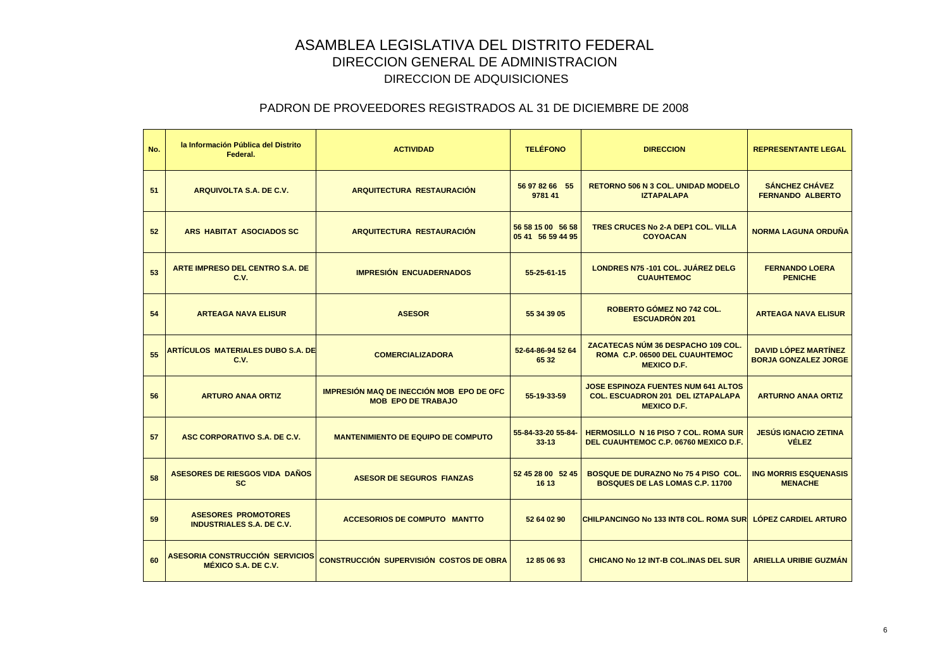| No. | la Información Pública del Distrito<br>Federal.                | <b>ACTIVIDAD</b>                                                      | <b>TELÉFONO</b>                        | <b>DIRECCION</b>                                                                                             | <b>REPRESENTANTE LEGAL</b>                                 |
|-----|----------------------------------------------------------------|-----------------------------------------------------------------------|----------------------------------------|--------------------------------------------------------------------------------------------------------------|------------------------------------------------------------|
| 51  | ARQUIVOLTA S.A. DE C.V.                                        | <b>ARQUITECTURA RESTAURACIÓN</b>                                      | 56 97 82 66 55<br>9781 41              | <b>RETORNO 506 N 3 COL. UNIDAD MODELO</b><br><b>IZTAPALAPA</b>                                               | <b>SÁNCHEZ CHÁVEZ</b><br><b>FERNANDO ALBERTO</b>           |
| 52  | ARS HABITAT ASOCIADOS SC                                       | <b>ARQUITECTURA RESTAURACIÓN</b>                                      | 56 58 15 00 56 58<br>05 41 56 59 44 95 | TRES CRUCES No 2-A DEP1 COL. VILLA<br><b>COYOACAN</b>                                                        | <b>NORMA LAGUNA ORDUÑA</b>                                 |
| 53  | ARTE IMPRESO DEL CENTRO S.A. DE<br>C.V.                        | <b>IMPRESIÓN ENCUADERNADOS</b>                                        | 55-25-61-15                            | <b>LONDRES N75 - 101 COL. JUÁREZ DELG</b><br><b>CUAUHTEMOC</b>                                               | <b>FERNANDO LOERA</b><br><b>PENICHE</b>                    |
| 54  | <b>ARTEAGA NAVA ELISUR</b>                                     | <b>ASESOR</b>                                                         | 55 34 39 05                            | ROBERTO GÓMEZ NO 742 COL.<br><b>ESCUADRÓN 201</b>                                                            | <b>ARTEAGA NAVA ELISUR</b>                                 |
| 55  | ARTÍCULOS MATERIALES DUBO S.A. DE<br>C.V.                      | <b>COMERCIALIZADORA</b>                                               | 52-64-86-94 52 64<br>65 32             | ZACATECAS NÚM 36 DESPACHO 109 COL.<br>ROMA C.P. 06500 DEL CUAUHTEMOC<br><b>MEXICO D.F.</b>                   | <b>DAVID LÓPEZ MARTÍNEZ</b><br><b>BORJA GONZALEZ JORGE</b> |
| 56  | <b>ARTURO ANAA ORTIZ</b>                                       | IMPRESIÓN MAQ DE INECCIÓN MOB EPO DE OFC<br><b>MOB EPO DE TRABAJO</b> | 55-19-33-59                            | <b>JOSE ESPINOZA FUENTES NUM 641 ALTOS</b><br><b>COL. ESCUADRON 201 DEL IZTAPALAPA</b><br><b>MEXICO D.F.</b> | <b>ARTURNO ANAA ORTIZ</b>                                  |
| 57  | ASC CORPORATIVO S.A. DE C.V.                                   | <b>MANTENIMIENTO DE EQUIPO DE COMPUTO</b>                             | 55-84-33-20 55-84-<br>$33 - 13$        | <b>HERMOSILLO N 16 PISO 7 COL. ROMA SUR</b><br>DEL CUAUHTEMOC C.P. 06760 MEXICO D.F.                         | <b>JESÚS IGNACIO ZETINA</b><br><b>VÉLEZ</b>                |
| 58  | <b>ASESORES DE RIESGOS VIDA DAÑOS</b><br><b>SC</b>             | <b>ASESOR DE SEGUROS FIANZAS</b>                                      | 52 45 28 00 52 45<br>16 13             | BOSQUE DE DURAZNO No 75 4 PISO COL.<br><b>BOSQUES DE LAS LOMAS C.P. 11700</b>                                | <b>ING MORRIS ESQUENASIS</b><br><b>MENACHE</b>             |
| 59  | <b>ASESORES PROMOTORES</b><br><b>INDUSTRIALES S.A. DE C.V.</b> | <b>ACCESORIOS DE COMPUTO MANTTO</b>                                   | 52 64 02 90                            | <b>CHILPANCINGO No 133 INT8 COL. ROMA SUR</b>                                                                | <b>LOPEZ CARDIEL ARTURO</b>                                |
| 60  | ASESORIA CONSTRUCCIÓN SERVICIOS<br>MÉXICO S.A. DE C.V.         | <b>CONSTRUCCIÓN SUPERVISIÓN COSTOS DE OBRA</b>                        | 12 85 06 93                            | <b>CHICANO No 12 INT-B COL.INAS DEL SUR</b>                                                                  | <b>ARIELLA URIBIE GUZMÁN</b>                               |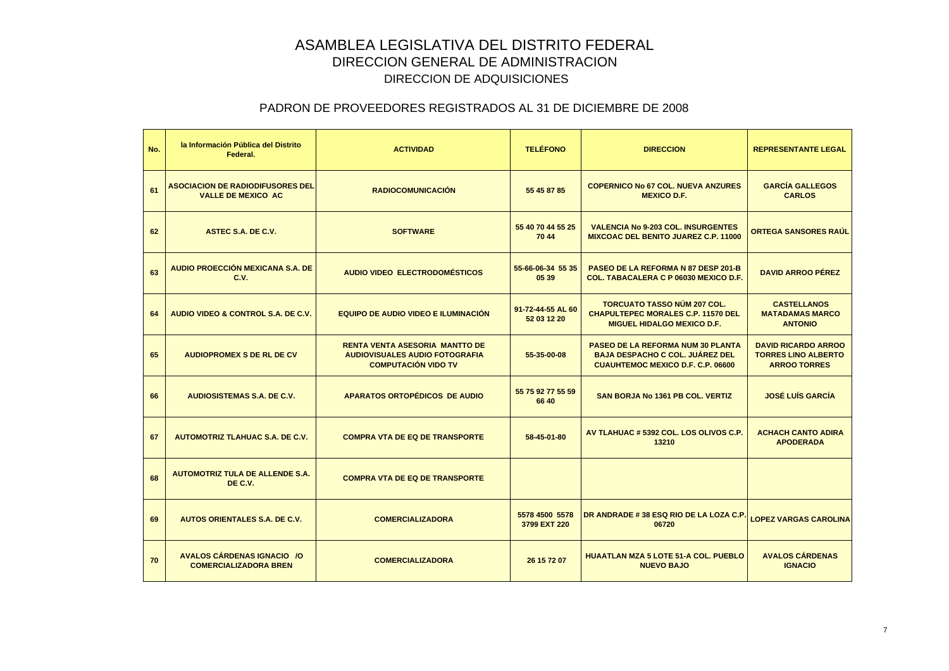| No. | la Información Pública del Distrito<br>Federal.                      | <b>ACTIVIDAD</b>                                                                                             | <b>TELÉFONO</b>                  | <b>DIRECCION</b>                                                                                                               | <b>REPRESENTANTE LEGAL</b>                                                      |
|-----|----------------------------------------------------------------------|--------------------------------------------------------------------------------------------------------------|----------------------------------|--------------------------------------------------------------------------------------------------------------------------------|---------------------------------------------------------------------------------|
| 61  | <b>ASOCIACION DE RADIODIFUSORES DEL</b><br><b>VALLE DE MEXICO AC</b> | <b>RADIOCOMUNICACIÓN</b>                                                                                     | 55 45 87 85                      | <b>COPERNICO No 67 COL. NUEVA ANZURES</b><br><b>MEXICO D.F.</b>                                                                | <b>GARCÍA GALLEGOS</b><br><b>CARLOS</b>                                         |
| 62  | ASTEC S.A. DE C.V.                                                   | <b>SOFTWARE</b>                                                                                              | 55 40 70 44 55 25<br>70 44       | <b>VALENCIA No 9-203 COL. INSURGENTES</b><br><b>MIXCOAC DEL BENITO JUAREZ C.P. 11000</b>                                       | <b>ORTEGA SANSORES RAÚL</b>                                                     |
| 63  | <b>AUDIO PROECCIÓN MEXICANA S.A. DE</b><br>C.V.                      | AUDIO VIDEO ELECTRODOMÉSTICOS                                                                                | 55-66-06-34 55 35<br>05 39       | PASEO DE LA REFORMA N 87 DESP 201-B<br><b>COL. TABACALERA C P 06030 MEXICO D.F.</b>                                            | <b>DAVID ARROO PÉREZ</b>                                                        |
| 64  | AUDIO VIDEO & CONTROL S.A. DE C.V.                                   | EQUIPO DE AUDIO VIDEO E ILUMINACIÓN                                                                          | 91-72-44-55 AL 60<br>52 03 12 20 | <b>TORCUATO TASSO NÚM 207 COL.</b><br><b>CHAPULTEPEC MORALES C.P. 11570 DEL</b><br><b>MIGUEL HIDALGO MEXICO D.F.</b>           | <b>CASTELLANOS</b><br><b>MATADAMAS MARCO</b><br><b>ANTONIO</b>                  |
| 65  | <b>AUDIOPROMEX S DE RL DE CV</b>                                     | <b>RENTA VENTA ASESORIA MANTTO DE</b><br><b>AUDIOVISUALES AUDIO FOTOGRAFIA</b><br><b>COMPUTACIÓN VIDO TV</b> | 55-35-00-08                      | <b>PASEO DE LA REFORMA NUM 30 PLANTA</b><br><b>BAJA DESPACHO C COL. JUÁREZ DEL</b><br><b>CUAUHTEMOC MEXICO D.F. C.P. 06600</b> | <b>DAVID RICARDO ARROO</b><br><b>TORRES LINO ALBERTO</b><br><b>ARROO TORRES</b> |
| 66  | <b>AUDIOSISTEMAS S.A. DE C.V.</b>                                    | <b>APARATOS ORTOPÉDICOS DE AUDIO</b>                                                                         | 55 75 92 77 55 59<br>66 40       | <b>SAN BORJA No 1361 PB COL. VERTIZ</b>                                                                                        | <b>JOSÉ LUÍS GARCÍA</b>                                                         |
| 67  | <b>AUTOMOTRIZ TLAHUAC S.A. DE C.V.</b>                               | <b>COMPRA VTA DE EQ DE TRANSPORTE</b>                                                                        | 58-45-01-80                      | AV TLAHUAC # 5392 COL. LOS OLIVOS C.P.<br>13210                                                                                | <b>ACHACH CANTO ADIRA</b><br><b>APODERADA</b>                                   |
| 68  | <b>AUTOMOTRIZ TULA DE ALLENDE S.A.</b><br>DE C.V.                    | <b>COMPRA VTA DE EQ DE TRANSPORTE</b>                                                                        |                                  |                                                                                                                                |                                                                                 |
| 69  | <b>AUTOS ORIENTALES S.A. DE C.V.</b>                                 | <b>COMERCIALIZADORA</b>                                                                                      | 5578 4500 5578<br>3799 EXT 220   | DR ANDRADE #38 ESQ RIO DE LA LOZA C.P.<br>06720                                                                                | <b>LOPEZ VARGAS CAROLINA</b>                                                    |
| 70  | AVALOS CÁRDENAS IGNACIO / O<br><b>COMERCIALIZADORA BREN</b>          | <b>COMERCIALIZADORA</b>                                                                                      | 26 15 72 07                      | <b>HUAATLAN MZA 5 LOTE 51-A COL. PUEBLO</b><br><b>NUEVO BAJO</b>                                                               | <b>AVALOS CÁRDENAS</b><br><b>IGNACIO</b>                                        |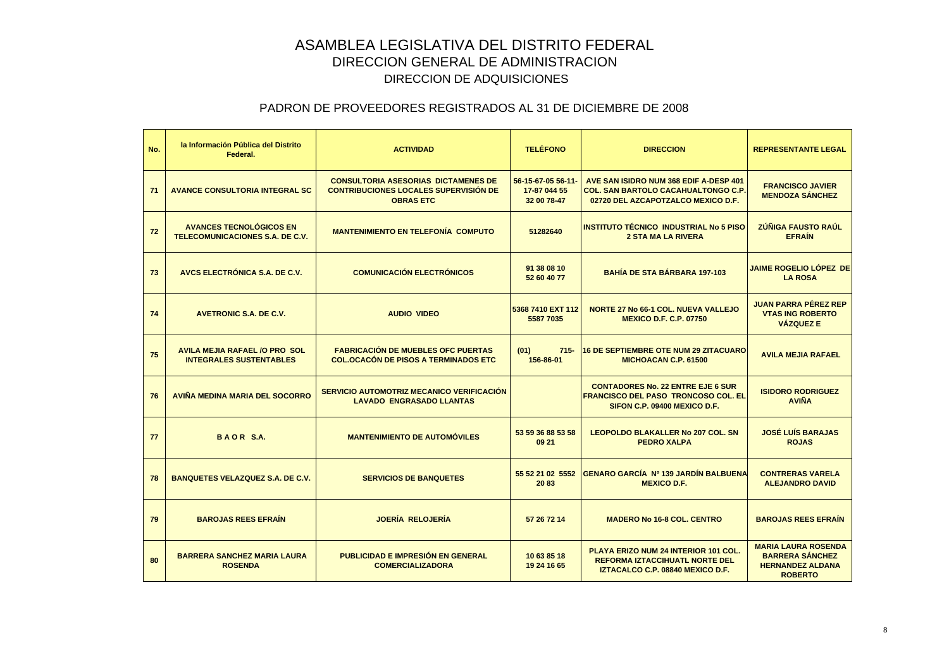| No. | la Información Pública del Distrito<br>Federal.                        | <b>ACTIVIDAD</b>                                                                                               | <b>TELÉFONO</b>                                   | <b>DIRECCION</b>                                                                                                           | <b>REPRESENTANTE LEGAL</b>                                                                        |
|-----|------------------------------------------------------------------------|----------------------------------------------------------------------------------------------------------------|---------------------------------------------------|----------------------------------------------------------------------------------------------------------------------------|---------------------------------------------------------------------------------------------------|
| 71  | <b>AVANCE CONSULTORIA INTEGRAL SC</b>                                  | <b>CONSULTORIA ASESORIAS DICTAMENES DE</b><br><b>CONTRIBUCIONES LOCALES SUPERVISIÓN DE</b><br><b>OBRAS ETC</b> | 56-15-67-05 56-11-<br>17-87 044 55<br>32 00 78-47 | AVE SAN ISIDRO NUM 368 EDIF A-DESP 401<br><b>COL. SAN BARTOLO CACAHUALTONGO C.P.</b><br>02720 DEL AZCAPOTZALCO MEXICO D.F. | <b>FRANCISCO JAVIER</b><br><b>MENDOZA SÁNCHEZ</b>                                                 |
| 72  | <b>AVANCES TECNOLÓGICOS EN</b><br>TELECOMUNICACIONES S.A. DE C.V.      | <b>MANTENIMIENTO EN TELEFONÍA COMPUTO</b>                                                                      | 51282640                                          | <b>INSTITUTO TÉCNICO INDUSTRIAL No 5 PISO</b><br><b>2 STA MA LA RIVERA</b>                                                 | <b>ZÚÑIGA FAUSTO RAÚL</b><br><b>EFRAIN</b>                                                        |
| 73  | AVCS ELECTRÓNICA S.A. DE C.V.                                          | <b>COMUNICACIÓN ELECTRÓNICOS</b>                                                                               | 91 38 08 10<br>52 60 40 77                        | <b>BAHÍA DE STA BÁRBARA 197-103</b>                                                                                        | <b>JAIME ROGELIO LÓPEZ DE</b><br><b>LA ROSA</b>                                                   |
| 74  | <b>AVETRONIC S.A. DE C.V.</b>                                          | <b>AUDIO VIDEO</b>                                                                                             | 5368 7410 EXT 112<br>5587 7035                    | <b>NORTE 27 No 66-1 COL. NUEVA VALLEJO</b><br><b>MEXICO D.F. C.P. 07750</b>                                                | <b>JUAN PARRA PÉREZ REP</b><br><b>VTAS ING ROBERTO</b><br><b>VÁZQUEZ E</b>                        |
| 75  | <b>AVILA MEJIA RAFAEL /O PRO SOL</b><br><b>INTEGRALES SUSTENTABLES</b> | <b>FABRICACIÓN DE MUEBLES OFC PUERTAS</b><br><b>COL.OCACÓN DE PISOS A TERMINADOS ETC</b>                       | (01)<br>$715 -$<br>156-86-01                      | <b>16 DE SEPTIEMBRE OTE NUM 29 ZITACUARO</b><br><b>MICHOACAN C.P. 61500</b>                                                | <b>AVILA MEJIA RAFAEL</b>                                                                         |
| 76  | AVIÑA MEDINA MARIA DEL SOCORRO                                         | SERVICIO AUTOMOTRIZ MECANICO VERIFICACIÓN<br><b>LAVADO ENGRASADO LLANTAS</b>                                   |                                                   | <b>CONTADORES No. 22 ENTRE EJE 6 SUR</b><br><b>FRANCISCO DEL PASO TRONCOSO COL. EL</b><br>SIFON C.P. 09400 MEXICO D.F.     | <b>ISIDORO RODRIGUEZ</b><br><b>AVIÑA</b>                                                          |
| 77  | <b>BAOR S.A.</b>                                                       | <b>MANTENIMIENTO DE AUTOMÓVILES</b>                                                                            | 53 59 36 88 53 58<br>09 21                        | <b>LEOPOLDO BLAKALLER No 207 COL. SN</b><br><b>PEDRO XALPA</b>                                                             | <b>JOSÉ LUÍS BARAJAS</b><br><b>ROJAS</b>                                                          |
| 78  | <b>BANQUETES VELAZQUEZ S.A. DE C.V.</b>                                | <b>SERVICIOS DE BANQUETES</b>                                                                                  | 55 52 21 02 5552<br>2083                          | GENARO GARCÍA Nº 139 JARDÍN BALBUENA<br><b>MEXICO D.F.</b>                                                                 | <b>CONTRERAS VARELA</b><br><b>ALEJANDRO DAVID</b>                                                 |
| 79  | <b>BAROJAS REES EFRAIN</b>                                             | <b>JOERÍA RELOJERÍA</b>                                                                                        | 57 26 72 14                                       | <b>MADERO No 16-8 COL. CENTRO</b>                                                                                          | <b>BAROJAS REES EFRAIN</b>                                                                        |
| 80  | <b>BARRERA SANCHEZ MARIA LAURA</b><br><b>ROSENDA</b>                   | <b>PUBLICIDAD E IMPRESIÓN EN GENERAL</b><br><b>COMERCIALIZADORA</b>                                            | 10 63 85 18<br>19 24 16 65                        | PLAYA ERIZO NUM 24 INTERIOR 101 COL.<br><b>REFORMA IZTACCIHUATL NORTE DEL</b><br>IZTACALCO C.P. 08840 MEXICO D.F.          | <b>MARIA LAURA ROSENDA</b><br><b>BARRERA SANCHEZ</b><br><b>HERNANDEZ ALDANA</b><br><b>ROBERTO</b> |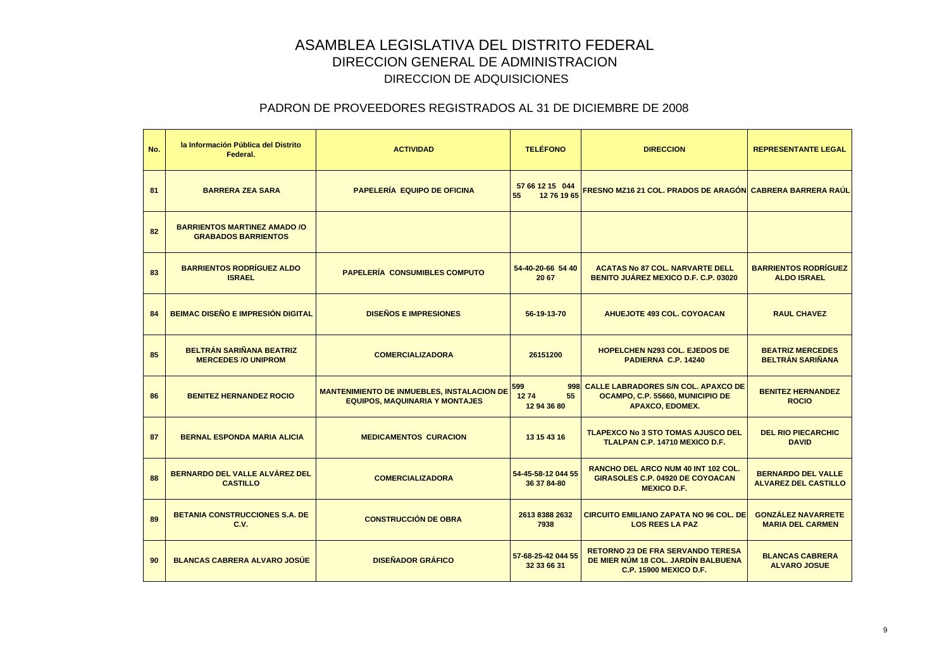| No. | la Información Pública del Distrito<br>Federal.                   | <b>ACTIVIDAD</b>                                                                           | <b>TELÉFONO</b>                         | <b>DIRECCION</b>                                                                                                 | <b>REPRESENTANTE LEGAL</b>                               |
|-----|-------------------------------------------------------------------|--------------------------------------------------------------------------------------------|-----------------------------------------|------------------------------------------------------------------------------------------------------------------|----------------------------------------------------------|
| 81  | <b>BARRERA ZEA SARA</b>                                           | <b>PAPELERÍA EQUIPO DE OFICINA</b>                                                         | 57 66 12 15 044<br>55<br>12 76 19 65    | <b>FRESNO MZ16 21 COL. PRADOS DE ARAGÓN CABRERA BARRERA RAÚL</b>                                                 |                                                          |
| 82  | <b>BARRIENTOS MARTINEZ AMADO /O</b><br><b>GRABADOS BARRIENTOS</b> |                                                                                            |                                         |                                                                                                                  |                                                          |
| 83  | <b>BARRIENTOS RODRÍGUEZ ALDO</b><br><b>ISRAEL</b>                 | <b>PAPELERÍA CONSUMIBLES COMPUTO</b>                                                       | 54-40-20-66 54 40<br>20 67              | <b>ACATAS No 87 COL. NARVARTE DELL</b><br><b>BENITO JUÁREZ MEXICO D.F. C.P. 03020</b>                            | <b>BARRIENTOS RODRÍGUEZ</b><br><b>ALDO ISRAEL</b>        |
| 84  | <b>BEIMAC DISEÑO E IMPRESIÓN DIGITAL</b>                          | <b>DISEÑOS E IMPRESIONES</b>                                                               | 56-19-13-70                             | <b>AHUEJOTE 493 COL. COYOACAN</b>                                                                                | <b>RAUL CHAVEZ</b>                                       |
| 85  | <b>BELTRÁN SARIÑANA BEATRIZ</b><br><b>MERCEDES /O UNIPROM</b>     | <b>COMERCIALIZADORA</b>                                                                    | 26151200                                | <b>HOPELCHEN N293 COL. EJEDOS DE</b><br>PADIERNA C.P. 14240                                                      | <b>BEATRIZ MERCEDES</b><br><b>BELTRÁN SARIÑANA</b>       |
| 86  | <b>BENITEZ HERNANDEZ ROCIO</b>                                    | <b>MANTENIMIENTO DE INMUEBLES, INSTALACION DE</b><br><b>EQUIPOS, MAQUINARIA Y MONTAJES</b> | 599<br>998<br>55<br>1274<br>12 94 36 80 | <b>CALLE LABRADORES S/N COL. APAXCO DE</b><br>OCAMPO, C.P. 55660, MUNICIPIO DE<br><b>APAXCO, EDOMEX.</b>         | <b>BENITEZ HERNANDEZ</b><br><b>ROCIO</b>                 |
| 87  | <b>BERNAL ESPONDA MARIA ALICIA</b>                                | <b>MEDICAMENTOS CURACION</b>                                                               | 13 15 43 16                             | <b>TLAPEXCO No 3 STO TOMAS AJUSCO DEL</b><br>TLALPAN C.P. 14710 MEXICO D.F.                                      | <b>DEL RIO PIECARCHIC</b><br><b>DAVID</b>                |
| 88  | BERNARDO DEL VALLE ALVÁREZ DEL<br><b>CASTILLO</b>                 | <b>COMERCIALIZADORA</b>                                                                    | 54-45-58-12 044 55<br>36 37 84-80       | <b>RANCHO DEL ARCO NUM 40 INT 102 COL.</b><br>GIRASOLES C.P. 04920 DE COYOACAN<br><b>MEXICO D.F.</b>             | <b>BERNARDO DEL VALLE</b><br><b>ALVAREZ DEL CASTILLO</b> |
| 89  | <b>BETANIA CONSTRUCCIONES S.A. DE</b><br>C.V.                     | <b>CONSTRUCCIÓN DE OBRA</b>                                                                | 2613 8388 2632<br>7938                  | <b>CIRCUITO EMILIANO ZAPATA NO 96 COL. DE</b><br><b>LOS REES LA PAZ</b>                                          | <b>GONZÁLEZ NAVARRETE</b><br><b>MARIA DEL CARMEN</b>     |
| 90  | <b>BLANCAS CABRERA ALVARO JOSUE</b>                               | <b>DISEÑADOR GRÁFICO</b>                                                                   | 57-68-25-42 044 55<br>32 33 66 31       | <b>RETORNO 23 DE FRA SERVANDO TERESA</b><br>DE MIER NÚM 18 COL. JARDÍN BALBUENA<br><b>C.P. 15900 MEXICO D.F.</b> | <b>BLANCAS CABRERA</b><br><b>ALVARO JOSUE</b>            |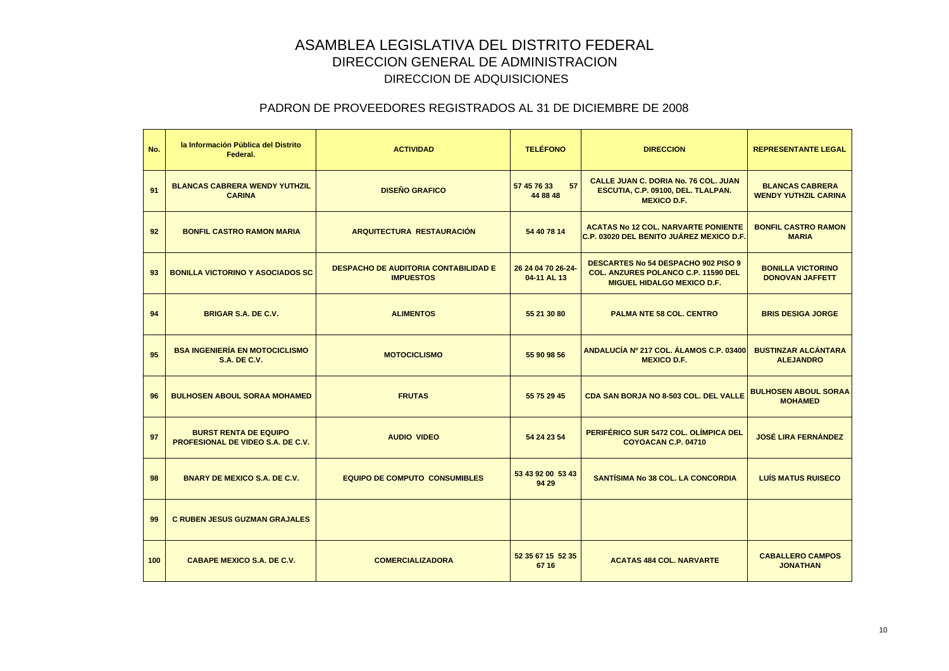| No. | la Información Pública del Distrito<br>Federal.                          | <b>ACTIVIDAD</b>                                                | <b>TELÉFONO</b>                   | <b>DIRECCION</b>                                                                                                              | <b>REPRESENTANTE LEGAL</b>                            |
|-----|--------------------------------------------------------------------------|-----------------------------------------------------------------|-----------------------------------|-------------------------------------------------------------------------------------------------------------------------------|-------------------------------------------------------|
| 91  | <b>BLANCAS CABRERA WENDY YUTHZIL</b><br><b>CARINA</b>                    | <b>DISEÑO GRAFICO</b>                                           | 57<br>57 45 76 33<br>44 88 48     | <b>CALLE JUAN C. DORIA No. 76 COL. JUAN</b><br>ESCUTIA, C.P. 09100, DEL. TLALPAN.<br><b>MEXICO D.F.</b>                       | <b>BLANCAS CABRERA</b><br><b>WENDY YUTHZIL CARINA</b> |
| 92  | <b>BONFIL CASTRO RAMON MARIA</b>                                         | <b>ARQUITECTURA RESTAURACIÓN</b>                                | 54 40 78 14                       | <b>ACATAS No 12 COL. NARVARTE PONIENTE</b><br><b>C.P. 03020 DEL BENITO JUÁREZ MEXICO D.F.</b>                                 | <b>BONFIL CASTRO RAMON</b><br><b>MARIA</b>            |
| 93  | <b>BONILLA VICTORINO Y ASOCIADOS SC</b>                                  | <b>DESPACHO DE AUDITORIA CONTABILIDAD E</b><br><b>IMPUESTOS</b> | 26 24 04 70 26-24-<br>04-11 AL 13 | <b>DESCARTES No 54 DESPACHO 902 PISO 9</b><br><b>COL. ANZURES POLANCO C.P. 11590 DEL</b><br><b>MIGUEL HIDALGO MEXICO D.F.</b> | <b>BONILLA VICTORINO</b><br><b>DONOVAN JAFFETT</b>    |
| 94  | <b>BRIGAR S.A. DE C.V.</b>                                               | <b>ALIMENTOS</b>                                                | 55 21 30 80                       | <b>PALMA NTE 58 COL. CENTRO</b>                                                                                               | <b>BRIS DESIGA JORGE</b>                              |
| 95  | <b>BSA INGENIERÍA EN MOTOCICLISMO</b><br><b>S.A. DE C.V.</b>             | <b>MOTOCICLISMO</b>                                             | 55 90 98 56                       | ANDALUCÍA Nº 217 COL. ÁLAMOS C.P. 03400<br><b>MEXICO D.F.</b>                                                                 | <b>BUSTINZAR ALCÁNTARA</b><br><b>ALEJANDRO</b>        |
| 96  | <b>BULHOSEN ABOUL SORAA MOHAMED</b>                                      | <b>FRUTAS</b>                                                   | 55 75 29 45                       | <b>CDA SAN BORJA NO 8-503 COL. DEL VALLE</b>                                                                                  | <b>BULHOSEN ABOUL SORAA</b><br><b>MOHAMED</b>         |
| 97  | <b>BURST RENTA DE EQUIPO</b><br><b>PROFESIONAL DE VIDEO S.A. DE C.V.</b> | <b>AUDIO VIDEO</b>                                              | 54 24 23 54                       | PERIFÉRICO SUR 5472 COL. OLÍMPICA DEL<br>COYOACAN C.P. 04710                                                                  | <b>JOSÉ LIRA FERNÁNDEZ</b>                            |
| 98  | <b>BNARY DE MEXICO S.A. DE C.V.</b>                                      | <b>EQUIPO DE COMPUTO CONSUMIBLES</b>                            | 53 43 92 00 53 43<br>94 29        | <b>SANTÍSIMA No 38 COL. LA CONCORDIA</b>                                                                                      | <b>LUÍS MATUS RUISECO</b>                             |
| 99  | <b>C RUBEN JESUS GUZMAN GRAJALES</b>                                     |                                                                 |                                   |                                                                                                                               |                                                       |
| 100 | <b>CABAPE MEXICO S.A. DE C.V.</b>                                        | <b>COMERCIALIZADORA</b>                                         | 52 35 67 15 52 35<br>67 16        | <b>ACATAS 484 COL. NARVARTE</b>                                                                                               | <b>CABALLERO CAMPOS</b><br><b>JONATHAN</b>            |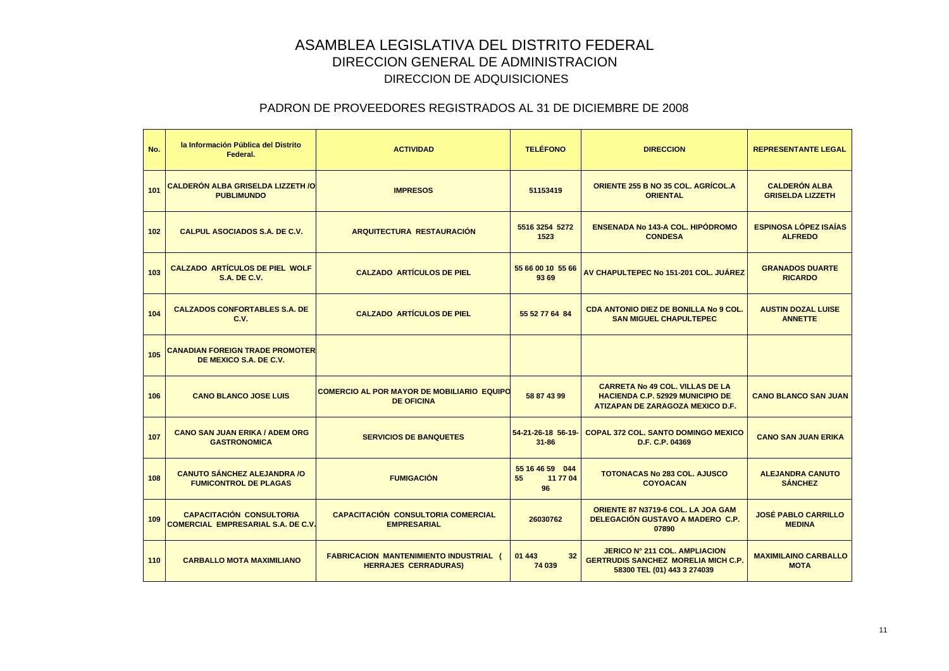| No. | la Información Pública del Distrito<br>Federal.                              | <b>ACTIVIDAD</b>                                                             | <b>TELÉFONO</b>                         | <b>DIRECCION</b>                                                                                                      | <b>REPRESENTANTE LEGAL</b>                      |
|-----|------------------------------------------------------------------------------|------------------------------------------------------------------------------|-----------------------------------------|-----------------------------------------------------------------------------------------------------------------------|-------------------------------------------------|
| 101 | <b>CALDERÓN ALBA GRISELDA LIZZETH /O</b><br><b>PUBLIMUNDO</b>                | <b>IMPRESOS</b>                                                              | 51153419                                | ORIENTE 255 B NO 35 COL. AGRÍCOL.A<br><b>ORIENTAL</b>                                                                 | <b>CALDERÓN ALBA</b><br><b>GRISELDA LIZZETH</b> |
| 102 | <b>CALPUL ASOCIADOS S.A. DE C.V.</b>                                         | <b>ARQUITECTURA RESTAURACIÓN</b>                                             | 5516 3254 5272<br>1523                  | <b>ENSENADA No 143-A COL. HIPÓDROMO</b><br><b>CONDESA</b>                                                             | <b>ESPINOSA LÓPEZ ISAÍAS</b><br><b>ALFREDO</b>  |
| 103 | <b>CALZADO ARTÍCULOS DE PIEL WOLF</b><br><b>S.A. DE C.V.</b>                 | <b>CALZADO ARTÍCULOS DE PIEL</b>                                             | 55 66 00 10 55 66<br>93 69              | AV CHAPULTEPEC No 151-201 COL. JUÁREZ                                                                                 | <b>GRANADOS DUARTE</b><br><b>RICARDO</b>        |
| 104 | <b>CALZADOS CONFORTABLES S.A. DE</b><br>C.V.                                 | <b>CALZADO ARTÍCULOS DE PIEL</b>                                             | 55 52 77 64 84                          | <b>CDA ANTONIO DIEZ DE BONILLA No 9 COL.</b><br><b>SAN MIGUEL CHAPULTEPEC</b>                                         | <b>AUSTIN DOZAL LUISE</b><br><b>ANNETTE</b>     |
| 105 | <b>CANADIAN FOREIGN TRADE PROMOTER</b><br>DE MEXICO S.A. DE C.V.             |                                                                              |                                         |                                                                                                                       |                                                 |
| 106 | <b>CANO BLANCO JOSE LUIS</b>                                                 | <b>COMERCIO AL POR MAYOR DE MOBILIARIO EQUIPO</b><br><b>DE OFICINA</b>       | 58 87 43 99                             | <b>CARRETA No 49 COL. VILLAS DE LA</b><br><b>HACIENDA C.P. 52929 MUNICIPIO DE</b><br>ATIZAPAN DE ZARAGOZA MEXICO D.F. | <b>CANO BLANCO SAN JUAN</b>                     |
| 107 | <b>CANO SAN JUAN ERIKA / ADEM ORG</b><br><b>GASTRONOMICA</b>                 | <b>SERVICIOS DE BANQUETES</b>                                                | 54-21-26-18 56-19-<br>$31 - 86$         | <b>COPAL 372 COL. SANTO DOMINGO MEXICO</b><br>D.F. C.P. 04369                                                         | <b>CANO SAN JUAN ERIKA</b>                      |
| 108 | <b>CANUTO SÁNCHEZ ALEJANDRA /O</b><br><b>FUMICONTROL DE PLAGAS</b>           | <b>FUMIGACIÓN</b>                                                            | 55 16 46 59 044<br>55<br>11 77 04<br>96 | <b>TOTONACAS No 283 COL. AJUSCO</b><br><b>COYOACAN</b>                                                                | <b>ALEJANDRA CANUTO</b><br><b>SÁNCHEZ</b>       |
| 109 | <b>CAPACITACIÓN CONSULTORIA</b><br><b>COMERCIAL EMPRESARIAL S.A. DE C.V.</b> | <b>CAPACITACIÓN CONSULTORIA COMERCIAL</b><br><b>EMPRESARIAL</b>              | 26030762                                | ORIENTE 87 N3719-6 COL. LA JOA GAM<br>DELEGACIÓN GUSTAVO A MADERO C.P.<br>07890                                       | <b>JOSÉ PABLO CARRILLO</b><br><b>MEDINA</b>     |
| 110 | <b>CARBALLO MOTA MAXIMILIANO</b>                                             | <b>FABRICACION MANTENIMIENTO INDUSTRIAL (</b><br><b>HERRAJES CERRADURAS)</b> | 01 443<br>32<br>74 039                  | <b>JERICO Nº 211 COL. AMPLIACION</b><br><b>GERTRUDIS SANCHEZ MORELIA MICH C.P.</b><br>58300 TEL (01) 443 3 274039     | <b>MAXIMILAINO CARBALLO</b><br><b>MOTA</b>      |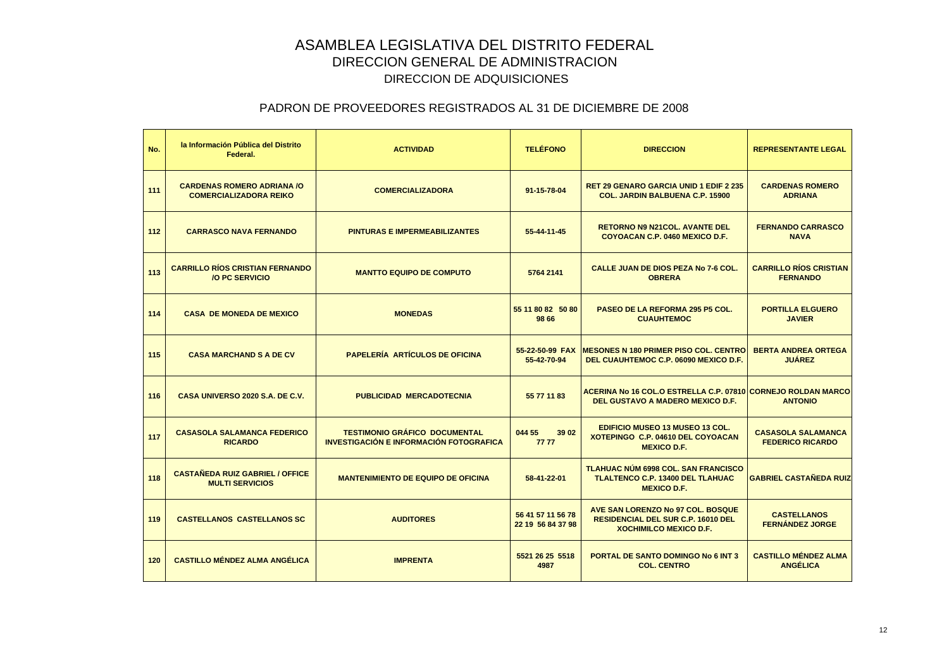| No. | la Información Pública del Distrito<br>Federal.                    | <b>ACTIVIDAD</b>                                                                | <b>TELÉFONO</b>                        | <b>DIRECCION</b>                                                                                                | <b>REPRESENTANTE LEGAL</b>                           |
|-----|--------------------------------------------------------------------|---------------------------------------------------------------------------------|----------------------------------------|-----------------------------------------------------------------------------------------------------------------|------------------------------------------------------|
| 111 | <b>CARDENAS ROMERO ADRIANA /O</b><br><b>COMERCIALIZADORA REIKO</b> | <b>COMERCIALIZADORA</b>                                                         | 91-15-78-04                            | <b>RET 29 GENARO GARCIA UNID 1 EDIF 2 235</b><br><b>COL. JARDIN BALBUENA C.P. 15900</b>                         | <b>CARDENAS ROMERO</b><br><b>ADRIANA</b>             |
| 112 | <b>CARRASCO NAVA FERNANDO</b>                                      | <b>PINTURAS E IMPERMEABILIZANTES</b>                                            | 55-44-11-45                            | <b>RETORNO N9 N21COL, AVANTE DEL</b><br>COYOACAN C.P. 0460 MEXICO D.F.                                          | <b>FERNANDO CARRASCO</b><br><b>NAVA</b>              |
| 113 | <b>CARRILLO RÍOS CRISTIAN FERNANDO</b><br><b>/O PC SERVICIO</b>    | <b>MANTTO EQUIPO DE COMPUTO</b>                                                 | 5764 2141                              | CALLE JUAN DE DIOS PEZA No 7-6 COL.<br><b>OBRERA</b>                                                            | <b>CARRILLO RÍOS CRISTIAN</b><br><b>FERNANDO</b>     |
| 114 | <b>CASA DE MONEDA DE MEXICO</b>                                    | <b>MONEDAS</b>                                                                  | 55 11 80 82 50 80<br>98 66             | PASEO DE LA REFORMA 295 P5 COL.<br><b>CUAUHTEMOC</b>                                                            | <b>PORTILLA ELGUERO</b><br><b>JAVIER</b>             |
| 115 | <b>CASA MARCHAND S A DE CV</b>                                     | <b>PAPELERÍA ARTÍCULOS DE OFICINA</b>                                           | 55-22-50-99 FAX<br>55-42-70-94         | <b>MESONES N 180 PRIMER PISO COL. CENTRO</b><br>DEL CUAUHTEMOC C.P. 06090 MEXICO D.F.                           | <b>BERTA ANDREA ORTEGA</b><br><b>JUAREZ</b>          |
| 116 | CASA UNIVERSO 2020 S.A. DE C.V.                                    | <b>PUBLICIDAD MERCADOTECNIA</b>                                                 | 55 77 11 83                            | ACERINA No 16 COL.O ESTRELLA C.P. 07810 CORNEJO ROLDAN MARCO<br>DEL GUSTAVO A MADERO MEXICO D.F.                | <b>ANTONIO</b>                                       |
| 117 | <b>CASASOLA SALAMANCA FEDERICO</b><br><b>RICARDO</b>               | <b>TESTIMONIO GRÁFICO DOCUMENTAL</b><br>INVESTIGACIÓN E INFORMACIÓN FOTOGRAFICA | 044 55<br>39 02<br>7777                | <b>EDIFICIO MUSEO 13 MUSEO 13 COL.</b><br>XOTEPINGO C.P. 04610 DEL COYOACAN<br><b>MEXICO D.F.</b>               | <b>CASASOLA SALAMANCA</b><br><b>FEDERICO RICARDO</b> |
| 118 | <b>CASTAÑEDA RUIZ GABRIEL / OFFICE</b><br><b>MULTI SERVICIOS</b>   | <b>MANTENIMIENTO DE EQUIPO DE OFICINA</b>                                       | 58-41-22-01                            | <b>TLAHUAC NÚM 6998 COL. SAN FRANCISCO</b><br><b>TLALTENCO C.P. 13400 DEL TLAHUAC</b><br><b>MEXICO D.F.</b>     | <b>GABRIEL CASTAÑEDA RUIZ</b>                        |
| 119 | <b>CASTELLANOS CASTELLANOS SC</b>                                  | <b>AUDITORES</b>                                                                | 56 41 57 11 56 78<br>22 19 56 84 37 98 | AVE SAN LORENZO No 97 COL. BOSQUE<br><b>RESIDENCIAL DEL SUR C.P. 16010 DEL</b><br><b>XOCHIMILCO MEXICO D.F.</b> | <b>CASTELLANOS</b><br><b>FERNÁNDEZ JORGE</b>         |
| 120 | <b>CASTILLO MÉNDEZ ALMA ANGÉLICA</b>                               | <b>IMPRENTA</b>                                                                 | 5521 26 25 5518<br>4987                | <b>PORTAL DE SANTO DOMINGO No 6 INT 3</b><br><b>COL. CENTRO</b>                                                 | <b>CASTILLO MÉNDEZ ALMA</b><br><b>ANGÉLICA</b>       |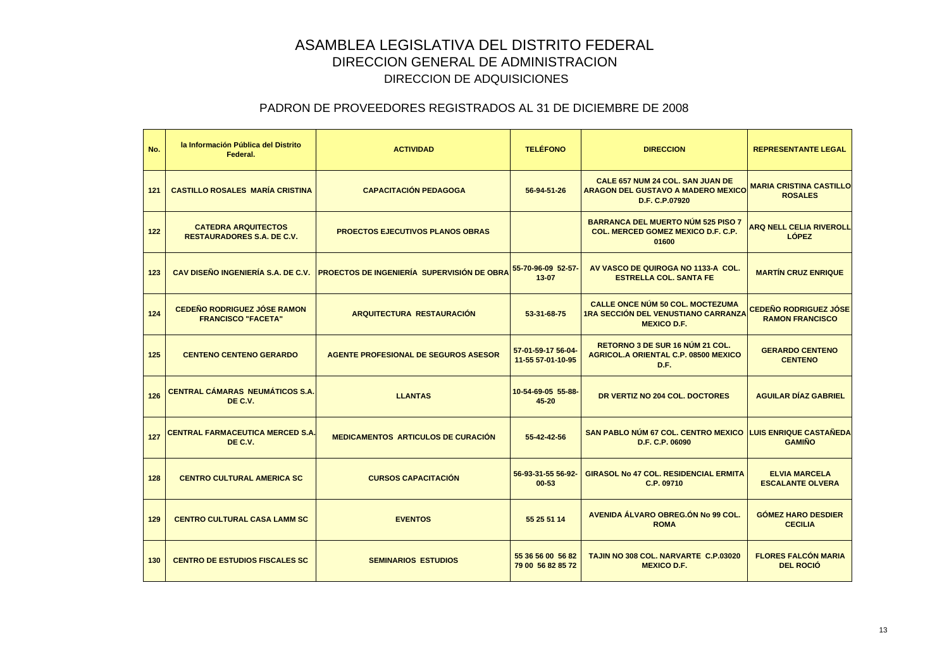| No. | la Información Pública del Distrito<br>Federal.                 | <b>ACTIVIDAD</b>                                                              | <b>TELÉFONO</b>                         | <b>DIRECCION</b>                                                                                            | <b>REPRESENTANTE LEGAL</b>                             |
|-----|-----------------------------------------------------------------|-------------------------------------------------------------------------------|-----------------------------------------|-------------------------------------------------------------------------------------------------------------|--------------------------------------------------------|
| 121 | <b>CASTILLO ROSALES MARÍA CRISTINA</b>                          | <b>CAPACITACIÓN PEDAGOGA</b>                                                  | 56-94-51-26                             | <b>CALE 657 NUM 24 COL. SAN JUAN DE</b><br><b>ARAGON DEL GUSTAVO A MADERO MEXICO</b><br>D.F. C.P.07920      | <b>MARIA CRISTINA CASTILLO</b><br><b>ROSALES</b>       |
| 122 | <b>CATEDRA ARQUITECTOS</b><br><b>RESTAURADORES S.A. DE C.V.</b> | <b>PROECTOS EJECUTIVOS PLANOS OBRAS</b>                                       |                                         | <b>BARRANCA DEL MUERTO NÚM 525 PISO 7</b><br><b>COL. MERCED GOMEZ MEXICO D.F. C.P.</b><br>01600             | <b>ARQ NELL CELIA RIVEROLL</b><br><b>LOPEZ</b>         |
| 123 |                                                                 | CAV DISEÑO INGENIERÍA S.A. DE C.V. PROECTOS DE INGENIERÍA SUPERVISIÓN DE OBRA | 55-70-96-09 52-57-<br>$13 - 07$         | AV VASCO DE QUIROGA NO 1133-A COL.<br><b>ESTRELLA COL. SANTA FE</b>                                         | <b>MARTIN CRUZ ENRIQUE</b>                             |
| 124 | <b>CEDEÑO RODRIGUEZ JÓSE RAMON</b><br><b>FRANCISCO "FACETA"</b> | ARQUITECTURA RESTAURACIÓN                                                     | 53-31-68-75                             | <b>CALLE ONCE NÚM 50 COL. MOCTEZUMA</b><br><b>1RA SECCIÓN DEL VENUSTIANO CARRANZA</b><br><b>MEXICO D.F.</b> | <b>CEDEÑO RODRIGUEZ JÓSE</b><br><b>RAMON FRANCISCO</b> |
| 125 | <b>CENTENO CENTENO GERARDO</b>                                  | <b>AGENTE PROFESIONAL DE SEGUROS ASESOR</b>                                   | 57-01-59-17 56-04-<br>11-55 57-01-10-95 | <b>RETORNO 3 DE SUR 16 NUM 21 COL.</b><br><b>AGRICOL.A ORIENTAL C.P. 08500 MEXICO</b><br>D.F.               | <b>GERARDO CENTENO</b><br><b>CENTENO</b>               |
| 126 | <b>CENTRAL CÁMARAS NEUMÁTICOS S.A.</b><br>DE C.V.               | <b>LLANTAS</b>                                                                | 10-54-69-05 55-88-<br>45-20             | DR VERTIZ NO 204 COL. DOCTORES                                                                              | <b>AGUILAR DÍAZ GABRIEL</b>                            |
| 127 | CENTRAL FARMACEUTICA MERCED S.A.<br>DE C.V.                     | <b>MEDICAMENTOS ARTICULOS DE CURACIÓN</b>                                     | 55-42-42-56                             | <b>SAN PABLO NUM 67 COL. CENTRO MEXICO</b><br>D.F. C.P. 06090                                               | <b>LUIS ENRIQUE CASTAÑEDA</b><br><b>GAMIÑO</b>         |
| 128 | <b>CENTRO CULTURAL AMERICA SC</b>                               | <b>CURSOS CAPACITACIÓN</b>                                                    | 56-93-31-55 56-92-<br>$00 - 53$         | <b>GIRASOL No 47 COL. RESIDENCIAL ERMITA</b><br>C.P. 09710                                                  | <b>ELVIA MARCELA</b><br><b>ESCALANTE OLVERA</b>        |
| 129 | <b>CENTRO CULTURAL CASA LAMM SC</b>                             | <b>EVENTOS</b>                                                                | 55 25 51 14                             | AVENIDA ÁLVARO OBREG.ÓN No 99 COL.<br><b>ROMA</b>                                                           | <b>GÓMEZ HARO DESDIER</b><br><b>CECILIA</b>            |
| 130 | <b>CENTRO DE ESTUDIOS FISCALES SC</b>                           | <b>SEMINARIOS ESTUDIOS</b>                                                    | 55 36 56 00 56 82<br>79 00 56 82 85 72  | TAJIN NO 308 COL. NARVARTE C.P.03020<br><b>MEXICO D.F.</b>                                                  | <b>FLORES FALCÓN MARIA</b><br><b>DEL ROCIÓ</b>         |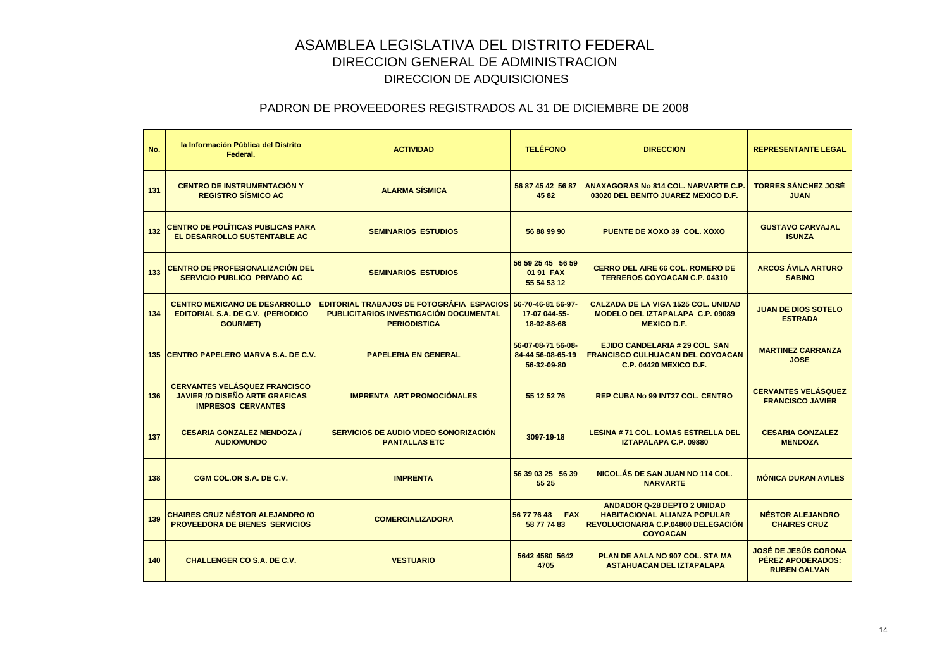| No. | la Información Pública del Distrito<br>Federal.                                                            | <b>ACTIVIDAD</b>                                                                                                         | <b>TELÉFONO</b>                                        | <b>DIRECCION</b>                                                                                                                    | <b>REPRESENTANTE LEGAL</b>                                              |
|-----|------------------------------------------------------------------------------------------------------------|--------------------------------------------------------------------------------------------------------------------------|--------------------------------------------------------|-------------------------------------------------------------------------------------------------------------------------------------|-------------------------------------------------------------------------|
| 131 | <b>CENTRO DE INSTRUMENTACIÓN Y</b><br><b>REGISTRO SÍSMICO AC</b>                                           | <b>ALARMA SÍSMICA</b>                                                                                                    | 56 87 45 42 56 87<br>4582                              | <b>ANAXAGORAS No 814 COL, NARVARTE C.P.</b><br>03020 DEL BENITO JUAREZ MEXICO D.F.                                                  | <b>TORRES SÁNCHEZ JOSÉ</b><br><b>JUAN</b>                               |
| 132 | <b>CENTRO DE POLÍTICAS PUBLICAS PARA</b><br>EL DESARROLLO SUSTENTABLE AC                                   | <b>SEMINARIOS ESTUDIOS</b>                                                                                               | 56 88 99 90                                            | <b>PUENTE DE XOXO 39 COL. XOXO</b>                                                                                                  | <b>GUSTAVO CARVAJAL</b><br><b>ISUNZA</b>                                |
| 133 | <b>CENTRO DE PROFESIONALIZACIÓN DEL</b><br><b>SERVICIO PUBLICO PRIVADO AC</b>                              | <b>SEMINARIOS ESTUDIOS</b>                                                                                               | 56 59 25 45 56 59<br>01 91 FAX<br>55 54 53 12          | <b>CERRO DEL AIRE 66 COL. ROMERO DE</b><br><b>TERREROS COYOACAN C.P. 04310</b>                                                      | <b>ARCOS ÁVILA ARTURO</b><br><b>SABINO</b>                              |
| 134 | <b>CENTRO MEXICANO DE DESARROLLO</b><br><b>EDITORIAL S.A. DE C.V. (PERIODICO</b><br><b>GOURMET)</b>        | <b>EDITORIAL TRABAJOS DE FOTOGRÁFIA ESPACIOS</b><br><b>PUBLICITARIOS INVESTIGACIÓN DOCUMENTAL</b><br><b>PERIODISTICA</b> | 56-70-46-81 56-97-<br>17-07 044-55-<br>18-02-88-68     | <b>CALZADA DE LA VIGA 1525 COL. UNIDAD</b><br><b>MODELO DEL IZTAPALAPA C.P. 09089</b><br><b>MEXICO D.F.</b>                         | <b>JUAN DE DIOS SOTELO</b><br><b>ESTRADA</b>                            |
|     | 135 CENTRO PAPELERO MARVA S.A. DE C.V.                                                                     | <b>PAPELERIA EN GENERAL</b>                                                                                              | 56-07-08-71 56-08-<br>84-44 56-08-65-19<br>56-32-09-80 | <b>EJIDO CANDELARIA # 29 COL, SAN</b><br><b>FRANCISCO CULHUACAN DEL COYOACAN</b><br><b>C.P. 04420 MEXICO D.F.</b>                   | <b>MARTINEZ CARRANZA</b><br><b>JOSE</b>                                 |
| 136 | <b>CERVANTES VELÁSQUEZ FRANCISCO</b><br><b>JAVIER /O DISEÑO ARTE GRAFICAS</b><br><b>IMPRESOS CERVANTES</b> | <b>IMPRENTA ART PROMOCIÓNALES</b>                                                                                        | 55 12 52 76                                            | <b>REP CUBA No 99 INT27 COL. CENTRO</b>                                                                                             | <b>CERVANTES VELÁSQUEZ</b><br><b>FRANCISCO JAVIER</b>                   |
| 137 | <b>CESARIA GONZALEZ MENDOZA /</b><br><b>AUDIOMUNDO</b>                                                     | <b>SERVICIOS DE AUDIO VIDEO SONORIZACIÓN</b><br><b>PANTALLAS ETC</b>                                                     | 3097-19-18                                             | <b>LESINA #71 COL. LOMAS ESTRELLA DEL</b><br><b>IZTAPALAPA C.P. 09880</b>                                                           | <b>CESARIA GONZALEZ</b><br><b>MENDOZA</b>                               |
| 138 | CGM COL.OR S.A. DE C.V.                                                                                    | <b>IMPRENTA</b>                                                                                                          | 56 39 03 25 56 39<br>55 25                             | NICOL.ÁS DE SAN JUAN NO 114 COL.<br><b>NARVARTE</b>                                                                                 | <b>MÓNICA DURAN AVILES</b>                                              |
| 139 | <b>CHAIRES CRUZ NÉSTOR ALEJANDRO /O</b><br>PROVEEDORA DE BIENES SERVICIOS                                  | <b>COMERCIALIZADORA</b>                                                                                                  | 56 77 76 48 FAX<br>58 77 74 83                         | <b>ANDADOR Q-28 DEPTO 2 UNIDAD</b><br><b>HABITACIONAL ALIANZA POPULAR</b><br>REVOLUCIONARIA C.P.04800 DELEGACIÓN<br><b>COYOACAN</b> | <b>NÉSTOR ALEJANDRO</b><br><b>CHAIRES CRUZ</b>                          |
| 140 | <b>CHALLENGER CO S.A. DE C.V.</b>                                                                          | <b>VESTUARIO</b>                                                                                                         | 5642 4580 5642<br>4705                                 | PLAN DE AALA NO 907 COL. STA MA<br><b>ASTAHUACAN DEL IZTAPALAPA</b>                                                                 | <b>JOSÉ DE JESÚS CORONA</b><br>PÉREZ APODERADOS:<br><b>RUBEN GALVAN</b> |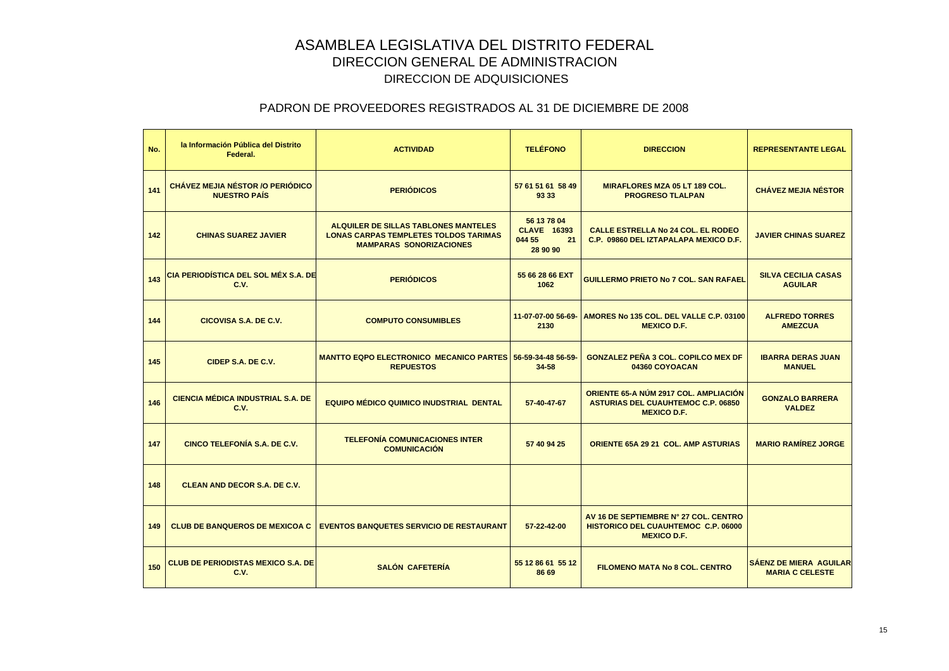| No. | la Información Pública del Distrito<br>Federal.          | <b>ACTIVIDAD</b>                                                                                                       | <b>TELÉFONO</b>                                               | <b>DIRECCION</b>                                                                                         | <b>REPRESENTANTE LEGAL</b>                              |
|-----|----------------------------------------------------------|------------------------------------------------------------------------------------------------------------------------|---------------------------------------------------------------|----------------------------------------------------------------------------------------------------------|---------------------------------------------------------|
| 141 | CHÁVEZ MEJIA NÉSTOR / O PERIÓDICO<br><b>NUESTRO PAÍS</b> | <b>PERIÓDICOS</b>                                                                                                      | 57 61 51 61 58 49<br>93 33                                    | <b>MIRAFLORES MZA 05 LT 189 COL.</b><br><b>PROGRESO TLALPAN</b>                                          | <b>CHÁVEZ MEJIA NÉSTOR</b>                              |
| 142 | <b>CHINAS SUAREZ JAVIER</b>                              | ALQUILER DE SILLAS TABLONES MANTELES<br><b>LONAS CARPAS TEMPLETES TOLDOS TARIMAS</b><br><b>MAMPARAS SONORIZACIONES</b> | 56 13 78 04<br><b>CLAVE 16393</b><br>044 55<br>21<br>28 90 90 | <b>CALLE ESTRELLA No 24 COL. EL RODEO</b><br>C.P. 09860 DEL IZTAPALAPA MEXICO D.F.                       | <b>JAVIER CHINAS SUAREZ</b>                             |
| 143 | <b>CIA PERIODÍSTICA DEL SOL MÉX S.A. DE</b><br>C.V.      | <b>PERIÓDICOS</b>                                                                                                      | 55 66 28 66 EXT<br>1062                                       | <b>GUILLERMO PRIETO No 7 COL. SAN RAFAEL</b>                                                             | <b>SILVA CECILIA CASAS</b><br><b>AGUILAR</b>            |
| 144 | CICOVISA S.A. DE C.V.                                    | <b>COMPUTO CONSUMIBLES</b>                                                                                             | 11-07-07-00 56-69-<br>2130                                    | AMORES No 135 COL. DEL VALLE C.P. 03100<br><b>MEXICO D.F.</b>                                            | <b>ALFREDO TORRES</b><br><b>AMEZCUA</b>                 |
| 145 | CIDEP S.A. DE C.V.                                       | <b>MANTTO EQPO ELECTRONICO MECANICO PARTES 56-59-34-48 56-59-</b><br><b>REPUESTOS</b>                                  | 34-58                                                         | <b>GONZALEZ PEÑA 3 COL. COPILCO MEX DF</b><br>04360 COYOACAN                                             | <b>IBARRA DERAS JUAN</b><br><b>MANUEL</b>               |
| 146 | <b>CIENCIA MÉDICA INDUSTRIAL S.A. DE</b><br>C.V.         | <b>EQUIPO MÉDICO QUIMICO INUDSTRIAL DENTAL</b>                                                                         | 57-40-47-67                                                   | ORIENTE 65-A NÚM 2917 COL. AMPLIACIÓN<br><b>ASTURIAS DEL CUAUHTEMOC C.P. 06850</b><br><b>MEXICO D.F.</b> | <b>GONZALO BARRERA</b><br><b>VALDEZ</b>                 |
| 147 | <b>CINCO TELEFONÍA S.A. DE C.V.</b>                      | <b>TELEFONÍA COMUNICACIONES INTER</b><br><b>COMUNICACIÓN</b>                                                           | 57 40 94 25                                                   | <b>ORIENTE 65A 29 21 COL. AMP ASTURIAS</b>                                                               | <b>MARIO RAMÍREZ JORGE</b>                              |
| 148 | <b>CLEAN AND DECOR S.A. DE C.V.</b>                      |                                                                                                                        |                                                               |                                                                                                          |                                                         |
| 149 | <b>CLUB DE BANQUEROS DE MEXICOA C</b>                    | <b>EVENTOS BANQUETES SERVICIO DE RESTAURANT</b>                                                                        | 57-22-42-00                                                   | AV 16 DE SEPTIEMBRE N° 27 COL. CENTRO<br>HISTORICO DEL CUAUHTEMOC C.P. 06000<br><b>MEXICO D.F.</b>       |                                                         |
| 150 | <b>CLUB DE PERIODISTAS MEXICO S.A. DE</b><br>C.V.        | <b>SALÓN CAFETERÍA</b>                                                                                                 | 55 12 86 61 55 12<br>86 69                                    | <b>FILOMENO MATA No 8 COL. CENTRO</b>                                                                    | <b>SÁENZ DE MIERA AGUILAR</b><br><b>MARIA C CELESTE</b> |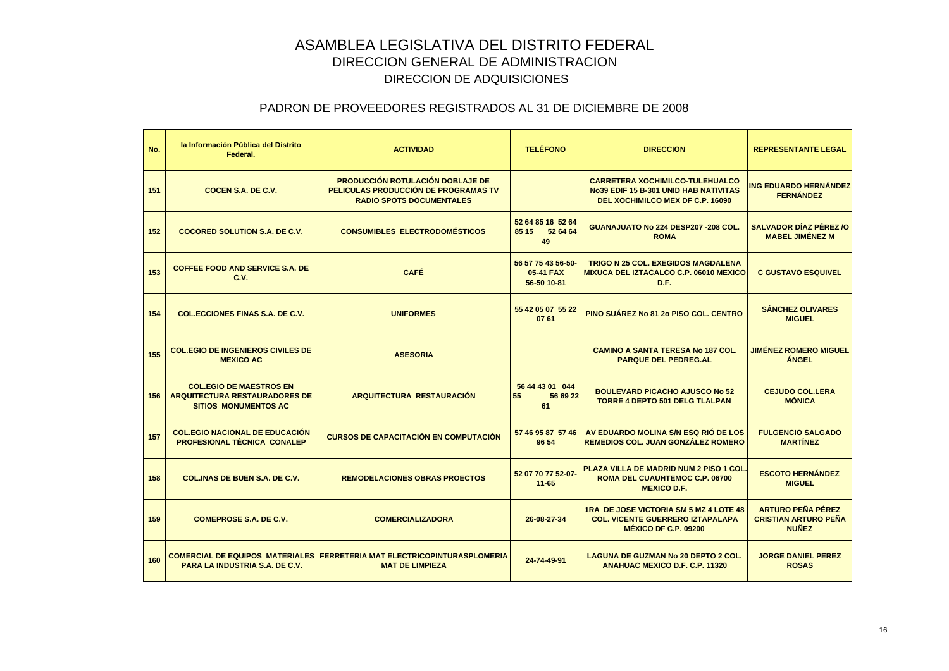| No. | la Información Pública del Distrito<br>Federal.                                                       | <b>ACTIVIDAD</b>                                                                                                   | <b>TELÉFONO</b>                                | <b>DIRECCION</b>                                                                                                           | <b>REPRESENTANTE LEGAL</b>                                              |
|-----|-------------------------------------------------------------------------------------------------------|--------------------------------------------------------------------------------------------------------------------|------------------------------------------------|----------------------------------------------------------------------------------------------------------------------------|-------------------------------------------------------------------------|
| 151 | COCEN S.A. DE C.V.                                                                                    | <b>PRODUCCIÓN ROTULACIÓN DOBLAJE DE</b><br>PELICULAS PRODUCCIÓN DE PROGRAMAS TV<br><b>RADIO SPOTS DOCUMENTALES</b> |                                                | <b>CARRETERA XOCHIMILCO-TULEHUALCO</b><br><b>No39 EDIF 15 B-301 UNID HAB NATIVITAS</b><br>DEL XOCHIMILCO MEX DF C.P. 16090 | <b>ING EDUARDO HERNÁNDEZ</b><br><b>FERNÁNDEZ</b>                        |
| 152 | <b>COCORED SOLUTION S.A. DE C.V.</b>                                                                  | <b>CONSUMIBLES ELECTRODOMÉSTICOS</b>                                                                               | 52 64 85 16 52 64<br>85 15<br>52 64 64<br>49   | GUANAJUATO No 224 DESP207 - 208 COL.<br><b>ROMA</b>                                                                        | <b>SALVADOR DÍAZ PÉREZ /O</b><br><b>MABEL JIMÉNEZ M</b>                 |
| 153 | <b>COFFEE FOOD AND SERVICE S.A. DE</b><br>C.V.                                                        | <b>CAFÉ</b>                                                                                                        | 56 57 75 43 56-50-<br>05-41 FAX<br>56-50 10-81 | <b>TRIGO N 25 COL. EXEGIDOS MAGDALENA</b><br><b>MIXUCA DEL IZTACALCO C.P. 06010 MEXICO</b><br>D.F.                         | <b>C GUSTAVO ESQUIVEL</b>                                               |
| 154 | <b>COL.ECCIONES FINAS S.A. DE C.V.</b>                                                                | <b>UNIFORMES</b>                                                                                                   | 55 42 05 07 55 22<br>07 61                     | PINO SUÁREZ No 81 20 PISO COL. CENTRO                                                                                      | <b>SÁNCHEZ OLIVARES</b><br><b>MIGUEL</b>                                |
| 155 | <b>COL.EGIO DE INGENIEROS CIVILES DE</b><br><b>MEXICO AC</b>                                          | <b>ASESORIA</b>                                                                                                    |                                                | <b>CAMINO A SANTA TERESA No 187 COL.</b><br><b>PARQUE DEL PEDREG.AL</b>                                                    | <b>JIMÉNEZ ROMERO MIGUEL</b><br><b>ÁNGEL</b>                            |
| 156 | <b>COL.EGIO DE MAESTROS EN</b><br><b>ARQUITECTURA RESTAURADORES DE</b><br><b>SITIOS MONUMENTOS AC</b> | <b>ARQUITECTURA RESTAURACIÓN</b>                                                                                   | 56 44 43 01 044<br>55<br>56 69 22<br>61        | <b>BOULEVARD PICACHO AJUSCO No 52</b><br><b>TORRE 4 DEPTO 501 DELG TLALPAN</b>                                             | <b>CEJUDO COL.LERA</b><br><b>MÓNICA</b>                                 |
| 157 | <b>COL.EGIO NACIONAL DE EDUCACIÓN</b><br>PROFESIONAL TÉCNICA CONALEP                                  | <b>CURSOS DE CAPACITACIÓN EN COMPUTACIÓN</b>                                                                       | 57 46 95 87 57 46<br>96 54                     | AV EDUARDO MOLINA S/N ESQ RIÓ DE LOS<br><b>REMEDIOS COL. JUAN GONZALEZ ROMERO</b>                                          | <b>FULGENCIO SALGADO</b><br><b>MARTÍNEZ</b>                             |
| 158 | <b>COL.INAS DE BUEN S.A. DE C.V.</b>                                                                  | <b>REMODELACIONES OBRAS PROECTOS</b>                                                                               | 52 07 70 77 52-07-<br>$11 - 65$                | <b>PLAZA VILLA DE MADRID NUM 2 PISO 1 COL.</b><br>ROMA DEL CUAUHTEMOC C.P. 06700<br><b>MEXICO D.F.</b>                     | <b>ESCOTO HERNÁNDEZ</b><br><b>MIGUEL</b>                                |
| 159 | <b>COMEPROSE S.A. DE C.V.</b>                                                                         | <b>COMERCIALIZADORA</b>                                                                                            | 26-08-27-34                                    | <b>1RA DE JOSE VICTORIA SM 5 MZ 4 LOTE 48</b><br><b>COL. VICENTE GUERRERO IZTAPALAPA</b><br><b>MÉXICO DF C.P. 09200</b>    | <b>ARTURO PEÑA PÉREZ</b><br><b>CRISTIAN ARTURO PEÑA</b><br><b>NUÑEZ</b> |
| 160 | <b>PARA LA INDUSTRIA S.A. DE C.V.</b>                                                                 | COMERCIAL DE EQUIPOS  MATERIALESI FERRETERIA MAT ELECTRICOPINTURASPLOMERIA<br><b>MAT DE LIMPIEZA</b>               | 24-74-49-91                                    | <b>LAGUNA DE GUZMAN No 20 DEPTO 2 COL.</b><br><b>ANAHUAC MEXICO D.F. C.P. 11320</b>                                        | <b>JORGE DANIEL PEREZ</b><br><b>ROSAS</b>                               |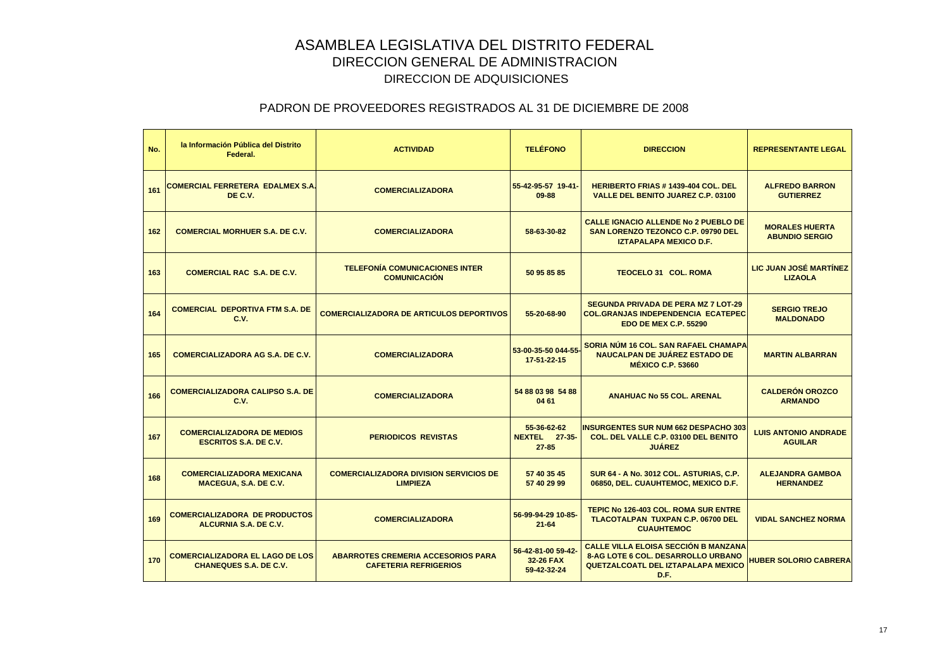| No. | la Información Pública del Distrito<br>Federal.                         | <b>ACTIVIDAD</b>                                                          | <b>TELÉFONO</b>                                  | <b>DIRECCION</b>                                                                                                                | <b>REPRESENTANTE LEGAL</b>                     |
|-----|-------------------------------------------------------------------------|---------------------------------------------------------------------------|--------------------------------------------------|---------------------------------------------------------------------------------------------------------------------------------|------------------------------------------------|
| 161 | <b>COMERCIAL FERRETERA EDALMEX S.A.</b><br>DE C.V.                      | <b>COMERCIALIZADORA</b>                                                   | 55-42-95-57 19-41<br>$09 - 88$                   | <b>HERIBERTO FRIAS #1439-404 COL. DEL</b><br><b>VALLE DEL BENITO JUAREZ C.P. 03100</b>                                          | <b>ALFREDO BARRON</b><br><b>GUTIERREZ</b>      |
| 162 | <b>COMERCIAL MORHUER S.A. DE C.V.</b>                                   | <b>COMERCIALIZADORA</b>                                                   | 58-63-30-82                                      | <b>CALLE IGNACIO ALLENDE No 2 PUEBLO DE</b><br><b>SAN LORENZO TEZONCO C.P. 09790 DEL</b><br><b>IZTAPALAPA MEXICO D.F.</b>       | <b>MORALES HUERTA</b><br><b>ABUNDIO SERGIO</b> |
| 163 | <b>COMERCIAL RAC S.A. DE C.V.</b>                                       | <b>TELEFONÍA COMUNICACIONES INTER</b><br><b>COMUNICACIÓN</b>              | 50 95 85 85                                      | <b>TEOCELO 31 COL. ROMA</b>                                                                                                     | LIC JUAN JOSÉ MARTÍNEZ<br><b>LIZAOLA</b>       |
| 164 | <b>COMERCIAL DEPORTIVA FTM S.A. DE</b><br>C.V.                          | <b>COMERCIALIZADORA DE ARTICULOS DEPORTIVOS</b>                           | 55-20-68-90                                      | <b>SEGUNDA PRIVADA DE PERA MZ 7 LOT-29</b><br><b>COL.GRANJAS INDEPENDENCIA ECATEPEC</b><br><b>EDO DE MEX C.P. 55290</b>         | <b>SERGIO TREJO</b><br><b>MALDONADO</b>        |
| 165 | <b>COMERCIALIZADORA AG S.A. DE C.V.</b>                                 | <b>COMERCIALIZADORA</b>                                                   | 53-00-35-50 044-55<br>17-51-22-15                | SORIA NÚM 16 COL. SAN RAFAEL CHAMAPA<br><b>NAUCALPAN DE JUÁREZ ESTADO DE</b><br><b>MÉXICO C.P. 53660</b>                        | <b>MARTIN ALBARRAN</b>                         |
| 166 | <b>COMERCIALIZADORA CALIPSO S.A. DE</b><br>C.V.                         | <b>COMERCIALIZADORA</b>                                                   | 54 88 03 98 54 88<br>04 61                       | <b>ANAHUAC No 55 COL. ARENAL</b>                                                                                                | <b>CALDERÓN OROZCO</b><br><b>ARMANDO</b>       |
| 167 | <b>COMERCIALIZADORA DE MEDIOS</b><br><b>ESCRITOS S.A. DE C.V.</b>       | <b>PERIODICOS REVISTAS</b>                                                | 55-36-62-62<br><b>NEXTEL</b> 27-35-<br>$27 - 85$ | <b>INSURGENTES SUR NUM 662 DESPACHO 303</b><br>COL. DEL VALLE C.P. 03100 DEL BENITO<br><b>JUÁREZ</b>                            | <b>LUIS ANTONIO ANDRADE</b><br><b>AGUILAR</b>  |
| 168 | <b>COMERCIALIZADORA MEXICANA</b><br>MACEGUA, S.A. DE C.V.               | <b>COMERCIALIZADORA DIVISION SERVICIOS DE</b><br><b>LIMPIEZA</b>          | 57 40 35 45<br>57 40 29 99                       | <b>SUR 64 - A No. 3012 COL. ASTURIAS, C.P.</b><br>06850, DEL. CUAUHTEMOC, MEXICO D.F.                                           | <b>ALEJANDRA GAMBOA</b><br><b>HERNANDEZ</b>    |
| 169 | <b>COMERCIALIZADORA DE PRODUCTOS</b><br><b>ALCURNIA S.A. DE C.V.</b>    | <b>COMERCIALIZADORA</b>                                                   | 56-99-94-29 10-85-<br>$21 - 64$                  | TEPIC No 126-403 COL. ROMA SUR ENTRE<br><b>TLACOTALPAN TUXPAN C.P. 06700 DEL</b><br><b>CUAUHTEMOC</b>                           | <b>VIDAL SANCHEZ NORMA</b>                     |
| 170 | <b>COMERCIALIZADORA EL LAGO DE LOS</b><br><b>CHANEQUES S.A. DE C.V.</b> | <b>ABARROTES CREMERIA ACCESORIOS PARA</b><br><b>CAFETERIA REFRIGERIOS</b> | 56-42-81-00 59-42-<br>32-26 FAX<br>59-42-32-24   | CALLE VILLA ELOISA SECCIÓN B MANZANA<br><b>8-AG LOTE 6 COL. DESARROLLO URBANO</b><br>QUETZALCOATL DEL IZTAPALAPA MEXICO<br>D.F. | <b>HUBER SOLORIO CABRERA</b>                   |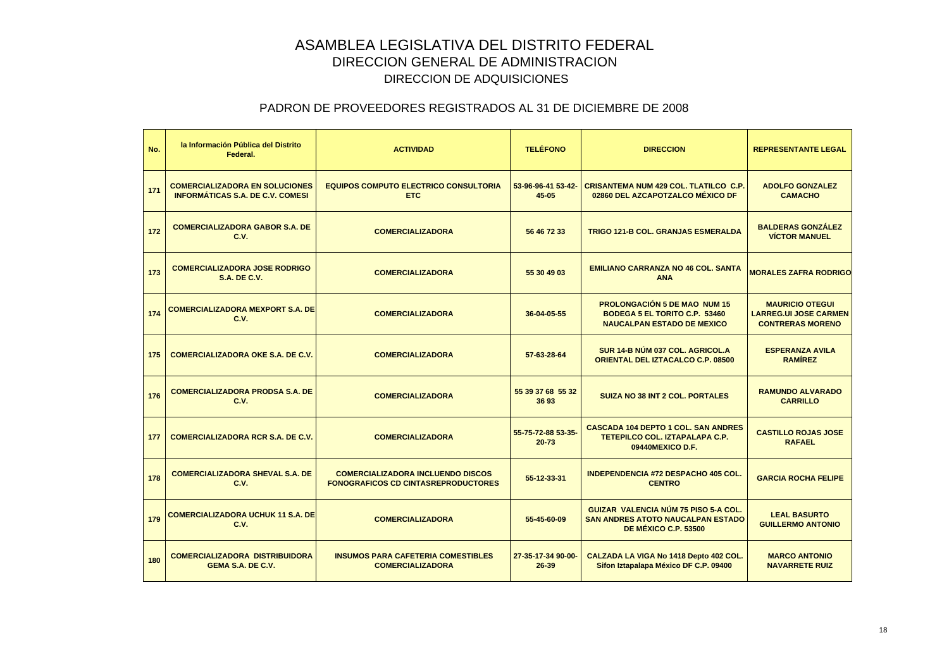| No. | la Información Pública del Distrito<br>Federal.                                  | <b>ACTIVIDAD</b>                                                                       | <b>TELÉFONO</b>                 | <b>DIRECCION</b>                                                                                                 | <b>REPRESENTANTE LEGAL</b>                                                        |
|-----|----------------------------------------------------------------------------------|----------------------------------------------------------------------------------------|---------------------------------|------------------------------------------------------------------------------------------------------------------|-----------------------------------------------------------------------------------|
| 171 | <b>COMERCIALIZADORA EN SOLUCIONES</b><br><b>INFORMÁTICAS S.A. DE C.V. COMESI</b> | <b>EQUIPOS COMPUTO ELECTRICO CONSULTORIA</b><br><b>ETC</b>                             | 53-96-96-41 53-42-<br>$45 - 05$ | <b>CRISANTEMA NUM 429 COL. TLATILCO C.P.</b><br>02860 DEL AZCAPOTZALCO MÉXICO DF                                 | <b>ADOLFO GONZALEZ</b><br><b>CAMACHO</b>                                          |
| 172 | <b>COMERCIALIZADORA GABOR S.A. DE</b><br>C.V.                                    | <b>COMERCIALIZADORA</b>                                                                | 56 46 72 33                     | <b>TRIGO 121-B COL. GRANJAS ESMERALDA</b>                                                                        | <b>BALDERAS GONZÁLEZ</b><br><b>VÍCTOR MANUEL</b>                                  |
| 173 | <b>COMERCIALIZADORA JOSE RODRIGO</b><br><b>S.A. DE C.V.</b>                      | <b>COMERCIALIZADORA</b>                                                                | 55 30 49 03                     | <b>EMILIANO CARRANZA NO 46 COL. SANTA</b><br><b>ANA</b>                                                          | <b>MORALES ZAFRA RODRIGO</b>                                                      |
| 174 | <b>COMERCIALIZADORA MEXPORT S.A. DE</b><br>C.V.                                  | <b>COMERCIALIZADORA</b>                                                                | 36-04-05-55                     | <b>PROLONGACIÓN 5 DE MAO NUM 15</b><br><b>BODEGA 5 EL TORITO C.P. 53460</b><br><b>NAUCALPAN ESTADO DE MEXICO</b> | <b>MAURICIO OTEGUI</b><br><b>LARREG.UI JOSE CARMEN</b><br><b>CONTRERAS MORENO</b> |
| 175 | <b>COMERCIALIZADORA OKE S.A. DE C.V.</b>                                         | <b>COMERCIALIZADORA</b>                                                                | 57-63-28-64                     | SUR 14-B NÚM 037 COL. AGRICOL.A<br>ORIENTAL DEL IZTACALCO C.P. 08500                                             | <b>ESPERANZA AVILA</b><br><b>RAMÍREZ</b>                                          |
| 176 | <b>COMERCIALIZADORA PRODSA S.A. DE</b><br>C.V.                                   | <b>COMERCIALIZADORA</b>                                                                | 55 39 37 68 55 32<br>3693       | <b>SUIZA NO 38 INT 2 COL. PORTALES</b>                                                                           | <b>RAMUNDO ALVARADO</b><br><b>CARRILLO</b>                                        |
| 177 | <b>COMERCIALIZADORA RCR S.A. DE C.V.</b>                                         | <b>COMERCIALIZADORA</b>                                                                | 55-75-72-88 53-35-<br>$20 - 73$ | <b>CASCADA 104 DEPTO 1 COL. SAN ANDRES</b><br><b>TETEPILCO COL. IZTAPALAPA C.P.</b><br>09440MEXICO D.F.          | <b>CASTILLO ROJAS JOSE</b><br><b>RAFAEL</b>                                       |
| 178 | <b>COMERCIALIZADORA SHEVAL S.A. DE</b><br>C.V.                                   | <b>COMERCIALIZADORA INCLUENDO DISCOS</b><br><b>FONOGRAFICOS CD CINTASREPRODUCTORES</b> | 55-12-33-31                     | <b>INDEPENDENCIA #72 DESPACHO 405 COL.</b><br><b>CENTRO</b>                                                      | <b>GARCIA ROCHA FELIPE</b>                                                        |
| 179 | <b>COMERCIALIZADORA UCHUK 11 S.A. DE</b><br><b>C.V.</b>                          | <b>COMERCIALIZADORA</b>                                                                | 55-45-60-09                     | GUIZAR VALENCIA NÚM 75 PISO 5-A COL.<br><b>SAN ANDRES ATOTO NAUCALPAN ESTADO</b><br><b>DE MÉXICO C.P. 53500</b>  | <b>LEAL BASURTO</b><br><b>GUILLERMO ANTONIO</b>                                   |
| 180 | <b>COMERCIALIZADORA DISTRIBUIDORA</b><br><b>GEMA S.A. DE C.V.</b>                | <b>INSUMOS PARA CAFETERIA COMESTIBLES</b><br><b>COMERCIALIZADORA</b>                   | 27-35-17-34 90-00-<br>26-39     | CALZADA LA VIGA No 1418 Depto 402 COL.<br>Sifon Iztapalapa México DF C.P. 09400                                  | <b>MARCO ANTONIO</b><br><b>NAVARRETE RUIZ</b>                                     |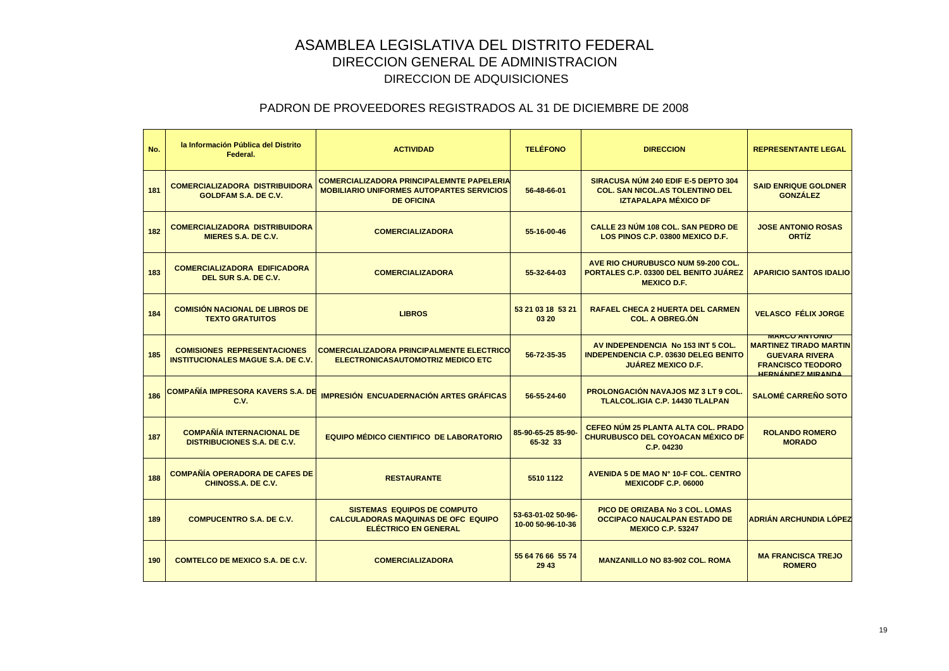| No. | la Información Pública del Distrito<br>Federal.                                 | <b>ACTIVIDAD</b>                                                                                                          | <b>TELÉFONO</b>                         | <b>DIRECCION</b>                                                                                                | <b>REPRESENTANTE LEGAL</b>                                                                                                             |
|-----|---------------------------------------------------------------------------------|---------------------------------------------------------------------------------------------------------------------------|-----------------------------------------|-----------------------------------------------------------------------------------------------------------------|----------------------------------------------------------------------------------------------------------------------------------------|
| 181 | <b>COMERCIALIZADORA DISTRIBUIDORA</b><br><b>GOLDFAM S.A. DE C.V.</b>            | <b>COMERCIALIZADORA PRINCIPALEMNTE PAPELERIA</b><br><b>MOBILIARIO UNIFORMES AUTOPARTES SERVICIOS</b><br><b>DE OFICINA</b> | 56-48-66-01                             | SIRACUSA NÚM 240 EDIF E-5 DEPTO 304<br><b>COL. SAN NICOL.AS TOLENTINO DEL</b><br><b>IZTAPALAPA MÉXICO DF</b>    | <b>SAID ENRIQUE GOLDNER</b><br><b>GONZÁLEZ</b>                                                                                         |
| 182 | <b>COMERCIALIZADORA DISTRIBUIDORA</b><br>MIERES S.A. DE C.V.                    | <b>COMERCIALIZADORA</b>                                                                                                   | 55-16-00-46                             | CALLE 23 NÚM 108 COL. SAN PEDRO DE<br>LOS PINOS C.P. 03800 MEXICO D.F.                                          | <b>JOSE ANTONIO ROSAS</b><br><b>ORTÍZ</b>                                                                                              |
| 183 | <b>COMERCIALIZADORA EDIFICADORA</b><br>DEL SUR S.A. DE C.V.                     | <b>COMERCIALIZADORA</b>                                                                                                   | 55-32-64-03                             | AVE RIO CHURUBUSCO NUM 59-200 COL.<br><b>PORTALES C.P. 03300 DEL BENITO JUÁREZ</b><br><b>MEXICO D.F.</b>        | <b>APARICIO SANTOS IDALIO</b>                                                                                                          |
| 184 | <b>COMISIÓN NACIONAL DE LIBROS DE</b><br><b>TEXTO GRATUITOS</b>                 | <b>LIBROS</b>                                                                                                             | 53 21 03 18 53 21<br>03 20              | <b>RAFAEL CHECA 2 HUERTA DEL CARMEN</b><br><b>COL. A OBREG.ON</b>                                               | <b>VELASCO FÉLIX JORGE</b>                                                                                                             |
| 185 | <b>COMISIONES REPRESENTACIONES</b><br><b>INSTITUCIONALES MAGUE S.A. DE C.V.</b> | <b>COMERCIALIZADORA PRINCIPALMENTE ELECTRICO</b><br><b>ELECTRONICASAUTOMOTRIZ MEDICO ETC</b>                              | 56-72-35-35                             | AV INDEPENDENCIA No 153 INT 5 COL.<br><b>INDEPENDENCIA C.P. 03630 DELEG BENITO</b><br><b>JUÁREZ MEXICO D.F.</b> | <b>MARGU ANTUNIU</b><br><b>MARTINEZ TIRADO MARTIN</b><br><b>GUEVARA RIVERA</b><br><b>FRANCISCO TEODORO</b><br><b>HERNÁNDEZ MIRANDA</b> |
| 186 | <b>COMPAÑÍA IMPRESORA KAVERS S.A. DE</b><br>C.V.                                | <b>IMPRESIÓN ENCUADERNACIÓN ARTES GRÁFICAS</b>                                                                            | 56-55-24-60                             | <b>PROLONGACIÓN NAVAJOS MZ 3 LT 9 COL.</b><br><b>TLALCOL.IGIA C.P. 14430 TLALPAN</b>                            | <b>SALOMÉ CARREÑO SOTO</b>                                                                                                             |
| 187 | <b>COMPAÑÍA INTERNACIONAL DE</b><br><b>DISTRIBUCIONES S.A. DE C.V.</b>          | <b>EQUIPO MÉDICO CIENTIFICO DE LABORATORIO</b>                                                                            | 85-90-65-25 85-90-<br>65-32 33          | CEFEO NÚM 25 PLANTA ALTA COL. PRADO<br>CHURUBUSCO DEL COYOACAN MÉXICO DF<br>C.P. 04230                          | <b>ROLANDO ROMERO</b><br><b>MORADO</b>                                                                                                 |
| 188 | <b>COMPAÑÍA OPERADORA DE CAFES DE</b><br>CHINOSS.A. DE C.V.                     | <b>RESTAURANTE</b>                                                                                                        | 5510 1122                               | AVENIDA 5 DE MAO Nº 10-F COL. CENTRO<br><b>MEXICODF C.P. 06000</b>                                              |                                                                                                                                        |
| 189 | <b>COMPUCENTRO S.A. DE C.V.</b>                                                 | <b>SISTEMAS EQUIPOS DE COMPUTO</b><br><b>CALCULADORAS MAQUINAS DE OFC EQUIPO</b><br><b>ELÉCTRICO EN GENERAL</b>           | 53-63-01-02 50-96-<br>10-00 50-96-10-36 | PICO DE ORIZABA No 3 COL. LOMAS<br><b>OCCIPACO NAUCALPAN ESTADO DE</b><br><b>MEXICO C.P. 53247</b>              | <b>ADRIÁN ARCHUNDIA LÓPEZ</b>                                                                                                          |
| 190 | <b>COMTELCO DE MEXICO S.A. DE C.V.</b>                                          | <b>COMERCIALIZADORA</b>                                                                                                   | 55 64 76 66 55 74<br>29 43              | <b>MANZANILLO NO 83-902 COL. ROMA</b>                                                                           | <b>MA FRANCISCA TREJO</b><br><b>ROMERO</b>                                                                                             |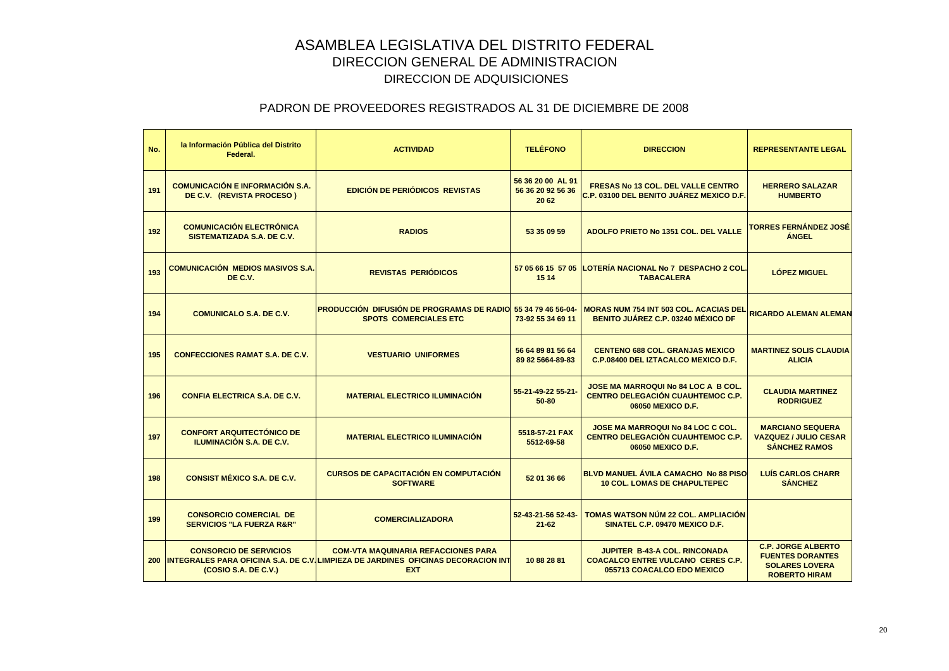| No. | la Información Pública del Distrito<br>Federal.                       | <b>ACTIVIDAD</b>                                                                                                                                  | <b>TELÉFONO</b>                                 | <b>DIRECCION</b>                                                                                               | <b>REPRESENTANTE LEGAL</b>                                                                            |
|-----|-----------------------------------------------------------------------|---------------------------------------------------------------------------------------------------------------------------------------------------|-------------------------------------------------|----------------------------------------------------------------------------------------------------------------|-------------------------------------------------------------------------------------------------------|
| 191 | <b>COMUNICACIÓN E INFORMACIÓN S.A.</b><br>DE C.V. (REVISTA PROCESO)   | <b>EDICIÓN DE PERIÓDICOS REVISTAS</b>                                                                                                             | 56 36 20 00 AL 91<br>56 36 20 92 56 36<br>20 62 | <b>FRESAS No 13 COL. DEL VALLE CENTRO</b><br>C.P. 03100 DEL BENITO JUÁREZ MEXICO D.F.                          | <b>HERRERO SALAZAR</b><br><b>HUMBERTO</b>                                                             |
| 192 | <b>COMUNICACIÓN ELECTRÓNICA</b><br>SISTEMATIZADA S.A. DE C.V.         | <b>RADIOS</b>                                                                                                                                     | 53 35 09 59                                     | ADOLFO PRIETO No 1351 COL. DEL VALLE                                                                           | TORRES FERNÁNDEZ JOSÉ<br><b>ANGEL</b>                                                                 |
| 193 | <b>COMUNICACIÓN MEDIOS MASIVOS S.A.</b><br>DE C.V.                    | <b>REVISTAS PERIÓDICOS</b>                                                                                                                        | 57 05 66 15 57 05<br>15 14                      | LOTERÍA NACIONAL No 7 DESPACHO 2 COL.<br><b>TABACALERA</b>                                                     | <b>LÓPEZ MIGUEL</b>                                                                                   |
| 194 | <b>COMUNICALO S.A. DE C.V.</b>                                        | <b>PRODUCCIÓN DIFUSIÓN DE PROGRAMAS DE RADIO 55 34 79 46 56-04-</b><br><b>SPOTS COMERCIALES ETC</b>                                               | 73-92 55 34 69 11                               | <b>MORAS NUM 754 INT 503 COL. ACACIAS DEL</b><br><b>BENITO JUÁREZ C.P. 03240 MÉXICO DF</b>                     | <b>RICARDO ALEMAN ALEMAN</b>                                                                          |
| 195 | <b>CONFECCIONES RAMAT S.A. DE C.V.</b>                                | <b>VESTUARIO UNIFORMES</b>                                                                                                                        | 56 64 89 81 56 64<br>89 82 5664-89-83           | <b>CENTENO 688 COL. GRANJAS MEXICO</b><br>C.P.08400 DEL IZTACALCO MEXICO D.F.                                  | <b>MARTINEZ SOLIS CLAUDIA</b><br><b>ALICIA</b>                                                        |
| 196 | <b>CONFIA ELECTRICA S.A. DE C.V.</b>                                  | <b>MATERIAL ELECTRICO ILUMINACIÓN</b>                                                                                                             | 55-21-49-22 55-21-<br>50-80                     | JOSE MA MARROQUI No 84 LOC A B COL.<br><b>CENTRO DELEGACIÓN CUAUHTEMOC C.P.</b><br>06050 MEXICO D.F.           | <b>CLAUDIA MARTINEZ</b><br><b>RODRIGUEZ</b>                                                           |
| 197 | <b>CONFORT ARQUITECTÓNICO DE</b><br><b>ILUMINACIÓN S.A. DE C.V.</b>   | <b>MATERIAL ELECTRICO ILUMINACIÓN</b>                                                                                                             | 5518-57-21 FAX<br>5512-69-58                    | <b>JOSE MA MARROQUI No 84 LOC C COL.</b><br><b>CENTRO DELEGACIÓN CUAUHTEMOC C.P.</b><br>06050 MEXICO D.F.      | <b>MARCIANO SEQUERA</b><br><b>VAZQUEZ / JULIO CESAR</b><br><b>SANCHEZ RAMOS</b>                       |
| 198 | <b>CONSIST MÉXICO S.A. DE C.V.</b>                                    | <b>CURSOS DE CAPACITACIÓN EN COMPUTACIÓN</b><br><b>SOFTWARE</b>                                                                                   | 52 01 36 66                                     | BLVD MANUEL ÁVILA CAMACHO No 88 PISO<br><b>10 COL. LOMAS DE CHAPULTEPEC</b>                                    | <b>LUÍS CARLOS CHARR</b><br><b>SÁNCHEZ</b>                                                            |
| 199 | <b>CONSORCIO COMERCIAL DE</b><br><b>SERVICIOS "LA FUERZA R&amp;R"</b> | <b>COMERCIALIZADORA</b>                                                                                                                           | 52-43-21-56 52-43-<br>$21 - 62$                 | <b>TOMAS WATSON NÚM 22 COL. AMPLIACIÓN</b><br>SINATEL C.P. 09470 MEXICO D.F.                                   |                                                                                                       |
|     | <b>CONSORCIO DE SERVICIOS</b><br>(COSIO S.A. DE C.V.)                 | <b>COM-VTA MAQUINARIA REFACCIONES PARA</b><br>200 INTEGRALES PARA OFICINA S.A. DE C.V. LIMPIEZA DE JARDINES OFICINAS DECORACION INT<br><b>EXT</b> | 10 88 28 81                                     | <b>JUPITER B-43-A COL. RINCONADA</b><br><b>COACALCO ENTRE VULCANO CERES C.P.</b><br>055713 COACALCO EDO MEXICO | <b>C.P. JORGE ALBERTO</b><br><b>FUENTES DORANTES</b><br><b>SOLARES LOVERA</b><br><b>ROBERTO HIRAM</b> |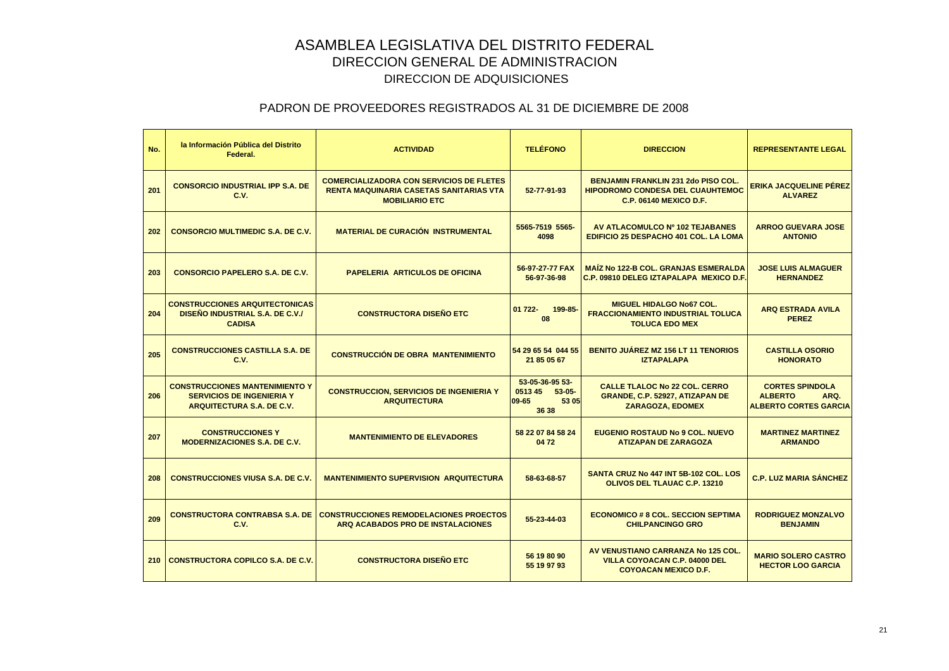| No. | la Información Pública del Distrito<br>Federal.                                                               | <b>ACTIVIDAD</b>                                                                                                           | <b>TELÉFONO</b>                                                   | <b>DIRECCION</b>                                                                                                | <b>REPRESENTANTE LEGAL</b>                                                       |
|-----|---------------------------------------------------------------------------------------------------------------|----------------------------------------------------------------------------------------------------------------------------|-------------------------------------------------------------------|-----------------------------------------------------------------------------------------------------------------|----------------------------------------------------------------------------------|
| 201 | <b>CONSORCIO INDUSTRIAL IPP S.A. DE</b><br>C.V.                                                               | <b>COMERCIALIZADORA CON SERVICIOS DE FLETES</b><br><b>RENTA MAQUINARIA CASETAS SANITARIAS VTA</b><br><b>MOBILIARIO ETC</b> | 52-77-91-93                                                       | BENJAMIN FRANKLIN 231 2do PISO COL.<br><b>HIPODROMO CONDESA DEL CUAUHTEMOC</b><br><b>C.P. 06140 MEXICO D.F.</b> | <b>ERIKA JACQUELINE PÉREZ</b><br><b>ALVAREZ</b>                                  |
| 202 | <b>CONSORCIO MULTIMEDIC S.A. DE C.V.</b>                                                                      | <b>MATERIAL DE CURACIÓN INSTRUMENTAL</b>                                                                                   | 5565-7519 5565-<br>4098                                           | AV ATLACOMULCO Nº 102 TEJABANES<br>EDIFICIO 25 DESPACHO 401 COL. LA LOMA                                        | <b>ARROO GUEVARA JOSE</b><br><b>ANTONIO</b>                                      |
| 203 | <b>CONSORCIO PAPELERO S.A. DE C.V.</b>                                                                        | PAPELERIA ARTICULOS DE OFICINA                                                                                             | 56-97-27-77 FAX<br>56-97-36-98                                    | <b>MAIZ No 122-B COL. GRANJAS ESMERALDA</b><br><b>C.P. 09810 DELEG IZTAPALAPA MEXICO D.F.</b>                   | <b>JOSE LUIS ALMAGUER</b><br><b>HERNANDEZ</b>                                    |
| 204 | <b>CONSTRUCCIONES ARQUITECTONICAS</b><br>DISEÑO INDUSTRIAL S.A. DE C.V./<br><b>CADISA</b>                     | <b>CONSTRUCTORA DISEÑO ETC</b>                                                                                             | 01 722-<br>199-85<br>08                                           | <b>MIGUEL HIDALGO No67 COL.</b><br><b>FRACCIONAMIENTO INDUSTRIAL TOLUCA</b><br><b>TOLUCA EDO MEX</b>            | <b>ARQ ESTRADA AVILA</b><br><b>PEREZ</b>                                         |
| 205 | <b>CONSTRUCCIONES CASTILLA S.A. DE</b><br>C.V.                                                                | <b>CONSTRUCCIÓN DE OBRA MANTENIMIENTO</b>                                                                                  | 54 29 65 54 044 55<br>21 85 05 67                                 | <b>BENITO JUÁREZ MZ 156 LT 11 TENORIOS</b><br><b>IZTAPALAPA</b>                                                 | <b>CASTILLA OSORIO</b><br><b>HONORATO</b>                                        |
| 206 | <b>CONSTRUCCIONES MANTENIMIENTO Y</b><br><b>SERVICIOS DE INGENIERIA Y</b><br><b>ARQUITECTURA S.A. DE C.V.</b> | <b>CONSTRUCCION, SERVICIOS DE INGENIERIA Y</b><br><b>ARQUITECTURA</b>                                                      | 53-05-36-95 53-<br>0513 45<br>$53-05-$<br>09-65<br>53 05<br>36 38 | <b>CALLE TLALOC No 22 COL. CERRO</b><br>GRANDE, C.P. 52927, ATIZAPAN DE<br><b>ZARAGOZA, EDOMEX</b>              | <b>CORTES SPINDOLA</b><br><b>ALBERTO</b><br>ARQ.<br><b>ALBERTO CORTES GARCIA</b> |
| 207 | <b>CONSTRUCCIONES Y</b><br><b>MODERNIZACIONES S.A. DE C.V.</b>                                                | <b>MANTENIMIENTO DE ELEVADORES</b>                                                                                         | 58 22 07 84 58 24<br>0472                                         | <b>EUGENIO ROSTAUD No 9 COL. NUEVO</b><br><b>ATIZAPAN DE ZARAGOZA</b>                                           | <b>MARTINEZ MARTINEZ</b><br><b>ARMANDO</b>                                       |
| 208 | <b>CONSTRUCCIONES VIUSA S.A. DE C.V.</b>                                                                      | <b>MANTENIMIENTO SUPERVISION ARQUITECTURA</b>                                                                              | 58-63-68-57                                                       | SANTA CRUZ No 447 INT 5B-102 COL, LOS<br><b>OLIVOS DEL TLAUAC C.P. 13210</b>                                    | <b>C.P. LUZ MARIA SÁNCHEZ</b>                                                    |
| 209 | <b>CONSTRUCTORA CONTRABSA S.A. DE</b><br>C.V.                                                                 | <b>CONSTRUCCIONES REMODELACIONES PROECTOS</b><br>ARQ ACABADOS PRO DE INSTALACIONES                                         | 55-23-44-03                                                       | <b>ECONOMICO # 8 COL. SECCION SEPTIMA</b><br><b>CHILPANCINGO GRO</b>                                            | <b>RODRIGUEZ MONZALVO</b><br><b>BENJAMIN</b>                                     |
| 210 | CONSTRUCTORA COPILCO S.A. DE C.V.                                                                             | <b>CONSTRUCTORA DISEÑO ETC</b>                                                                                             | 56 19 80 90<br>55 19 97 93                                        | AV VENUSTIANO CARRANZA No 125 COL.<br><b>VILLA COYOACAN C.P. 04000 DEL</b><br><b>COYOACAN MEXICO D.F.</b>       | <b>MARIO SOLERO CASTRO</b><br><b>HECTOR LOO GARCIA</b>                           |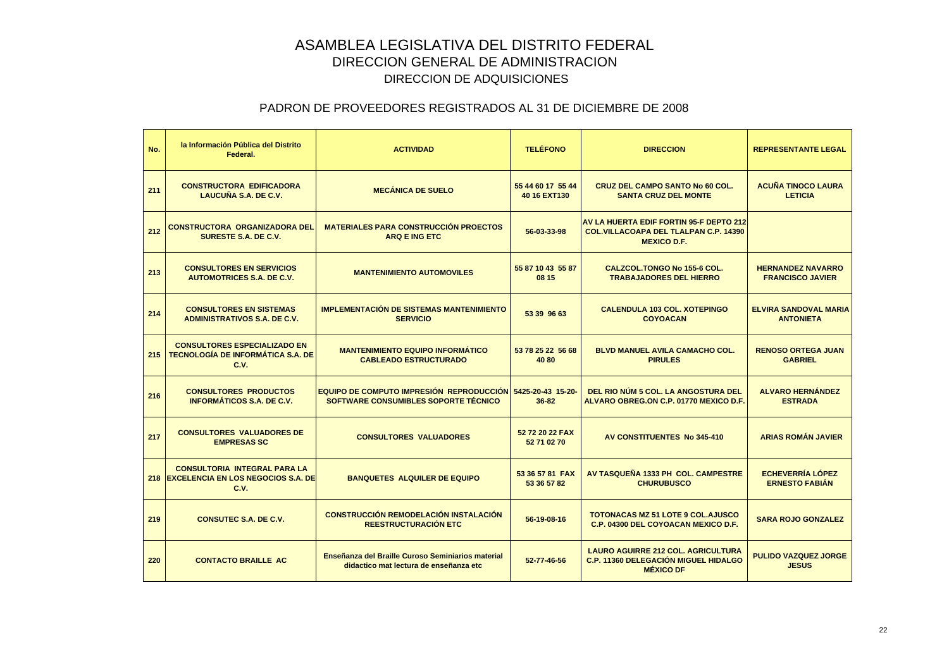| No. | la Información Pública del Distrito<br>Federal.                                         | <b>ACTIVIDAD</b>                                                                                   | <b>TELÉFONO</b>                   | <b>DIRECCION</b>                                                                                               | <b>REPRESENTANTE LEGAL</b>                          |
|-----|-----------------------------------------------------------------------------------------|----------------------------------------------------------------------------------------------------|-----------------------------------|----------------------------------------------------------------------------------------------------------------|-----------------------------------------------------|
| 211 | <b>CONSTRUCTORA EDIFICADORA</b><br>LAUCUÑA S.A. DE C.V.                                 | <b>MECÁNICA DE SUELO</b>                                                                           | 55 44 60 17 55 44<br>40 16 EXT130 | <b>CRUZ DEL CAMPO SANTO No 60 COL.</b><br><b>SANTA CRUZ DEL MONTE</b>                                          | <b>ACUÑA TINOCO LAURA</b><br><b>LETICIA</b>         |
| 212 | <b>CONSTRUCTORA ORGANIZADORA DEL</b><br>SURESTE S.A. DE C.V.                            | <b>MATERIALES PARA CONSTRUCCIÓN PROECTOS</b><br><b>ARQ E ING ETC</b>                               | 56-03-33-98                       | AV LA HUERTA EDIF FORTIN 95-F DEPTO 212<br><b>COL. VILLACOAPA DEL TLALPAN C.P. 14390</b><br><b>MEXICO D.F.</b> |                                                     |
| 213 | <b>CONSULTORES EN SERVICIOS</b><br><b>AUTOMOTRICES S.A. DE C.V.</b>                     | <b>MANTENIMIENTO AUTOMOVILES</b>                                                                   | 55 87 10 43 55 87<br>08 15        | CALZCOL.TONGO No 155-6 COL.<br><b>TRABAJADORES DEL HIERRO</b>                                                  | <b>HERNANDEZ NAVARRO</b><br><b>FRANCISCO JAVIER</b> |
| 214 | <b>CONSULTORES EN SISTEMAS</b><br><b>ADMINISTRATIVOS S.A. DE C.V.</b>                   | <b>IMPLEMENTACIÓN DE SISTEMAS MANTENIMIENTO</b><br><b>SERVICIO</b>                                 | 53 39 96 63                       | <b>CALENDULA 103 COL. XOTEPINGO</b><br><b>COYOACAN</b>                                                         | <b>ELVIRA SANDOVAL MARIA</b><br><b>ANTONIETA</b>    |
| 215 | <b>CONSULTORES ESPECIALIZADO EN</b><br><b>TECNOLOGÍA DE INFORMÁTICA S.A. DE</b><br>C.V. | <b>MANTENIMIENTO EQUIPO INFORMÁTICO</b><br><b>CABLEADO ESTRUCTURADO</b>                            | 53 78 25 22 56 68<br>4080         | <b>BLVD MANUEL AVILA CAMACHO COL.</b><br><b>PIRULES</b>                                                        | <b>RENOSO ORTEGA JUAN</b><br><b>GABRIEL</b>         |
| 216 | <b>CONSULTORES PRODUCTOS</b><br><b>INFORMÁTICOS S.A. DE C.V.</b>                        | EQUIPO DE COMPUTO IMPRESIÓN REPRODUCCIÓN 5425-20-43 15-20-<br>SOFTWARE CONSUMIBLES SOPORTE TÉCNICO | 36-82                             | DEL RIO NÚM 5 COL. LA ANGOSTURA DEL<br>ALVARO OBREG.ON C.P. 01770 MEXICO D.F.                                  | <b>ALVARO HERNÁNDEZ</b><br><b>ESTRADA</b>           |
| 217 | <b>CONSULTORES VALUADORES DE</b><br><b>EMPRESAS SC</b>                                  | <b>CONSULTORES VALUADORES</b>                                                                      | 52 72 20 22 FAX<br>52 71 02 70    | AV CONSTITUENTES No 345-410                                                                                    | <b>ARIAS ROMÁN JAVIER</b>                           |
|     | <b>CONSULTORIA INTEGRAL PARA LA</b><br>218 EXCELENCIA EN LOS NEGOCIOS S.A. DE<br>C.V.   | <b>BANQUETES ALQUILER DE EQUIPO</b>                                                                | 53 36 57 81 FAX<br>53 36 57 82    | AV TASQUEÑA 1333 PH COL. CAMPESTRE<br><b>CHURUBUSCO</b>                                                        | <b>ECHEVERRÍA LÓPEZ</b><br><b>ERNESTO FABIAN</b>    |
| 219 | <b>CONSUTEC S.A. DE C.V.</b>                                                            | <b>CONSTRUCCIÓN REMODELACIÓN INSTALACIÓN</b><br>REESTRUCTURACIÓN ETC                               | 56-19-08-16                       | <b>TOTONACAS MZ 51 LOTE 9 COL.AJUSCO</b><br>C.P. 04300 DEL COYOACAN MEXICO D.F.                                | <b>SARA ROJO GONZALEZ</b>                           |
| 220 | <b>CONTACTO BRAILLE AC</b>                                                              | Enseñanza del Braille Curoso Seminiarios material<br>didactico mat lectura de enseñanza etc        | 52-77-46-56                       | <b>LAURO AGUIRRE 212 COL. AGRICULTURA</b><br><b>C.P. 11360 DELEGACIÓN MIGUEL HIDALGO</b><br><b>MÉXICO DF</b>   | <b>PULIDO VAZQUEZ JORGE</b><br><b>JESUS</b>         |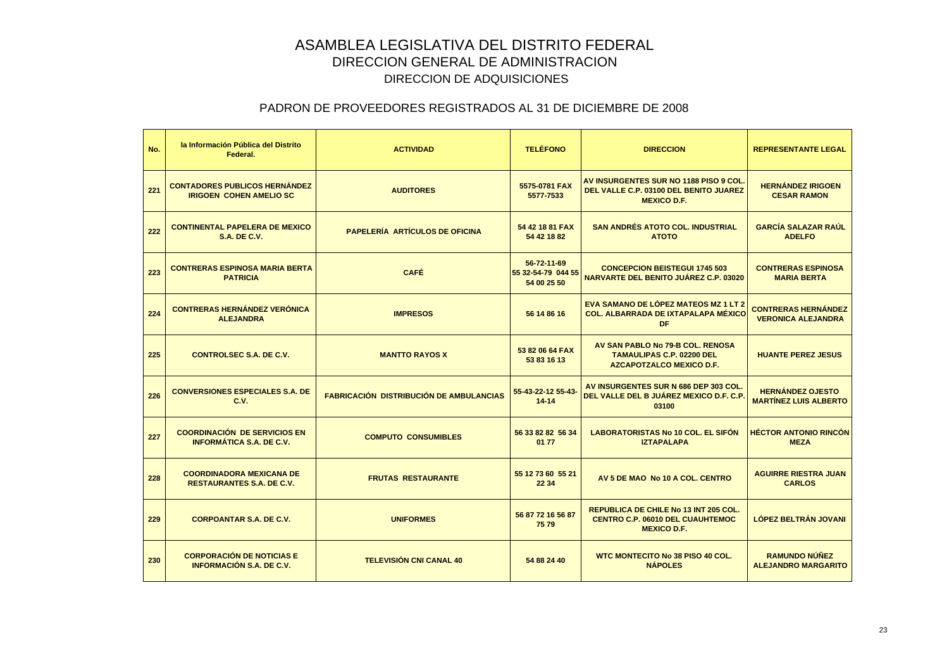| No. | la Información Pública del Distrito<br>Federal.                        | <b>ACTIVIDAD</b>                               | <b>TELÉFONO</b>                                  | <b>DIRECCION</b>                                                                                        | <b>REPRESENTANTE LEGAL</b>                              |
|-----|------------------------------------------------------------------------|------------------------------------------------|--------------------------------------------------|---------------------------------------------------------------------------------------------------------|---------------------------------------------------------|
| 221 | <b>CONTADORES PUBLICOS HERNÁNDEZ</b><br><b>IRIGOEN COHEN AMELIO SC</b> | <b>AUDITORES</b>                               | 5575-0781 FAX<br>5577-7533                       | AV INSURGENTES SUR NO 1188 PISO 9 COL.<br>DEL VALLE C.P. 03100 DEL BENITO JUAREZ<br><b>MEXICO D.F.</b>  | <b>HERNÁNDEZ IRIGOEN</b><br><b>CESAR RAMON</b>          |
| 222 | <b>CONTINENTAL PAPELERA DE MEXICO</b><br><b>S.A. DE C.V.</b>           | <b>PAPELERÍA ARTÍCULOS DE OFICINA</b>          | 54 42 18 81 FAX<br>54 42 18 82                   | <b>SAN ANDRÉS ATOTO COL. INDUSTRIAL</b><br><b>ATOTO</b>                                                 | <b>GARCÍA SALAZAR RAÚL</b><br><b>ADELFO</b>             |
| 223 | <b>CONTRERAS ESPINOSA MARIA BERTA</b><br><b>PATRICIA</b>               | <b>CAFÉ</b>                                    | 56-72-11-69<br>55 32-54-79 044 55<br>54 00 25 50 | <b>CONCEPCION BEISTEGUI 1745 503</b><br>NARVARTE DEL BENITO JUÁREZ C.P. 03020                           | <b>CONTRERAS ESPINOSA</b><br><b>MARIA BERTA</b>         |
| 224 | <b>CONTRERAS HERNÁNDEZ VERÓNICA</b><br><b>ALEJANDRA</b>                | <b>IMPRESOS</b>                                | 56 14 86 16                                      | EVA SAMANO DE LÓPEZ MATEOS MZ 1 LT 2<br><b>COL. ALBARRADA DE IXTAPALAPA MÉXICO</b><br><b>DF</b>         | <b>CONTRERAS HERNÁNDEZ</b><br><b>VERONICA ALEJANDRA</b> |
| 225 | <b>CONTROLSEC S.A. DE C.V.</b>                                         | <b>MANTTO RAYOS X</b>                          | 53 82 06 64 FAX<br>53 83 16 13                   | AV SAN PABLO No 79-B COL. RENOSA<br><b>TAMAULIPAS C.P. 02200 DEL</b><br><b>AZCAPOTZALCO MEXICO D.F.</b> | <b>HUANTE PEREZ JESUS</b>                               |
| 226 | <b>CONVERSIONES ESPECIALES S.A. DE</b><br><b>C.V.</b>                  | <b>FABRICACIÓN DISTRIBUCIÓN DE AMBULANCIAS</b> | 55-43-22-12 55-43-<br>$14 - 14$                  | AV INSURGENTES SUR N 686 DEP 303 COL.<br>DEL VALLE DEL B JUÁREZ MEXICO D.F. C.P.<br>03100               | <b>HERNÁNDEZ OJESTO</b><br><b>MARTÍNEZ LUIS ALBERTO</b> |
| 227 | <b>COORDINACIÓN DE SERVICIOS EN</b><br><b>INFORMÁTICA S.A. DE C.V.</b> | <b>COMPUTO CONSUMIBLES</b>                     | 56 33 82 82 56 34<br>01 77                       | <b>LABORATORISTAS No 10 COL. EL SIFON</b><br><b>IZTAPALAPA</b>                                          | <b>HÉCTOR ANTONIO RINCÓN</b><br><b>MEZA</b>             |
| 228 | <b>COORDINADORA MEXICANA DE</b><br><b>RESTAURANTES S.A. DE C.V.</b>    | <b>FRUTAS RESTAURANTE</b>                      | 55 12 73 60 55 21<br>22 34                       | AV 5 DE MAO No 10 A COL. CENTRO                                                                         | <b>AGUIRRE RIESTRA JUAN</b><br><b>CARLOS</b>            |
| 229 | <b>CORPOANTAR S.A. DE C.V.</b>                                         | <b>UNIFORMES</b>                               | 56 87 72 16 56 87<br>7579                        | REPUBLICA DE CHILE No 13 INT 205 COL.<br><b>CENTRO C.P. 06010 DEL CUAUHTEMOC</b><br><b>MEXICO D.F.</b>  | <b>LÓPEZ BELTRÁN JOVANI</b>                             |
| 230 | <b>CORPORACIÓN DE NOTICIAS E</b><br><b>INFORMACIÓN S.A. DE C.V.</b>    | <b>TELEVISIÓN CNI CANAL 40</b>                 | 54 88 24 40                                      | <b>WTC MONTECITO No 38 PISO 40 COL.</b><br><b>NÁPOLES</b>                                               | <b>RAMUNDO NÚÑEZ</b><br><b>ALEJANDRO MARGARITO</b>      |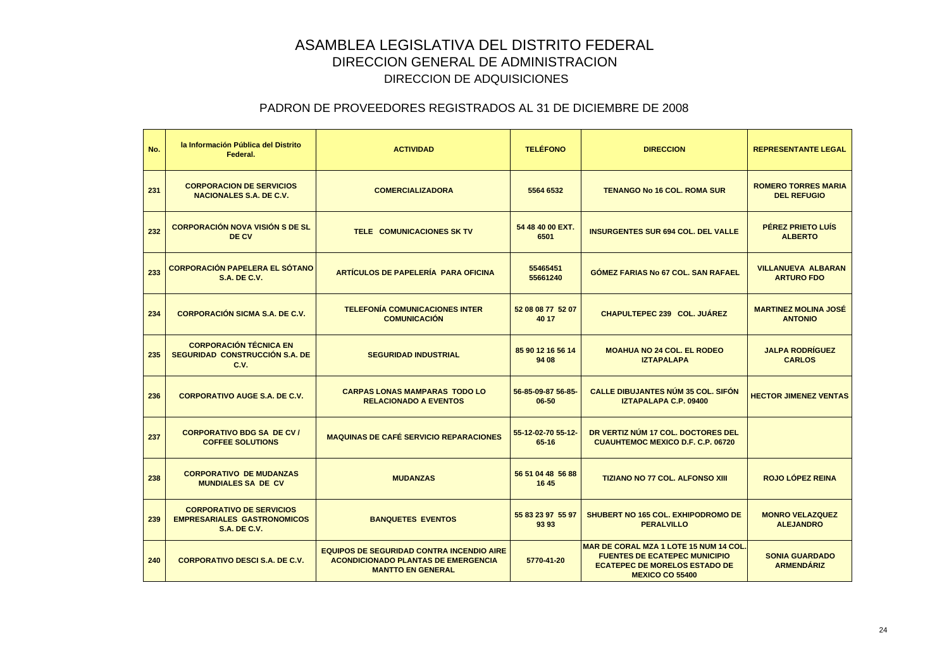| No. | la Información Pública del Distrito<br>Federal.                                              | <b>ACTIVIDAD</b>                                                                                                           | <b>TELÉFONO</b>             | <b>DIRECCION</b>                                                                                                                                | <b>REPRESENTANTE LEGAL</b>                       |
|-----|----------------------------------------------------------------------------------------------|----------------------------------------------------------------------------------------------------------------------------|-----------------------------|-------------------------------------------------------------------------------------------------------------------------------------------------|--------------------------------------------------|
| 231 | <b>CORPORACION DE SERVICIOS</b><br><b>NACIONALES S.A. DE C.V.</b>                            | <b>COMERCIALIZADORA</b>                                                                                                    | 5564 6532                   | <b>TENANGO No 16 COL, ROMA SUR</b>                                                                                                              | <b>ROMERO TORRES MARIA</b><br><b>DEL REFUGIO</b> |
| 232 | <b>CORPORACIÓN NOVA VISIÓN S DE SL</b><br>DE CV                                              | <b>TELE COMUNICACIONES SK TV</b>                                                                                           | 54 48 40 00 EXT.<br>6501    | <b>INSURGENTES SUR 694 COL. DEL VALLE</b>                                                                                                       | <b>PÉREZ PRIETO LUÍS</b><br><b>ALBERTO</b>       |
| 233 | <b>CORPORACIÓN PAPELERA EL SÓTANO</b><br><b>S.A. DE C.V.</b>                                 | ARTÍCULOS DE PAPELERÍA PARA OFICINA                                                                                        | 55465451<br>55661240        | <b>GOMEZ FARIAS No 67 COL, SAN RAFAEL</b>                                                                                                       | <b>VILLANUEVA ALBARAN</b><br><b>ARTURO FDO</b>   |
| 234 | <b>CORPORACIÓN SICMA S.A. DE C.V.</b>                                                        | <b>TELEFONÍA COMUNICACIONES INTER</b><br><b>COMUNICACIÓN</b>                                                               | 52 08 08 77 52 07<br>40 17  | <b>CHAPULTEPEC 239 COL. JUÁREZ</b>                                                                                                              | <b>MARTINEZ MOLINA JOSÉ</b><br><b>ANTONIO</b>    |
| 235 | <b>CORPORACIÓN TÉCNICA EN</b><br>SEGURIDAD CONSTRUCCIÓN S.A. DE<br>C.V.                      | <b>SEGURIDAD INDUSTRIAL</b>                                                                                                | 85 90 12 16 56 14<br>94 08  | <b>MOAHUA NO 24 COL. EL RODEO</b><br><b>IZTAPALAPA</b>                                                                                          | <b>JALPA RODRÍGUEZ</b><br><b>CARLOS</b>          |
| 236 | <b>CORPORATIVO AUGE S.A. DE C.V.</b>                                                         | <b>CARPAS LONAS MAMPARAS TODO LO</b><br><b>RELACIONADO A EVENTOS</b>                                                       | 56-85-09-87 56-85-<br>06-50 | <b>CALLE DIBUJANTES NÚM 35 COL. SIFÓN</b><br>IZTAPALAPA C.P. 09400                                                                              | <b>HECTOR JIMENEZ VENTAS</b>                     |
| 237 | <b>CORPORATIVO BDG SA DE CV/</b><br><b>COFFEE SOLUTIONS</b>                                  | <b>MAQUINAS DE CAFÉ SERVICIO REPARACIONES</b>                                                                              | 55-12-02-70 55-12-<br>65-16 | DR VERTIZ NÚM 17 COL. DOCTORES DEL<br><b>CUAUHTEMOC MEXICO D.F. C.P. 06720</b>                                                                  |                                                  |
| 238 | <b>CORPORATIVO DE MUDANZAS</b><br><b>MUNDIALES SA DE CV</b>                                  | <b>MUDANZAS</b>                                                                                                            | 56 51 04 48 56 88<br>16 45  | <b>TIZIANO NO 77 COL. ALFONSO XIII</b>                                                                                                          | <b>ROJO LÓPEZ REINA</b>                          |
| 239 | <b>CORPORATIVO DE SERVICIOS</b><br><b>EMPRESARIALES GASTRONOMICOS</b><br><b>S.A. DE C.V.</b> | <b>BANQUETES EVENTOS</b>                                                                                                   | 55 83 23 97 55 97<br>93 93  | <b>SHUBERT NO 165 COL. EXHIPODROMO DE</b><br><b>PERALVILLO</b>                                                                                  | <b>MONRO VELAZQUEZ</b><br><b>ALEJANDRO</b>       |
| 240 | <b>CORPORATIVO DESCI S.A. DE C.V.</b>                                                        | <b>EQUIPOS DE SEGURIDAD CONTRA INCENDIO AIRE</b><br><b>ACONDICIONADO PLANTAS DE EMERGENCIA</b><br><b>MANTTO EN GENERAL</b> | 5770-41-20                  | MAR DE CORAL MZA 1 LOTE 15 NUM 14 COL<br><b>FUENTES DE ECATEPEC MUNICIPIO</b><br><b>ECATEPEC DE MORELOS ESTADO DE</b><br><b>MEXICO CO 55400</b> | <b>SONIA GUARDADO</b><br><b>ARMENDÁRIZ</b>       |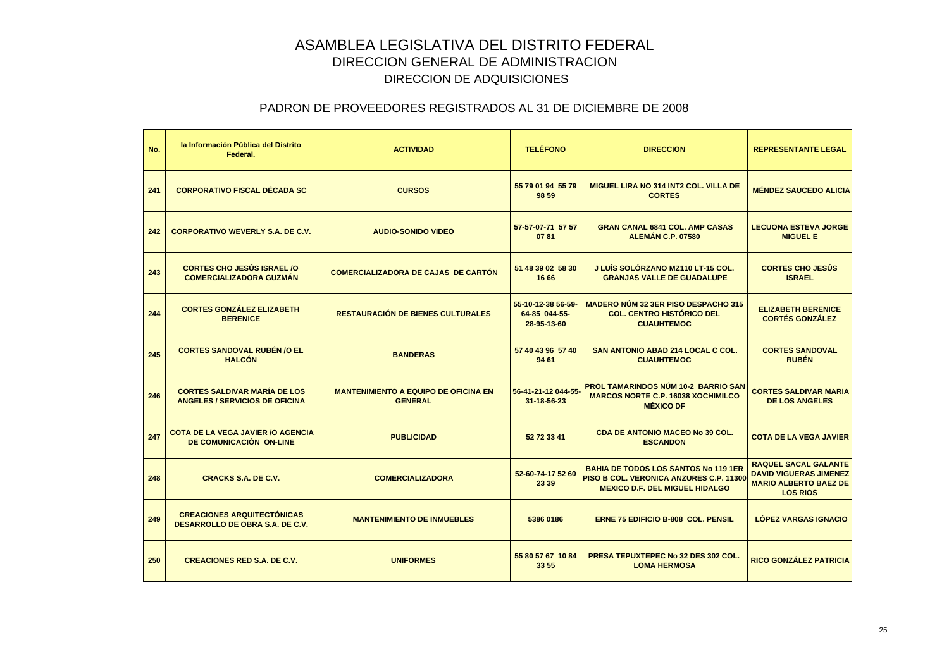| No. | la Información Pública del Distrito<br>Federal.                              | <b>ACTIVIDAD</b>                                              | <b>TELÉFONO</b>                                    | <b>DIRECCION</b>                                                                                                               | <b>REPRESENTANTE LEGAL</b>                                                                                      |
|-----|------------------------------------------------------------------------------|---------------------------------------------------------------|----------------------------------------------------|--------------------------------------------------------------------------------------------------------------------------------|-----------------------------------------------------------------------------------------------------------------|
| 241 | <b>CORPORATIVO FISCAL DÉCADA SC</b>                                          | <b>CURSOS</b>                                                 | 55 79 01 94 55 79<br>98 59                         | <b>MIGUEL LIRA NO 314 INT2 COL. VILLA DE</b><br><b>CORTES</b>                                                                  | <b>MÉNDEZ SAUCEDO ALICIA</b>                                                                                    |
| 242 | <b>CORPORATIVO WEVERLY S.A. DE C.V.</b>                                      | <b>AUDIO-SONIDO VIDEO</b>                                     | 57-57-07-71 57 57<br>0781                          | <b>GRAN CANAL 6841 COL. AMP CASAS</b><br><b>ALEMAN C.P. 07580</b>                                                              | <b>LECUONA ESTEVA JORGE</b><br><b>MIGUEL E</b>                                                                  |
| 243 | <b>CORTES CHO JESÚS ISRAEL /O</b><br><b>COMERCIALIZADORA GUZMÁN</b>          | <b>COMERCIALIZADORA DE CAJAS DE CARTON</b>                    | 51 48 39 02 58 30<br>16 66                         | J LUÍS SOLÓRZANO MZ110 LT-15 COL.<br><b>GRANJAS VALLE DE GUADALUPE</b>                                                         | <b>CORTES CHO JESÚS</b><br><b>ISRAEL</b>                                                                        |
| 244 | <b>CORTES GONZÁLEZ ELIZABETH</b><br><b>BERENICE</b>                          | <b>RESTAURACIÓN DE BIENES CULTURALES</b>                      | 55-10-12-38 56-59-<br>64-85 044-55-<br>28-95-13-60 | <b>MADERO NÚM 32 3ER PISO DESPACHO 315</b><br><b>COL. CENTRO HISTÓRICO DEL</b><br><b>CUAUHTEMOC</b>                            | <b>ELIZABETH BERENICE</b><br><b>CORTÉS GONZÁLEZ</b>                                                             |
| 245 | <b>CORTES SANDOVAL RUBÉN /O EL</b><br><b>HALCÓN</b>                          | <b>BANDERAS</b>                                               | 57 40 43 96 57 40<br>94 61                         | <b>SAN ANTONIO ABAD 214 LOCAL C COL.</b><br><b>CUAUHTEMOC</b>                                                                  | <b>CORTES SANDOVAL</b><br><b>RUBÉN</b>                                                                          |
| 246 | <b>CORTES SALDIVAR MARÍA DE LOS</b><br><b>ANGELES / SERVICIOS DE OFICINA</b> | <b>MANTENIMIENTO A EQUIPO DE OFICINA EN</b><br><b>GENERAL</b> | 56-41-21-12 044-55-<br>31-18-56-23                 | <b>PROL TAMARINDOS NÚM 10-2 BARRIO SAN</b><br><b>MARCOS NORTE C.P. 16038 XOCHIMILCO</b><br><b>MÉXICO DF</b>                    | <b>CORTES SALDIVAR MARIA</b><br><b>DE LOS ANGELES</b>                                                           |
| 247 | <b>COTA DE LA VEGA JAVIER /O AGENCIA</b><br>DE COMUNICACIÓN ON-LINE          | <b>PUBLICIDAD</b>                                             | 52 72 33 41                                        | <b>CDA DE ANTONIO MACEO No 39 COL.</b><br><b>ESCANDON</b>                                                                      | <b>COTA DE LA VEGA JAVIER</b>                                                                                   |
| 248 | <b>CRACKS S.A. DE C.V.</b>                                                   | <b>COMERCIALIZADORA</b>                                       | 52-60-74-17 52 60<br>23 39                         | <b>BAHIA DE TODOS LOS SANTOS No 119 1ER</b><br>PISO B COL. VERONICA ANZURES C.P. 1130<br><b>MEXICO D.F. DEL MIGUEL HIDALGO</b> | <b>RAQUEL SACAL GALANTE</b><br><b>DAVID VIGUERAS JIMENEZ</b><br><b>MARIO ALBERTO BAEZ DE</b><br><b>LOS RIOS</b> |
| 249 | <b>CREACIONES ARQUITECTÓNICAS</b><br><b>DESARROLLO DE OBRA S.A. DE C.V.</b>  | <b>MANTENIMIENTO DE INMUEBLES</b>                             | 5386 0186                                          | <b>ERNE 75 EDIFICIO B-808 COL. PENSIL</b>                                                                                      | <b>LÓPEZ VARGAS IGNACIO</b>                                                                                     |
| 250 | <b>CREACIONES RED S.A. DE C.V.</b>                                           | <b>UNIFORMES</b>                                              | 55 80 57 67 10 84<br>33 55                         | <b>PRESA TEPUXTEPEC No 32 DES 302 COL.</b><br><b>LOMA HERMOSA</b>                                                              | RICO GONZÁLEZ PATRICIA                                                                                          |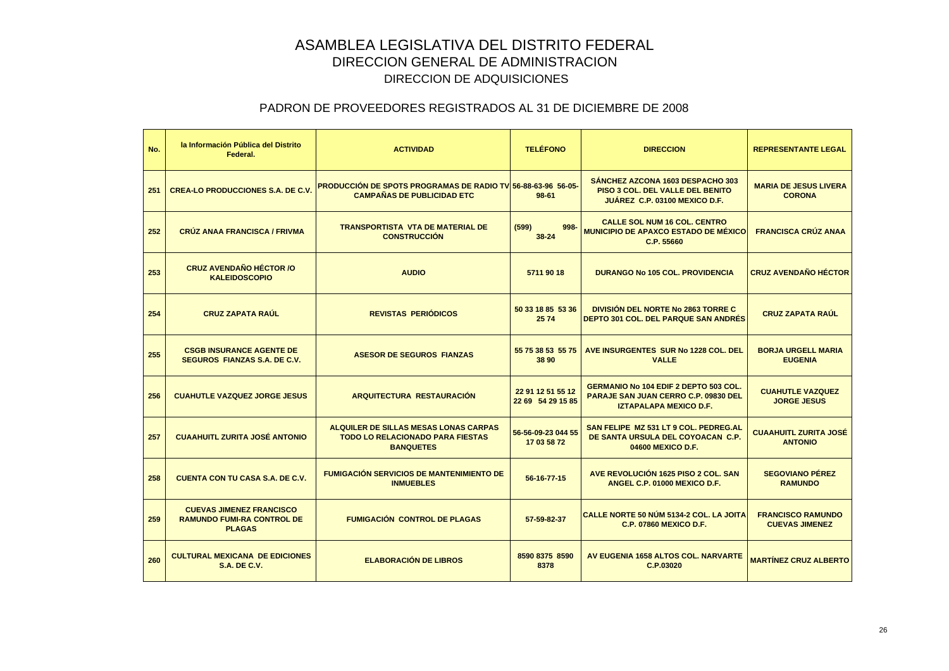| No. | la Información Pública del Distrito<br>Federal.                                       | <b>ACTIVIDAD</b>                                                                                            | <b>TELÉFONO</b>                        | <b>DIRECCION</b>                                                                                                      | <b>REPRESENTANTE LEGAL</b>                        |
|-----|---------------------------------------------------------------------------------------|-------------------------------------------------------------------------------------------------------------|----------------------------------------|-----------------------------------------------------------------------------------------------------------------------|---------------------------------------------------|
| 251 | <b>CREA-LO PRODUCCIONES S.A. DE C.V.</b>                                              | <b>PRODUCCIÓN DE SPOTS PROGRAMAS DE RADIO TVI 56-88-63-96 56-05</b><br><b>CAMPAÑAS DE PUBLICIDAD ETC</b>    | $98 - 61$                              | SANCHEZ AZCONA 1603 DESPACHO 303<br><b>PISO 3 COL. DEL VALLE DEL BENITO</b><br>JUÁREZ C.P. 03100 MEXICO D.F.          | <b>MARIA DE JESUS LIVERA</b><br><b>CORONA</b>     |
| 252 | <b>CRÚZ ANAA FRANCISCA / FRIVMA</b>                                                   | <b>TRANSPORTISTA VTA DE MATERIAL DE</b><br><b>CONSTRUCCIÓN</b>                                              | (599)<br>998-<br>38-24                 | <b>CALLE SOL NUM 16 COL. CENTRO</b><br><b>MUNICIPIO DE APAXCO ESTADO DE MÉXICO</b><br>C.P. 55660                      | <b>FRANCISCA CRÚZ ANAA</b>                        |
| 253 | <b>CRUZ AVENDAÑO HÉCTOR /O</b><br><b>KALEIDOSCOPIO</b>                                | <b>AUDIO</b>                                                                                                | 5711 90 18                             | <b>DURANGO No 105 COL. PROVIDENCIA</b>                                                                                | <b>CRUZ AVENDAÑO HÉCTOR</b>                       |
| 254 | <b>CRUZ ZAPATA RAÚL</b>                                                               | <b>REVISTAS PERIÓDICOS</b>                                                                                  | 50 33 18 85 53 36<br>2574              | <b>DIVISIÓN DEL NORTE No 2863 TORRE C</b><br><b>DEPTO 301 COL. DEL PARQUE SAN ANDRES</b>                              | <b>CRUZ ZAPATA RAÚL</b>                           |
| 255 | <b>CSGB INSURANCE AGENTE DE</b><br><b>SEGUROS FIANZAS S.A. DE C.V.</b>                | <b>ASESOR DE SEGUROS FIANZAS</b>                                                                            | 55 75 38 53 55 75<br>38 90             | AVE INSURGENTES SUR No 1228 COL. DEL<br><b>VALLE</b>                                                                  | <b>BORJA URGELL MARIA</b><br><b>EUGENIA</b>       |
| 256 | <b>CUAHUTLE VAZQUEZ JORGE JESUS</b>                                                   | <b>ARQUITECTURA RESTAURACIÓN</b>                                                                            | 22 91 12 51 55 12<br>22 69 54 29 15 85 | <b>GERMANIO No 104 EDIF 2 DEPTO 503 COL.</b><br>PARAJE SAN JUAN CERRO C.P. 09830 DEL<br><b>IZTAPALAPA MEXICO D.F.</b> | <b>CUAHUTLE VAZQUEZ</b><br><b>JORGE JESUS</b>     |
| 257 | <b>CUAAHUITL ZURITA JOSÉ ANTONIO</b>                                                  | <b>ALQUILER DE SILLAS MESAS LONAS CARPAS</b><br><b>TODO LO RELACIONADO PARA FIESTAS</b><br><b>BANQUETES</b> | 56-56-09-23 044 55<br>17 03 58 72      | SAN FELIPE MZ 531 LT 9 COL. PEDREG.AL<br>DE SANTA URSULA DEL COYOACAN C.P.<br>04600 MEXICO D.F.                       | <b>CUAAHUITL ZURITA JOSÉ</b><br><b>ANTONIO</b>    |
| 258 | <b>CUENTA CON TU CASA S.A. DE C.V.</b>                                                | <b>FUMIGACIÓN SERVICIOS DE MANTENIMIENTO DE</b><br><b>INMUEBLES</b>                                         | 56-16-77-15                            | AVE REVOLUCIÓN 1625 PISO 2 COL. SAN<br>ANGEL C.P. 01000 MEXICO D.F.                                                   | <b>SEGOVIANO PÉREZ</b><br><b>RAMUNDO</b>          |
| 259 | <b>CUEVAS JIMENEZ FRANCISCO</b><br><b>RAMUNDO FUMI-RA CONTROL DE</b><br><b>PLAGAS</b> | <b>FUMIGACIÓN CONTROL DE PLAGAS</b>                                                                         | 57-59-82-37                            | CALLE NORTE 50 NÚM 5134-2 COL. LA JOITA<br><b>C.P. 07860 MEXICO D.F.</b>                                              | <b>FRANCISCO RAMUNDO</b><br><b>CUEVAS JIMENEZ</b> |
| 260 | <b>CULTURAL MEXICANA DE EDICIONES</b><br><b>S.A. DE C.V.</b>                          | <b>ELABORACIÓN DE LIBROS</b>                                                                                | 8590 8375 8590<br>8378                 | AV EUGENIA 1658 ALTOS COL. NARVARTE<br>C.P.03020                                                                      | <b>MARTÍNEZ CRUZ ALBERTO</b>                      |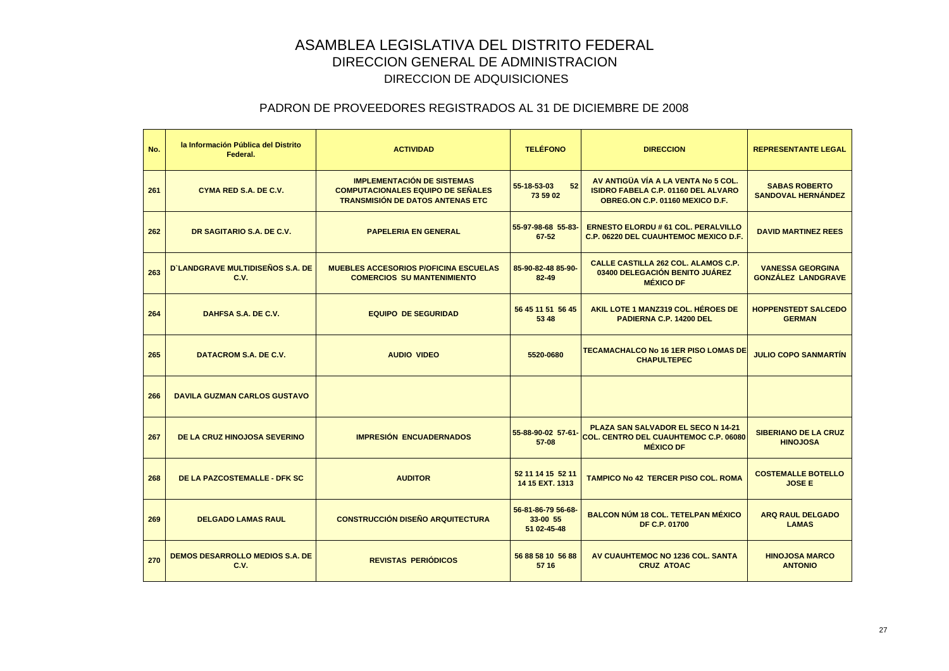| No. | la Información Pública del Distrito<br>Federal. | <b>ACTIVIDAD</b>                                                                                                          | <b>TELÉFONO</b>                               | <b>DIRECCION</b>                                                                                                     | <b>REPRESENTANTE LEGAL</b>                           |
|-----|-------------------------------------------------|---------------------------------------------------------------------------------------------------------------------------|-----------------------------------------------|----------------------------------------------------------------------------------------------------------------------|------------------------------------------------------|
| 261 | CYMA RED S.A. DE C.V.                           | <b>IMPLEMENTACIÓN DE SISTEMAS</b><br><b>COMPUTACIONALES EQUIPO DE SEÑALES</b><br><b>TRANSMISIÓN DE DATOS ANTENAS ETC.</b> | 52<br>55-18-53-03<br>73 59 02                 | AV ANTIGÜA VÍA A LA VENTA No 5 COL.<br><b>ISIDRO FABELA C.P. 01160 DEL ALVARO</b><br>OBREG.ON C.P. 01160 MEXICO D.F. | <b>SABAS ROBERTO</b><br><b>SANDOVAL HERNÁNDEZ</b>    |
| 262 | DR SAGITARIO S.A. DE C.V.                       | <b>PAPELERIA EN GENERAL</b>                                                                                               | 55-97-98-68 55-83-<br>67-52                   | <b>ERNESTO ELORDU # 61 COL. PERALVILLO</b><br><b>C.P. 06220 DEL CUAUHTEMOC MEXICO D.F.</b>                           | <b>DAVID MARTINEZ REES</b>                           |
| 263 | <b>D`LANDGRAVE MULTIDISEÑOS S.A. DE</b><br>C.V. | <b>MUEBLES ACCESORIOS P/OFICINA ESCUELAS</b><br><b>COMERCIOS SU MANTENIMIENTO</b>                                         | 85-90-82-48 85-90-<br>82-49                   | <b>CALLE CASTILLA 262 COL. ALAMOS C.P.</b><br>03400 DELEGACIÓN BENITO JUÁREZ<br><b>MÉXICO DF</b>                     | <b>VANESSA GEORGINA</b><br><b>GONZALEZ LANDGRAVE</b> |
| 264 | DAHFSA S.A. DE C.V.                             | <b>EQUIPO DE SEGURIDAD</b>                                                                                                | 56 45 11 51 56 45<br>53 48                    | AKIL LOTE 1 MANZ319 COL. HÉROES DE<br><b>PADIERNA C.P. 14200 DEL</b>                                                 | <b>HOPPENSTEDT SALCEDO</b><br><b>GERMAN</b>          |
| 265 | DATACROM S.A. DE C.V.                           | <b>AUDIO VIDEO</b>                                                                                                        | 5520-0680                                     | <b>TECAMACHALCO No 16 1ER PISO LOMAS DE</b><br><b>CHAPULTEPEC</b>                                                    | <b>JULIO COPO SANMARTIN</b>                          |
| 266 | <b>DAVILA GUZMAN CARLOS GUSTAVO</b>             |                                                                                                                           |                                               |                                                                                                                      |                                                      |
| 267 | <b>DE LA CRUZ HINOJOSA SEVERINO</b>             | <b>IMPRESIÓN ENCUADERNADOS</b>                                                                                            | 55-88-90-02 57-61-<br>57-08                   | PLAZA SAN SALVADOR EL SECO N 14-21<br><b>COL. CENTRO DEL CUAUHTEMOC C.P. 06080</b><br><b>MÉXICO DF</b>               | <b>SIBERIANO DE LA CRUZ</b><br><b>HINOJOSA</b>       |
| 268 | <b>DE LA PAZCOSTEMALLE - DFK SC</b>             | <b>AUDITOR</b>                                                                                                            | 52 11 14 15 52 11<br>14 15 EXT. 1313          | <b>TAMPICO No 42 TERCER PISO COL. ROMA</b>                                                                           | <b>COSTEMALLE BOTELLO</b><br><b>JOSE E</b>           |
| 269 | <b>DELGADO LAMAS RAUL</b>                       | <b>CONSTRUCCIÓN DISEÑO ARQUITECTURA</b>                                                                                   | 56-81-86-79 56-68-<br>33-00 55<br>51 02-45-48 | <b>BALCON NÚM 18 COL. TETELPAN MÉXICO</b><br><b>DF C.P. 01700</b>                                                    | <b>ARQ RAUL DELGADO</b><br><b>LAMAS</b>              |
| 270 | <b>DEMOS DESARROLLO MEDIOS S.A. DE</b><br>C.V.  | <b>REVISTAS PERIÓDICOS</b>                                                                                                | 56 88 58 10 56 88<br>57 16                    | AV CUAUHTEMOC NO 1236 COL. SANTA<br><b>CRUZ ATOAC</b>                                                                | <b>HINOJOSA MARCO</b><br><b>ANTONIO</b>              |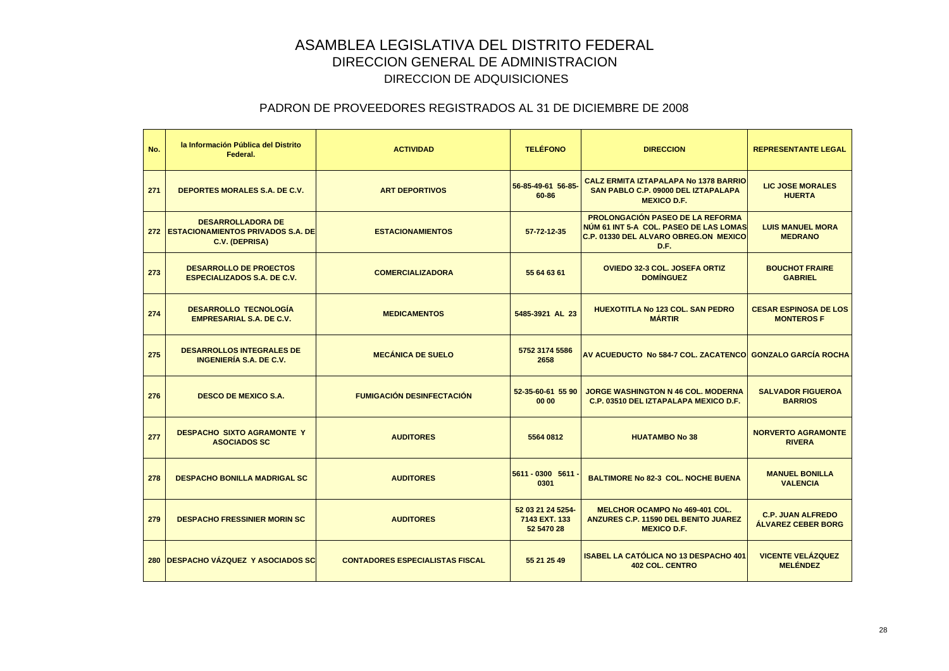| No. | la Información Pública del Distrito<br>Federal.                                     | <b>ACTIVIDAD</b>                       | <b>TELÉFONO</b>                                  | <b>DIRECCION</b>                                                                                                                          | <b>REPRESENTANTE LEGAL</b>                            |
|-----|-------------------------------------------------------------------------------------|----------------------------------------|--------------------------------------------------|-------------------------------------------------------------------------------------------------------------------------------------------|-------------------------------------------------------|
| 271 | DEPORTES MORALES S.A. DE C.V.                                                       | <b>ART DEPORTIVOS</b>                  | 56-85-49-61 56-85-<br>60-86                      | <b>CALZ ERMITA IZTAPALAPA No 1378 BARRIO</b><br>SAN PABLO C.P. 09000 DEL IZTAPALAPA<br><b>MEXICO D.F.</b>                                 | <b>LIC JOSE MORALES</b><br><b>HUERTA</b>              |
|     | <b>DESARROLLADORA DE</b><br>272 ESTACIONAMIENTOS PRIVADOS S.A. DE<br>C.V. (DEPRISA) | <b>ESTACIONAMIENTOS</b>                | 57-72-12-35                                      | <b>PROLONGACIÓN PASEO DE LA REFORMA</b><br>NÚM 61 INT 5-A COL. PASEO DE LAS LOMAS<br><b>C.P. 01330 DEL ALVARO OBREG.ON MEXICO</b><br>D.F. | <b>LUIS MANUEL MORA</b><br><b>MEDRANO</b>             |
| 273 | <b>DESARROLLO DE PROECTOS</b><br><b>ESPECIALIZADOS S.A. DE C.V.</b>                 | <b>COMERCIALIZADORA</b>                | 55 64 63 61                                      | <b>OVIEDO 32-3 COL. JOSEFA ORTIZ</b><br><b>DOMÍNGUEZ</b>                                                                                  | <b>BOUCHOT FRAIRE</b><br><b>GABRIEL</b>               |
| 274 | <b>DESARROLLO TECNOLOGÍA</b><br><b>EMPRESARIAL S.A. DE C.V.</b>                     | <b>MEDICAMENTOS</b>                    | 5485-3921 AL 23                                  | <b>HUEXOTITLA No 123 COL. SAN PEDRO</b><br><b>MÁRTIR</b>                                                                                  | <b>CESAR ESPINOSA DE LOS</b><br><b>MONTEROSF</b>      |
| 275 | <b>DESARROLLOS INTEGRALES DE</b><br><b>INGENIERÍA S.A. DE C.V.</b>                  | <b>MECÁNICA DE SUELO</b>               | 5752 3174 5586<br>2658                           | AV ACUEDUCTO No 584-7 COL. ZACATENCOL GONZALO GARCÍA ROCHA                                                                                |                                                       |
| 276 | <b>DESCO DE MEXICO S.A.</b>                                                         | <b>FUMIGACIÓN DESINFECTACIÓN</b>       | 52-35-60-61 55 90<br>00 00                       | <b>JORGE WASHINGTON N 46 COL. MODERNA</b><br>C.P. 03510 DEL IZTAPALAPA MEXICO D.F.                                                        | <b>SALVADOR FIGUEROA</b><br><b>BARRIOS</b>            |
| 277 | <b>DESPACHO SIXTO AGRAMONTE Y</b><br><b>ASOCIADOS SC</b>                            | <b>AUDITORES</b>                       | 5564 0812                                        | <b>HUATAMBO No 38</b>                                                                                                                     | <b>NORVERTO AGRAMONTE</b><br><b>RIVERA</b>            |
| 278 | <b>DESPACHO BONILLA MADRIGAL SC</b>                                                 | <b>AUDITORES</b>                       | 5611 - 0300 5611 -<br>0301                       | <b>BALTIMORE No 82-3 COL. NOCHE BUENA</b>                                                                                                 | <b>MANUEL BONILLA</b><br><b>VALENCIA</b>              |
| 279 | <b>DESPACHO FRESSINIER MORIN SC</b>                                                 | <b>AUDITORES</b>                       | 52 03 21 24 5254-<br>7143 EXT. 133<br>52 5470 28 | <b>MELCHOR OCAMPO No 469-401 COL.</b><br><b>ANZURES C.P. 11590 DEL BENITO JUAREZ</b><br><b>MEXICO D.F.</b>                                | <b>C.P. JUAN ALFREDO</b><br><b>ÁLVAREZ CEBER BORG</b> |
|     | 280 DESPACHO VÁZQUEZ Y ASOCIADOS SC                                                 | <b>CONTADORES ESPECIALISTAS FISCAL</b> | 55 21 25 49                                      | ISABEL LA CATÓLICA NO 13 DESPACHO 401<br><b>402 COL. CENTRO</b>                                                                           | <b>VICENTE VELÁZQUEZ</b><br><b>MELÉNDEZ</b>           |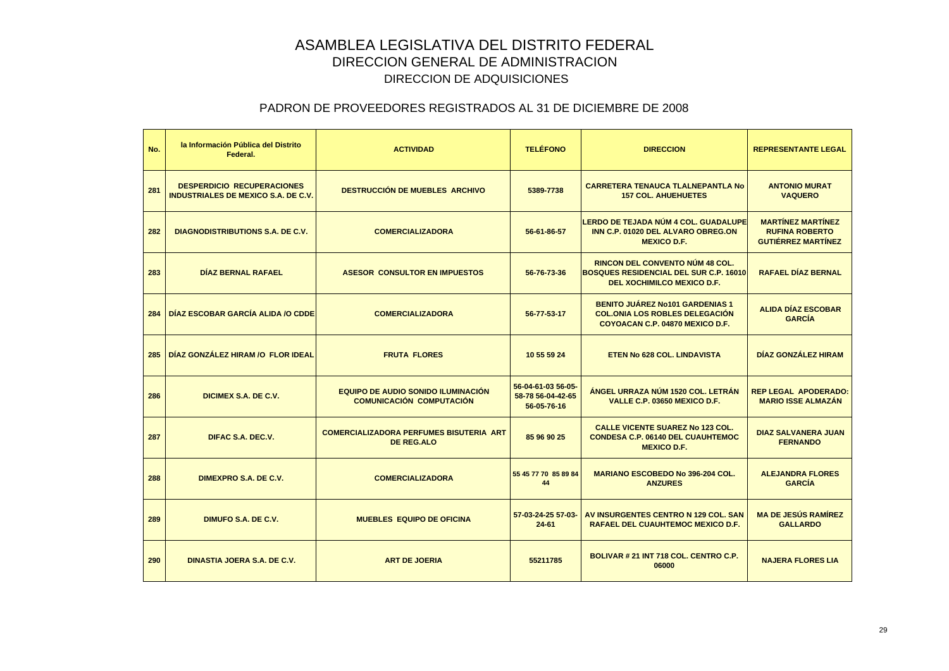| No. | la Información Pública del Distrito<br>Federal.                                 | <b>ACTIVIDAD</b>                                                      | <b>TELÉFONO</b>                                        | <b>DIRECCION</b>                                                                                                      | <b>REPRESENTANTE LEGAL</b>                                                     |
|-----|---------------------------------------------------------------------------------|-----------------------------------------------------------------------|--------------------------------------------------------|-----------------------------------------------------------------------------------------------------------------------|--------------------------------------------------------------------------------|
| 281 | <b>DESPERDICIO RECUPERACIONES</b><br><b>INDUSTRIALES DE MEXICO S.A. DE C.V.</b> | <b>DESTRUCCIÓN DE MUEBLES ARCHIVO</b>                                 | 5389-7738                                              | <b>CARRETERA TENAUCA TLALNEPANTLA No</b><br><b>157 COL. AHUEHUETES</b>                                                | <b>ANTONIO MURAT</b><br><b>VAQUERO</b>                                         |
| 282 | <b>DIAGNODISTRIBUTIONS S.A. DE C.V.</b>                                         | <b>COMERCIALIZADORA</b>                                               | 56-61-86-57                                            | LERDO DE TEJADA NÚM 4 COL. GUADALUPE<br>INN C.P. 01020 DEL ALVARO OBREG.ON<br><b>MEXICO D.F.</b>                      | <b>MARTÍNEZ MARTÍNEZ</b><br><b>RUFINA ROBERTO</b><br><b>GUTIÉRREZ MARTÍNEZ</b> |
| 283 | <b>DÍAZ BERNAL RAFAEL</b>                                                       | <b>ASESOR CONSULTOR EN IMPUESTOS</b>                                  | 56-76-73-36                                            | <b>RINCON DEL CONVENTO NÚM 48 COL.</b><br><b>BOSQUES RESIDENCIAL DEL SUR C.P. 16010</b><br>DEL XOCHIMILCO MEXICO D.F. | <b>RAFAEL DÍAZ BERNAL</b>                                                      |
| 284 | DÍAZ ESCOBAR GARCÍA ALIDA /O CDDE                                               | <b>COMERCIALIZADORA</b>                                               | 56-77-53-17                                            | <b>BENITO JUÁREZ No101 GARDENIAS 1</b><br><b>COL.ONIA LOS ROBLES DELEGACIÓN</b><br>COYOACAN C.P. 04870 MEXICO D.F.    | <b>ALIDA DÍAZ ESCOBAR</b><br><b>GARCÍA</b>                                     |
| 285 | DÍAZ GONZÁLEZ HIRAM /O FLOR IDEAL                                               | <b>FRUTA FLORES</b>                                                   | 10 55 59 24                                            | <b>ETEN No 628 COL, LINDAVISTA</b>                                                                                    | DÍAZ GONZÁLEZ HIRAM                                                            |
| 286 | DICIMEX S.A. DE C.V.                                                            | EQUIPO DE AUDIO SONIDO ILUMINACIÓN<br><b>COMUNICACIÓN COMPUTACIÓN</b> | 56-04-61-03 56-05-<br>58-78 56-04-42-65<br>56-05-76-16 | ÁNGEL URRAZA NÚM 1520 COL. LETRÁN<br>VALLE C.P. 03650 MEXICO D.F.                                                     | <b>REP LEGAL APODERADO:</b><br><b>MARIO ISSE ALMAZÁN</b>                       |
| 287 | DIFAC S.A. DEC.V.                                                               | <b>COMERCIALIZADORA PERFUMES BISUTERIA ART</b><br><b>DE REG.ALO</b>   | 85 96 90 25                                            | <b>CALLE VICENTE SUAREZ No 123 COL.</b><br><b>CONDESA C.P. 06140 DEL CUAUHTEMOC</b><br><b>MEXICO D.F.</b>             | <b>DIAZ SALVANERA JUAN</b><br><b>FERNANDO</b>                                  |
| 288 | DIMEXPRO S.A. DE C.V.                                                           | <b>COMERCIALIZADORA</b>                                               | 55 45 77 70 85 89 84<br>44                             | <b>MARIANO ESCOBEDO No 396-204 COL.</b><br><b>ANZURES</b>                                                             | <b>ALEJANDRA FLORES</b><br><b>GARCÍA</b>                                       |
| 289 | DIMUFO S.A. DE C.V.                                                             | <b>MUEBLES EQUIPO DE OFICINA</b>                                      | 57-03-24-25 57-03-<br>$24 - 61$                        | AV INSURGENTES CENTRO N 129 COL, SAN<br><b>RAFAEL DEL CUAUHTEMOC MEXICO D.F.</b>                                      | <b>MA DE JESÚS RAMÍREZ</b><br><b>GALLARDO</b>                                  |
| 290 | DINASTIA JOERA S.A. DE C.V.                                                     | <b>ART DE JOERIA</b>                                                  | 55211785                                               | BOLIVAR # 21 INT 718 COL. CENTRO C.P.<br>06000                                                                        | <b>NAJERA FLORES LIA</b>                                                       |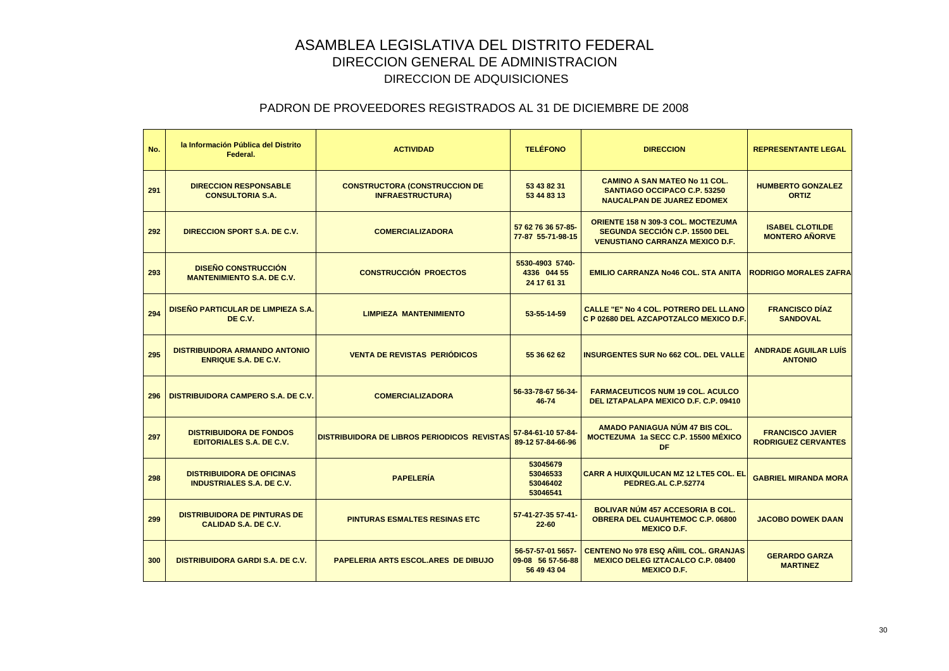| No. | la Información Pública del Distrito<br>Federal.                      | <b>ACTIVIDAD</b>                                                | <b>TELÉFONO</b>                                       | <b>DIRECCION</b>                                                                                                      | <b>REPRESENTANTE LEGAL</b>                            |
|-----|----------------------------------------------------------------------|-----------------------------------------------------------------|-------------------------------------------------------|-----------------------------------------------------------------------------------------------------------------------|-------------------------------------------------------|
| 291 | <b>DIRECCION RESPONSABLE</b><br><b>CONSULTORIA S.A.</b>              | <b>CONSTRUCTORA (CONSTRUCCION DE</b><br><b>INFRAESTRUCTURA)</b> | 53 43 82 31<br>53 44 83 13                            | <b>CAMINO A SAN MATEO No 11 COL.</b><br>SANTIAGO OCCIPACO C.P. 53250<br><b>NAUCALPAN DE JUAREZ EDOMEX</b>             | <b>HUMBERTO GONZALEZ</b><br><b>ORTIZ</b>              |
| 292 | DIRECCION SPORT S.A. DE C.V.                                         | <b>COMERCIALIZADORA</b>                                         | 57 62 76 36 57-85-<br>77-87 55-71-98-15               | <b>ORIENTE 158 N 309-3 COL. MOCTEZUMA</b><br>SEGUNDA SECCIÓN C.P. 15500 DEL<br><b>VENUSTIANO CARRANZA MEXICO D.F.</b> | <b>ISABEL CLOTILDE</b><br><b>MONTERO AÑORVE</b>       |
| 293 | <b>DISEÑO CONSTRUCCIÓN</b><br><b>MANTENIMIENTO S.A. DE C.V.</b>      | <b>CONSTRUCCIÓN PROECTOS</b>                                    | 5530-4903 5740-<br>4336 044 55<br>24 17 61 31         | <b>EMILIO CARRANZA No46 COL. STA ANITA</b>                                                                            | <b>RODRIGO MORALES ZAFRA</b>                          |
| 294 | DISEÑO PARTICULAR DE LIMPIEZA S.A.<br>DE C.V.                        | <b>LIMPIEZA MANTENIMIENTO</b>                                   | 53-55-14-59                                           | <b>CALLE "E" No 4 COL. POTRERO DEL LLANO</b><br>C P 02680 DEL AZCAPOTZALCO MEXICO D.F.                                | <b>FRANCISCO DÍAZ</b><br><b>SANDOVAL</b>              |
| 295 | <b>DISTRIBUIDORA ARMANDO ANTONIO</b><br><b>ENRIQUE S.A. DE C.V.</b>  | <b>VENTA DE REVISTAS PERIODICOS</b>                             | 55 36 62 62                                           | <b>INSURGENTES SUR No 662 COL. DEL VALLE</b>                                                                          | <b>ANDRADE AGUILAR LUIS</b><br><b>ANTONIO</b>         |
| 296 | <b>DISTRIBUIDORA CAMPERO S.A. DE C.V.</b>                            | <b>COMERCIALIZADORA</b>                                         | 56-33-78-67 56-34-<br>46-74                           | <b>FARMACEUTICOS NUM 19 COL. ACULCO</b><br>DEL IZTAPALAPA MEXICO D.F. C.P. 09410                                      |                                                       |
| 297 | <b>DISTRIBUIDORA DE FONDOS</b><br><b>EDITORIALES S.A. DE C.V.</b>    | <b>DISTRIBUIDORA DE LIBROS PERIODICOS REVISTAS</b>              | 57-84-61-10 57-84-<br>89-12 57-84-66-96               | AMADO PANIAGUA NÚM 47 BIS COL.<br>MOCTEZUMA 1a SECC C.P. 15500 MÉXICO<br><b>DF</b>                                    | <b>FRANCISCO JAVIER</b><br><b>RODRIGUEZ CERVANTES</b> |
| 298 | <b>DISTRIBUIDORA DE OFICINAS</b><br><b>INDUSTRIALES S.A. DE C.V.</b> | <b>PAPELERÍA</b>                                                | 53045679<br>53046533<br>53046402<br>53046541          | <b>CARR A HUIXQUILUCAN MZ 12 LTE5 COL. EL</b><br>PEDREG.AL C.P.52774                                                  | <b>GABRIEL MIRANDA MORA</b>                           |
| 299 | <b>DISTRIBUIDORA DE PINTURAS DE</b><br><b>CALIDAD S.A. DE C.V.</b>   | <b>PINTURAS ESMALTES RESINAS ETC</b>                            | 57-41-27-35 57-41-<br>$22 - 60$                       | <b>BOLIVAR NÚM 457 ACCESORIA B COL.</b><br><b>OBRERA DEL CUAUHTEMOC C.P. 06800</b><br><b>MEXICO D.F.</b>              | <b>JACOBO DOWEK DAAN</b>                              |
| 300 | <b>DISTRIBUIDORA GARDI S.A. DE C.V.</b>                              | PAPELERIA ARTS ESCOL.ARES DE DIBUJO                             | 56-57-57-01 5657-<br>09-08 56 57-56-88<br>56 49 43 04 | <b>CENTENO No 978 ESQ AÑIIL COL. GRANJAS</b><br><b>MEXICO DELEG IZTACALCO C.P. 08400</b><br><b>MEXICO D.F.</b>        | <b>GERARDO GARZA</b><br><b>MARTINEZ</b>               |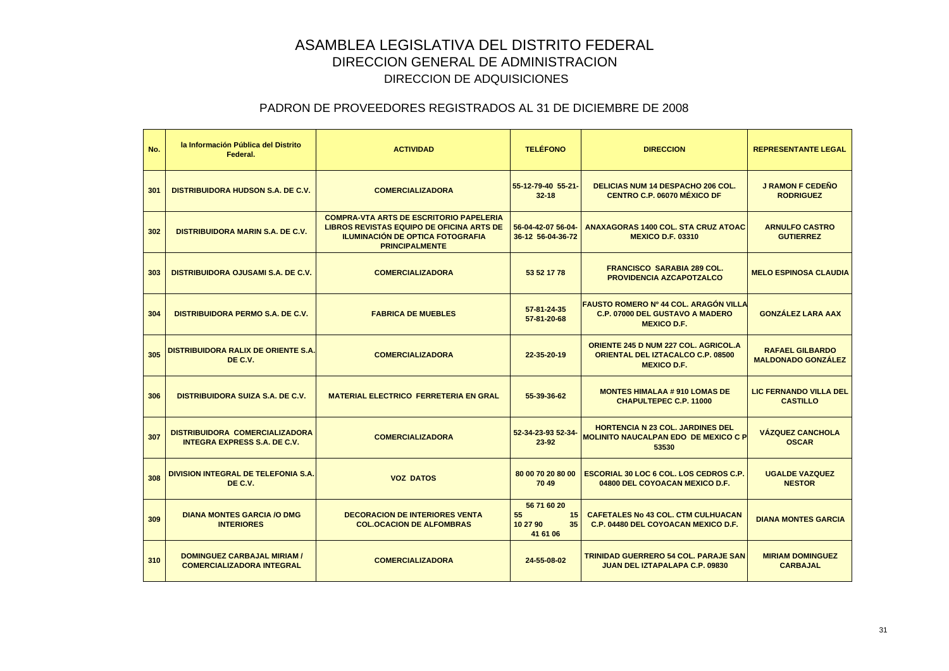| No. | la Información Pública del Distrito<br>Federal.                              | <b>ACTIVIDAD</b>                                                                                                                                                       | <b>TELÉFONO</b>                                       | <b>DIRECCION</b>                                                                                              | <b>REPRESENTANTE LEGAL</b>                          |
|-----|------------------------------------------------------------------------------|------------------------------------------------------------------------------------------------------------------------------------------------------------------------|-------------------------------------------------------|---------------------------------------------------------------------------------------------------------------|-----------------------------------------------------|
| 301 | <b>DISTRIBUIDORA HUDSON S.A. DE C.V.</b>                                     | <b>COMERCIALIZADORA</b>                                                                                                                                                | 55-12-79-40 55-21-<br>$32 - 18$                       | <b>DELICIAS NUM 14 DESPACHO 206 COL.</b><br><b>CENTRO C.P. 06070 MÉXICO DF</b>                                | <b>J RAMON F CEDEÑO</b><br><b>RODRIGUEZ</b>         |
| 302 | <b>DISTRIBUIDORA MARIN S.A. DE C.V.</b>                                      | <b>COMPRA-VTA ARTS DE ESCRITORIO PAPELERIA</b><br><b>LIBROS REVISTAS EQUIPO DE OFICINA ARTS DE</b><br><b>ILUMINACIÓN DE OPTICA FOTOGRAFIA</b><br><b>PRINCIPALMENTE</b> | 56-04-42-07 56-04-<br>36-12 56-04-36-72               | <b>ANAXAGORAS 1400 COL. STA CRUZ ATOAC</b><br><b>MEXICO D.F. 03310</b>                                        | <b>ARNULFO CASTRO</b><br><b>GUTIERREZ</b>           |
| 303 | DISTRIBUIDORA OJUSAMI S.A. DE C.V.                                           | <b>COMERCIALIZADORA</b>                                                                                                                                                | 53 52 17 78                                           | <b>FRANCISCO SARABIA 289 COL.</b><br><b>PROVIDENCIA AZCAPOTZALCO</b>                                          | <b>MELO ESPINOSA CLAUDIA</b>                        |
| 304 | <b>DISTRIBUIDORA PERMO S.A. DE C.V.</b>                                      | <b>FABRICA DE MUEBLES</b>                                                                                                                                              | 57-81-24-35<br>57-81-20-68                            | FAUSTO ROMERO Nº 44 COL. ARAGÓN VILLA<br><b>C.P. 07000 DEL GUSTAVO A MADERO</b><br><b>MEXICO D.F.</b>         | <b>GONZÁLEZ LARA AAX</b>                            |
| 305 | <b>DISTRIBUIDORA RALIX DE ORIENTE S.A.</b><br>DE C.V.                        | <b>COMERCIALIZADORA</b>                                                                                                                                                | 22-35-20-19                                           | <b>ORIENTE 245 D NUM 227 COL. AGRICOL.A</b><br><b>ORIENTAL DEL IZTACALCO C.P. 08500</b><br><b>MEXICO D.F.</b> | <b>RAFAEL GILBARDO</b><br><b>MALDONADO GONZÁLEZ</b> |
| 306 | <b>DISTRIBUIDORA SUIZA S.A. DE C.V.</b>                                      | <b>MATERIAL ELECTRICO FERRETERIA EN GRAL</b>                                                                                                                           | 55-39-36-62                                           | <b>MONTES HIMALAA # 910 LOMAS DE</b><br><b>CHAPULTEPEC C.P. 11000</b>                                         | LIC FERNANDO VILLA DEL<br><b>CASTILLO</b>           |
| 307 | <b>DISTRIBUIDORA COMERCIALIZADORA</b><br><b>INTEGRA EXPRESS S.A. DE C.V.</b> | <b>COMERCIALIZADORA</b>                                                                                                                                                | 52-34-23-93 52-34-<br>$23 - 92$                       | <b>HORTENCIA N 23 COL. JARDINES DEL</b><br><b>MOLINITO NAUCALPAN EDO DE MEXICO C P</b><br>53530               | <b>VÁZQUEZ CANCHOLA</b><br><b>OSCAR</b>             |
| 308 | <b>DIVISION INTEGRAL DE TELEFONIA S.A.</b><br>DE C.V.                        | <b>VOZ DATOS</b>                                                                                                                                                       | 80 00 70 20 80 00<br>70 49                            | <b>ESCORIAL 30 LOC 6 COL. LOS CEDROS C.P.</b><br>04800 DEL COYOACAN MEXICO D.F.                               | <b>UGALDE VAZQUEZ</b><br><b>NESTOR</b>              |
| 309 | <b>DIANA MONTES GARCIA /O DMG</b><br><b>INTERIORES</b>                       | <b>DECORACION DE INTERIORES VENTA</b><br><b>COL.OCACION DE ALFOMBRAS</b>                                                                                               | 56 71 60 20<br>55<br>15<br>10 27 90<br>35<br>41 61 06 | <b>CAFETALES No 43 COL. CTM CULHUACAN</b><br>C.P. 04480 DEL COYOACAN MEXICO D.F.                              | <b>DIANA MONTES GARCIA</b>                          |
| 310 | DOMINGUEZ CARBAJAL MIRIAM /<br><b>COMERCIALIZADORA INTEGRAL</b>              | <b>COMERCIALIZADORA</b>                                                                                                                                                | 24-55-08-02                                           | <b>TRINIDAD GUERRERO 54 COL. PARAJE SAN</b><br><b>JUAN DEL IZTAPALAPA C.P. 09830</b>                          | <b>MIRIAM DOMINGUEZ</b><br><b>CARBAJAL</b>          |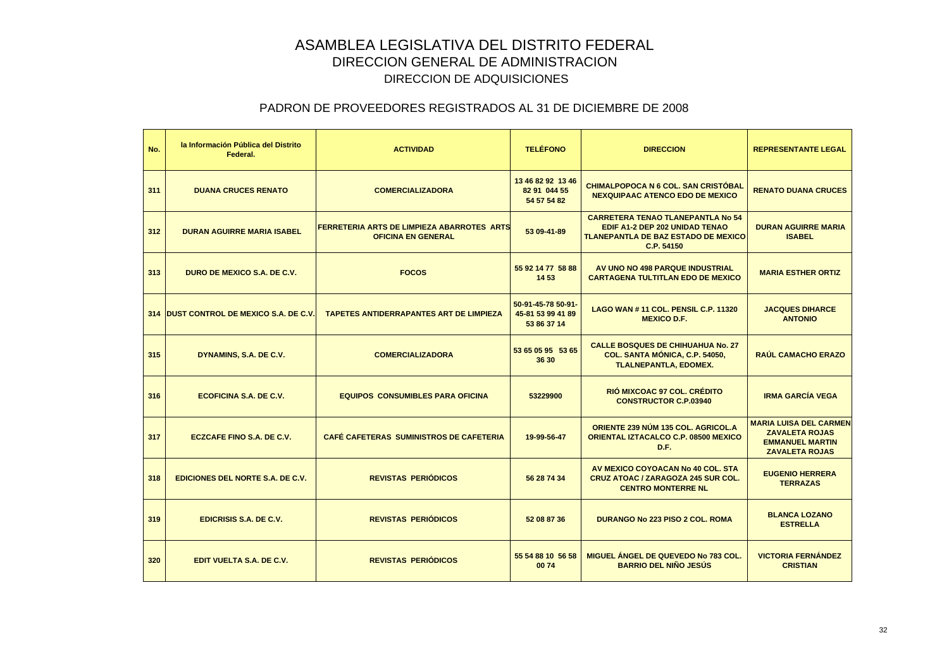| No. | la Información Pública del Distrito<br>Federal. | <b>ACTIVIDAD</b>                                                               | <b>TELÉFONO</b>                                        | <b>DIRECCION</b>                                                                                                                       | <b>REPRESENTANTE LEGAL</b>                                                                                |
|-----|-------------------------------------------------|--------------------------------------------------------------------------------|--------------------------------------------------------|----------------------------------------------------------------------------------------------------------------------------------------|-----------------------------------------------------------------------------------------------------------|
| 311 | <b>DUANA CRUCES RENATO</b>                      | <b>COMERCIALIZADORA</b>                                                        | 13 46 82 92 13 46<br>82 91 044 55<br>54 57 54 82       | CHIMALPOPOCA N 6 COL. SAN CRISTÓBAL<br>NEXQUIPAAC ATENCO EDO DE MEXICO                                                                 | <b>RENATO DUANA CRUCES</b>                                                                                |
| 312 | <b>DURAN AGUIRRE MARIA ISABEL</b>               | <b>FERRETERIA ARTS DE LIMPIEZA ABARROTES ARTS</b><br><b>OFICINA EN GENERAL</b> | 53 09-41-89                                            | <b>CARRETERA TENAO TLANEPANTLA No 54</b><br>EDIF A1-2 DEP 202 UNIDAD TENAO<br><b>TLANEPANTLA DE BAZ ESTADO DE MEXICO</b><br>C.P. 54150 | <b>DURAN AGUIRRE MARIA</b><br><b>ISABEL</b>                                                               |
| 313 | DURO DE MEXICO S.A. DE C.V.                     | <b>FOCOS</b>                                                                   | 55 92 14 77 58 88<br>14 53                             | AV UNO NO 498 PARQUE INDUSTRIAL<br><b>CARTAGENA TULTITLAN EDO DE MEXICO</b>                                                            | <b>MARIA ESTHER ORTIZ</b>                                                                                 |
|     | 314 DUST CONTROL DE MEXICO S.A. DE C.V          | <b>TAPETES ANTIDERRAPANTES ART DE LIMPIEZA</b>                                 | 50-91-45-78 50-91-<br>45-81 53 99 41 89<br>53 86 37 14 | LAGO WAN #11 COL. PENSIL C.P. 11320<br><b>MEXICO D.F.</b>                                                                              | <b>JACQUES DIHARCE</b><br><b>ANTONIO</b>                                                                  |
| 315 | DYNAMINS, S.A. DE C.V.                          | <b>COMERCIALIZADORA</b>                                                        | 53 65 05 95 53 65<br>36 30                             | <b>CALLE BOSQUES DE CHIHUAHUA No. 27</b><br>COL. SANTA MÓNICA, C.P. 54050,<br><b>TLALNEPANTLA, EDOMEX.</b>                             | <b>RAUL CAMACHO ERAZO</b>                                                                                 |
| 316 | <b>ECOFICINA S.A. DE C.V.</b>                   | <b>EQUIPOS CONSUMIBLES PARA OFICINA</b>                                        | 53229900                                               | RIÓ MIXCOAC 97 COL. CRÉDITO<br><b>CONSTRUCTOR C.P.03940</b>                                                                            | <b>IRMA GARCÍA VEGA</b>                                                                                   |
| 317 | ECZCAFE FINO S.A. DE C.V.                       | <b>CAFÉ CAFETERAS SUMINISTROS DE CAFETERIA</b>                                 | 19-99-56-47                                            | ORIENTE 239 NÚM 135 COL. AGRICOL.A<br>ORIENTAL IZTACALCO C.P. 08500 MEXICO<br>D.F.                                                     | <b>MARIA LUISA DEL CARMEN</b><br><b>ZAVALETA ROJAS</b><br><b>EMMANUEL MARTIN</b><br><b>ZAVALETA ROJAS</b> |
| 318 | <b>EDICIONES DEL NORTE S.A. DE C.V.</b>         | <b>REVISTAS PERIÓDICOS</b>                                                     | 56 28 74 34                                            | AV MEXICO COYOACAN No 40 COL. STA<br><b>CRUZ ATOAC / ZARAGOZA 245 SUR COL.</b><br><b>CENTRO MONTERRE NL</b>                            | <b>EUGENIO HERRERA</b><br><b>TERRAZAS</b>                                                                 |
| 319 | <b>EDICRISIS S.A. DE C.V.</b>                   | <b>REVISTAS PERIÓDICOS</b>                                                     | 52 08 87 36                                            | <b>DURANGO No 223 PISO 2 COL. ROMA</b>                                                                                                 | <b>BLANCA LOZANO</b><br><b>ESTRELLA</b>                                                                   |
| 320 | EDIT VUELTA S.A. DE C.V.                        | <b>REVISTAS PERIÓDICOS</b>                                                     | 55 54 88 10 56 58<br>0074                              | <b>MIGUEL ÁNGEL DE QUEVEDO No 783 COL.</b><br><b>BARRIO DEL NIÑO JESÚS</b>                                                             | <b>VICTORIA FERNÁNDEZ</b><br><b>CRISTIAN</b>                                                              |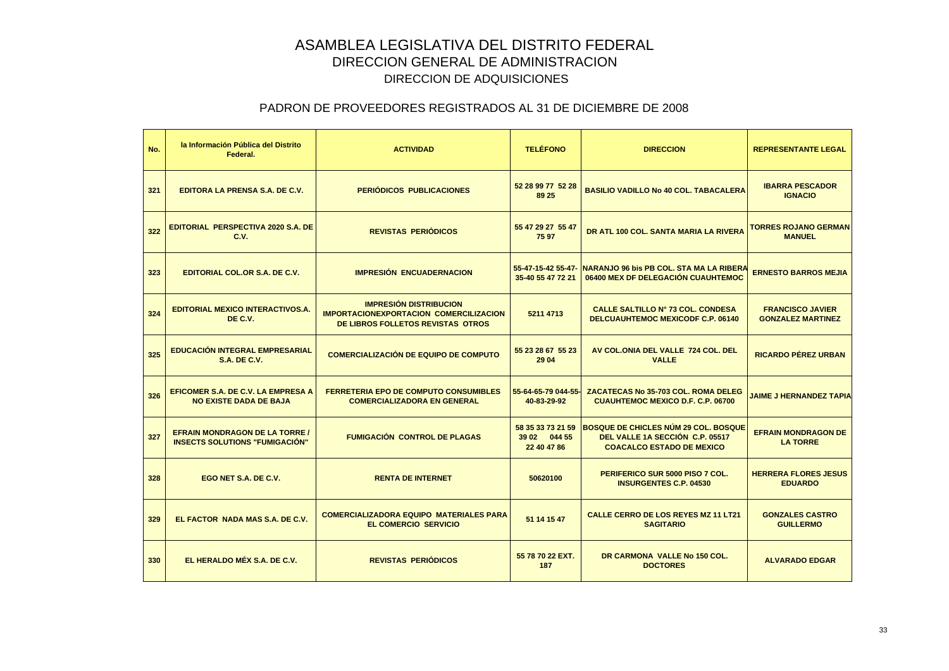| No. | la Información Pública del Distrito<br>Federal.                                | <b>ACTIVIDAD</b>                                                                                                    | <b>TELÉFONO</b>                                  | <b>DIRECCION</b>                                                                                                   | <b>REPRESENTANTE LEGAL</b>                          |
|-----|--------------------------------------------------------------------------------|---------------------------------------------------------------------------------------------------------------------|--------------------------------------------------|--------------------------------------------------------------------------------------------------------------------|-----------------------------------------------------|
| 321 | EDITORA LA PRENSA S.A. DE C.V.                                                 | <b>PERIÓDICOS PUBLICACIONES</b>                                                                                     | 52 28 99 77 52 28<br>89 25                       | <b>BASILIO VADILLO No 40 COL. TABACALERA</b>                                                                       | <b>IBARRA PESCADOR</b><br><b>IGNACIO</b>            |
| 322 | <b>EDITORIAL PERSPECTIVA 2020 S.A. DE</b><br>C.V.                              | <b>REVISTAS PERIÓDICOS</b>                                                                                          | 55 47 29 27 55 47<br>7597                        | DR ATL 100 COL, SANTA MARIA LA RIVERA                                                                              | <b>TORRES ROJANO GERMAN</b><br><b>MANUEL</b>        |
| 323 | EDITORIAL COL.OR S.A. DE C.V.                                                  | <b>IMPRESIÓN ENCUADERNACION</b>                                                                                     | 55-47-15-42 55-47-<br>35-40 55 47 72 21          | NARANJO 96 bis PB COL. STA MA LA RIBERA<br>06400 MEX DF DELEGACIÓN CUAUHTEMOC                                      | <b>ERNESTO BARROS MEJIA</b>                         |
| 324 | <b>EDITORIAL MEXICO INTERACTIVOS.A.</b><br>DE C.V.                             | <b>IMPRESIÓN DISTRIBUCION</b><br><b>IMPORTACIONEXPORTACION COMERCILIZACION</b><br>DE LIBROS FOLLETOS REVISTAS OTROS | 5211 4713                                        | <b>CALLE SALTILLO Nº 73 COL. CONDESA</b><br><b>DELCUAUHTEMOC MEXICODF C.P. 06140</b>                               | <b>FRANCISCO JAVIER</b><br><b>GONZALEZ MARTINEZ</b> |
| 325 | <b>EDUCACIÓN INTEGRAL EMPRESARIAL</b><br><b>S.A. DE C.V.</b>                   | <b>COMERCIALIZACIÓN DE EQUIPO DE COMPUTO</b>                                                                        | 55 23 28 67 55 23<br>29 04                       | AV COL.ONIA DEL VALLE 724 COL. DEL<br><b>VALLE</b>                                                                 | <b>RICARDO PÉREZ URBAN</b>                          |
| 326 | <b>EFICOMER S.A. DE C.V. LA EMPRESA A</b><br><b>NO EXISTE DADA DE BAJA</b>     | <b>FERRETERIA EPO DE COMPUTO CONSUMIBLES</b><br><b>COMERCIALIZADORA EN GENERAL</b>                                  | 55-64-65-79 044-55-<br>40-83-29-92               | ZACATECAS No 35-703 COL. ROMA DELEG<br><b>CUAUHTEMOC MEXICO D.F. C.P. 06700</b>                                    | <b>JAIME J HERNANDEZ TAPIA</b>                      |
| 327 | <b>EFRAIN MONDRAGON DE LA TORRE /</b><br><b>INSECTS SOLUTIONS "FUMIGACIÓN"</b> | <b>FUMIGACIÓN CONTROL DE PLAGAS</b>                                                                                 | 58 35 33 73 21 59<br>39 02 044 55<br>22 40 47 86 | <b>BOSQUE DE CHICLES NÚM 29 COL. BOSQUE</b><br>DEL VALLE 1A SECCIÓN C.P. 05517<br><b>COACALCO ESTADO DE MEXICO</b> | <b>EFRAIN MONDRAGON DE</b><br><b>LA TORRE</b>       |
| 328 | EGO NET S.A. DE C.V.                                                           | <b>RENTA DE INTERNET</b>                                                                                            | 50620100                                         | PERIFERICO SUR 5000 PISO 7 COL.<br><b>INSURGENTES C.P. 04530</b>                                                   | <b>HERRERA FLORES JESUS</b><br><b>EDUARDO</b>       |
| 329 | EL FACTOR NADA MAS S.A. DE C.V.                                                | <b>COMERCIALIZADORA EQUIPO MATERIALES PARA</b><br><b>EL COMERCIO SERVICIO</b>                                       | 51 14 15 47                                      | <b>CALLE CERRO DE LOS REYES MZ 11 LT21</b><br><b>SAGITARIO</b>                                                     | <b>GONZALES CASTRO</b><br><b>GUILLERMO</b>          |
| 330 | EL HERALDO MÉX S.A. DE C.V.                                                    | <b>REVISTAS PERIÓDICOS</b>                                                                                          | 55 78 70 22 EXT.<br>187                          | DR CARMONA VALLE No 150 COL.<br><b>DOCTORES</b>                                                                    | <b>ALVARADO EDGAR</b>                               |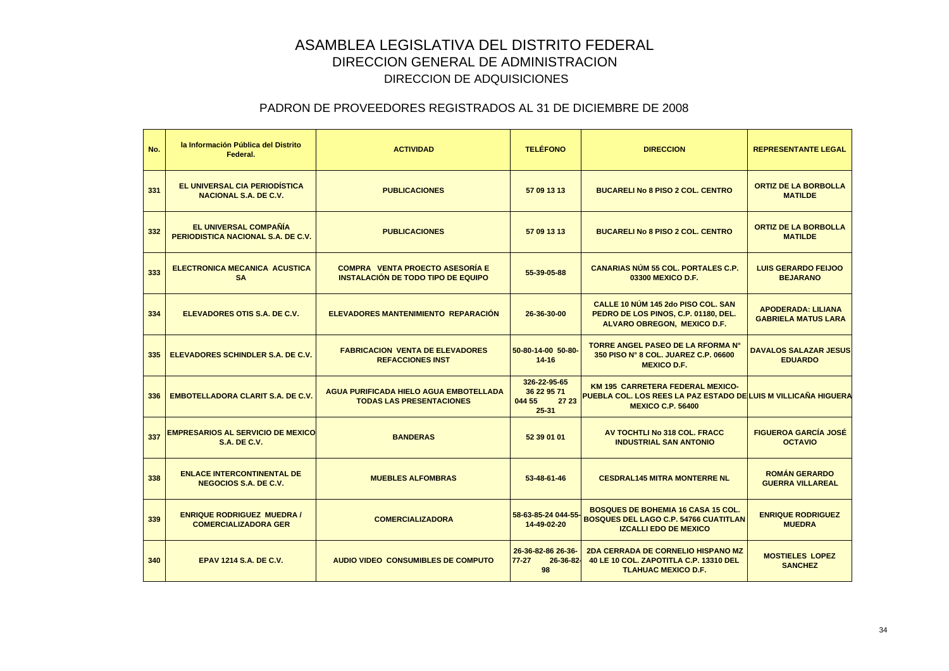| No. | la Información Pública del Distrito<br>Federal.                    | <b>ACTIVIDAD</b>                                                                 | <b>TELÉFONO</b>                                             | <b>DIRECCION</b>                                                                                                                             | <b>REPRESENTANTE LEGAL</b>                              |
|-----|--------------------------------------------------------------------|----------------------------------------------------------------------------------|-------------------------------------------------------------|----------------------------------------------------------------------------------------------------------------------------------------------|---------------------------------------------------------|
| 331 | EL UNIVERSAL CIA PERIODÍSTICA<br><b>NACIONAL S.A. DE C.V.</b>      | <b>PUBLICACIONES</b>                                                             | 57 09 13 13                                                 | <b>BUCARELI No 8 PISO 2 COL. CENTRO</b>                                                                                                      | <b>ORTIZ DE LA BORBOLLA</b><br><b>MATILDE</b>           |
| 332 | EL UNIVERSAL COMPAÑÍA<br><b>PERIODISTICA NACIONAL S.A. DE C.V.</b> | <b>PUBLICACIONES</b>                                                             | 57 09 13 13                                                 | <b>BUCARELI No 8 PISO 2 COL. CENTRO</b>                                                                                                      | <b>ORTIZ DE LA BORBOLLA</b><br><b>MATILDE</b>           |
| 333 | <b>ELECTRONICA MECANICA ACUSTICA</b><br><b>SA</b>                  | <b>COMPRA VENTA PROECTO ASESORÍA E</b><br>INSTALACIÓN DE TODO TIPO DE EQUIPO     | 55-39-05-88                                                 | <b>CANARIAS NÚM 55 COL. PORTALES C.P.</b><br>03300 MEXICO D.F.                                                                               | <b>LUIS GERARDO FEIJOO</b><br><b>BEJARANO</b>           |
| 334 | ELEVADORES OTIS S.A. DE C.V.                                       | <b>ELEVADORES MANTENIMIENTO REPARACIÓN</b>                                       | 26-36-30-00                                                 | CALLE 10 NÚM 145 2do PISO COL. SAN<br>PEDRO DE LOS PINOS, C.P. 01180, DEL.<br><b>ALVARO OBREGON, MEXICO D.F.</b>                             | <b>APODERADA: LILIANA</b><br><b>GABRIELA MATUS LARA</b> |
| 335 | ELEVADORES SCHINDLER S.A. DE C.V.                                  | <b>FABRICACION VENTA DE ELEVADORES</b><br><b>REFACCIONES INST</b>                | 50-80-14-00 50-80-<br>$14 - 16$                             | <b>TORRE ANGEL PASEO DE LA RFORMA N°</b><br>350 PISO N° 8 COL. JUAREZ C.P. 06600<br><b>MEXICO D.F.</b>                                       | <b>DAVALOS SALAZAR JESUS</b><br><b>EDUARDO</b>          |
| 336 | <b>EMBOTELLADORA CLARIT S.A. DE C.V.</b>                           | <b>AGUA PURIFICADA HIELO AGUA EMBOTELLADA</b><br><b>TODAS LAS PRESENTACIONES</b> | 326-22-95-65<br>36 22 95 71<br>044 55<br>27 23<br>$25 - 31$ | <b>KM 195 CARRETERA FEDERAL MEXICO-</b><br><u>PUEBLA COL. LOS REES LA PAZ ESTADO DE LUIS M VILLICAÑA HIGUERA</u><br><b>MEXICO C.P. 56400</b> |                                                         |
| 337 | <b>EMPRESARIOS AL SERVICIO DE MEXICO</b><br><b>S.A. DE C.V.</b>    | <b>BANDERAS</b>                                                                  | 52 39 01 01                                                 | AV TOCHTLI No 318 COL. FRACC<br><b>INDUSTRIAL SAN ANTONIO</b>                                                                                | <b>FIGUEROA GARCÍA JOSÉ</b><br><b>OCTAVIO</b>           |
| 338 | <b>ENLACE INTERCONTINENTAL DE</b><br><b>NEGOCIOS S.A. DE C.V.</b>  | <b>MUEBLES ALFOMBRAS</b>                                                         | 53-48-61-46                                                 | <b>CESDRAL145 MITRA MONTERRE NL</b>                                                                                                          | <b>ROMÁN GERARDO</b><br><b>GUERRA VILLAREAL</b>         |
| 339 | <b>ENRIQUE RODRIGUEZ MUEDRA /</b><br><b>COMERCIALIZADORA GER</b>   | <b>COMERCIALIZADORA</b>                                                          | 58-63-85-24 044-55<br>14-49-02-20                           | <b>BOSQUES DE BOHEMIA 16 CASA 15 COL.</b><br><b>BOSQUES DEL LAGO C.P. 54766 CUATITLAN</b><br><b>IZCALLI EDO DE MEXICO</b>                    | <b>ENRIQUE RODRIGUEZ</b><br><b>MUEDRA</b>               |
| 340 | <b>EPAV 1214 S.A. DE C.V.</b>                                      | <b>AUDIO VIDEO CONSUMIBLES DE COMPUTO</b>                                        | 26-36-82-86 26-36-<br>$77-27$<br>26-36-82-<br>98            | <b>2DA CERRADA DE CORNELIO HISPANO MZ</b><br>40 LE 10 COL. ZAPOTITLA C.P. 13310 DEL<br><b>TLAHUAC MEXICO D.F.</b>                            | <b>MOSTIELES LOPEZ</b><br><b>SANCHEZ</b>                |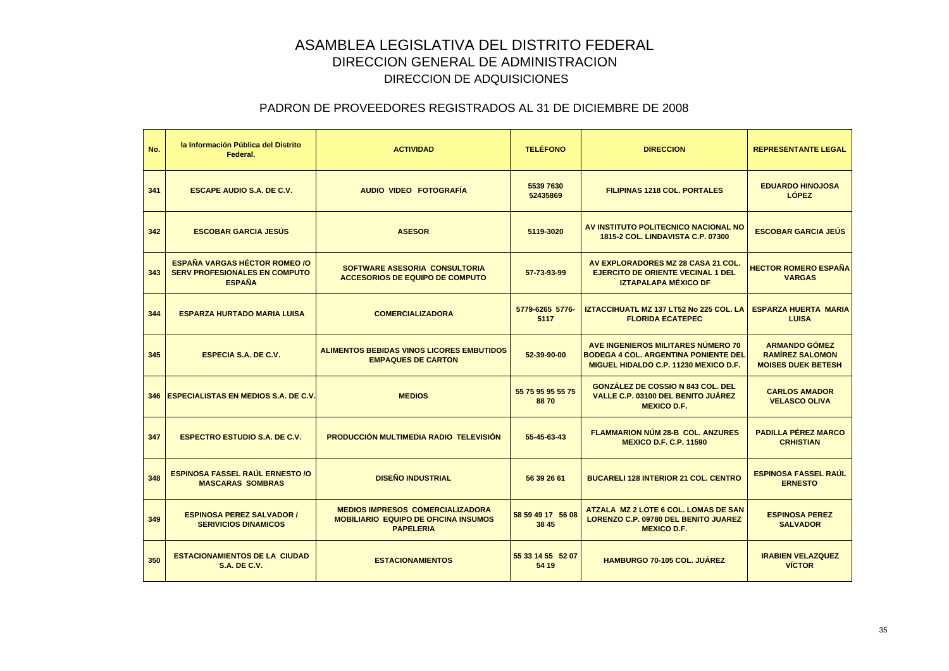| No. | la Información Pública del Distrito<br>Federal.                                               | <b>ACTIVIDAD</b>                                                                                           | <b>TELÉFONO</b>            | <b>DIRECCION</b>                                                                                                                  | <b>REPRESENTANTE LEGAL</b>                                                  |
|-----|-----------------------------------------------------------------------------------------------|------------------------------------------------------------------------------------------------------------|----------------------------|-----------------------------------------------------------------------------------------------------------------------------------|-----------------------------------------------------------------------------|
| 341 | <b>ESCAPE AUDIO S.A. DE C.V.</b>                                                              | AUDIO VIDEO FOTOGRAFÍA                                                                                     | 5539 7630<br>52435869      | <b>FILIPINAS 1218 COL. PORTALES</b>                                                                                               | <b>EDUARDO HINOJOSA</b><br><b>LÓPEZ</b>                                     |
| 342 | <b>ESCOBAR GARCIA JESÚS</b>                                                                   | <b>ASESOR</b>                                                                                              | 5119-3020                  | AV INSTITUTO POLITECNICO NACIONAL NO<br><b>1815-2 COL. LINDAVISTA C.P. 07300</b>                                                  | <b>ESCOBAR GARCIA JEÚS</b>                                                  |
| 343 | <b>ESPAÑA VARGAS HÉCTOR ROMEO /O</b><br><b>SERV PROFESIONALES EN COMPUTO</b><br><b>ESPAÑA</b> | SOFTWARE ASESORIA CONSULTORIA<br><b>ACCESORIOS DE EQUIPO DE COMPUTO</b>                                    | 57-73-93-99                | AV EXPLORADORES MZ 28 CASA 21 COL.<br><b>EJERCITO DE ORIENTE VECINAL 1 DEL</b><br><b>IZTAPALAPA MÉXICO DF</b>                     | <b>HECTOR ROMERO ESPAÑA</b><br><b>VARGAS</b>                                |
| 344 | <b>ESPARZA HURTADO MARIA LUISA</b>                                                            | <b>COMERCIALIZADORA</b>                                                                                    | 5779-6265 5776-<br>5117    | IZTACCIHUATL MZ 137 LT52 No 225 COL. LA<br><b>FLORIDA ECATEPEC</b>                                                                | <b>ESPARZA HUERTA MARIA</b><br><b>LUISA</b>                                 |
| 345 | <b>ESPECIA S.A. DE C.V.</b>                                                                   | ALIMENTOS BEBIDAS VINOS LICORES EMBUTIDOS<br><b>EMPAQUES DE CARTON</b>                                     | 52-39-90-00                | AVE INGENIEROS MILITARES NÚMERO 70<br><b>BODEGA 4 COL. ARGENTINA PONIENTE DEL</b><br><b>MIGUEL HIDALDO C.P. 11230 MEXICO D.F.</b> | <b>ARMANDO GÓMEZ</b><br><b>RAMÍREZ SALOMON</b><br><b>MOISES DUEK BETESH</b> |
|     | 346 ESPECIALISTAS EN MEDIOS S.A. DE C.V.                                                      | <b>MEDIOS</b>                                                                                              | 55 75 95 95 55 75<br>8870  | <b>GONZÁLEZ DE COSSIO N 843 COL. DEL</b><br>VALLE C.P. 03100 DEL BENITO JUÁREZ<br><b>MEXICO D.F.</b>                              | <b>CARLOS AMADOR</b><br><b>VELASCO OLIVA</b>                                |
| 347 | <b>ESPECTRO ESTUDIO S.A. DE C.V.</b>                                                          | <b>PRODUCCIÓN MULTIMEDIA RADIO TELEVISIÓN</b>                                                              | 55-45-63-43                | <b>FLAMMARION NÚM 28-B COL. ANZURES</b><br><b>MEXICO D.F. C.P. 11590</b>                                                          | <b>PADILLA PÉREZ MARCO</b><br><b>CRHISTIAN</b>                              |
| 348 | <b>ESPINOSA FASSEL RAUL ERNESTO /O</b><br><b>MASCARAS SOMBRAS</b>                             | <b>DISEÑO INDUSTRIAL</b>                                                                                   | 56 39 26 61                | <b>BUCARELI 128 INTERIOR 21 COL. CENTRO</b>                                                                                       | <b>ESPINOSA FASSEL RAUL</b><br><b>ERNESTO</b>                               |
| 349 | <b>ESPINOSA PEREZ SALVADOR /</b><br><b>SERIVICIOS DINAMICOS</b>                               | <b>MEDIOS IMPRESOS COMERCIALIZADORA</b><br><b>MOBILIARIO EQUIPO DE OFICINA INSUMOS</b><br><b>PAPELERIA</b> | 58 59 49 17 56 08<br>38 45 | ATZALA MZ 2 LOTE 6 COL. LOMAS DE SAN<br>LORENZO C.P. 09780 DEL BENITO JUAREZ<br><b>MEXICO D.F.</b>                                | <b>ESPINOSA PEREZ</b><br><b>SALVADOR</b>                                    |
| 350 | <b>ESTACIONAMIENTOS DE LA CIUDAD</b><br><b>S.A. DE C.V.</b>                                   | <b>ESTACIONAMIENTOS</b>                                                                                    | 55 33 14 55 52 07<br>54 19 | <b>HAMBURGO 70-105 COL. JUÁREZ</b>                                                                                                | <b>IRABIEN VELAZQUEZ</b><br><b>VICTOR</b>                                   |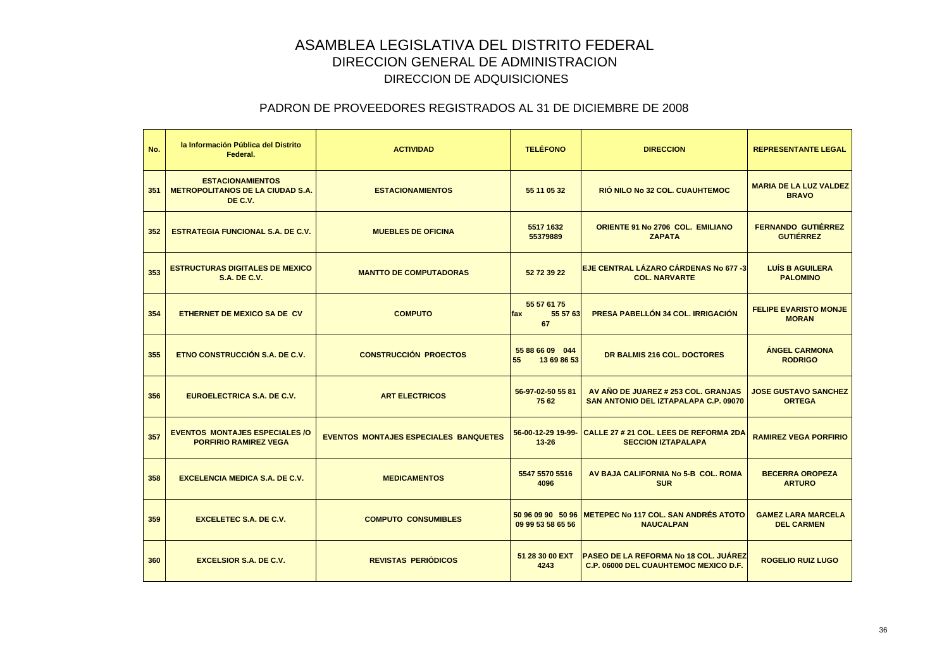| No. | la Información Pública del Distrito<br>Federal.                               | <b>ACTIVIDAD</b>                             | <b>TELÉFONO</b>                        | <b>DIRECCION</b>                                                                             | <b>REPRESENTANTE LEGAL</b>                     |
|-----|-------------------------------------------------------------------------------|----------------------------------------------|----------------------------------------|----------------------------------------------------------------------------------------------|------------------------------------------------|
| 351 | <b>ESTACIONAMIENTOS</b><br><b>METROPOLITANOS DE LA CIUDAD S.A.</b><br>DE C.V. | <b>ESTACIONAMIENTOS</b>                      | 55 11 05 32                            | RIÓ NILO No 32 COL. CUAUHTEMOC                                                               | <b>MARIA DE LA LUZ VALDEZ</b><br><b>BRAVO</b>  |
| 352 | <b>ESTRATEGIA FUNCIONAL S.A. DE C.V.</b>                                      | <b>MUEBLES DE OFICINA</b>                    | 5517 1632<br>55379889                  | <b>ORIENTE 91 No 2706 COL. EMILIANO</b><br><b>ZAPATA</b>                                     | <b>FERNANDO GUTIÉRREZ</b><br><b>GUTIÉRREZ</b>  |
| 353 | <b>ESTRUCTURAS DIGITALES DE MEXICO</b><br><b>S.A. DE C.V.</b>                 | <b>MANTTO DE COMPUTADORAS</b>                | 52 72 39 22                            | <b>EJE CENTRAL LÁZARO CÁRDENAS No 677 -3</b><br><b>COL. NARVARTE</b>                         | <b>LUÍS B AGUILERA</b><br><b>PALOMINO</b>      |
| 354 | ETHERNET DE MEXICO SA DE CV                                                   | <b>COMPUTO</b>                               | 55 57 61 75<br>55 57 63<br>fax<br>67   | <b>PRESA PABELLÓN 34 COL. IRRIGACIÓN</b>                                                     | <b>FELIPE EVARISTO MONJE</b><br><b>MORAN</b>   |
| 355 | ETNO CONSTRUCCIÓN S.A. DE C.V.                                                | <b>CONSTRUCCIÓN PROECTOS</b>                 | 55 88 66 09 044<br>55<br>13 69 86 53   | DR BALMIS 216 COL. DOCTORES                                                                  | <b>ÁNGEL CARMONA</b><br><b>RODRIGO</b>         |
| 356 | EUROELECTRICA S.A. DE C.V.                                                    | <b>ART ELECTRICOS</b>                        | 56-97-02-50 55 81<br>75 62             | AV AÑO DE JUAREZ # 253 COL. GRANJAS<br>SAN ANTONIO DEL IZTAPALAPA C.P. 09070                 | <b>JOSE GUSTAVO SANCHEZ</b><br><b>ORTEGA</b>   |
| 357 | <b>EVENTOS MONTAJES ESPECIALES/O</b><br><b>PORFIRIO RAMIREZ VEGA</b>          | <b>EVENTOS MONTAJES ESPECIALES BANQUETES</b> | 56-00-12-29 19-99-<br>$13 - 26$        | CALLE 27 # 21 COL. LEES DE REFORMA 2DA<br><b>SECCION IZTAPALAPA</b>                          | <b>RAMIREZ VEGA PORFIRIO</b>                   |
| 358 | <b>EXCELENCIA MEDICA S.A. DE C.V.</b>                                         | <b>MEDICAMENTOS</b>                          | 5547 5570 5516<br>4096                 | AV BAJA CALIFORNIA No 5-B COL. ROMA<br><b>SUR</b>                                            | <b>BECERRA OROPEZA</b><br><b>ARTURO</b>        |
| 359 | <b>EXCELETEC S.A. DE C.V.</b>                                                 | <b>COMPUTO CONSUMIBLES</b>                   | 50 96 09 90 50 96<br>09 99 53 58 65 56 | <b>IMETEPEC No 117 COL. SAN ANDRÉS ATOTO</b><br><b>NAUCALPAN</b>                             | <b>GAMEZ LARA MARCELA</b><br><b>DEL CARMEN</b> |
| 360 | <b>EXCELSIOR S.A. DE C.V.</b>                                                 | <b>REVISTAS PERIÓDICOS</b>                   | 51 28 30 00 EXT<br>4243                | <b>PASEO DE LA REFORMA No 18 COL. JUÁREZ</b><br><b>C.P. 06000 DEL CUAUHTEMOC MEXICO D.F.</b> | <b>ROGELIO RUIZ LUGO</b>                       |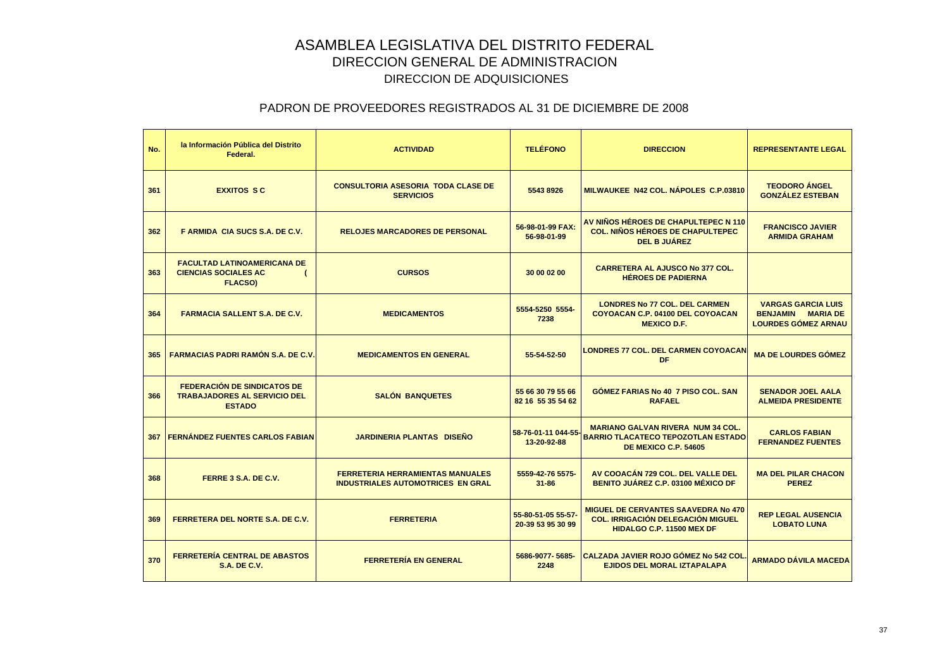| No. | la Información Pública del Distrito<br>Federal.                                            | <b>ACTIVIDAD</b>                                                                    | <b>TELÉFONO</b>                         | <b>DIRECCION</b>                                                                                                     | <b>REPRESENTANTE LEGAL</b>                                                          |
|-----|--------------------------------------------------------------------------------------------|-------------------------------------------------------------------------------------|-----------------------------------------|----------------------------------------------------------------------------------------------------------------------|-------------------------------------------------------------------------------------|
| 361 | <b>EXXITOS SC</b>                                                                          | <b>CONSULTORIA ASESORIA TODA CLASE DE</b><br><b>SERVICIOS</b>                       | 5543 8926                               | MILWAUKEE N42 COL. NÁPOLES C.P.03810                                                                                 | <b>TEODORO ÁNGEL</b><br><b>GONZÁLEZ ESTEBAN</b>                                     |
| 362 | F ARMIDA CIA SUCS S.A. DE C.V.                                                             | <b>RELOJES MARCADORES DE PERSONAL</b>                                               | 56-98-01-99 FAX:<br>56-98-01-99         | AV NIÑOS HÉROES DE CHAPULTEPEC N 110<br><b>COL. NIÑOS HÉROES DE CHAPULTEPEC</b><br><b>DEL B JUÁREZ</b>               | <b>FRANCISCO JAVIER</b><br><b>ARMIDA GRAHAM</b>                                     |
| 363 | <b>FACULTAD LATINOAMERICANA DE</b><br><b>CIENCIAS SOCIALES AC</b><br><b>FLACSO)</b>        | <b>CURSOS</b>                                                                       | 30 00 02 00                             | <b>CARRETERA AL AJUSCO No 377 COL.</b><br><b>HÉROES DE PADIERNA</b>                                                  |                                                                                     |
| 364 | <b>FARMACIA SALLENT S.A. DE C.V.</b>                                                       | <b>MEDICAMENTOS</b>                                                                 | 5554-5250 5554-<br>7238                 | <b>LONDRES No 77 COL. DEL CARMEN</b><br>COYOACAN C.P. 04100 DEL COYOACAN<br><b>MEXICO D.F.</b>                       | <b>VARGAS GARCIA LUIS</b><br><b>BENJAMIN MARIA DE</b><br><b>LOURDES GÓMEZ ARNAU</b> |
| 365 | <b>FARMACIAS PADRI RAMÓN S.A. DE C.V.</b>                                                  | <b>MEDICAMENTOS EN GENERAL</b>                                                      | 55-54-52-50                             | <b>LONDRES 77 COL. DEL CARMEN COYOACAN</b><br>DF                                                                     | <b>MA DE LOURDES GÓMEZ</b>                                                          |
| 366 | <b>FEDERACIÓN DE SINDICATOS DE</b><br><b>TRABAJADORES AL SERVICIO DEL</b><br><b>ESTADO</b> | <b>SALÓN BANQUETES</b>                                                              | 55 66 30 79 55 66<br>82 16 55 35 54 62  | <b>GOMEZ FARIAS No 40 7 PISO COL. SAN</b><br><b>RAFAEL</b>                                                           | <b>SENADOR JOEL AALA</b><br><b>ALMEIDA PRESIDENTE</b>                               |
|     | <b>367 FERNÁNDEZ FUENTES CARLOS FABIAN</b>                                                 | <b>JARDINERIA PLANTAS DISEÑO</b>                                                    | 58-76-01-11 044-55-<br>13-20-92-88      | <b>MARIANO GALVAN RIVERA NUM 34 COL.</b><br><b>BARRIO TLACATECO TEPOZOTLAN ESTADO</b><br><b>DE MEXICO C.P. 54605</b> | <b>CARLOS FABIAN</b><br><b>FERNANDEZ FUENTES</b>                                    |
| 368 | FERRE 3 S.A. DE C.V.                                                                       | <b>FERRETERIA HERRAMIENTAS MANUALES</b><br><b>INDUSTRIALES AUTOMOTRICES EN GRAL</b> | 5559-42-76 5575-<br>$31 - 86$           | AV COOACÁN 729 COL. DEL VALLE DEL<br>BENITO JUÁREZ C.P. 03100 MÉXICO DF                                              | <b>MA DEL PILAR CHACON</b><br><b>PEREZ</b>                                          |
| 369 | <b>FERRETERA DEL NORTE S.A. DE C.V.</b>                                                    | <b>FERRETERIA</b>                                                                   | 55-80-51-05 55-57-<br>20-39 53 95 30 99 | <b>MIGUEL DE CERVANTES SAAVEDRA No 470</b><br><b>COL. IRRIGACIÓN DELEGACIÓN MIGUEL</b><br>HIDALGO C.P. 11500 MEX DF  | <b>REP LEGAL AUSENCIA</b><br><b>LOBATO LUNA</b>                                     |
| 370 | <b>FERRETERÍA CENTRAL DE ABASTOS</b><br><b>S.A. DE C.V.</b>                                | <b>FERRETERÍA EN GENERAL</b>                                                        | 5686-9077-5685-<br>2248                 | <b>CALZADA JAVIER ROJO GÓMEZ No 542 COL</b><br><b>EJIDOS DEL MORAL IZTAPALAPA</b>                                    | <b>ARMADO DÁVILA MACEDA</b>                                                         |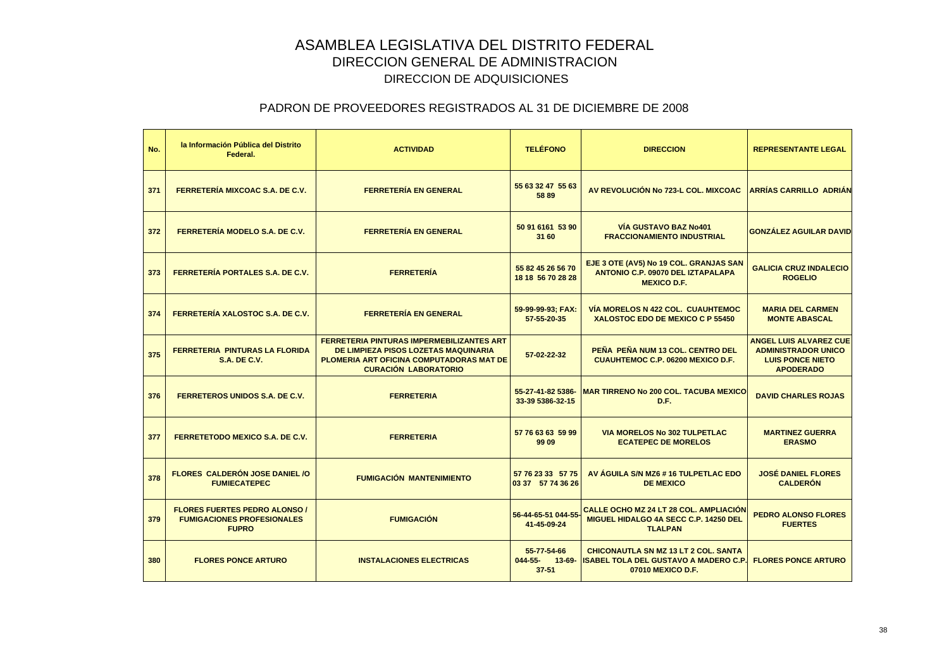| No. | la Información Pública del Distrito<br>Federal.                                           | <b>ACTIVIDAD</b>                                                                                                                                                    | <b>TELÉFONO</b>                            | <b>DIRECCION</b>                                                                                                 | <b>REPRESENTANTE LEGAL</b>                                                                                 |
|-----|-------------------------------------------------------------------------------------------|---------------------------------------------------------------------------------------------------------------------------------------------------------------------|--------------------------------------------|------------------------------------------------------------------------------------------------------------------|------------------------------------------------------------------------------------------------------------|
| 371 | FERRETERÍA MIXCOAC S.A. DE C.V.                                                           | <b>FERRETERÍA EN GENERAL</b>                                                                                                                                        | 55 63 32 47 55 63<br>58 89                 | AV REVOLUCIÓN No 723-L COL. MIXCOAC                                                                              | <b>ARRÍAS CARRILLO ADRIÁN</b>                                                                              |
| 372 | FERRETERÍA MODELO S.A. DE C.V.                                                            | <b>FERRETERÍA EN GENERAL</b>                                                                                                                                        | 50 91 6161 53 90<br>31 60                  | <b>VÍA GUSTAVO BAZ No401</b><br><b>FRACCIONAMIENTO INDUSTRIAL</b>                                                | <b>GONZÁLEZ AGUILAR DAVID</b>                                                                              |
| 373 | FERRETERÍA PORTALES S.A. DE C.V.                                                          | <b>FERRETERÍA</b>                                                                                                                                                   | 55 82 45 26 56 70<br>18 18 56 70 28 28     | EJE 3 OTE (AV5) No 19 COL. GRANJAS SAN<br><b>ANTONIO C.P. 09070 DEL IZTAPALAPA</b><br><b>MEXICO D.F.</b>         | <b>GALICIA CRUZ INDALECIO</b><br><b>ROGELIO</b>                                                            |
| 374 | FERRETERÍA XALOSTOC S.A. DE C.V.                                                          | <b>FERRETERÍA EN GENERAL</b>                                                                                                                                        | 59-99-99-93; FAX:<br>57-55-20-35           | <b>VÍA MORELOS N 422 COL. CUAUHTEMOC</b><br>XALOSTOC EDO DE MEXICO C P 55450                                     | <b>MARIA DEL CARMEN</b><br><b>MONTE ABASCAL</b>                                                            |
| 375 | FERRETERIA PINTURAS LA FLORIDA<br><b>S.A. DE C.V.</b>                                     | <b>FERRETERIA PINTURAS IMPERMEBILIZANTES ART</b><br>DE LIMPIEZA PISOS LOZETAS MAQUINARIA<br>PLOMERIA ART OFICINA COMPUTADORAS MAT DE<br><b>CURACIÓN LABORATORIO</b> | 57-02-22-32                                | PEÑA PEÑA NUM 13 COL. CENTRO DEL<br><b>CUAUHTEMOC C.P. 06200 MEXICO D.F.</b>                                     | <b>ANGEL LUIS ALVAREZ CUE</b><br><b>ADMINISTRADOR UNICO</b><br><b>LUIS PONCE NIETO</b><br><b>APODERADO</b> |
| 376 | <b>FERRETEROS UNIDOS S.A. DE C.V.</b>                                                     | <b>FERRETERIA</b>                                                                                                                                                   | 55-27-41-82 5386-<br>33-39 5386-32-15      | <b>MAR TIRRENO No 200 COL. TACUBA MEXICO</b><br>D.F.                                                             | <b>DAVID CHARLES ROJAS</b>                                                                                 |
| 377 | <b>FERRETETODO MEXICO S.A. DE C.V.</b>                                                    | <b>FERRETERIA</b>                                                                                                                                                   | 57 76 63 63 59 99<br>99 09                 | <b>VIA MORELOS No 302 TULPETLAC</b><br><b>ECATEPEC DE MORELOS</b>                                                | <b>MARTINEZ GUERRA</b><br><b>ERASMO</b>                                                                    |
| 378 | <b>FLORES CALDERÓN JOSE DANIEL /O</b><br><b>FUMIECATEPEC</b>                              | <b>FUMIGACIÓN MANTENIMIENTO</b>                                                                                                                                     | 57 76 23 33 57 75<br>03 37 57 74 36 26     | AV ÁGUILA S/N MZ6 # 16 TULPETLAC EDO<br><b>DE MEXICO</b>                                                         | <b>JOSÉ DANIEL FLORES</b><br><b>CALDERÓN</b>                                                               |
| 379 | <b>FLORES FUERTES PEDRO ALONSO /</b><br><b>FUMIGACIONES PROFESIONALES</b><br><b>FUPRO</b> | <b>FUMIGACIÓN</b>                                                                                                                                                   | 56-44-65-51 044-55<br>41-45-09-24          | CALLE OCHO MZ 24 LT 28 COL. AMPLIACIÓN<br>MIGUEL HIDALGO 4A SECC C.P. 14250 DEL<br><b>TLALPAN</b>                | <b>PEDRO ALONSO FLORES</b><br><b>FUERTES</b>                                                               |
| 380 | <b>FLORES PONCE ARTURO</b>                                                                | <b>INSTALACIONES ELECTRICAS</b>                                                                                                                                     | 55-77-54-66<br>044-55- 13-69-<br>$37 - 51$ | <b>CHICONAUTLA SN MZ 13 LT 2 COL, SANTA</b><br><b>ISABEL TOLA DEL GUSTAVO A MADERO C.P.</b><br>07010 MEXICO D.F. | <b>FLORES PONCE ARTURO</b>                                                                                 |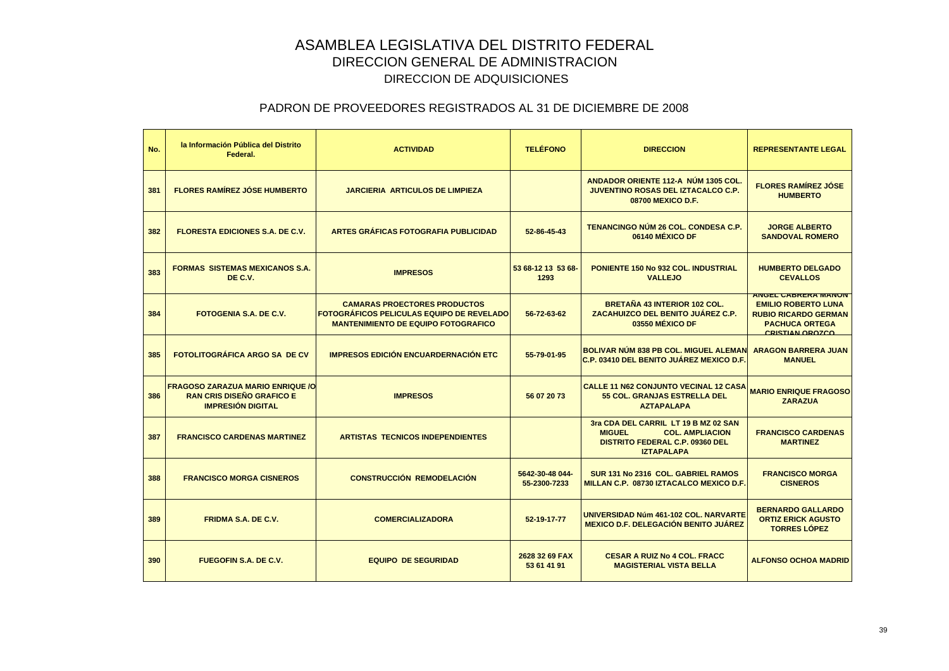| No. | la Información Pública del Distrito<br>Federal.                                                         | <b>ACTIVIDAD</b>                                                                                                                      | <b>TELÉFONO</b>                 | <b>DIRECCION</b>                                                                                                                               | <b>REPRESENTANTE LEGAL</b>                                                                                                                 |
|-----|---------------------------------------------------------------------------------------------------------|---------------------------------------------------------------------------------------------------------------------------------------|---------------------------------|------------------------------------------------------------------------------------------------------------------------------------------------|--------------------------------------------------------------------------------------------------------------------------------------------|
| 381 | <b>FLORES RAMÍREZ JÓSE HUMBERTO</b>                                                                     | <b>JARCIERIA ARTICULOS DE LIMPIEZA</b>                                                                                                |                                 | ANDADOR ORIENTE 112-A NÚM 1305 COL.<br>JUVENTINO ROSAS DEL IZTACALCO C.P.<br>08700 MEXICO D.F.                                                 | <b>FLORES RAMÍREZ JÓSE</b><br><b>HUMBERTO</b>                                                                                              |
| 382 | <b>FLORESTA EDICIONES S.A. DE C.V.</b>                                                                  | <b>ARTES GRÁFICAS FOTOGRAFIA PUBLICIDAD</b>                                                                                           | 52-86-45-43                     | TENANCINGO NÚM 26 COL. CONDESA C.P.<br>06140 MÉXICO DF                                                                                         | <b>JORGE ALBERTO</b><br><b>SANDOVAL ROMERO</b>                                                                                             |
| 383 | <b>FORMAS SISTEMAS MEXICANOS S.A.</b><br>DE C.V.                                                        | <b>IMPRESOS</b>                                                                                                                       | 53 68-12 13 53 68-<br>1293      | <b>PONIENTE 150 No 932 COL. INDUSTRIAL</b><br><b>VALLEJO</b>                                                                                   | <b>HUMBERTO DELGADO</b><br><b>CEVALLOS</b>                                                                                                 |
| 384 | <b>FOTOGENIA S.A. DE C.V.</b>                                                                           | <b>CAMARAS PROECTORES PRODUCTOS</b><br><b>FOTOGRÁFICOS PELICULAS EQUIPO DE REVELADO</b><br><b>MANTENIMIENTO DE EQUIPO FOTOGRAFICO</b> | 56-72-63-62                     | <b>BRETAÑA 43 INTERIOR 102 COL.</b><br>ZACAHUIZCO DEL BENITO JUÁREZ C.P.<br>03550 MÉXICO DF                                                    | <b>ANGEL CABRERA MANON</b><br><b>EMILIO ROBERTO LUNA</b><br><b>RUBIO RICARDO GERMAN</b><br><b>PACHUCA ORTEGA</b><br><b>CRISTIAN OROZCO</b> |
| 385 | <b>FOTOLITOGRÁFICA ARGO SA DE CV</b>                                                                    | <b>IMPRESOS EDICIÓN ENCUARDERNACIÓN ETC</b>                                                                                           | 55-79-01-95                     | BOLIVAR NÚM 838 PB COL. MIGUEL ALEMAN<br>C.P. 03410 DEL BENITO JUÁREZ MEXICO D.F.                                                              | <b>ARAGON BARRERA JUAN</b><br><b>MANUEL</b>                                                                                                |
| 386 | <b>FRAGOSO ZARAZUA MARIO ENRIQUE /O</b><br><b>RAN CRIS DISEÑO GRAFICO E</b><br><b>IMPRESIÓN DIGITAL</b> | <b>IMPRESOS</b>                                                                                                                       | 56 07 20 73                     | <b>CALLE 11 N62 CONJUNTO VECINAL 12 CASA</b><br>55 COL. GRANJAS ESTRELLA DEL<br><b>AZTAPALAPA</b>                                              | <b>MARIO ENRIQUE FRAGOSO</b><br><b>ZARAZUA</b>                                                                                             |
| 387 | <b>FRANCISCO CARDENAS MARTINEZ</b>                                                                      | <b>ARTISTAS TECNICOS INDEPENDIENTES</b>                                                                                               |                                 | 3ra CDA DEL CARRIL LT 19 B MZ 02 SAN<br><b>MIGUEL</b><br><b>COL. AMPLIACION</b><br><b>DISTRITO FEDERAL C.P. 09360 DEL</b><br><b>IZTAPALAPA</b> | <b>FRANCISCO CARDENAS</b><br><b>MARTINEZ</b>                                                                                               |
| 388 | <b>FRANCISCO MORGA CISNEROS</b>                                                                         | <b>CONSTRUCCIÓN REMODELACIÓN</b>                                                                                                      | 5642-30-48 044-<br>55-2300-7233 | SUR 131 No 2316 COL. GABRIEL RAMOS<br>MILLAN C.P. 08730 IZTACALCO MEXICO D.F.                                                                  | <b>FRANCISCO MORGA</b><br><b>CISNEROS</b>                                                                                                  |
| 389 | <b>FRIDMA S.A. DE C.V.</b>                                                                              | <b>COMERCIALIZADORA</b>                                                                                                               | 52-19-17-77                     | UNIVERSIDAD Núm 461-102 COL, NARVARTE<br><b>MEXICO D.F. DELEGACIÓN BENITO JUÁREZ</b>                                                           | <b>BERNARDO GALLARDO</b><br><b>ORTIZ ERICK AGUSTO</b><br><b>TORRES LÓPEZ</b>                                                               |
| 390 | <b>FUEGOFIN S.A. DE C.V.</b>                                                                            | <b>EQUIPO DE SEGURIDAD</b>                                                                                                            | 2628 32 69 FAX<br>53 61 41 91   | <b>CESAR A RUIZ No 4 COL. FRACC</b><br><b>MAGISTERIAL VISTA BELLA</b>                                                                          | <b>ALFONSO OCHOA MADRID</b>                                                                                                                |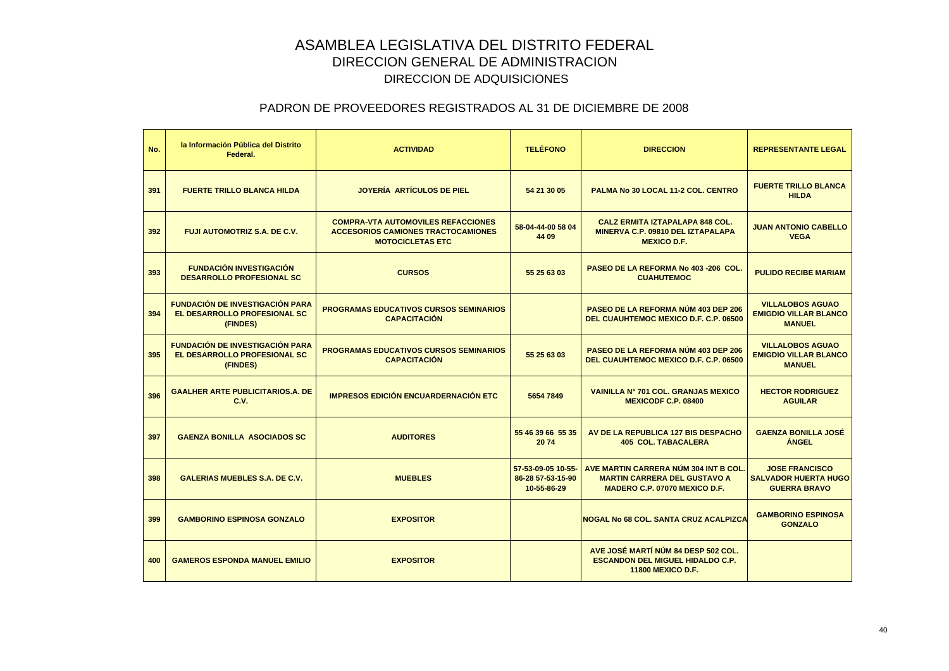| No. | la Información Pública del Distrito<br>Federal.                                    | <b>ACTIVIDAD</b>                                                                                                  | <b>TELÉFONO</b>                                        | <b>DIRECCION</b>                                                                                              | <b>REPRESENTANTE LEGAL</b>                                                  |
|-----|------------------------------------------------------------------------------------|-------------------------------------------------------------------------------------------------------------------|--------------------------------------------------------|---------------------------------------------------------------------------------------------------------------|-----------------------------------------------------------------------------|
| 391 | <b>FUERTE TRILLO BLANCA HILDA</b>                                                  | JOYERÍA ARTÍCULOS DE PIEL                                                                                         | 54 21 30 05                                            | PALMA No 30 LOCAL 11-2 COL. CENTRO                                                                            | <b>FUERTE TRILLO BLANCA</b><br><b>HILDA</b>                                 |
| 392 | <b>FUJI AUTOMOTRIZ S.A. DE C.V.</b>                                                | <b>COMPRA-VTA AUTOMOVILES REFACCIONES</b><br><b>ACCESORIOS CAMIONES TRACTOCAMIONES</b><br><b>MOTOCICLETAS ETC</b> | 58-04-44-00 58 04<br>44 09                             | <b>CALZ ERMITA IZTAPALAPA 848 COL.</b><br>MINERVA C.P. 09810 DEL IZTAPALAPA<br><b>MEXICO D.F.</b>             | <b>JUAN ANTONIO CABELLO</b><br><b>VEGA</b>                                  |
| 393 | <b>FUNDACIÓN INVESTIGACIÓN</b><br><b>DESARROLLO PROFESIONAL SC</b>                 | <b>CURSOS</b>                                                                                                     | 55 25 63 03                                            | PASEO DE LA REFORMA No 403 -206 COL.<br><b>CUAHUTEMOC</b>                                                     | <b>PULIDO RECIBE MARIAM</b>                                                 |
| 394 | <b>FUNDACIÓN DE INVESTIGACIÓN PARA</b><br>EL DESARROLLO PROFESIONAL SC<br>(FINDES) | <b>PROGRAMAS EDUCATIVOS CURSOS SEMINARIOS</b><br><b>CAPACITACIÓN</b>                                              |                                                        | PASEO DE LA REFORMA NÚM 403 DEP 206<br><b>DEL CUAUHTEMOC MEXICO D.F. C.P. 06500</b>                           | <b>VILLALOBOS AGUAO</b><br><b>EMIGDIO VILLAR BLANCO</b><br><b>MANUEL</b>    |
| 395 | <b>FUNDACIÓN DE INVESTIGACIÓN PARA</b><br>EL DESARROLLO PROFESIONAL SC<br>(FINDES) | <b>PROGRAMAS EDUCATIVOS CURSOS SEMINARIOS</b><br><b>CAPACITACIÓN</b>                                              | 55 25 63 03                                            | PASEO DE LA REFORMA NÚM 403 DEP 206<br><b>DEL CUAUHTEMOC MEXICO D.F. C.P. 06500</b>                           | <b>VILLALOBOS AGUAO</b><br><b>EMIGDIO VILLAR BLANCO</b><br><b>MANUEL</b>    |
| 396 | <b>GAALHER ARTE PUBLICITARIOS.A. DE</b><br>C.V.                                    | <b>IMPRESOS EDICIÓN ENCUARDERNACIÓN ETC</b>                                                                       | 5654 7849                                              | <b>VAINILLA Nº 701 COL. GRANJAS MEXICO</b><br><b>MEXICODF C.P. 08400</b>                                      | <b>HECTOR RODRIGUEZ</b><br><b>AGUILAR</b>                                   |
| 397 | <b>GAENZA BONILLA ASOCIADOS SC</b>                                                 | <b>AUDITORES</b>                                                                                                  | 55 46 39 66 55 35<br>2074                              | AV DE LA REPUBLICA 127 BIS DESPACHO<br><b>405 COL. TABACALERA</b>                                             | <b>GAENZA BONILLA JOSÉ</b><br><b>ÁNGEL</b>                                  |
| 398 | <b>GALERIAS MUEBLES S.A. DE C.V.</b>                                               | <b>MUEBLES</b>                                                                                                    | 57-53-09-05 10-55-<br>86-28 57-53-15-90<br>10-55-86-29 | AVE MARTIN CARRERA NÚM 304 INT B COL.<br><b>MARTIN CARRERA DEL GUSTAVO A</b><br>MADERO C.P. 07070 MEXICO D.F. | <b>JOSE FRANCISCO</b><br><b>SALVADOR HUERTA HUGO</b><br><b>GUERRA BRAVO</b> |
| 399 | <b>GAMBORINO ESPINOSA GONZALO</b>                                                  | <b>EXPOSITOR</b>                                                                                                  |                                                        | <b>NOGAL No 68 COL, SANTA CRUZ ACALPIZCA</b>                                                                  | <b>GAMBORINO ESPINOSA</b><br><b>GONZALO</b>                                 |
| 400 | <b>GAMEROS ESPONDA MANUEL EMILIO</b>                                               | <b>EXPOSITOR</b>                                                                                                  |                                                        | AVE JOSÉ MARTÍ NÚM 84 DESP 502 COL.<br><b>ESCANDON DEL MIGUEL HIDALDO C.P.</b><br><b>11800 MEXICO D.F.</b>    |                                                                             |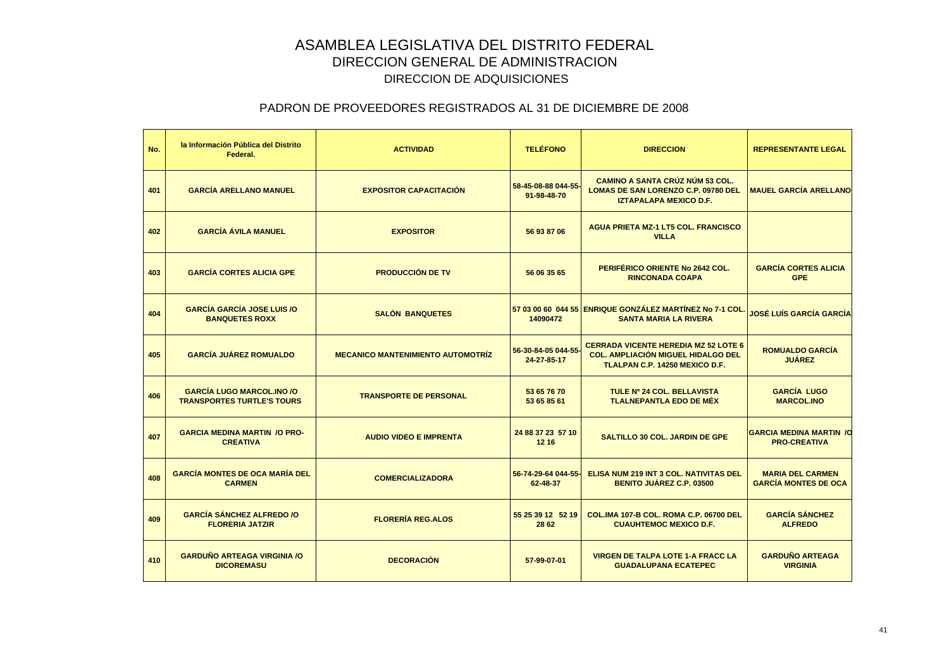| No. | la Información Pública del Distrito<br>Federal.                       | <b>ACTIVIDAD</b>                         | <b>TELÉFONO</b>                    | <b>DIRECCION</b>                                                                                                           | <b>REPRESENTANTE LEGAL</b>                             |
|-----|-----------------------------------------------------------------------|------------------------------------------|------------------------------------|----------------------------------------------------------------------------------------------------------------------------|--------------------------------------------------------|
| 401 | <b>GARCÍA ARELLANO MANUEL</b>                                         | <b>EXPOSITOR CAPACITACIÓN</b>            | 58-45-08-88 044-55-<br>91-98-48-70 | <b>CAMINO A SANTA CRÚZ NÚM 53 COL.</b><br><b>LOMAS DE SAN LORENZO C.P. 09780 DEL</b><br><b>IZTAPALAPA MEXICO D.F.</b>      | <b>MAUEL GARCÍA ARELLANO</b>                           |
| 402 | <b>GARCÍA ÁVILA MANUEL</b>                                            | <b>EXPOSITOR</b>                         | 56 93 87 06                        | <b>AGUA PRIETA MZ-1 LT5 COL. FRANCISCO</b><br><b>VILLA</b>                                                                 |                                                        |
| 403 | <b>GARCÍA CORTES ALICIA GPE</b>                                       | <b>PRODUCCIÓN DE TV</b>                  | 56 06 35 65                        | PERIFÉRICO ORIENTE No 2642 COL.<br><b>RINCONADA COAPA</b>                                                                  | <b>GARCÍA CORTES ALICIA</b><br><b>GPE</b>              |
| 404 | <b>GARCÍA GARCÍA JOSE LUIS /O</b><br><b>BANQUETES ROXX</b>            | <b>SALÓN BANQUETES</b>                   | 14090472                           | 57 03 00 60 044 55 ENRIQUE GONZÁLEZ MARTÍNEZ No 7-1 COL<br><b>SANTA MARIA LA RIVERA</b>                                    | <b>JOSÉ LUÍS GARCÍA GARCÍA</b>                         |
| 405 | <b>GARCÍA JUÁREZ ROMUALDO</b>                                         | <b>MECANICO MANTENIMIENTO AUTOMOTRIZ</b> | 56-30-84-05 044-55-<br>24-27-85-17 | <b>CERRADA VICENTE HEREDIA MZ 52 LOTE 6</b><br><b>COL. AMPLIACIÓN MIGUEL HIDALGO DEL</b><br>TLALPAN C.P. 14250 MEXICO D.F. | <b>ROMUALDO GARCÍA</b><br><b>JUÁREZ</b>                |
| 406 | <b>GARCÍA LUGO MARCOL.INO /O</b><br><b>TRANSPORTES TURTLE'S TOURS</b> | <b>TRANSPORTE DE PERSONAL</b>            | 53 65 76 70<br>53 65 85 61         | TULE Nº 24 COL. BELLAVISTA<br><b>TLALNEPANTLA EDO DE MÉX</b>                                                               | <b>GARCÍA LUGO</b><br><b>MARCOL.INO</b>                |
| 407 | <b>GARCIA MEDINA MARTIN /O PRO-</b><br><b>CREATIVA</b>                | <b>AUDIO VIDEO E IMPRENTA</b>            | 24 88 37 23 57 10<br>12 16         | <b>SALTILLO 30 COL. JARDIN DE GPE</b>                                                                                      | <b>GARCIA MEDINA MARTIN / Q</b><br><b>PRO-CREATIVA</b> |
| 408 | <b>GARCÍA MONTES DE OCA MARÍA DEL</b><br><b>CARMEN</b>                | <b>COMERCIALIZADORA</b>                  | 56-74-29-64 044-55-<br>62-48-37    | <b>ELISA NUM 219 INT 3 COL. NATIVITAS DEL</b><br>BENITO JUÁREZ C.P. 03500                                                  | <b>MARIA DEL CARMEN</b><br><b>GARCÍA MONTES DE OCA</b> |
| 409 | <b>GARCÍA SÁNCHEZ ALFREDO /O</b><br><b>FLORERIA JATZIR</b>            | <b>FLORERÍA REG.ALOS</b>                 | 55 25 39 12 52 19<br>28 62         | COL.IMA 107-B COL. ROMA C.P. 06700 DEL<br><b>CUAUHTEMOC MEXICO D.F.</b>                                                    | <b>GARCÍA SÁNCHEZ</b><br><b>ALFREDO</b>                |
| 410 | <b>GARDUÑO ARTEAGA VIRGINIA /O</b><br><b>DICOREMASU</b>               | <b>DECORACIÓN</b>                        | 57-99-07-01                        | <b>VIRGEN DE TALPA LOTE 1-A FRACC LA</b><br><b>GUADALUPANA ECATEPEC</b>                                                    | <b>GARDUÑO ARTEAGA</b><br><b>VIRGINIA</b>              |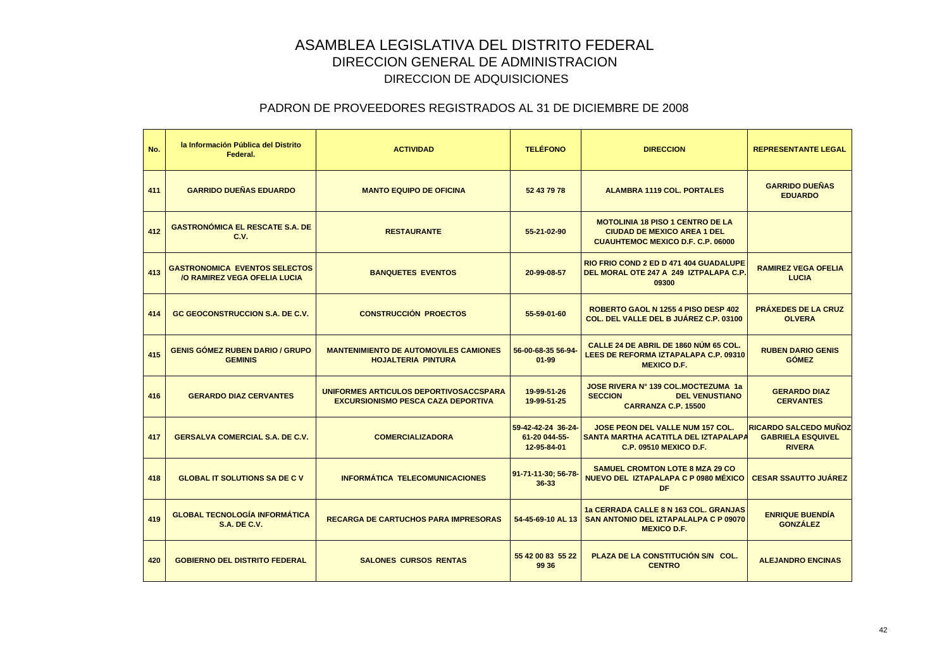| No. | la Información Pública del Distrito<br>Federal.                             | <b>ACTIVIDAD</b>                                                                    | <b>TELÉFONO</b>                                    | <b>DIRECCION</b>                                                                                                          | <b>REPRESENTANTE LEGAL</b>                                                |
|-----|-----------------------------------------------------------------------------|-------------------------------------------------------------------------------------|----------------------------------------------------|---------------------------------------------------------------------------------------------------------------------------|---------------------------------------------------------------------------|
| 411 | <b>GARRIDO DUEÑAS EDUARDO</b>                                               | <b>MANTO EQUIPO DE OFICINA</b>                                                      | 52 43 79 78                                        | <b>ALAMBRA 1119 COL. PORTALES</b>                                                                                         | <b>GARRIDO DUEÑAS</b><br><b>EDUARDO</b>                                   |
| 412 | <b>GASTRONÓMICA EL RESCATE S.A. DE</b><br>C.V.                              | <b>RESTAURANTE</b>                                                                  | 55-21-02-90                                        | <b>MOTOLINIA 18 PISO 1 CENTRO DE LA</b><br><b>CIUDAD DE MEXICO AREA 1 DEL</b><br><b>CUAUHTEMOC MEXICO D.F. C.P. 06000</b> |                                                                           |
| 413 | <b>GASTRONOMICA EVENTOS SELECTOS</b><br><b>/O RAMIREZ VEGA OFELIA LUCIA</b> | <b>BANQUETES EVENTOS</b>                                                            | 20-99-08-57                                        | <b>RIO FRIO COND 2 ED D 471 404 GUADALUPE</b><br>DEL MORAL OTE 247 A 249 IZTPALAPA C.P<br>09300                           | <b>RAMIREZ VEGA OFELIA</b><br><b>LUCIA</b>                                |
| 414 | <b>GC GEOCONSTRUCCION S.A. DE C.V.</b>                                      | <b>CONSTRUCCIÓN PROECTOS</b>                                                        | 55-59-01-60                                        | <b>ROBERTO GAOL N 1255 4 PISO DESP 402</b><br>COL. DEL VALLE DEL B JUÁREZ C.P. 03100                                      | <b>PRÁXEDES DE LA CRUZ</b><br><b>OLVERA</b>                               |
| 415 | <b>GENIS GÓMEZ RUBEN DARIO / GRUPO</b><br><b>GEMINIS</b>                    | <b>MANTENIMIENTO DE AUTOMOVILES CAMIONES</b><br><b>HOJALTERIA PINTURA</b>           | 56-00-68-35 56-94-<br>$01 - 99$                    | CALLE 24 DE ABRIL DE 1860 NUM 65 COL.<br>LEES DE REFORMA IZTAPALAPA C.P. 09310<br><b>MEXICO D.F.</b>                      | <b>RUBEN DARIO GENIS</b><br><b>GÓMEZ</b>                                  |
| 416 | <b>GERARDO DIAZ CERVANTES</b>                                               | UNIFORMES ARTICULOS DEPORTIVOSACCSPARA<br><b>EXCURSIONISMO PESCA CAZA DEPORTIVA</b> | 19-99-51-26<br>19-99-51-25                         | JOSE RIVERA Nº 139 COL.MOCTEZUMA 1a<br><b>SECCION</b><br><b>DEL VENUSTIANO</b><br>CARRANZA C.P. 15500                     | <b>GERARDO DIAZ</b><br><b>CERVANTES</b>                                   |
| 417 | <b>GERSALVA COMERCIAL S.A. DE C.V.</b>                                      | <b>COMERCIALIZADORA</b>                                                             | 59-42-42-24 36-24-<br>61-20 044-55-<br>12-95-84-01 | <b>JOSE PEON DEL VALLE NUM 157 COL.</b><br>SANTA MARTHA ACATITLA DEL IZTAPALAPA<br><b>C.P. 09510 MEXICO D.F.</b>          | <b>RICARDO SALCEDO MUÑOZ</b><br><b>GABRIELA ESQUIVEL</b><br><b>RIVERA</b> |
| 418 | <b>GLOBAL IT SOLUTIONS SA DE C V</b>                                        | <b>INFORMÁTICA TELECOMUNICACIONES</b>                                               | 91-71-11-30; 56-78-<br>36-33                       | <b>SAMUEL CROMTON LOTE 8 MZA 29 CO</b><br>NUEVO DEL IZTAPALAPA C P 0980 MÉXICO<br><b>DF</b>                               | <b>CESAR SSAUTTO JUÁREZ</b>                                               |
| 419 | <b>GLOBAL TECNOLOGÍA INFORMÁTICA</b><br><b>S.A. DE C.V.</b>                 | <b>RECARGA DE CARTUCHOS PARA IMPRESORAS</b>                                         | 54-45-69-10 AL 13                                  | 1a CERRADA CALLE 8 N 163 COL. GRANJAS<br><b>SAN ANTONIO DEL IZTAPALALPA C P 09070</b><br><b>MEXICO D.F.</b>               | <b>ENRIQUE BUENDÍA</b><br><b>GONZÁLEZ</b>                                 |
| 420 | <b>GOBIERNO DEL DISTRITO FEDERAL</b>                                        | <b>SALONES CURSOS RENTAS</b>                                                        | 55 42 00 83 55 22<br>99 36                         | PLAZA DE LA CONSTITUCIÓN S/N COL.<br><b>CENTRO</b>                                                                        | <b>ALEJANDRO ENCINAS</b>                                                  |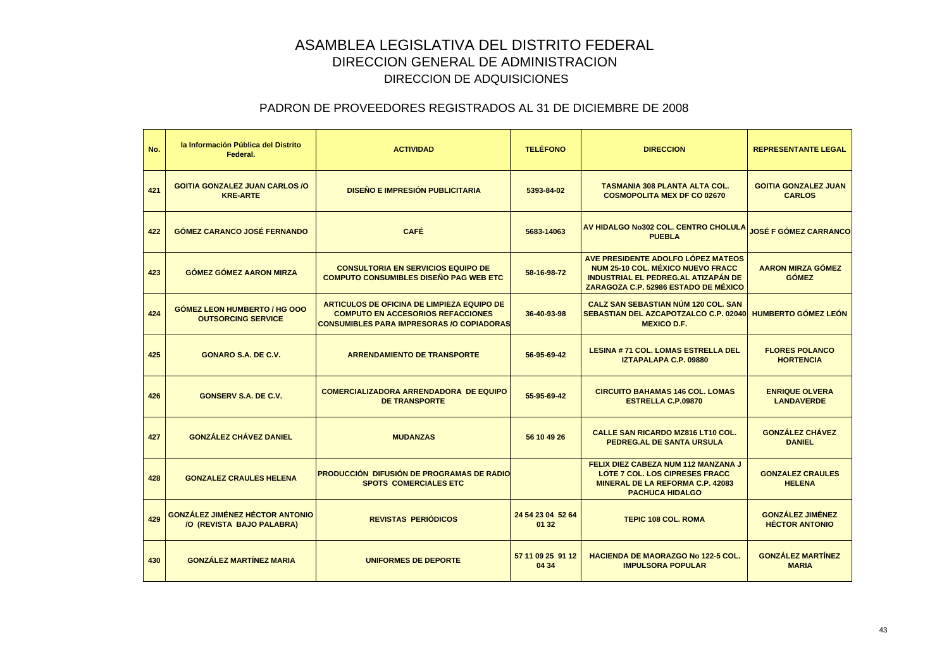| No. | la Información Pública del Distrito<br>Federal.                     | <b>ACTIVIDAD</b>                                                                                                                                  | <b>TELÉFONO</b>            | <b>DIRECCION</b>                                                                                                                                              | <b>REPRESENTANTE LEGAL</b>                       |
|-----|---------------------------------------------------------------------|---------------------------------------------------------------------------------------------------------------------------------------------------|----------------------------|---------------------------------------------------------------------------------------------------------------------------------------------------------------|--------------------------------------------------|
| 421 | <b>GOITIA GONZALEZ JUAN CARLOS /O</b><br><b>KRE-ARTE</b>            | <b>DISEÑO E IMPRESIÓN PUBLICITARIA</b>                                                                                                            | 5393-84-02                 | <b>TASMANIA 308 PLANTA ALTA COL.</b><br><b>COSMOPOLITA MEX DF CO 02670</b>                                                                                    | <b>GOITIA GONZALEZ JUAN</b><br><b>CARLOS</b>     |
| 422 | <b>GÓMEZ CARANCO JOSÉ FERNANDO</b>                                  | <b>CAFÉ</b>                                                                                                                                       | 5683-14063                 | AV HIDALGO No302 COL. CENTRO CHOLULA<br><b>PUEBLA</b>                                                                                                         | <b>JOSÉ F GÓMEZ CARRANCO</b>                     |
| 423 | <b>GÓMEZ GÓMEZ AARON MIRZA</b>                                      | <b>CONSULTORIA EN SERVICIOS EQUIPO DE</b><br><b>COMPUTO CONSUMIBLES DISEÑO PAG WEB ETC</b>                                                        | 58-16-98-72                | AVE PRESIDENTE ADOLFO LÓPEZ MATEOS<br>NUM 25-10 COL. MÉXICO NUEVO FRACC<br><b>INDUSTRIAL EL PEDREG.AL ATIZAPÁN DE</b><br>ZARAGOZA C.P. 52986 ESTADO DE MÉXICO | <b>AARON MIRZA GÓMEZ</b><br><b>GÓMEZ</b>         |
| 424 | <b>GOMEZ LEON HUMBERTO / HG OOO</b><br><b>OUTSORCING SERVICE</b>    | <b>ARTICULOS DE OFICINA DE LIMPIEZA EQUIPO DE</b><br><b>COMPUTO EN ACCESORIOS REFACCIONES</b><br><b>CONSUMIBLES PARA IMPRESORAS /O COPIADORAS</b> | 36-40-93-98                | <b>CALZ SAN SEBASTIAN NÚM 120 COL. SAN</b><br>SEBASTIAN DEL AZCAPOTZALCO C.P. 02040<br><b>MEXICO D.F.</b>                                                     | <b>HUMBERTO GÓMEZ LEÓN</b>                       |
| 425 | <b>GONARO S.A. DE C.V.</b>                                          | <b>ARRENDAMIENTO DE TRANSPORTE</b>                                                                                                                | 56-95-69-42                | <b>LESINA #71 COL. LOMAS ESTRELLA DEL</b><br><b>IZTAPALAPA C.P. 09880</b>                                                                                     | <b>FLORES POLANCO</b><br><b>HORTENCIA</b>        |
| 426 | <b>GONSERV S.A. DE C.V.</b>                                         | <b>COMERCIALIZADORA ARRENDADORA DE EQUIPO</b><br><b>DE TRANSPORTE</b>                                                                             | 55-95-69-42                | <b>CIRCUITO BAHAMAS 146 COL. LOMAS</b><br><b>ESTRELLA C.P.09870</b>                                                                                           | <b>ENRIQUE OLVERA</b><br><b>LANDAVERDE</b>       |
| 427 | <b>GONZÁLEZ CHÁVEZ DANIEL</b>                                       | <b>MUDANZAS</b>                                                                                                                                   | 56 10 49 26                | <b>CALLE SAN RICARDO MZ816 LT10 COL.</b><br><b>PEDREG.AL DE SANTA URSULA</b>                                                                                  | <b>GONZÁLEZ CHÁVEZ</b><br><b>DANIEL</b>          |
| 428 | <b>GONZALEZ CRAULES HELENA</b>                                      | <b>PRODUCCIÓN DIFUSIÓN DE PROGRAMAS DE RADIO</b><br><b>SPOTS COMERCIALES ETC</b>                                                                  |                            | FELIX DIEZ CABEZA NUM 112 MANZANA J<br><b>LOTE 7 COL. LOS CIPRESES FRACC</b><br><b>MINERAL DE LA REFORMA C.P. 42083</b><br><b>PACHUCA HIDALGO</b>             | <b>GONZALEZ CRAULES</b><br><b>HELENA</b>         |
| 429 | <b>GONZÁLEZ JIMÉNEZ HÉCTOR ANTONIO</b><br>/O (REVISTA BAJO PALABRA) | <b>REVISTAS PERIÓDICOS</b>                                                                                                                        | 24 54 23 04 52 64<br>01 32 | <b>TEPIC 108 COL. ROMA</b>                                                                                                                                    | <b>GONZÁLEZ JIMÉNEZ</b><br><b>HÉCTOR ANTONIO</b> |
| 430 | <b>GONZÁLEZ MARTÍNEZ MARIA</b>                                      | <b>UNIFORMES DE DEPORTE</b>                                                                                                                       | 57 11 09 25 91 12<br>04 34 | <b>HACIENDA DE MAORAZGO No 122-5 COL.</b><br><b>IMPULSORA POPULAR</b>                                                                                         | <b>GONZÁLEZ MARTÍNEZ</b><br><b>MARIA</b>         |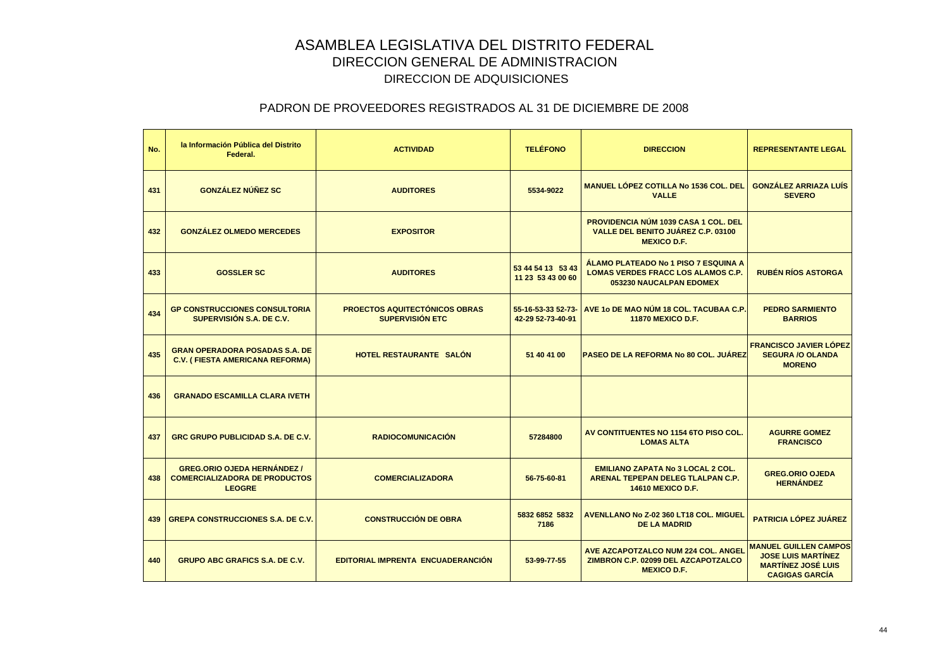| No. | la Información Pública del Distrito<br>Federal.                                             | <b>ACTIVIDAD</b>                                               | <b>TELÉFONO</b>                         | <b>DIRECCION</b>                                                                                             | <b>REPRESENTANTE LEGAL</b>                                                                                      |
|-----|---------------------------------------------------------------------------------------------|----------------------------------------------------------------|-----------------------------------------|--------------------------------------------------------------------------------------------------------------|-----------------------------------------------------------------------------------------------------------------|
| 431 | <b>GONZÁLEZ NÚÑEZ SC</b>                                                                    | <b>AUDITORES</b>                                               | 5534-9022                               | <b>MANUEL LÓPEZ COTILLA No 1536 COL. DEL</b><br><b>VALLE</b>                                                 | <b>GONZÁLEZ ARRIAZA LUÍS</b><br><b>SEVERO</b>                                                                   |
| 432 | <b>GONZÁLEZ OLMEDO MERCEDES</b>                                                             | <b>EXPOSITOR</b>                                               |                                         | PROVIDENCIA NÚM 1039 CASA 1 COL. DEL<br>VALLE DEL BENITO JUÁREZ C.P. 03100<br><b>MEXICO D.F.</b>             |                                                                                                                 |
| 433 | <b>GOSSLER SC</b>                                                                           | <b>AUDITORES</b>                                               | 53 44 54 13 53 43<br>11 23 53 43 00 60  | ÁLAMO PLATEADO No 1 PISO 7 ESQUINA A<br><b>LOMAS VERDES FRACC LOS ALAMOS C.P.</b><br>053230 NAUCALPAN EDOMEX | <b>RUBÉN RÍOS ASTORGA</b>                                                                                       |
| 434 | <b>GP CONSTRUCCIONES CONSULTORIA</b><br>SUPERVISIÓN S.A. DE C.V.                            | <b>PROECTOS AQUITECTÓNICOS OBRAS</b><br><b>SUPERVISIÓN ETC</b> | 55-16-53-33 52-73-<br>42-29 52-73-40-91 | AVE 10 DE MAO NÚM 18 COL. TACUBAA C.P.<br><b>11870 MEXICO D.F.</b>                                           | <b>PEDRO SARMIENTO</b><br><b>BARRIOS</b>                                                                        |
| 435 | <b>GRAN OPERADORA POSADAS S.A. DE</b><br><b>C.V. (FIESTA AMERICANA REFORMA)</b>             | HOTEL RESTAURANTE SALÓN                                        | 51 40 41 00                             | <b>PASEO DE LA REFORMA No 80 COL. JUÁREZ</b>                                                                 | <b>FRANCISCO JAVIER LÓPEZ</b><br><b>SEGURA /O OLANDA</b><br><b>MORENO</b>                                       |
| 436 | <b>GRANADO ESCAMILLA CLARA IVETH</b>                                                        |                                                                |                                         |                                                                                                              |                                                                                                                 |
| 437 | GRC GRUPO PUBLICIDAD S.A. DE C.V.                                                           | <b>RADIOCOMUNICACIÓN</b>                                       | 57284800                                | AV CONTITUENTES NO 1154 6TO PISO COL.<br><b>LOMAS ALTA</b>                                                   | <b>AGURRE GOMEZ</b><br><b>FRANCISCO</b>                                                                         |
| 438 | <b>GREG.ORIO OJEDA HERNÁNDEZ /</b><br><b>COMERCIALIZADORA DE PRODUCTOS</b><br><b>LEOGRE</b> | <b>COMERCIALIZADORA</b>                                        | 56-75-60-81                             | <b>EMILIANO ZAPATA No 3 LOCAL 2 COL.</b><br>ARENAL TEPEPAN DELEG TLALPAN C.P.<br><b>14610 MEXICO D.F.</b>    | <b>GREG.ORIO OJEDA</b><br><b>HERNÁNDEZ</b>                                                                      |
| 439 | <b>GREPA CONSTRUCCIONES S.A. DE C.V.</b>                                                    | <b>CONSTRUCCIÓN DE OBRA</b>                                    | 5832 6852 5832<br>7186                  | <b>AVENLLANO No Z-02 360 LT18 COL. MIGUEL</b><br><b>DE LA MADRID</b>                                         | <b>PATRICIA LÓPEZ JUÁREZ</b>                                                                                    |
| 440 | <b>GRUPO ABC GRAFICS S.A. DE C.V.</b>                                                       | EDITORIAL IMPRENTA ENCUADERANCIÓN                              | 53-99-77-55                             | AVE AZCAPOTZALCO NUM 224 COL. ANGEL<br>ZIMBRON C.P. 02099 DEL AZCAPOTZALCO<br><b>MEXICO D.F.</b>             | <b>MANUEL GUILLEN CAMPOS</b><br><b>JOSE LUIS MARTÍNEZ</b><br><b>MARTÍNEZ JOSÉ LUIS</b><br><b>CAGIGAS GARCIA</b> |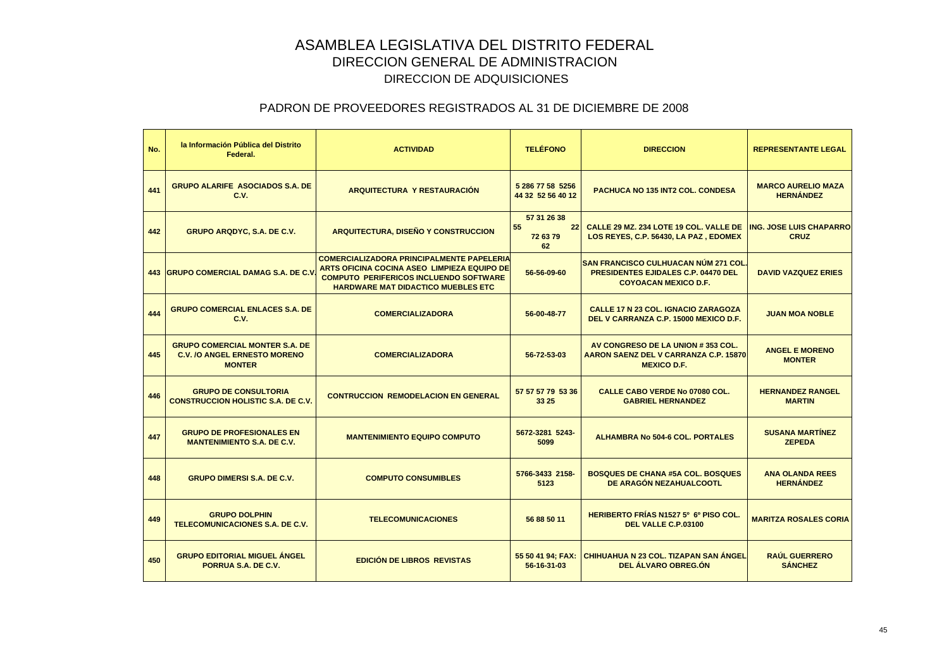| No. | la Información Pública del Distrito<br>Federal.                                               | <b>ACTIVIDAD</b>                                                                                                                                                                              | <b>TELÉFONO</b>                           | <b>DIRECCION</b>                                                                                                         | <b>REPRESENTANTE LEGAL</b>                    |
|-----|-----------------------------------------------------------------------------------------------|-----------------------------------------------------------------------------------------------------------------------------------------------------------------------------------------------|-------------------------------------------|--------------------------------------------------------------------------------------------------------------------------|-----------------------------------------------|
| 441 | <b>GRUPO ALARIFE ASOCIADOS S.A. DE</b><br>C.V.                                                | ARQUITECTURA Y RESTAURACIÓN                                                                                                                                                                   | 5 286 77 58 5256<br>44 32 52 56 40 12     | <b>PACHUCA NO 135 INT2 COL. CONDESA</b>                                                                                  | <b>MARCO AURELIO MAZA</b><br><b>HERNÁNDEZ</b> |
| 442 | <b>GRUPO ARQDYC, S.A. DE C.V.</b>                                                             | <b>ARQUITECTURA, DISEÑO Y CONSTRUCCION</b>                                                                                                                                                    | 57 31 26 38<br>55<br>22<br>72 63 79<br>62 | CALLE 29 MZ. 234 LOTE 19 COL. VALLE DE<br>LOS REYES, C.P. 56430, LA PAZ, EDOMEX                                          | <b>ING. JOSE LUIS CHAPARRO</b><br><b>CRUZ</b> |
|     | 443 GRUPO COMERCIAL DAMAG S.A. DE C.V                                                         | <b>COMERCIALIZADORA PRINCIPALMENTE PAPELERIA</b><br>ARTS OFICINA COCINA ASEO LIMPIEZA EQUIPO DE<br><b>COMPUTO PERIFERICOS INCLUENDO SOFTWARE</b><br><b>HARDWARE MAT DIDACTICO MUEBLES ETC</b> | 56-56-09-60                               | <b>SAN FRANCISCO CULHUACAN NÚM 271 COL.</b><br><b>PRESIDENTES EJIDALES C.P. 04470 DEL</b><br><b>COYOACAN MEXICO D.F.</b> | <b>DAVID VAZQUEZ ERIES</b>                    |
| 444 | <b>GRUPO COMERCIAL ENLACES S.A. DE</b><br>C.V.                                                | <b>COMERCIALIZADORA</b>                                                                                                                                                                       | 56-00-48-77                               | <b>CALLE 17 N 23 COL. IGNACIO ZARAGOZA</b><br>DEL V CARRANZA C.P. 15000 MEXICO D.F.                                      | <b>JUAN MOA NOBLE</b>                         |
| 445 | <b>GRUPO COMERCIAL MONTER S.A. DE</b><br><b>C.V. /O ANGEL ERNESTO MORENO</b><br><b>MONTER</b> | <b>COMERCIALIZADORA</b>                                                                                                                                                                       | 56-72-53-03                               | AV CONGRESO DE LA UNION #353 COL.<br>AARON SAENZ DEL V CARRANZA C.P. 15870<br><b>MEXICO D.F.</b>                         | <b>ANGEL E MORENO</b><br><b>MONTER</b>        |
| 446 | <b>GRUPO DE CONSULTORIA</b><br><b>CONSTRUCCION HOLISTIC S.A. DE C.V.</b>                      | <b>CONTRUCCION REMODELACION EN GENERAL</b>                                                                                                                                                    | 57 57 57 79 53 36<br>33 25                | <b>CALLE CABO VERDE No 07080 COL.</b><br><b>GABRIEL HERNANDEZ</b>                                                        | <b>HERNANDEZ RANGEL</b><br><b>MARTIN</b>      |
| 447 | <b>GRUPO DE PROFESIONALES EN</b><br><b>MANTENIMIENTO S.A. DE C.V.</b>                         | <b>MANTENIMIENTO EQUIPO COMPUTO</b>                                                                                                                                                           | 5672-3281 5243-<br>5099                   | <b>ALHAMBRA No 504-6 COL. PORTALES</b>                                                                                   | <b>SUSANA MARTÍNEZ</b><br><b>ZEPEDA</b>       |
| 448 | <b>GRUPO DIMERSI S.A. DE C.V.</b>                                                             | <b>COMPUTO CONSUMIBLES</b>                                                                                                                                                                    | 5766-3433 2158-<br>5123                   | <b>BOSQUES DE CHANA #5A COL. BOSQUES</b><br>DE ARAGÓN NEZAHUALCOOTL                                                      | <b>ANA OLANDA REES</b><br><b>HERNÁNDEZ</b>    |
| 449 | <b>GRUPO DOLPHIN</b><br>TELECOMUNICACIONES S.A. DE C.V.                                       | <b>TELECOMUNICACIONES</b>                                                                                                                                                                     | 56 88 50 11                               | HERIBERTO FRÍAS N1527 5° 6° PISO COL.<br>DEL VALLE C.P.03100                                                             | <b>MARITZA ROSALES CORIA</b>                  |
| 450 | <b>GRUPO EDITORIAL MIGUEL ÁNGEL</b><br>PORRUA S.A. DE C.V.                                    | <b>EDICIÓN DE LIBROS REVISTAS</b>                                                                                                                                                             | 55 50 41 94; FAX:<br>56-16-31-03          | CHIHUAHUA N 23 COL. TIZAPAN SAN ÁNGEL<br><b>DEL ALVARO OBREG.ON</b>                                                      | <b>RAÚL GUERRERO</b><br><b>SÁNCHEZ</b>        |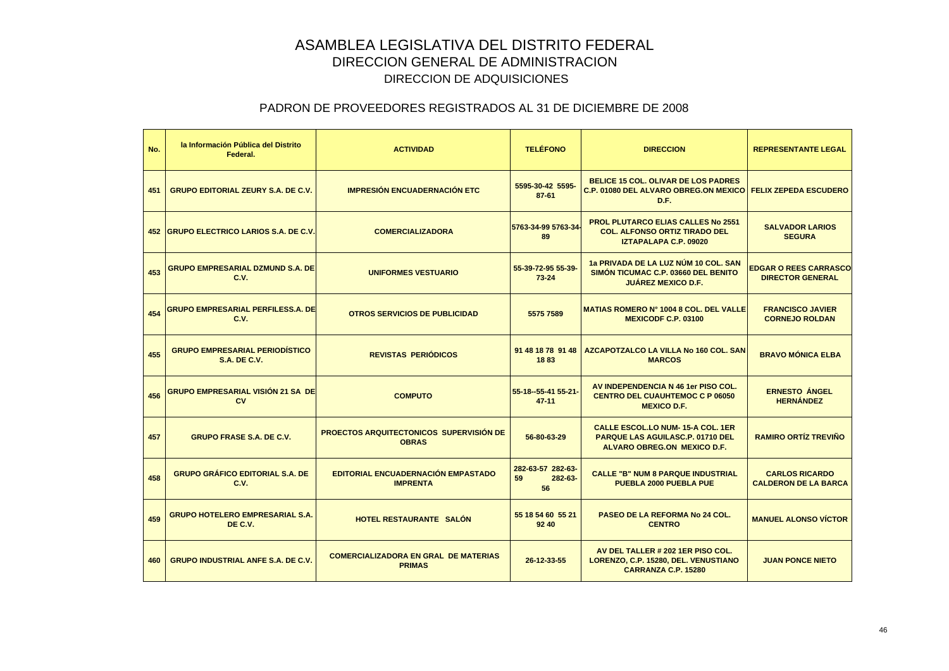| No. | la Información Pública del Distrito<br>Federal.              | <b>ACTIVIDAD</b>                                             | <b>TELÉFONO</b>                          | <b>DIRECCION</b>                                                                                                         | <b>REPRESENTANTE LEGAL</b>                              |
|-----|--------------------------------------------------------------|--------------------------------------------------------------|------------------------------------------|--------------------------------------------------------------------------------------------------------------------------|---------------------------------------------------------|
| 451 | <b>GRUPO EDITORIAL ZEURY S.A. DE C.V.</b>                    | <b>IMPRESIÓN ENCUADERNACIÓN ETC</b>                          | 5595-30-42 5595-<br>$87 - 61$            | <b>BELICE 15 COL. OLIVAR DE LOS PADRES</b><br><b>C.P. 01080 DEL ALVARO OBREG.ON MEXICO</b><br>D.F.                       | <b>FELIX ZEPEDA ESCUDERO</b>                            |
|     | 452 GRUPO ELECTRICO LARIOS S.A. DE C.V.                      | <b>COMERCIALIZADORA</b>                                      | 5763-34-99 5763-34<br>89                 | <b>PROL PLUTARCO ELIAS CALLES No 2551</b><br><b>COL. ALFONSO ORTIZ TIRADO DEL</b><br><b>IZTAPALAPA C.P. 09020</b>        | <b>SALVADOR LARIOS</b><br><b>SEGURA</b>                 |
| 453 | <b>GRUPO EMPRESARIAL DZMUND S.A. DE</b><br>C.V.              | <b>UNIFORMES VESTUARIO</b>                                   | 55-39-72-95 55-39-<br>$73 - 24$          | 1a PRIVADA DE LA LUZ NÚM 10 COL. SAN<br>SIMON TICUMAC C.P. 03660 DEL BENITO<br><b>JUÁREZ MEXICO D.F.</b>                 | <b>EDGAR O REES CARRASCO</b><br><b>DIRECTOR GENERAL</b> |
| 454 | GRUPO EMPRESARIAL PERFILESS.A. DE<br>C.V.                    | <b>OTROS SERVICIOS DE PUBLICIDAD</b>                         | 5575 7589                                | <b>MATIAS ROMERO N° 1004 8 COL. DEL VALLE</b><br><b>MEXICODF C.P. 03100</b>                                              | <b>FRANCISCO JAVIER</b><br><b>CORNEJO ROLDAN</b>        |
| 455 | <b>GRUPO EMPRESARIAL PERIODÍSTICO</b><br><b>S.A. DE C.V.</b> | <b>REVISTAS PERIÓDICOS</b>                                   | 91 48 18 78 91 48<br>1883                | AZCAPOTZALCO LA VILLA No 160 COL. SAN<br><b>MARCOS</b>                                                                   | <b>BRAVO MÓNICA ELBA</b>                                |
| 456 | GRUPO EMPRESARIAL VISIÓN 21 SA DE<br><b>CV</b>               | <b>COMPUTO</b>                                               | 55-18--55-41 55-21-<br>$47 - 11$         | AV INDEPENDENCIA N 46 1er PISO COL.<br><b>CENTRO DEL CUAUHTEMOC C P 06050</b><br><b>MEXICO D.F.</b>                      | <b>ERNESTO ÁNGEL</b><br><b>HERNÁNDEZ</b>                |
| 457 | <b>GRUPO FRASE S.A. DE C.V.</b>                              | PROECTOS ARQUITECTONICOS SUPERVISIÓN DE<br><b>OBRAS</b>      | 56-80-63-29                              | <b>CALLE ESCOL.LO NUM-15-A COL. 1ER</b><br><b>PARQUE LAS AGUILASC.P. 01710 DEL</b><br><b>ALVARO OBREG.ON MEXICO D.F.</b> | <b>RAMIRO ORTÍZ TREVIÑO</b>                             |
| 458 | <b>GRUPO GRÁFICO EDITORIAL S.A. DE</b><br>C.V.               | EDITORIAL ENCUADERNACIÓN EMPASTADO<br><b>IMPRENTA</b>        | 282-63-57 282-63-<br>59<br>282-63-<br>56 | <b>CALLE "B" NUM 8 PARQUE INDUSTRIAL</b><br><b>PUEBLA 2000 PUEBLA PUE</b>                                                | <b>CARLOS RICARDO</b><br><b>CALDERON DE LA BARCA</b>    |
| 459 | <b>GRUPO HOTELERO EMPRESARIAL S.A.</b><br>DE C.V.            | <b>HOTEL RESTAURANTE SALON</b>                               | 55 18 54 60 55 21<br>92 40               | <b>PASEO DE LA REFORMA No 24 COL.</b><br><b>CENTRO</b>                                                                   | <b>MANUEL ALONSO VICTOR</b>                             |
| 460 | <b>GRUPO INDUSTRIAL ANFE S.A. DE C.V.</b>                    | <b>COMERCIALIZADORA EN GRAL DE MATERIAS</b><br><b>PRIMAS</b> | 26-12-33-55                              | AV DEL TALLER # 202 1ER PISO COL.<br>LORENZO, C.P. 15280, DEL. VENUSTIANO<br><b>CARRANZA C.P. 15280</b>                  | <b>JUAN PONCE NIETO</b>                                 |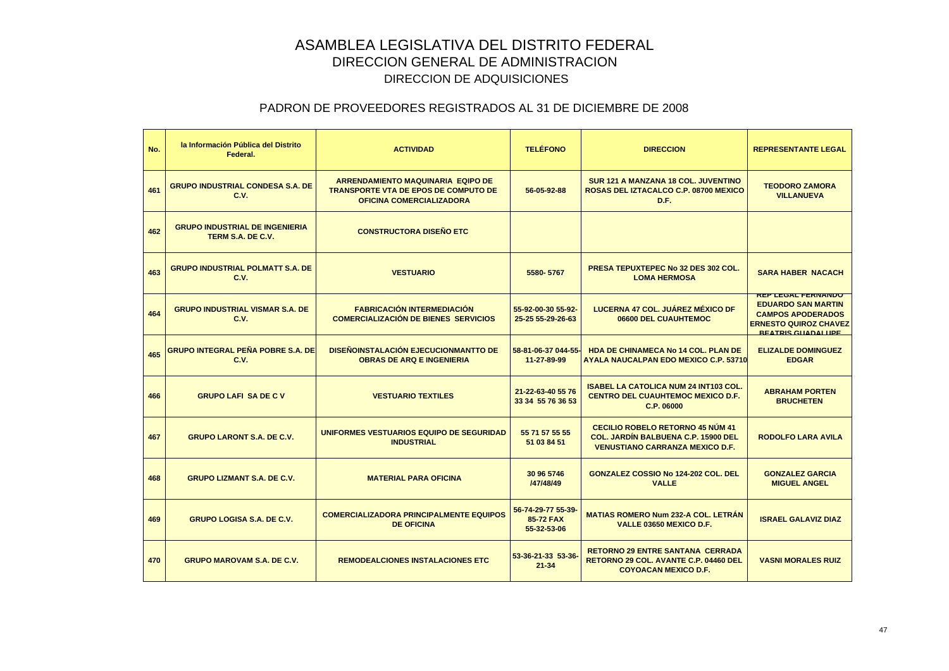| No. | la Información Pública del Distrito<br>Federal.            | <b>ACTIVIDAD</b>                                                                                                           | <b>TELÉFONO</b>                                | <b>DIRECCION</b>                                                                                                                | <b>REPRESENTANTE LEGAL</b>                                                                                                                     |
|-----|------------------------------------------------------------|----------------------------------------------------------------------------------------------------------------------------|------------------------------------------------|---------------------------------------------------------------------------------------------------------------------------------|------------------------------------------------------------------------------------------------------------------------------------------------|
| 461 | <b>GRUPO INDUSTRIAL CONDESA S.A. DE</b><br>C.V.            | <b>ARRENDAMIENTO MAQUINARIA EQIPO DE</b><br><b>TRANSPORTE VTA DE EPOS DE COMPUTO DE</b><br><b>OFICINA COMERCIALIZADORA</b> | 56-05-92-88                                    | SUR 121 A MANZANA 18 COL. JUVENTINO<br><b>ROSAS DEL IZTACALCO C.P. 08700 MEXICO</b><br>D.F.                                     | <b>TEODORO ZAMORA</b><br><b>VILLANUEVA</b>                                                                                                     |
| 462 | <b>GRUPO INDUSTRIAL DE INGENIERIA</b><br>TERM S.A. DE C.V. | <b>CONSTRUCTORA DISEÑO ETC</b>                                                                                             |                                                |                                                                                                                                 |                                                                                                                                                |
| 463 | <b>GRUPO INDUSTRIAL POLMATT S.A. DE</b><br>C.V.            | <b>VESTUARIO</b>                                                                                                           | 5580-5767                                      | PRESA TEPUXTEPEC No 32 DES 302 COL.<br><b>LOMA HERMOSA</b>                                                                      | <b>SARA HABER NACACH</b>                                                                                                                       |
| 464 | <b>GRUPO INDUSTRIAL VISMAR S.A. DE</b><br>C.V.             | <b>FABRICACIÓN INTERMEDIACIÓN</b><br><b>COMERCIALIZACIÓN DE BIENES SERVICIOS</b>                                           | 55-92-00-30 55-92-<br>25-25 55-29-26-63        | LUCERNA 47 COL. JUÁREZ MÉXICO DF<br>06600 DEL CUAUHTEMOC                                                                        | <b>REP LEGAL FERNANDO</b><br><b>EDUARDO SAN MARTIN</b><br><b>CAMPOS APODERADOS</b><br><b>ERNESTO QUIROZ CHAVEZ</b><br><b>REATRIS GUADALUPE</b> |
| 465 | <b>GRUPO INTEGRAL PEÑA POBRE S.A. DE</b><br>C.V.           | <b>DISEÑOINSTALACIÓN EJECUCIONMANTTO DE</b><br><b>OBRAS DE ARQ E INGENIERIA</b>                                            | 58-81-06-37 044-55<br>11-27-89-99              | <b>HDA DE CHINAMECA No 14 COL. PLAN DE</b><br><b>AYALA NAUCALPAN EDO MEXICO C.P. 53710</b>                                      | <b>ELIZALDE DOMINGUEZ</b><br><b>EDGAR</b>                                                                                                      |
| 466 | <b>GRUPO LAFI SA DE C V</b>                                | <b>VESTUARIO TEXTILES</b>                                                                                                  | 21-22-63-40 55 76<br>33 34 55 76 36 53         | <b>ISABEL LA CATOLICA NUM 24 INT103 COL.</b><br><b>CENTRO DEL CUAUHTEMOC MEXICO D.F.</b><br>C.P. 06000                          | <b>ABRAHAM PORTEN</b><br><b>BRUCHETEN</b>                                                                                                      |
| 467 | <b>GRUPO LARONT S.A. DE C.V.</b>                           | UNIFORMES VESTUARIOS EQUIPO DE SEGURIDAD<br><b>INDUSTRIAL</b>                                                              | 55 71 57 55 55<br>51 03 84 51                  | <b>CECILIO ROBELO RETORNO 45 NÚM 41</b><br><b>COL. JARDIN BALBUENA C.P. 15900 DEL</b><br><b>VENUSTIANO CARRANZA MEXICO D.F.</b> | <b>RODOLFO LARA AVILA</b>                                                                                                                      |
| 468 | <b>GRUPO LIZMANT S.A. DE C.V.</b>                          | <b>MATERIAL PARA OFICINA</b>                                                                                               | 30 96 5746<br>/47/48/49                        | <b>GONZALEZ COSSIO No 124-202 COL. DEL</b><br><b>VALLE</b>                                                                      | <b>GONZALEZ GARCIA</b><br><b>MIGUEL ANGEL</b>                                                                                                  |
| 469 | <b>GRUPO LOGISA S.A. DE C.V.</b>                           | <b>COMERCIALIZADORA PRINCIPALMENTE EQUIPOS</b><br><b>DE OFICINA</b>                                                        | 56-74-29-77 55-39-<br>85-72 FAX<br>55-32-53-06 | <b>MATIAS ROMERO Num 232-A COL. LETRAN</b><br>VALLE 03650 MEXICO D.F.                                                           | <b>ISRAEL GALAVIZ DIAZ</b>                                                                                                                     |
| 470 | <b>GRUPO MAROVAM S.A. DE C.V.</b>                          | <b>REMODEALCIONES INSTALACIONES ETC</b>                                                                                    | 53-36-21-33 53-36<br>$21 - 34$                 | <b>RETORNO 29 ENTRE SANTANA CERRADA</b><br><b>RETORNO 29 COL. AVANTE C.P. 04460 DEL</b><br><b>COYOACAN MEXICO D.F.</b>          | <b>VASNI MORALES RUIZ</b>                                                                                                                      |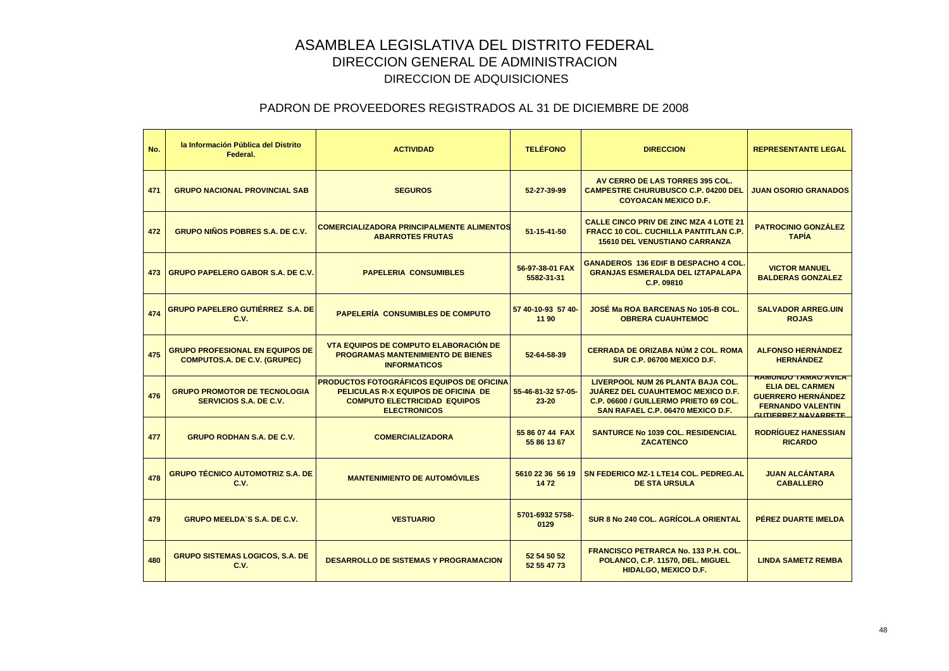| No. | la Información Pública del Distrito<br>Federal.                               | <b>ACTIVIDAD</b>                                                                                                                                        | <b>TELÉFONO</b>                 | <b>DIRECCION</b>                                                                                                                                                   | <b>REPRESENTANTE LEGAL</b>                                                                                                           |
|-----|-------------------------------------------------------------------------------|---------------------------------------------------------------------------------------------------------------------------------------------------------|---------------------------------|--------------------------------------------------------------------------------------------------------------------------------------------------------------------|--------------------------------------------------------------------------------------------------------------------------------------|
| 471 | <b>GRUPO NACIONAL PROVINCIAL SAB</b>                                          | <b>SEGUROS</b>                                                                                                                                          | 52-27-39-99                     | AV CERRO DE LAS TORRES 395 COL.<br><b>CAMPESTRE CHURUBUSCO C.P. 04200 DEL</b><br><b>COYOACAN MEXICO D.F.</b>                                                       | <b>JUAN OSORIO GRANADOS</b>                                                                                                          |
| 472 | <b>GRUPO NIÑOS POBRES S.A. DE C.V.</b>                                        | <b>COMERCIALIZADORA PRINCIPALMENTE ALIMENTOS</b><br><b>ABARROTES FRUTAS</b>                                                                             | 51-15-41-50                     | <b>CALLE CINCO PRIV DE ZINC MZA 4 LOTE 21</b><br><b>FRACC 10 COL. CUCHILLA PANTITLAN C.P.</b><br><b>15610 DEL VENUSTIANO CARRANZA</b>                              | <b>PATROCINIO GONZÁLEZ</b><br><b>TAPIA</b>                                                                                           |
| 473 | <b>GRUPO PAPELERO GABOR S.A. DE C.V.</b>                                      | <b>PAPELERIA CONSUMIBLES</b>                                                                                                                            | 56-97-38-01 FAX<br>5582-31-31   | <b>GANADEROS 136 EDIF B DESPACHO 4 COL.</b><br><b>GRANJAS ESMERALDA DEL IZTAPALAPA</b><br>C.P. 09810                                                               | <b>VICTOR MANUEL</b><br><b>BALDERAS GONZALEZ</b>                                                                                     |
| 474 | <b>GRUPO PAPELERO GUTIÉRREZ S.A. DE</b><br>C.V.                               | <b>PAPELERÍA CONSUMIBLES DE COMPUTO</b>                                                                                                                 | 57 40-10-93 57 40-<br>11 90     | JOSÉ Ma ROA BARCENAS No 105-B COL.<br><b>OBRERA CUAUHTEMOC</b>                                                                                                     | <b>SALVADOR ARREG.UIN</b><br><b>ROJAS</b>                                                                                            |
| 475 | <b>GRUPO PROFESIONAL EN EQUIPOS DE</b><br><b>COMPUTOS.A. DE C.V. (GRUPEC)</b> | <b>VTA EQUIPOS DE COMPUTO ELABORACIÓN DE</b><br><b>PROGRAMAS MANTENIMIENTO DE BIENES</b><br><b>INFORMATICOS</b>                                         | 52-64-58-39                     | <b>CERRADA DE ORIZABA NÚM 2 COL. ROMA</b><br>SUR C.P. 06700 MEXICO D.F.                                                                                            | <b>ALFONSO HERNÁNDEZ</b><br><b>HERNÁNDEZ</b>                                                                                         |
| 476 | <b>GRUPO PROMOTOR DE TECNOLOGIA</b><br>SERVICIOS S.A. DE C.V.                 | <b>I PRODUCTOS FOTOGRÁFICOS EQUIPOS DE OFICINA</b><br>PELICULAS R-X EQUIPOS DE OFICINA DE<br><b>COMPUTO ELECTRICIDAD EQUIPOS</b><br><b>ELECTRONICOS</b> | 55-46-81-32 57-05-<br>$23 - 20$ | <b>LIVERPOOL NUM 26 PLANTA BAJA COL.</b><br><b>JUÁREZ DEL CUAUHTEMOC MEXICO D.F.</b><br>C.P. 06600 / GUILLERMO PRIETO 69 COL.<br>SAN RAFAEL C.P. 06470 MEXICO D.F. | <b>RAMUNDO TAMAO AVILA</b><br><b>ELIA DEL CARMEN</b><br><b>GUERRERO HERNÁNDEZ</b><br><b>FERNANDO VALENTIN</b><br>CUTIEDDEZ NAVADDETE |
| 477 | <b>GRUPO RODHAN S.A. DE C.V.</b>                                              | <b>COMERCIALIZADORA</b>                                                                                                                                 | 55 86 07 44 FAX<br>55 86 13 67  | <b>SANTURCE No 1039 COL. RESIDENCIAL</b><br><b>ZACATENCO</b>                                                                                                       | <b>RODRÍGUEZ HANESSIAN</b><br><b>RICARDO</b>                                                                                         |
| 478 | <b>GRUPO TÉCNICO AUTOMOTRIZ S.A. DE</b><br>C.V.                               | <b>MANTENIMIENTO DE AUTOMÓVILES</b>                                                                                                                     | 5610 22 36 56 19<br>1472        | SN FEDERICO MZ-1 LTE14 COL. PEDREG.AL<br><b>DE STA URSULA</b>                                                                                                      | <b>JUAN ALCÁNTARA</b><br><b>CABALLERO</b>                                                                                            |
| 479 | <b>GRUPO MEELDA'S S.A. DE C.V.</b>                                            | <b>VESTUARIO</b>                                                                                                                                        | 5701-6932 5758-<br>0129         | SUR 8 No 240 COL. AGRÍCOL.A ORIENTAL                                                                                                                               | PÉREZ DUARTE IMELDA                                                                                                                  |
| 480 | <b>GRUPO SISTEMAS LOGICOS, S.A. DE</b><br>C.V.                                | <b>DESARROLLO DE SISTEMAS Y PROGRAMACION</b>                                                                                                            | 52 54 50 52<br>52 55 47 73      | <b>FRANCISCO PETRARCA No. 133 P.H. COL.</b><br>POLANCO, C.P. 11570, DEL. MIGUEL<br><b>HIDALGO, MEXICO D.F.</b>                                                     | <b>LINDA SAMETZ REMBA</b>                                                                                                            |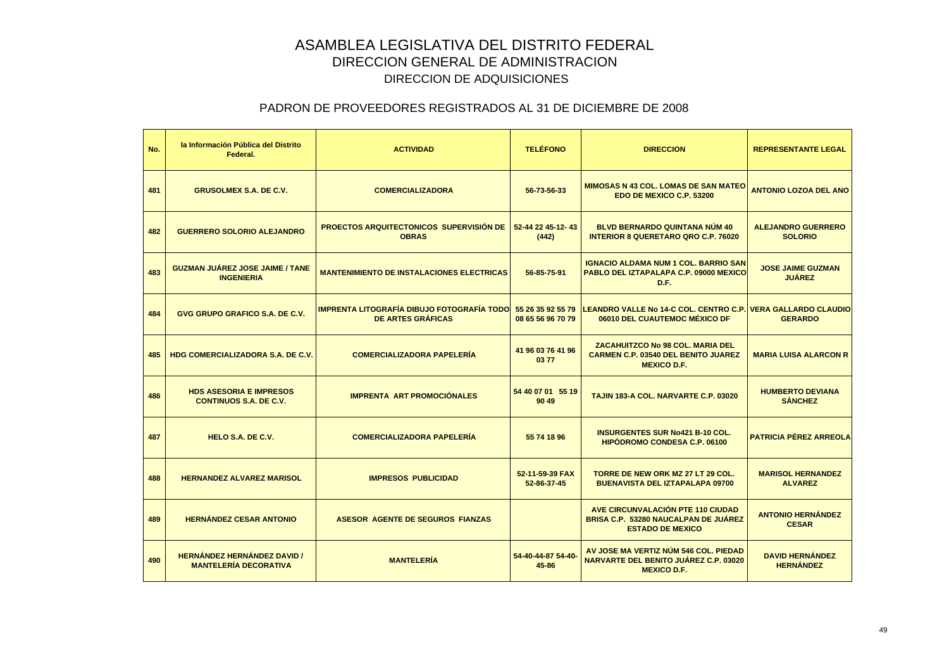| No. | la Información Pública del Distrito<br>Federal.                    | <b>ACTIVIDAD</b>                                                              | <b>TELÉFONO</b>                        | <b>DIRECCION</b>                                                                                            | <b>REPRESENTANTE LEGAL</b>                  |
|-----|--------------------------------------------------------------------|-------------------------------------------------------------------------------|----------------------------------------|-------------------------------------------------------------------------------------------------------------|---------------------------------------------|
| 481 | <b>GRUSOLMEX S.A. DE C.V.</b>                                      | <b>COMERCIALIZADORA</b>                                                       | 56-73-56-33                            | <b>MIMOSAS N 43 COL. LOMAS DE SAN MATEO</b><br>EDO DE MEXICO C.P. 53200                                     | <b>ANTONIO LOZOA DEL ANO</b>                |
| 482 | <b>GUERRERO SOLORIO ALEJANDRO</b>                                  | <b>PROECTOS ARQUITECTONICOS SUPERVISIÓN DE</b><br><b>OBRAS</b>                | 52-44 22 45-12-43<br>(442)             | <b>BLVD BERNARDO QUINTANA NUM 40</b><br><b>INTERIOR 8 QUERETARO QRO C.P. 76020</b>                          | <b>ALEJANDRO GUERRERO</b><br><b>SOLORIO</b> |
| 483 | <b>GUZMAN JUÁREZ JOSE JAIME / TANE</b><br><b>INGENIERIA</b>        | <b>MANTENIMIENTO DE INSTALACIONES ELECTRICAS</b>                              | 56-85-75-91                            | <b>IGNACIO ALDAMA NUM 1 COL. BARRIO SAN</b><br>PABLO DEL IZTAPALAPA C.P. 09000 MEXICO<br>D.F.               | <b>JOSE JAIME GUZMAN</b><br><b>JUÁREZ</b>   |
| 484 | <b>GVG GRUPO GRAFICO S.A. DE C.V.</b>                              | <b>IMPRENTA LITOGRAFÍA DIBUJO FOTOGRAFÍA TODO</b><br><b>DE ARTES GRÁFICAS</b> | 55 26 35 92 55 79<br>08 65 56 96 70 79 | LEANDRO VALLE No 14-C COL. CENTRO C.P. VERA GALLARDO CLAUDIO<br>06010 DEL CUAUTEMOC MÉXICO DF               | <b>GERARDO</b>                              |
| 485 | <b>HDG COMERCIALIZADORA S.A. DE C.V.</b>                           | <b>COMERCIALIZADORA PAPELERÍA</b>                                             | 41 96 03 76 41 96<br>0377              | <b>ZACAHUITZCO No 98 COL. MARIA DEL</b><br><b>CARMEN C.P. 03540 DEL BENITO JUAREZ</b><br><b>MEXICO D.F.</b> | <b>MARIA LUISA ALARCON R</b>                |
| 486 | <b>HDS ASESORIA E IMPRESOS</b><br><b>CONTINUOS S.A. DE C.V.</b>    | <b>IMPRENTA ART PROMOCIÓNALES</b>                                             | 54 40 07 01 55 19<br>90 49             | TAJIN 183-A COL. NARVARTE C.P. 03020                                                                        | <b>HUMBERTO DEVIANA</b><br><b>SÁNCHEZ</b>   |
| 487 | HELO S.A. DE C.V.                                                  | <b>COMERCIALIZADORA PAPELERÍA</b>                                             | 55 74 18 96                            | <b>INSURGENTES SUR No421 B-10 COL.</b><br><b>HIPODROMO CONDESA C.P. 06100</b>                               | <b>PATRICIA PÉREZ ARREOLA</b>               |
| 488 | <b>HERNANDEZ ALVAREZ MARISOL</b>                                   | <b>IMPRESOS PUBLICIDAD</b>                                                    | 52-11-59-39 FAX<br>52-86-37-45         | TORRE DE NEW ORK MZ 27 LT 29 COL.<br><b>BUENAVISTA DEL IZTAPALAPA 09700</b>                                 | <b>MARISOL HERNANDEZ</b><br><b>ALVAREZ</b>  |
| 489 | <b>HERNÁNDEZ CESAR ANTONIO</b>                                     | <b>ASESOR AGENTE DE SEGUROS FIANZAS</b>                                       |                                        | AVE CIRCUNVALACIÓN PTE 110 CIUDAD<br><b>BRISA C.P. 53280 NAUCALPAN DE JUÁREZ</b><br><b>ESTADO DE MEXICO</b> | <b>ANTONIO HERNÁNDEZ</b><br><b>CESAR</b>    |
| 490 | <b>HERNÁNDEZ HERNÁNDEZ DAVID /</b><br><b>MANTELERÍA DECORATIVA</b> | <b>MANTELERÍA</b>                                                             | 54-40-44-87 54-40-<br>$45 - 86$        | AV JOSE MA VERTIZ NÚM 546 COL. PIEDAD<br><b>NARVARTE DEL BENITO JUÁREZ C.P. 03020</b><br><b>MEXICO D.F.</b> | <b>DAVID HERNÁNDEZ</b><br><b>HERNÁNDEZ</b>  |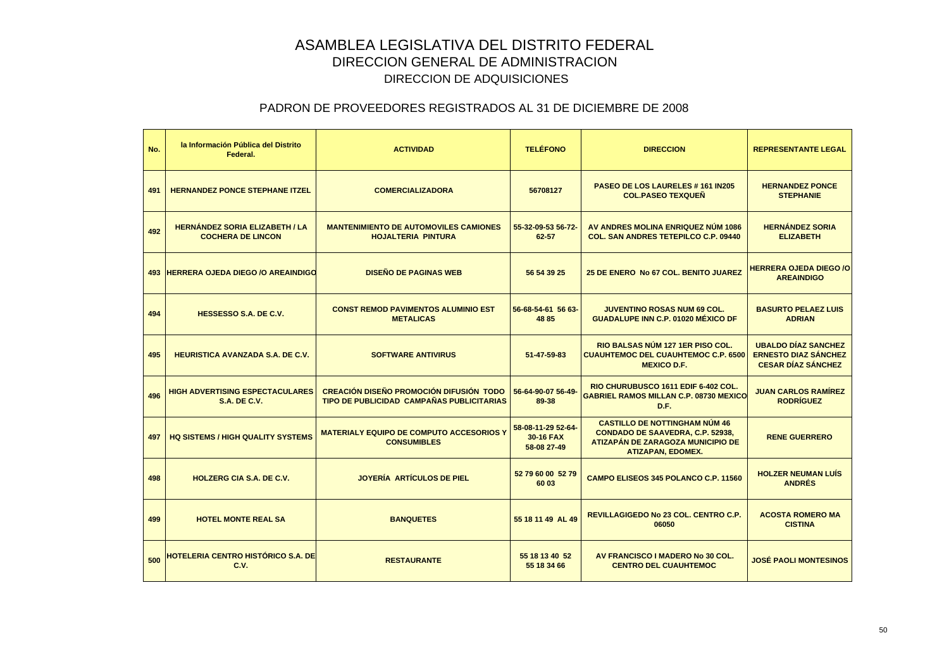| No. | la Información Pública del Distrito<br>Federal.                   | <b>ACTIVIDAD</b>                                                                     | <b>TELÉFONO</b>                                | <b>DIRECCION</b>                                                                                                                                        | <b>REPRESENTANTE LEGAL</b>                                                             |
|-----|-------------------------------------------------------------------|--------------------------------------------------------------------------------------|------------------------------------------------|---------------------------------------------------------------------------------------------------------------------------------------------------------|----------------------------------------------------------------------------------------|
| 491 | <b>HERNANDEZ PONCE STEPHANE ITZEL</b>                             | <b>COMERCIALIZADORA</b>                                                              | 56708127                                       | PASEO DE LOS LAURELES # 161 IN205<br><b>COL.PASEO TEXQUEÑ</b>                                                                                           | <b>HERNANDEZ PONCE</b><br><b>STEPHANIE</b>                                             |
| 492 | <b>HERNÁNDEZ SORIA ELIZABETH / LA</b><br><b>COCHERA DE LINCON</b> | <b>MANTENIMIENTO DE AUTOMOVILES CAMIONES</b><br><b>HOJALTERIA PINTURA</b>            | 55-32-09-53 56-72-<br>62-57                    | AV ANDRES MOLINA ENRIQUEZ NÚM 1086<br><b>COL. SAN ANDRES TETEPILCO C.P. 09440</b>                                                                       | <b>HERNÁNDEZ SORIA</b><br><b>ELIZABETH</b>                                             |
|     | 493 HERRERA OJEDA DIEGO / O AREAINDIGO                            | <b>DISEÑO DE PAGINAS WEB</b>                                                         | 56 54 39 25                                    | 25 DE ENERO No 67 COL. BENITO JUAREZ                                                                                                                    | <b>HERRERA OJEDA DIEGO /O</b><br><b>AREAINDIGO</b>                                     |
| 494 | HESSESSO S.A. DE C.V.                                             | <b>CONST REMOD PAVIMENTOS ALUMINIO EST</b><br><b>METALICAS</b>                       | 56-68-54-61 56 63-<br>48 85                    | <b>JUVENTINO ROSAS NUM 69 COL.</b><br><b>GUADALUPE INN C.P. 01020 MÉXICO DF</b>                                                                         | <b>BASURTO PELAEZ LUIS</b><br><b>ADRIAN</b>                                            |
| 495 | <b>HEURISTICA AVANZADA S.A. DE C.V.</b>                           | <b>SOFTWARE ANTIVIRUS</b>                                                            | 51-47-59-83                                    | RIO BALSAS NÚM 127 1ER PISO COL.<br><b>CUAUHTEMOC DEL CUAUHTEMOC C.P. 6500</b><br><b>MEXICO D.F.</b>                                                    | <b>UBALDO DÍAZ SANCHEZ</b><br><b>ERNESTO DIAZ SÁNCHEZ</b><br><b>CESAR DÍAZ SÁNCHEZ</b> |
| 496 | <b>HIGH ADVERTISING ESPECTACULARES</b><br><b>S.A. DE C.V.</b>     | CREACIÓN DISEÑO PROMOCIÓN DIFUSIÓN TODO<br>TIPO DE PUBLICIDAD CAMPAÑAS PUBLICITARIAS | 56-64-90-07 56-49-<br>89-38                    | RIO CHURUBUSCO 1611 EDIF 6-402 COL.<br><b>GABRIEL RAMOS MILLAN C.P. 08730 MEXICO</b><br>D.F.                                                            | <b>JUAN CARLOS RAMÍREZ</b><br><b>RODRÍGUEZ</b>                                         |
| 497 | <b>HQ SISTEMS / HIGH QUALITY SYSTEMS</b>                          | <b>MATERIALY EQUIPO DE COMPUTO ACCESORIOS Y</b><br><b>CONSUMIBLES</b>                | 58-08-11-29 52-64-<br>30-16 FAX<br>58-08 27-49 | <b>CASTILLO DE NOTTINGHAM NÚM 46</b><br><b>CONDADO DE SAAVEDRA, C.P. 52938,</b><br><b>ATIZAPÁN DE ZARAGOZA MUNICIPIO DE</b><br><b>ATIZAPAN, EDOMEX.</b> | <b>RENE GUERRERO</b>                                                                   |
| 498 | <b>HOLZERG CIA S.A. DE C.V.</b>                                   | JOYERÍA ARTÍCULOS DE PIEL                                                            | 52 79 60 00 52 79<br>60 03                     | <b>CAMPO ELISEOS 345 POLANCO C.P. 11560</b>                                                                                                             | <b>HOLZER NEUMAN LUÍS</b><br><b>ANDRÉS</b>                                             |
| 499 | <b>HOTEL MONTE REAL SA</b>                                        | <b>BANQUETES</b>                                                                     | 55 18 11 49 AL 49                              | <b>REVILLAGIGEDO No 23 COL. CENTRO C.P.</b><br>06050                                                                                                    | <b>ACOSTA ROMERO MA</b><br><b>CISTINA</b>                                              |
| 500 | HOTELERIA CENTRO HISTÓRICO S.A. DE<br>C.V.                        | <b>RESTAURANTE</b>                                                                   | 55 18 13 40 52<br>55 18 34 66                  | AV FRANCISCO I MADERO No 30 COL.<br><b>CENTRO DEL CUAUHTEMOC</b>                                                                                        | JOSÉ PAOLI MONTESINOS                                                                  |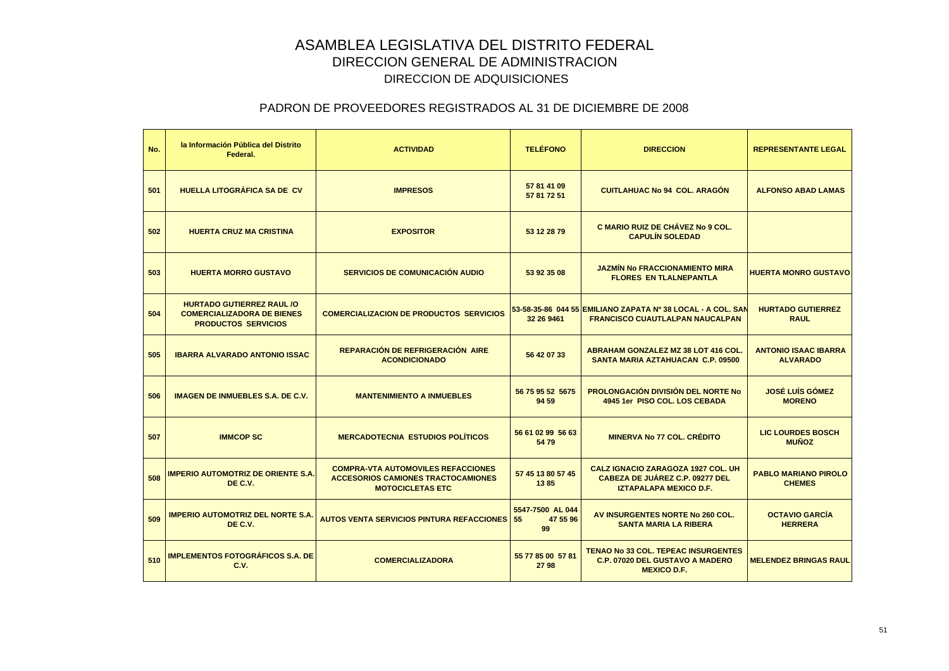| No. | la Información Pública del Distrito<br>Federal.                                                     | <b>ACTIVIDAD</b>                                                                                                  | <b>TELÉFONO</b>                    | <b>DIRECCION</b>                                                                                              | <b>REPRESENTANTE LEGAL</b>                     |
|-----|-----------------------------------------------------------------------------------------------------|-------------------------------------------------------------------------------------------------------------------|------------------------------------|---------------------------------------------------------------------------------------------------------------|------------------------------------------------|
| 501 | <b>HUELLA LITOGRÁFICA SA DE CV</b>                                                                  | <b>IMPRESOS</b>                                                                                                   | 57 81 41 09<br>57 81 72 51         | <b>CUITLAHUAC No 94 COL. ARAGÓN</b>                                                                           | <b>ALFONSO ABAD LAMAS</b>                      |
| 502 | <b>HUERTA CRUZ MA CRISTINA</b>                                                                      | <b>EXPOSITOR</b>                                                                                                  | 53 12 28 79                        | <b>C MARIO RUIZ DE CHÁVEZ No 9 COL.</b><br><b>CAPULÍN SOLEDAD</b>                                             |                                                |
| 503 | <b>HUERTA MORRO GUSTAVO</b>                                                                         | <b>SERVICIOS DE COMUNICACIÓN AUDIO</b>                                                                            | 53 92 35 08                        | <b>JAZMÍN No FRACCIONAMIENTO MIRA</b><br><b>FLORES EN TLALNEPANTLA</b>                                        | <b>HUERTA MONRO GUSTAVO</b>                    |
| 504 | <b>HURTADO GUTIERREZ RAUL /O</b><br><b>COMERCIALIZADORA DE BIENES</b><br><b>PRODUCTOS SERVICIOS</b> | <b>COMERCIALIZACION DE PRODUCTOS SERVICIOS</b>                                                                    | 32 26 9461                         | 53-58-35-86 044 55 EMILIANO ZAPATA Nº 38 LOCAL - A COL. SAN<br><b>FRANCISCO CUAUTLALPAN NAUCALPAN</b>         | <b>HURTADO GUTIERREZ</b><br><b>RAUL</b>        |
| 505 | <b>IBARRA ALVARADO ANTONIO ISSAC</b>                                                                | REPARACIÓN DE REFRIGERACIÓN AIRE<br><b>ACONDICIONADO</b>                                                          | 56 42 07 33                        | <b>ABRAHAM GONZALEZ MZ 38 LOT 416 COL.</b><br>SANTA MARIA AZTAHUACAN C.P. 09500                               | <b>ANTONIO ISAAC IBARRA</b><br><b>ALVARADO</b> |
| 506 | <b>IMAGEN DE INMUEBLES S.A. DE C.V.</b>                                                             | <b>MANTENIMIENTO A INMUEBLES</b>                                                                                  | 56 75 95 52 5675<br>94 59          | <b>PROLONGACIÓN DIVISIÓN DEL NORTE NO</b><br>4945 1er PISO COL. LOS CEBADA                                    | <b>JOSÉ LUÍS GÓMEZ</b><br><b>MORENO</b>        |
| 507 | <b>IMMCOP SC</b>                                                                                    | <b>MERCADOTECNIA ESTUDIOS POLÍTICOS</b>                                                                           | 56 61 02 99 56 63<br>5479          | <b>MINERVA No 77 COL. CRÉDITO</b>                                                                             | <b>LIC LOURDES BOSCH</b><br><b>MUÑOZ</b>       |
| 508 | <b>IMPERIO AUTOMOTRIZ DE ORIENTE S.A.</b><br>DE C.V.                                                | <b>COMPRA-VTA AUTOMOVILES REFACCIONES</b><br><b>ACCESORIOS CAMIONES TRACTOCAMIONES</b><br><b>MOTOCICLETAS ETC</b> | 57 45 13 80 57 45<br>1385          | <b>CALZ IGNACIO ZARAGOZA 1927 COL. UH</b><br>CABEZA DE JUÁREZ C.P. 09277 DEL<br><b>IZTAPALAPA MEXICO D.F.</b> | <b>PABLO MARIANO PIROLO</b><br><b>CHEMES</b>   |
| 509 | <b>IMPERIO AUTOMOTRIZ DEL NORTE S.A.</b><br>DE C.V.                                                 | <b>AUTOS VENTA SERVICIOS PINTURA REFACCIONES 55</b>                                                               | 5547-7500 AL 044<br>47 55 96<br>99 | AV INSURGENTES NORTE No 260 COL.<br><b>SANTA MARIA LA RIBERA</b>                                              | <b>OCTAVIO GARCÍA</b><br><b>HERRERA</b>        |
| 510 | <b>IMPLEMENTOS FOTOGRÁFICOS S.A. DE</b><br>C.V.                                                     | <b>COMERCIALIZADORA</b>                                                                                           | 55 77 85 00 57 81<br>2798          | <b>TENAO No 33 COL. TEPEAC INSURGENTES</b><br><b>C.P. 07020 DEL GUSTAVO A MADERO</b><br><b>MEXICO D.F.</b>    | <b>MELENDEZ BRINGAS RAUL</b>                   |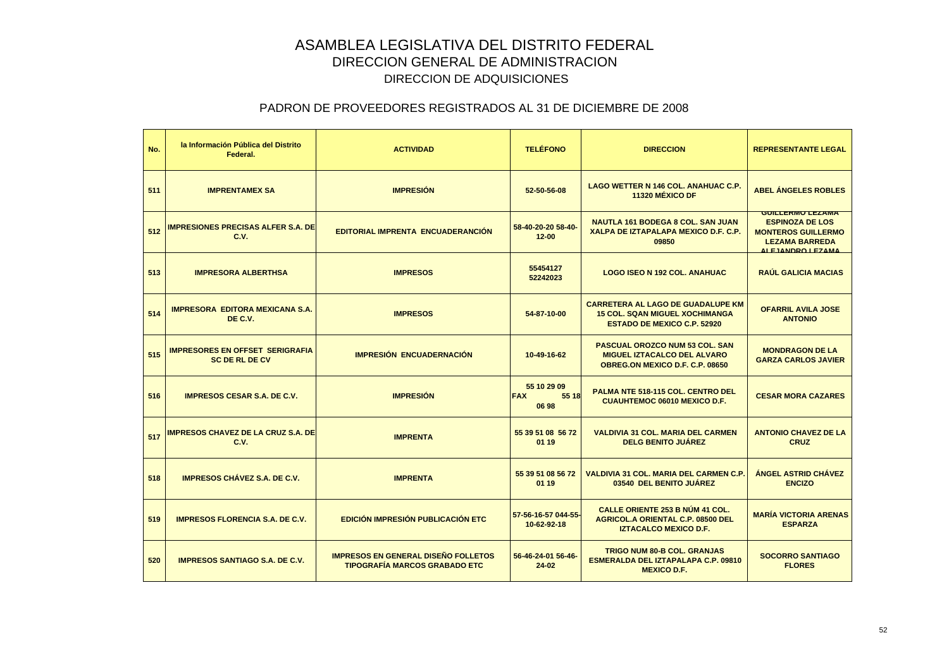| No. | la Información Pública del Distrito<br>Federal.                 | <b>ACTIVIDAD</b>                                                                   | <b>TELÉFONO</b>                             | <b>DIRECCION</b>                                                                                                        | <b>REPRESENTANTE LEGAL</b>                                                                                                   |
|-----|-----------------------------------------------------------------|------------------------------------------------------------------------------------|---------------------------------------------|-------------------------------------------------------------------------------------------------------------------------|------------------------------------------------------------------------------------------------------------------------------|
| 511 | <b>IMPRENTAMEX SA</b>                                           | <b>IMPRESIÓN</b>                                                                   | 52-50-56-08                                 | LAGO WETTER N 146 COL. ANAHUAC C.P.<br>11320 MÉXICO DF                                                                  | <b>ABEL ÁNGELES ROBLES</b>                                                                                                   |
| 512 | <b>IMPRESIONES PRECISAS ALFER S.A. DE</b><br>C.V.               | <b>EDITORIAL IMPRENTA ENCUADERANCIÓN</b>                                           | 58-40-20-20 58-40-<br>$12 - 00$             | <b>NAUTLA 161 BODEGA 8 COL. SAN JUAN</b><br>XALPA DE IZTAPALAPA MEXICO D.F. C.P.<br>09850                               | <b>GUILLERMO LEZAMA</b><br><b>ESPINOZA DE LOS</b><br><b>MONTEROS GUILLERMO</b><br><b>LEZAMA BARREDA</b><br>ALE IANDRO LEZAMA |
| 513 | <b>IMPRESORA ALBERTHSA</b>                                      | <b>IMPRESOS</b>                                                                    | 55454127<br>52242023                        | <b>LOGO ISEO N 192 COL. ANAHUAC</b>                                                                                     | <b>RAÚL GALICIA MACIAS</b>                                                                                                   |
| 514 | <b>IMPRESORA EDITORA MEXICANA S.A.</b><br>DE C.V.               | <b>IMPRESOS</b>                                                                    | 54-87-10-00                                 | <b>CARRETERA AL LAGO DE GUADALUPE KM</b><br><b>15 COL. SQAN MIGUEL XOCHIMANGA</b><br><b>ESTADO DE MEXICO C.P. 52920</b> | <b>OFARRIL AVILA JOSE</b><br><b>ANTONIO</b>                                                                                  |
| 515 | <b>IMPRESORES EN OFFSET SERIGRAFIA</b><br><b>SC DE RL DE CV</b> | <b>IMPRESIÓN ENCUADERNACIÓN</b>                                                    | 10-49-16-62                                 | <b>PASCUAL OROZCO NUM 53 COL. SAN</b><br><b>MIGUEL IZTACALCO DEL ALVARO</b><br>OBREG.ON MEXICO D.F. C.P. 08650          | <b>MONDRAGON DE LA</b><br><b>GARZA CARLOS JAVIER</b>                                                                         |
| 516 | <b>IMPRESOS CESAR S.A. DE C.V.</b>                              | <b>IMPRESIÓN</b>                                                                   | 55 10 29 09<br><b>FAX</b><br>55 18<br>06 98 | <b>PALMA NTE 518-115 COL. CENTRO DEL</b><br><b>CUAUHTEMOC 06010 MEXICO D.F.</b>                                         | <b>CESAR MORA CAZARES</b>                                                                                                    |
| 517 | <b>IMPRESOS CHAVEZ DE LA CRUZ S.A. DE</b><br>C.V.               | <b>IMPRENTA</b>                                                                    | 55 39 51 08 56 72<br>01 19                  | <b>VALDIVIA 31 COL. MARIA DEL CARMEN</b><br><b>DELG BENITO JUÁREZ</b>                                                   | <b>ANTONIO CHAVEZ DE LA</b><br><b>CRUZ</b>                                                                                   |
| 518 | <b>IMPRESOS CHÁVEZ S.A. DE C.V.</b>                             | <b>IMPRENTA</b>                                                                    | 55 39 51 08 56 72<br>01 19                  | VALDIVIA 31 COL. MARIA DEL CARMEN C.P.<br>03540 DEL BENITO JUÁREZ                                                       | <b>ÁNGEL ASTRID CHÁVEZ</b><br><b>ENCIZO</b>                                                                                  |
| 519 | <b>IMPRESOS FLORENCIA S.A. DE C.V.</b>                          | <b>EDICIÓN IMPRESIÓN PUBLICACIÓN ETC</b>                                           | 57-56-16-57 044-55-<br>10-62-92-18          | <b>CALLE ORIENTE 253 B NÚM 41 COL.</b><br><b>AGRICOL.A ORIENTAL C.P. 08500 DEL</b><br><b>IZTACALCO MEXICO D.F.</b>      | <b>MARÍA VICTORIA ARENAS</b><br><b>ESPARZA</b>                                                                               |
| 520 | <b>IMPRESOS SANTIAGO S.A. DE C.V.</b>                           | <b>IMPRESOS EN GENERAL DISEÑO FOLLETOS</b><br><b>TIPOGRAFÍA MARCOS GRABADO ETC</b> | 56-46-24-01 56-46-<br>24-02                 | <b>TRIGO NUM 80-B COL. GRANJAS</b><br>ESMERALDA DEL IZTAPALAPA C.P. 09810<br><b>MEXICO D.F.</b>                         | <b>SOCORRO SANTIAGO</b><br><b>FLORES</b>                                                                                     |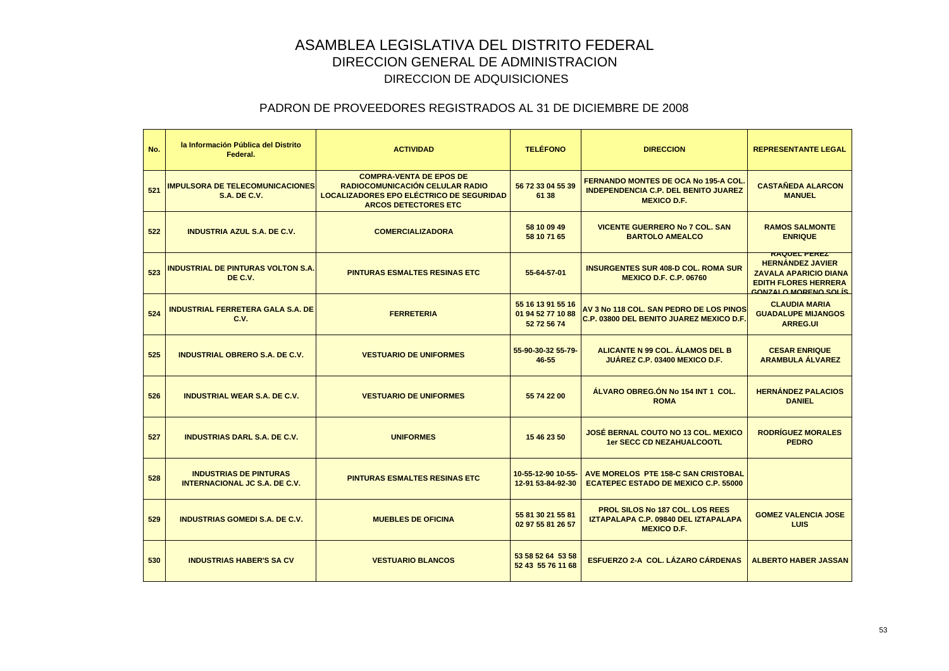| No. | la Información Pública del Distrito<br>Federal.                       | <b>ACTIVIDAD</b>                                                                                                                                    | <b>TELÉFONO</b>                                       | <b>DIRECCION</b>                                                                                                | <b>REPRESENTANTE LEGAL</b>                                                                                                            |
|-----|-----------------------------------------------------------------------|-----------------------------------------------------------------------------------------------------------------------------------------------------|-------------------------------------------------------|-----------------------------------------------------------------------------------------------------------------|---------------------------------------------------------------------------------------------------------------------------------------|
| 521 | <b>IMPULSORA DE TELECOMUNICACIONES</b><br><b>S.A. DE C.V.</b>         | <b>COMPRA-VENTA DE EPOS DE</b><br>RADIOCOMUNICACIÓN CELULAR RADIO<br><b>LOCALIZADORES EPO ELÉCTRICO DE SEGURIDAD</b><br><b>ARCOS DETECTORES ETC</b> | 56 72 33 04 55 39<br>61 38                            | <b>FERNANDO MONTES DE OCA No 195-A COL</b><br><b>INDEPENDENCIA C.P. DEL BENITO JUAREZ</b><br><b>MEXICO D.F.</b> | <b>CASTAÑEDA ALARCON</b><br><b>MANUEL</b>                                                                                             |
| 522 | <b>INDUSTRIA AZUL S.A. DE C.V.</b>                                    | <b>COMERCIALIZADORA</b>                                                                                                                             | 58 10 09 49<br>58 10 71 65                            | <b>VICENTE GUERRERO No 7 COL, SAN</b><br><b>BARTOLO AMEALCO</b>                                                 | <b>RAMOS SALMONTE</b><br><b>ENRIQUE</b>                                                                                               |
| 523 | <b>INDUSTRIAL DE PINTURAS VOLTON S.A.</b><br>DE C.V.                  | <b>PINTURAS ESMALTES RESINAS ETC</b>                                                                                                                | 55-64-57-01                                           | <b>INSURGENTES SUR 408-D COL. ROMA SUR</b><br><b>MEXICO D.F. C.P. 06760</b>                                     | <b>RAQUEL PEREZ</b><br><b>HERNÁNDEZ JAVIER</b><br><b>ZAVALA APARICIO DIANA</b><br><b>EDITH FLORES HERRERA</b><br>CONZALO MORENO SOLÍS |
| 524 | <b>INDUSTRIAL FERRETERA GALA S.A. DE</b><br>C.V.                      | <b>FERRETERIA</b>                                                                                                                                   | 55 16 13 91 55 16<br>01 94 52 77 10 88<br>52 72 56 74 | AV 3 No 118 COL. SAN PEDRO DE LOS PINOS<br>C.P. 03800 DEL BENITO JUAREZ MEXICO D.F.                             | <b>CLAUDIA MARIA</b><br><b>GUADALUPE MIJANGOS</b><br><b>ARREG.UI</b>                                                                  |
| 525 | <b>INDUSTRIAL OBRERO S.A. DE C.V.</b>                                 | <b>VESTUARIO DE UNIFORMES</b>                                                                                                                       | 55-90-30-32 55-79-<br>46-55                           | ALICANTE N 99 COL. ÁLAMOS DEL B<br><b>JUAREZ C.P. 03400 MEXICO D.F.</b>                                         | <b>CESAR ENRIQUE</b><br><b>ARAMBULA ALVAREZ</b>                                                                                       |
| 526 | <b>INDUSTRIAL WEAR S.A. DE C.V.</b>                                   | <b>VESTUARIO DE UNIFORMES</b>                                                                                                                       | 55 74 22 00                                           | ÁLVARO OBREG.ÓN No 154 INT 1 COL.<br><b>ROMA</b>                                                                | <b>HERNÁNDEZ PALACIOS</b><br><b>DANIEL</b>                                                                                            |
| 527 | <b>INDUSTRIAS DARL S.A. DE C.V.</b>                                   | <b>UNIFORMES</b>                                                                                                                                    | 15 46 23 50                                           | JOSÉ BERNAL COUTO NO 13 COL. MEXICO<br><b>1er SECC CD NEZAHUALCOOTL</b>                                         | <b>RODRÍGUEZ MORALES</b><br><b>PEDRO</b>                                                                                              |
| 528 | <b>INDUSTRIAS DE PINTURAS</b><br><b>INTERNACIONAL JC S.A. DE C.V.</b> | <b>PINTURAS ESMALTES RESINAS ETC</b>                                                                                                                | 10-55-12-90 10-55-<br>12-91 53-84-92-30               | AVE MORELOS PTE 158-C SAN CRISTOBAL<br><b>ECATEPEC ESTADO DE MEXICO C.P. 55000</b>                              |                                                                                                                                       |
| 529 | <b>INDUSTRIAS GOMEDI S.A. DE C.V.</b>                                 | <b>MUEBLES DE OFICINA</b>                                                                                                                           | 55 81 30 21 55 81<br>02 97 55 81 26 57                | <b>PROL SILOS No 187 COL. LOS REES</b><br>IZTAPALAPA C.P. 09840 DEL IZTAPALAPA<br><b>MEXICO D.F.</b>            | <b>GOMEZ VALENCIA JOSE</b><br>LUIS                                                                                                    |
| 530 | <b>INDUSTRIAS HABER'S SA CV</b>                                       | <b>VESTUARIO BLANCOS</b>                                                                                                                            | 53 58 52 64 53 58<br>52 43 55 76 11 68                | <b>ESFUERZO 2-A COL. LÁZARO CÁRDENAS</b>                                                                        | <b>ALBERTO HABER JASSAN</b>                                                                                                           |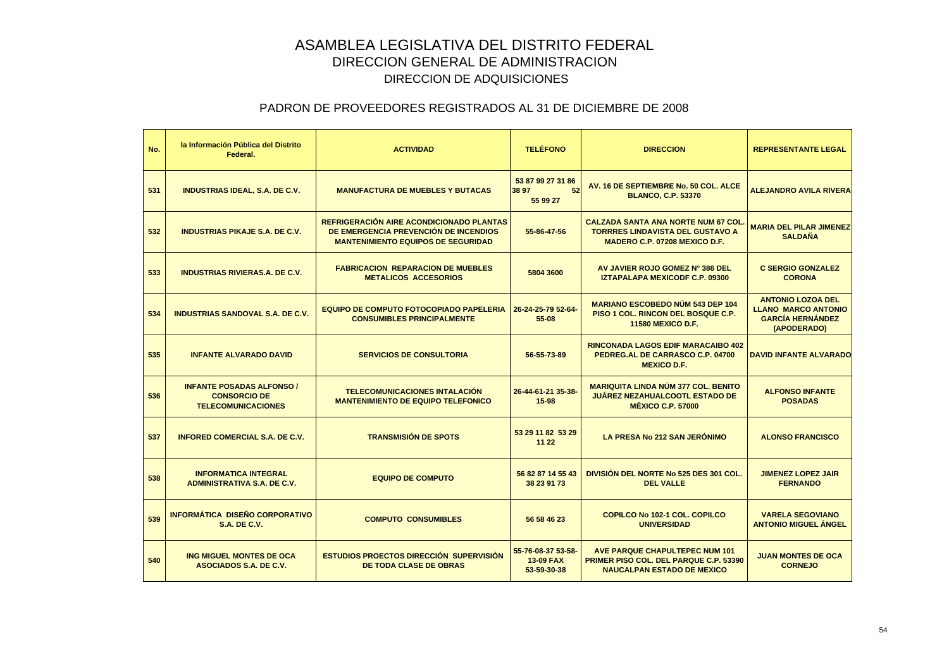| No. | la Información Pública del Distrito<br>Federal.                                      | <b>ACTIVIDAD</b>                                                                                                               | <b>TELÉFONO</b>                                | <b>DIRECCION</b>                                                                                                             | <b>REPRESENTANTE LEGAL</b>                                                                       |
|-----|--------------------------------------------------------------------------------------|--------------------------------------------------------------------------------------------------------------------------------|------------------------------------------------|------------------------------------------------------------------------------------------------------------------------------|--------------------------------------------------------------------------------------------------|
| 531 | <b>INDUSTRIAS IDEAL, S.A. DE C.V.</b>                                                | <b>MANUFACTURA DE MUEBLES Y BUTACAS</b>                                                                                        | 53 87 99 27 31 86<br>38 97<br>52<br>55 99 27   | AV. 16 DE SEPTIEMBRE No. 50 COL. ALCE<br><b>BLANCO, C.P. 53370</b>                                                           | <b>ALEJANDRO AVILA RIVERA</b>                                                                    |
| 532 | <b>INDUSTRIAS PIKAJE S.A. DE C.V.</b>                                                | REFRIGERACIÓN AIRE ACONDICIONADO PLANTAS<br>DE EMERGENCIA PREVENCIÓN DE INCENDIOS<br><b>MANTENIMIENTO EQUIPOS DE SEGURIDAD</b> | 55-86-47-56                                    | <b>CALZADA SANTA ANA NORTE NUM 67 COL</b><br><b>TORRRES LINDAVISTA DEL GUSTAVO A</b><br><b>MADERO C.P. 07208 MEXICO D.F.</b> | <b>MARIA DEL PILAR JIMENEZ</b><br><b>SALDAÑA</b>                                                 |
| 533 | <b>INDUSTRIAS RIVIERAS.A. DE C.V.</b>                                                | <b>FABRICACION REPARACION DE MUEBLES</b><br><b>METALICOS ACCESORIOS</b>                                                        | 5804 3600                                      | AV JAVIER ROJO GOMEZ N° 386 DEL<br>IZTAPALAPA MEXICODF C.P. 09300                                                            | <b>C SERGIO GONZALEZ</b><br><b>CORONA</b>                                                        |
| 534 | <b>INDUSTRIAS SANDOVAL S.A. DE C.V.</b>                                              | <b>EQUIPO DE COMPUTO FOTOCOPIADO PAPELERIA</b><br><b>CONSUMIBLES PRINCIPALMENTE</b>                                            | 26-24-25-79 52-64-<br>55-08                    | <b>MARIANO ESCOBEDO NÚM 543 DEP 104</b><br>PISO 1 COL. RINCON DEL BOSQUE C.P.<br><b>11580 MEXICO D.F.</b>                    | <b>ANTONIO LOZOA DEL</b><br><b>LLANO MARCO ANTONIO</b><br><b>GARCÍA HERNÁNDEZ</b><br>(APODERADO) |
| 535 | <b>INFANTE ALVARADO DAVID</b>                                                        | <b>SERVICIOS DE CONSULTORIA</b>                                                                                                | 56-55-73-89                                    | <b>RINCONADA LAGOS EDIF MARACAIBO 402</b><br>PEDREG.AL DE CARRASCO C.P. 04700<br><b>MEXICO D.F.</b>                          | <b>DAVID INFANTE ALVARADO</b>                                                                    |
| 536 | <b>INFANTE POSADAS ALFONSO /</b><br><b>CONSORCIO DE</b><br><b>TELECOMUNICACIONES</b> | <b>TELECOMUNICACIONES INTALACIÓN</b><br><b>MANTENIMIENTO DE EQUIPO TELEFONICO</b>                                              | 26-44-61-21 35-38-<br>15-98                    | <b>MARIQUITA LINDA NÚM 377 COL. BENITO</b><br><b>JUÁREZ NEZAHUALCOOTL ESTADO DE</b><br><b>MÉXICO C.P. 57000</b>              | <b>ALFONSO INFANTE</b><br><b>POSADAS</b>                                                         |
| 537 | <b>INFORED COMERCIAL S.A. DE C.V.</b>                                                | <b>TRANSMISIÓN DE SPOTS</b>                                                                                                    | 53 29 11 82 53 29<br>11 22                     | <b>LA PRESA No 212 SAN JERONIMO</b>                                                                                          | <b>ALONSO FRANCISCO</b>                                                                          |
| 538 | <b>INFORMATICA INTEGRAL</b><br><b>ADMINISTRATIVA S.A. DE C.V.</b>                    | <b>EQUIPO DE COMPUTO</b>                                                                                                       | 56 82 87 14 55 43<br>38 23 91 73               | <b>DIVISION DEL NORTE No 525 DES 301 COL.</b><br><b>DEL VALLE</b>                                                            | <b>JIMENEZ LOPEZ JAIR</b><br><b>FERNANDO</b>                                                     |
| 539 | <b>INFORMÁTICA DISEÑO CORPORATIVO</b><br><b>S.A. DE C.V.</b>                         | <b>COMPUTO CONSUMIBLES</b>                                                                                                     | 56 58 46 23                                    | <b>COPILCO No 102-1 COL. COPILCO</b><br><b>UNIVERSIDAD</b>                                                                   | <b>VARELA SEGOVIANO</b><br><b>ANTONIO MIGUEL ÁNGEL</b>                                           |
| 540 | ING MIGUEL MONTES DE OCA<br>ASOCIADOS S.A. DE C.V.                                   | <b>ESTUDIOS PROECTOS DIRECCIÓN SUPERVISIÓN</b><br><b>DE TODA CLASE DE OBRAS</b>                                                | 55-76-08-37 53-58-<br>13-09 FAX<br>53-59-30-38 | <b>AVE PARQUE CHAPULTEPEC NUM 101</b><br><b>PRIMER PISO COL. DEL PARQUE C.P. 53390</b><br><b>NAUCALPAN ESTADO DE MEXICO</b>  | <b>JUAN MONTES DE OCA</b><br><b>CORNEJO</b>                                                      |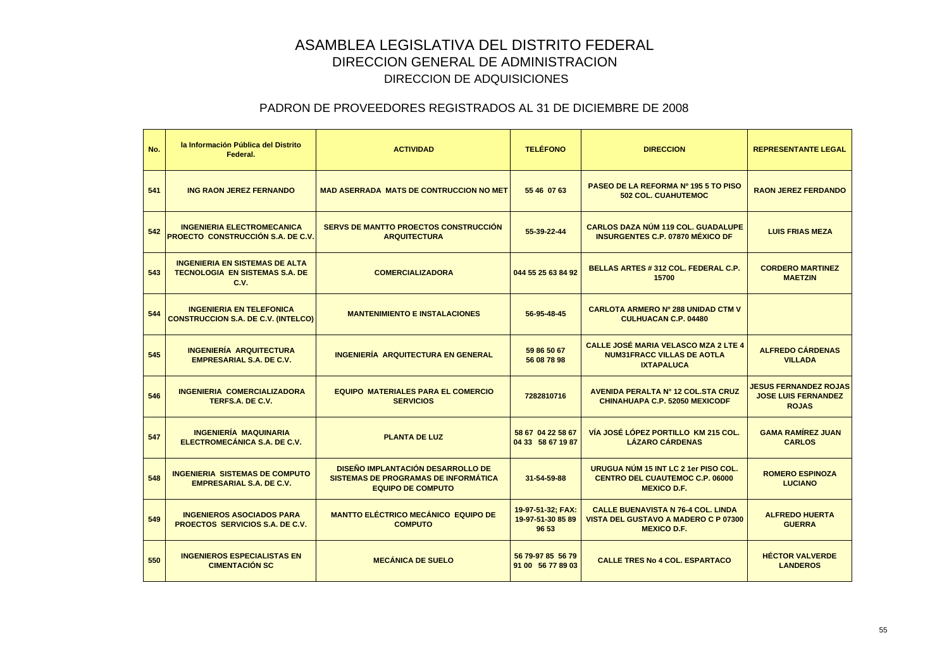| No. | la Información Pública del Distrito<br>Federal.                                        | <b>ACTIVIDAD</b>                                                                                             | <b>TELÉFONO</b>                                 | <b>DIRECCION</b>                                                                                               | <b>REPRESENTANTE LEGAL</b>                                                 |
|-----|----------------------------------------------------------------------------------------|--------------------------------------------------------------------------------------------------------------|-------------------------------------------------|----------------------------------------------------------------------------------------------------------------|----------------------------------------------------------------------------|
| 541 | <b>ING RAON JEREZ FERNANDO</b>                                                         | <b>MAD ASERRADA MATS DE CONTRUCCION NO MET</b>                                                               | 55 46 07 63                                     | PASEO DE LA REFORMA Nº 195 5 TO PISO<br><b>502 COL. CUAHUTEMOC</b>                                             | <b>RAON JEREZ FERDANDO</b>                                                 |
| 542 | <b>INGENIERIA ELECTROMECANICA</b><br><b>PROECTO CONSTRUCCIÓN S.A. DE C.V.</b>          | <b>SERVS DE MANTTO PROECTOS CONSTRUCCIÓN</b><br><b>ARQUITECTURA</b>                                          | 55-39-22-44                                     | <b>CARLOS DAZA NÚM 119 COL. GUADALUPE</b><br><b>INSURGENTES C.P. 07870 MÉXICO DF</b>                           | <b>LUIS FRIAS MEZA</b>                                                     |
| 543 | <b>INGENIERIA EN SISTEMAS DE ALTA</b><br><b>TECNOLOGIA EN SISTEMAS S.A. DE</b><br>C.V. | <b>COMERCIALIZADORA</b>                                                                                      | 044 55 25 63 84 92                              | BELLAS ARTES # 312 COL. FEDERAL C.P.<br>15700                                                                  | <b>CORDERO MARTINEZ</b><br><b>MAETZIN</b>                                  |
| 544 | <b>INGENIERIA EN TELEFONICA</b><br><b>CONSTRUCCION S.A. DE C.V. (INTELCO)</b>          | <b>MANTENIMIENTO E INSTALACIONES</b>                                                                         | 56-95-48-45                                     | <b>CARLOTA ARMERO Nº 288 UNIDAD CTM V</b><br><b>CULHUACAN C.P. 04480</b>                                       |                                                                            |
| 545 | <b>INGENIERÍA ARQUITECTURA</b><br><b>EMPRESARIAL S.A. DE C.V.</b>                      | <b>INGENIERÍA ARQUITECTURA EN GENERAL</b>                                                                    | 59 86 50 67<br>56 08 78 98                      | <b>CALLE JOSÉ MARIA VELASCO MZA 2 LTE 4</b><br><b>NUM31FRACC VILLAS DE AOTLA</b><br><b>IXTAPALUCA</b>          | <b>ALFREDO CÁRDENAS</b><br><b>VILLADA</b>                                  |
| 546 | <b>INGENIERIA COMERCIALIZADORA</b><br>TERFS.A. DE C.V.                                 | <b>EQUIPO MATERIALES PARA EL COMERCIO</b><br><b>SERVICIOS</b>                                                | 7282810716                                      | <b>AVENIDA PERALTA Nº 12 COL.STA CRUZ</b><br><b>CHINAHUAPA C.P. 52050 MEXICODF</b>                             | <b>JESUS FERNANDEZ ROJAS</b><br><b>JOSE LUIS FERNANDEZ</b><br><b>ROJAS</b> |
| 547 | <b>INGENIERÍA MAQUINARIA</b><br>ELECTROMECÁNICA S.A. DE C.V.                           | <b>PLANTA DE LUZ</b>                                                                                         | 58 67 04 22 58 67<br>04 33 58 67 19 87          | VÍA JOSÉ LÓPEZ PORTILLO KM 215 COL.<br><b>LÁZARO CÁRDENAS</b>                                                  | <b>GAMA RAMÍREZ JUAN</b><br><b>CARLOS</b>                                  |
| 548 | <b>INGENIERIA SISTEMAS DE COMPUTO</b><br><b>EMPRESARIAL S.A. DE C.V.</b>               | <b>DISEÑO IMPLANTACIÓN DESARROLLO DE</b><br>SISTEMAS DE PROGRAMAS DE INFORMÁTICA<br><b>EQUIPO DE COMPUTO</b> | 31-54-59-88                                     | URUGUA NÚM 15 INT LC 2 1er PISO COL.<br><b>CENTRO DEL CUAUTEMOC C.P. 06000</b><br><b>MEXICO D.F.</b>           | <b>ROMERO ESPINOZA</b><br><b>LUCIANO</b>                                   |
| 549 | <b>INGENIEROS ASOCIADOS PARA</b><br>PROECTOS SERVICIOS S.A. DE C.V.                    | <b>MANTTO ELÉCTRICO MECÁNICO EQUIPO DE</b><br><b>COMPUTO</b>                                                 | 19-97-51-32; FAX:<br>19-97-51-30 85 89<br>96 53 | <b>CALLE BUENAVISTA N 76-4 COL. LINDA</b><br><b>VISTA DEL GUSTAVO A MADERO C P 07300</b><br><b>MEXICO D.F.</b> | <b>ALFREDO HUERTA</b><br><b>GUERRA</b>                                     |
| 550 | <b>INGENIEROS ESPECIALISTAS EN</b><br><b>CIMENTACIÓN SC</b>                            | <b>MECÁNICA DE SUELO</b>                                                                                     | 56 79-97 85 56 79<br>91 00 56 77 89 03          | <b>CALLE TRES No 4 COL. ESPARTACO</b>                                                                          | <b>HÉCTOR VALVERDE</b><br><b>LANDEROS</b>                                  |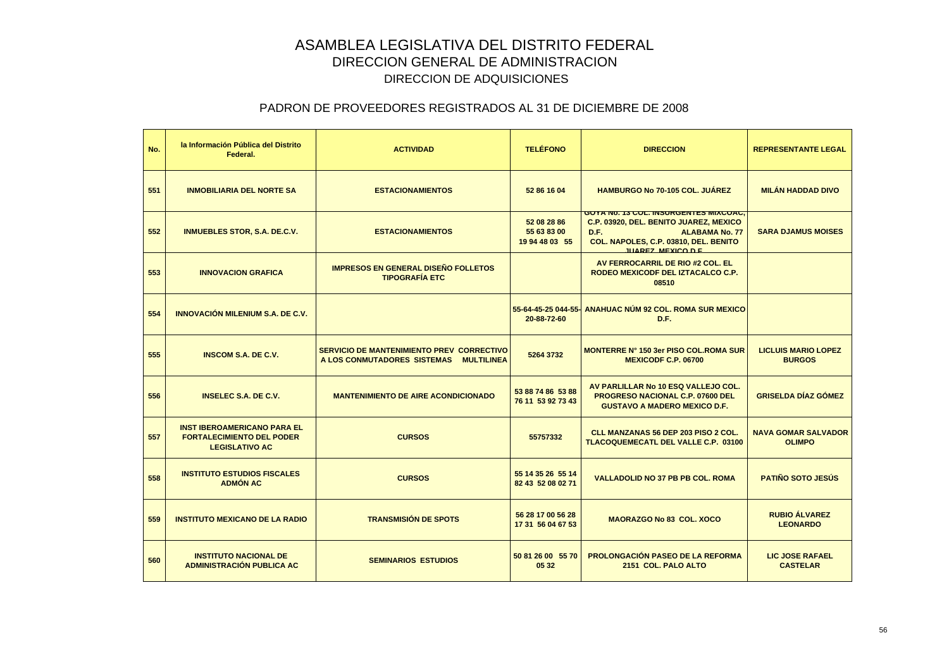| No. | la Información Pública del Distrito<br>Federal.                                                 | <b>ACTIVIDAD</b>                                                                                     | <b>TELÉFONO</b>                              | <b>DIRECCION</b>                                                                                                                                                                               | <b>REPRESENTANTE LEGAL</b>                  |
|-----|-------------------------------------------------------------------------------------------------|------------------------------------------------------------------------------------------------------|----------------------------------------------|------------------------------------------------------------------------------------------------------------------------------------------------------------------------------------------------|---------------------------------------------|
| 551 | <b>INMOBILIARIA DEL NORTE SA</b>                                                                | <b>ESTACIONAMIENTOS</b>                                                                              | 52 86 16 04                                  | <b>HAMBURGO No 70-105 COL. JUÁREZ</b>                                                                                                                                                          | <b>MILÁN HADDAD DIVO</b>                    |
| 552 | <b>INMUEBLES STOR, S.A. DE.C.V.</b>                                                             | <b>ESTACIONAMIENTOS</b>                                                                              | 52 08 28 86<br>55 63 83 00<br>19 94 48 03 55 | <u>GUTA NO. 13 CUL. INSURGENTES MIACUAC,</u><br>C.P. 03920, DEL. BENITO JUAREZ, MEXICO<br>D.F.<br><b>ALABAMA No. 77</b><br>COL. NAPOLES, C.P. 03810, DEL. BENITO<br><b>ILIAREZ MEXICO D.E.</b> | <b>SARA DJAMUS MOISES</b>                   |
| 553 | <b>INNOVACION GRAFICA</b>                                                                       | <b>IMPRESOS EN GENERAL DISEÑO FOLLETOS</b><br><b>TIPOGRAFÍA ETC</b>                                  |                                              | AV FERROCARRIL DE RIO #2 COL. EL<br>RODEO MEXICODF DEL IZTACALCO C.P.<br>08510                                                                                                                 |                                             |
| 554 | <b>INNOVACIÓN MILENIUM S.A. DE C.V.</b>                                                         |                                                                                                      | 20-88-72-60                                  | 55-64-45-25 044-55- ANAHUAC NÚM 92 COL, ROMA SUR MEXICO<br>D.F.                                                                                                                                |                                             |
| 555 | <b>INSCOM S.A. DE C.V.</b>                                                                      | <b>SERVICIO DE MANTENIMIENTO PREV CORRECTIVO</b><br>A LOS CONMUTADORES SISTEMAS<br><b>MULTILINEA</b> | 5264 3732                                    | <b>MONTERRE Nº 150 3er PISO COL.ROMA SUR</b><br><b>MEXICODF C.P. 06700</b>                                                                                                                     | <b>LICLUIS MARIO LOPEZ</b><br><b>BURGOS</b> |
| 556 | <b>INSELEC S.A. DE C.V.</b>                                                                     | <b>MANTENIMIENTO DE AIRE ACONDICIONADO</b>                                                           | 53 88 74 86 53 88<br>76 11 53 92 73 43       | AV PARLILLAR No 10 ESQ VALLEJO COL.<br><b>PROGRESO NACIONAL C.P. 07600 DEL</b><br><b>GUSTAVO A MADERO MEXICO D.F.</b>                                                                          | <b>GRISELDA DÍAZ GÓMEZ</b>                  |
| 557 | <b>INST IBEROAMERICANO PARA EL</b><br><b>FORTALECIMIENTO DEL PODER</b><br><b>LEGISLATIVO AC</b> | <b>CURSOS</b>                                                                                        | 55757332                                     | <b>CLL MANZANAS 56 DEP 203 PISO 2 COL.</b><br><b>TLACOQUEMECATL DEL VALLE C.P. 03100</b>                                                                                                       | <b>NAVA GOMAR SALVADOR</b><br><b>OLIMPO</b> |
| 558 | <b>INSTITUTO ESTUDIOS FISCALES</b><br><b>ADMÓN AC</b>                                           | <b>CURSOS</b>                                                                                        | 55 14 35 26 55 14<br>82 43 52 08 02 71       | <b>VALLADOLID NO 37 PB PB COL. ROMA</b>                                                                                                                                                        | <b>PATIÑO SOTO JESÚS</b>                    |
| 559 | <b>INSTITUTO MEXICANO DE LA RADIO</b>                                                           | <b>TRANSMISIÓN DE SPOTS</b>                                                                          | 56 28 17 00 56 28<br>17 31 56 04 67 53       | <b>MAORAZGO No 83 COL. XOCO</b>                                                                                                                                                                | <b>RUBIO ÁLVAREZ</b><br><b>LEONARDO</b>     |
| 560 | <b>INSTITUTO NACIONAL DE</b><br><b>ADMINISTRACIÓN PUBLICA AC</b>                                | <b>SEMINARIOS ESTUDIOS</b>                                                                           | 50 81 26 00 55 70<br>05 32                   | <b>PROLONGACIÓN PASEO DE LA REFORMA</b><br>2151 COL. PALO ALTO                                                                                                                                 | <b>LIC JOSE RAFAEL</b><br><b>CASTELAR</b>   |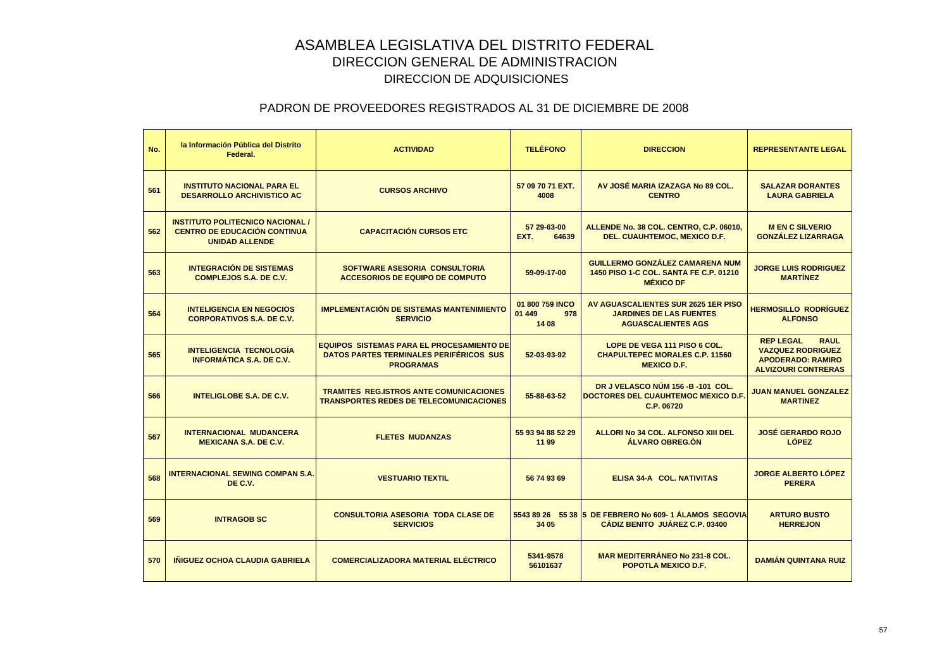| No. | la Información Pública del Distrito<br>Federal.                                                         | <b>ACTIVIDAD</b>                                                                                                       | <b>TELÉFONO</b>                           | <b>DIRECCION</b>                                                                                     | <b>REPRESENTANTE LEGAL</b>                                                                                            |
|-----|---------------------------------------------------------------------------------------------------------|------------------------------------------------------------------------------------------------------------------------|-------------------------------------------|------------------------------------------------------------------------------------------------------|-----------------------------------------------------------------------------------------------------------------------|
| 561 | <b>INSTITUTO NACIONAL PARA EL</b><br><b>DESARROLLO ARCHIVISTICO AC</b>                                  | <b>CURSOS ARCHIVO</b>                                                                                                  | 57 09 70 71 EXT.<br>4008                  | AV JOSÉ MARIA IZAZAGA No 89 COL.<br><b>CENTRO</b>                                                    | <b>SALAZAR DORANTES</b><br><b>LAURA GABRIELA</b>                                                                      |
| 562 | <b>INSTITUTO POLITECNICO NACIONAL /</b><br><b>CENTRO DE EDUCACIÓN CONTINUA</b><br><b>UNIDAD ALLENDE</b> | <b>CAPACITACIÓN CURSOS ETC</b>                                                                                         | 57 29-63-00<br>EXT.<br>64639              | ALLENDE No. 38 COL. CENTRO, C.P. 06010,<br>DEL. CUAUHTEMOC, MEXICO D.F.                              | <b>MENC SILVERIO</b><br><b>GONZALEZ LIZARRAGA</b>                                                                     |
| 563 | <b>INTEGRACIÓN DE SISTEMAS</b><br><b>COMPLEJOS S.A. DE C.V.</b>                                         | SOFTWARE ASESORIA CONSULTORIA<br><b>ACCESORIOS DE EQUIPO DE COMPUTO</b>                                                | 59-09-17-00                               | <b>GUILLERMO GONZÁLEZ CAMARENA NUM</b><br>1450 PISO 1-C COL. SANTA FE C.P. 01210<br><b>MÉXICO DF</b> | <b>JORGE LUIS RODRIGUEZ</b><br><b>MARTÍNEZ</b>                                                                        |
| 564 | <b>INTELIGENCIA EN NEGOCIOS</b><br><b>CORPORATIVOS S.A. DE C.V.</b>                                     | <b>IMPLEMENTACIÓN DE SISTEMAS MANTENIMIENTO</b><br><b>SERVICIO</b>                                                     | 01 800 759 INCO<br>01 449<br>978<br>14 08 | AV AGUASCALIENTES SUR 2625 1ER PISO<br><b>JARDINES DE LAS FUENTES</b><br><b>AGUASCALIENTES AGS</b>   | <b>HERMOSILLO RODRÍGUEZ</b><br><b>ALFONSO</b>                                                                         |
| 565 | <b>INTELIGENCIA TECNOLOGÍA</b><br><b>INFORMÁTICA S.A. DE C.V.</b>                                       | <b>EQUIPOS SISTEMAS PARA EL PROCESAMIENTO DE</b><br><b>DATOS PARTES TERMINALES PERIFÉRICOS SUS</b><br><b>PROGRAMAS</b> | 52-03-93-92                               | LOPE DE VEGA 111 PISO 6 COL.<br><b>CHAPULTEPEC MORALES C.P. 11560</b><br><b>MEXICO D.F.</b>          | <b>REP LEGAL</b><br><b>RAUL</b><br><b>VAZQUEZ RODRIGUEZ</b><br><b>APODERADO: RAMIRO</b><br><b>ALVIZOURI CONTRERAS</b> |
| 566 | <b>INTELIGLOBE S.A. DE C.V.</b>                                                                         | <b>TRAMITES REG.ISTROS ANTE COMUNICACIONES</b><br><b>TRANSPORTES REDES DE TELECOMUNICACIONES</b>                       | 55-88-63-52                               | DR J VELASCO NÚM 156 - B -101 COL.<br>DOCTORES DEL CUAUHTEMOC MEXICO D.F.<br>C.P. 06720              | <b>JUAN MANUEL GONZALEZ</b><br><b>MARTINEZ</b>                                                                        |
| 567 | <b>INTERNACIONAL MUDANCERA</b><br><b>MEXICANA S.A. DE C.V.</b>                                          | <b>FLETES MUDANZAS</b>                                                                                                 | 55 93 94 88 52 29<br>11 99                | ALLORI No 34 COL. ALFONSO XIII DEL<br>ÁLVARO OBREG.ÓN                                                | <b>JOSÉ GERARDO ROJO</b><br><b>LÓPEZ</b>                                                                              |
| 568 | <b>INTERNACIONAL SEWING COMPAN S.A.</b><br>DE C.V.                                                      | <b>VESTUARIO TEXTIL</b>                                                                                                | 56 74 93 69                               | ELISA 34-A COL. NATIVITAS                                                                            | <b>JORGE ALBERTO LÓPEZ</b><br><b>PERERA</b>                                                                           |
| 569 | <b>INTRAGOB SC</b>                                                                                      | <b>CONSULTORIA ASESORIA TODA CLASE DE</b><br><b>SERVICIOS</b>                                                          | 34 05                                     | 5543 89 26 55 38 5 DE FEBRERO No 609-1 ÁLAMOS SEGOVIA<br>CÁDIZ BENITO JUÁREZ C.P. 03400              | <b>ARTURO BUSTO</b><br><b>HERREJON</b>                                                                                |
| 570 | <b>INIGUEZ OCHOA CLAUDIA GABRIELA</b>                                                                   | <b>COMERCIALIZADORA MATERIAL ELÉCTRICO</b>                                                                             | 5341-9578<br>56101637                     | <b>MAR MEDITERRÁNEO No 231-8 COL.</b><br>POPOTLA MEXICO D.F.                                         | <b>DAMIÁN QUINTANA RUIZ</b>                                                                                           |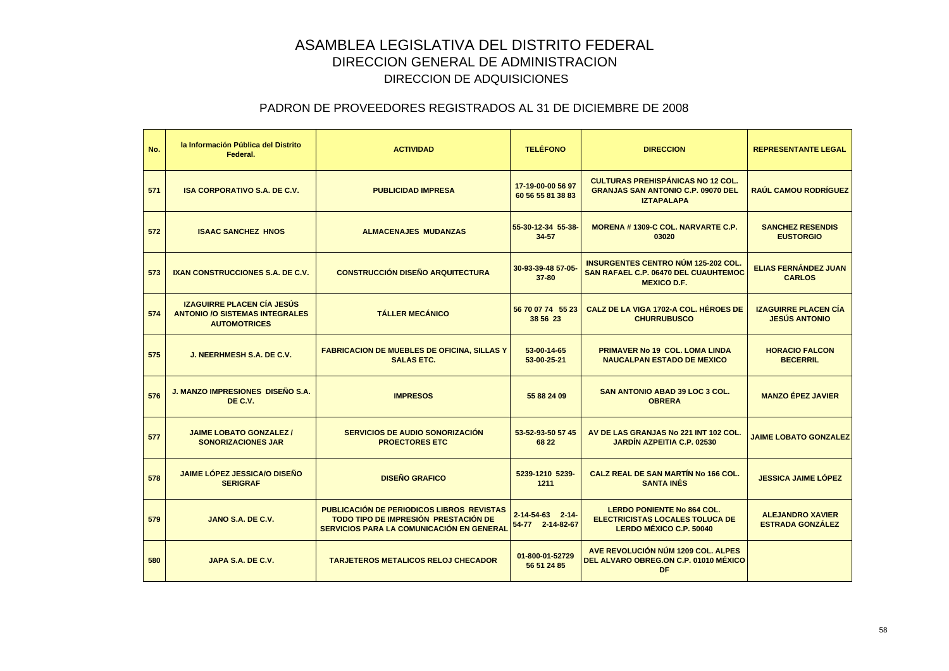| No. | la Información Pública del Distrito<br>Federal.                                                   | <b>ACTIVIDAD</b>                                                                                                                      | <b>TELÉFONO</b>                              | <b>DIRECCION</b>                                                                                                | <b>REPRESENTANTE LEGAL</b>                          |
|-----|---------------------------------------------------------------------------------------------------|---------------------------------------------------------------------------------------------------------------------------------------|----------------------------------------------|-----------------------------------------------------------------------------------------------------------------|-----------------------------------------------------|
| 571 | <b>ISA CORPORATIVO S.A. DE C.V.</b>                                                               | <b>PUBLICIDAD IMPRESA</b>                                                                                                             | 17-19-00-00 56 97<br>60 56 55 81 38 83       | <b>CULTURAS PREHISPÁNICAS NO 12 COL.</b><br><b>GRANJAS SAN ANTONIO C.P. 09070 DEL</b><br><b>IZTAPALAPA</b>      | <b>RAÚL CAMOU RODRÍGUEZ</b>                         |
| 572 | <b>ISAAC SANCHEZ HNOS</b>                                                                         | <b>ALMACENAJES MUDANZAS</b>                                                                                                           | 55-30-12-34 55-38-<br>34-57                  | <b>MORENA #1309-C COL. NARVARTE C.P.</b><br>03020                                                               | <b>SANCHEZ RESENDIS</b><br><b>EUSTORGIO</b>         |
| 573 | <b>IXAN CONSTRUCCIONES S.A. DE C.V.</b>                                                           | <b>CONSTRUCCIÓN DISEÑO ARQUITECTURA</b>                                                                                               | 30-93-39-48 57-05-<br>$37 - 80$              | <b>INSURGENTES CENTRO NÚM 125-202 COL.</b><br><b>SAN RAFAEL C.P. 06470 DEL CUAUHTEMOC</b><br><b>MEXICO D.F.</b> | <b>ELIAS FERNÁNDEZ JUAN</b><br><b>CARLOS</b>        |
| 574 | <b>IZAGUIRRE PLACEN CÍA JESÚS</b><br><b>ANTONIO /O SISTEMAS INTEGRALES</b><br><b>AUTOMOTRICES</b> | <b>TÁLLER MECÁNICO</b>                                                                                                                | 56 70 07 74 55 23<br>38 56 23                | CALZ DE LA VIGA 1702-A COL. HÉROES DE<br><b>CHURRUBUSCO</b>                                                     | <b>IZAGUIRRE PLACEN CÍA</b><br><b>JESÚS ANTONIO</b> |
| 575 | J. NEERHMESH S.A. DE C.V.                                                                         | <b>FABRICACION DE MUEBLES DE OFICINA, SILLAS Y</b><br><b>SALAS ETC.</b>                                                               | 53-00-14-65<br>53-00-25-21                   | <b>PRIMAVER No 19 COL. LOMA LINDA</b><br><b>NAUCALPAN ESTADO DE MEXICO</b>                                      | <b>HORACIO FALCON</b><br><b>BECERRIL</b>            |
| 576 | <b>J. MANZO IMPRESIONES DISEÑO S.A.</b><br>DE C.V.                                                | <b>IMPRESOS</b>                                                                                                                       | 55 88 24 09                                  | <b>SAN ANTONIO ABAD 39 LOC 3 COL.</b><br><b>OBRERA</b>                                                          | <b>MANZO ÉPEZ JAVIER</b>                            |
| 577 | <b>JAIME LOBATO GONZALEZ /</b><br><b>SONORIZACIONES JAR</b>                                       | <b>SERVICIOS DE AUDIO SONORIZACIÓN</b><br><b>PROECTORES ETC</b>                                                                       | 53-52-93-50 57 45<br>68 22                   | AV DE LAS GRANJAS No 221 INT 102 COL.<br><b>JARDÍN AZPEITIA C.P. 02530</b>                                      | <b>JAIME LOBATO GONZALEZ</b>                        |
| 578 | JAIME LÓPEZ JESSICA/O DISEÑO<br><b>SERIGRAF</b>                                                   | <b>DISEÑO GRAFICO</b>                                                                                                                 | 5239-1210 5239-<br>1211                      | CALZ REAL DE SAN MARTÍN No 166 COL.<br><b>SANTA INÉS</b>                                                        | <b>JESSICA JAIME LÓPEZ</b>                          |
| 579 | JANO S.A. DE C.V.                                                                                 | <b>PUBLICACIÓN DE PERIODICOS LIBROS REVISTAS</b><br>TODO TIPO DE IMPRESIÓN PRESTACIÓN DE<br>SERVICIOS PARA LA COMUNICACIÓN EN GENERAL | $2 - 14 - 54 - 63$ 2-14-<br>54-77 2-14-82-67 | <b>LERDO PONIENTE No 864 COL.</b><br><b>ELECTRICISTAS LOCALES TOLUCA DE</b><br>LERDO MÉXICO C.P. 50040          | <b>ALEJANDRO XAVIER</b><br><b>ESTRADA GONZÁLEZ</b>  |
| 580 | JAPA S.A. DE C.V.                                                                                 | <b>TARJETEROS METALICOS RELOJ CHECADOR</b>                                                                                            | 01-800-01-52729<br>56 51 24 85               | AVE REVOLUCIÓN NÚM 1209 COL. ALPES<br>DEL ALVARO OBREG.ON C.P. 01010 MÉXICO<br>DF                               |                                                     |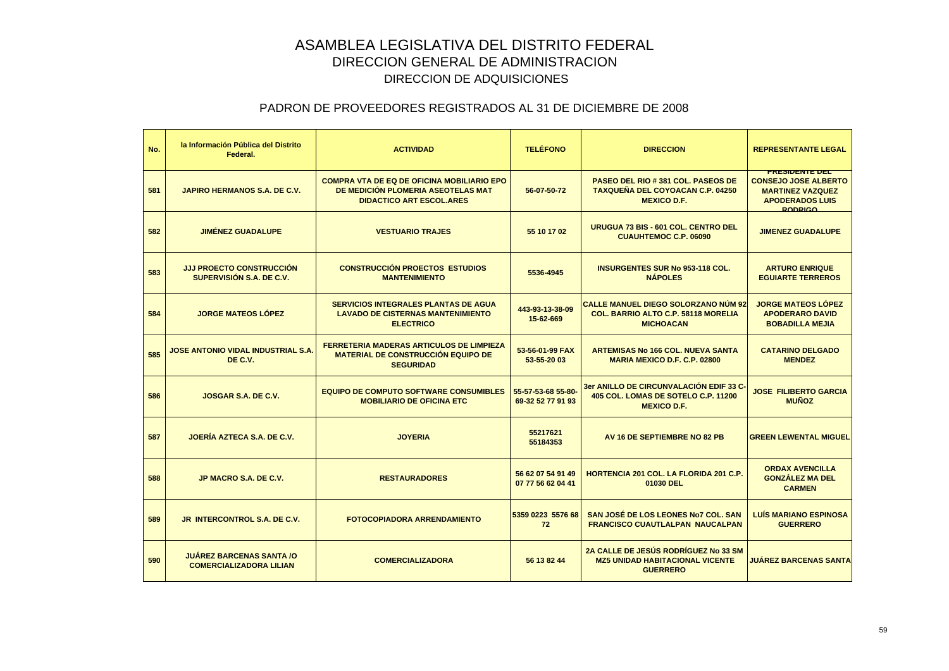| No. | la Información Pública del Distrito<br>Federal.                   | <b>ACTIVIDAD</b>                                                                                                           | <b>TELÉFONO</b>                         | <b>DIRECCION</b>                                                                                             | <b>REPRESENTANTE LEGAL</b>                                                                                                  |
|-----|-------------------------------------------------------------------|----------------------------------------------------------------------------------------------------------------------------|-----------------------------------------|--------------------------------------------------------------------------------------------------------------|-----------------------------------------------------------------------------------------------------------------------------|
| 581 | <b>JAPIRO HERMANOS S.A. DE C.V.</b>                               | <b>COMPRA VTA DE EQ DE OFICINA MOBILIARIO EPO</b><br>DE MEDICIÓN PLOMERIA ASEOTELAS MAT<br><b>DIDACTICO ART ESCOL.ARES</b> | 56-07-50-72                             | <b>PASEO DEL RIO #381 COL. PASEOS DE</b><br><b>TAXQUEÑA DEL COYOACAN C.P. 04250</b><br><b>MEXICO D.F.</b>    | <b>PRESIDENTE DEL</b><br><b>CONSEJO JOSE ALBERTO</b><br><b>MARTINEZ VAZQUEZ</b><br><b>APODERADOS LUIS</b><br><b>RODRIGO</b> |
| 582 | <b>JIMÉNEZ GUADALUPE</b>                                          | <b>VESTUARIO TRAJES</b>                                                                                                    | 55 10 17 02                             | URUGUA 73 BIS - 601 COL. CENTRO DEL<br><b>CUAUHTEMOC C.P. 06090</b>                                          | <b>JIMENEZ GUADALUPE</b>                                                                                                    |
| 583 | <b>JJJ PROECTO CONSTRUCCIÓN</b><br>SUPERVISIÓN S.A. DE C.V.       | <b>CONSTRUCCIÓN PROECTOS ESTUDIOS</b><br><b>MANTENIMIENTO</b>                                                              | 5536-4945                               | <b>INSURGENTES SUR No 953-118 COL.</b><br><b>NÁPOLES</b>                                                     | <b>ARTURO ENRIQUE</b><br><b>EGUIARTE TERREROS</b>                                                                           |
| 584 | <b>JORGE MATEOS LOPEZ</b>                                         | <b>SERVICIOS INTEGRALES PLANTAS DE AGUA</b><br><b>LAVADO DE CISTERNAS MANTENIMIENTO</b><br><b>ELECTRICO</b>                | 443-93-13-38-09<br>15-62-669            | <b>CALLE MANUEL DIEGO SOLORZANO NÚM 92</b><br><b>COL. BARRIO ALTO C.P. 58118 MORELIA</b><br><b>MICHOACAN</b> | <b>JORGE MATEOS LÓPEZ</b><br><b>APODERARO DAVID</b><br><b>BOBADILLA MEJIA</b>                                               |
| 585 | <b>JOSE ANTONIO VIDAL INDUSTRIAL S.A.</b><br>DE C.V.              | <b>FERRETERIA MADERAS ARTICULOS DE LIMPIEZA</b><br><b>MATERIAL DE CONSTRUCCIÓN EQUIPO DE</b><br><b>SEGURIDAD</b>           | 53-56-01-99 FAX<br>53-55-20 03          | <b>ARTEMISAS No 166 COL. NUEVA SANTA</b><br><b>MARIA MEXICO D.F. C.P. 02800</b>                              | <b>CATARINO DELGADO</b><br><b>MENDEZ</b>                                                                                    |
| 586 | JOSGAR S.A. DE C.V.                                               | <b>EQUIPO DE COMPUTO SOFTWARE CONSUMIBLES</b><br><b>MOBILIARIO DE OFICINA ETC</b>                                          | 55-57-53-68 55-80-<br>69-32 52 77 91 93 | 3er ANILLO DE CIRCUNVALACIÓN EDIF 33 C-<br>405 COL. LOMAS DE SOTELO C.P. 11200<br><b>MEXICO D.F.</b>         | <b>JOSE FILIBERTO GARCIA</b><br><b>MUÑOZ</b>                                                                                |
| 587 | JOERÍA AZTECA S.A. DE C.V.                                        | <b>JOYERIA</b>                                                                                                             | 55217621<br>55184353                    | AV 16 DE SEPTIEMBRE NO 82 PB                                                                                 | <b>GREEN LEWENTAL MIGUEL</b>                                                                                                |
| 588 | JP MACRO S.A. DE C.V.                                             | <b>RESTAURADORES</b>                                                                                                       | 56 62 07 54 91 49<br>07 77 56 62 04 41  | <b>HORTENCIA 201 COL. LA FLORIDA 201 C.P.</b><br>01030 DEL                                                   | <b>ORDAX AVENCILLA</b><br><b>GONZALEZ MA DEL</b><br><b>CARMEN</b>                                                           |
| 589 | <b>JR INTERCONTROL S.A. DE C.V.</b>                               | <b>FOTOCOPIADORA ARRENDAMIENTO</b>                                                                                         | 5359 0223 5576 68<br>72                 | SAN JOSÉ DE LOS LEONES No7 COL. SAN<br><b>FRANCISCO CUAUTLALPAN NAUCALPAN</b>                                | <b>LUÍS MARIANO ESPINOSA</b><br><b>GUERRERO</b>                                                                             |
| 590 | <b>JUAREZ BARCENAS SANTA /O</b><br><b>COMERCIALIZADORA LILIAN</b> | <b>COMERCIALIZADORA</b>                                                                                                    | 56 13 82 44                             | 2A CALLE DE JESÚS RODRÍGUEZ No 33 SM<br><b>MZ5 UNIDAD HABITACIONAL VICENTE</b><br><b>GUERRERO</b>            | <b>JUÁREZ BARCENAS SANTA</b>                                                                                                |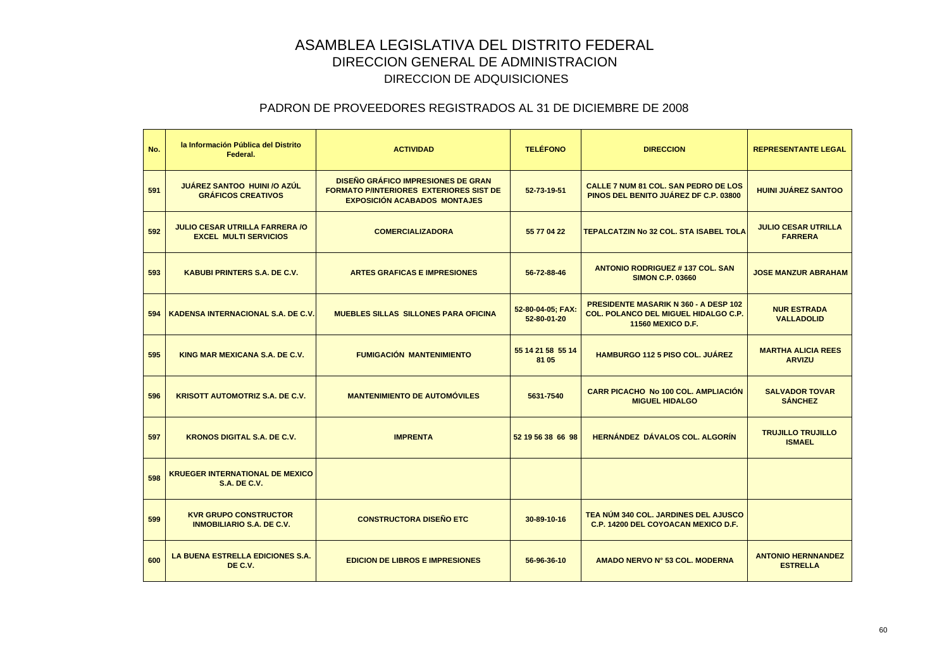| No. | la Información Pública del Distrito<br>Federal.                       | <b>ACTIVIDAD</b>                                                                                                                   | <b>TELÉFONO</b>                  | <b>DIRECCION</b>                                                                                                        | <b>REPRESENTANTE LEGAL</b>                   |
|-----|-----------------------------------------------------------------------|------------------------------------------------------------------------------------------------------------------------------------|----------------------------------|-------------------------------------------------------------------------------------------------------------------------|----------------------------------------------|
| 591 | JUÁREZ SANTOO HUINI /O AZÚL<br><b>GRÁFICOS CREATIVOS</b>              | <b>DISEÑO GRÁFICO IMPRESIONES DE GRAN</b><br><b>FORMATO P/INTERIORES EXTERIORES SIST DE</b><br><b>EXPOSICIÓN ACABADOS MONTAJES</b> | 52-73-19-51                      | CALLE 7 NUM 81 COL. SAN PEDRO DE LOS<br>PINOS DEL BENITO JUÁREZ DF C.P. 03800                                           | <b>HUINI JUÁREZ SANTOO</b>                   |
| 592 | <b>JULIO CESAR UTRILLA FARRERA /O</b><br><b>EXCEL MULTI SERVICIOS</b> | <b>COMERCIALIZADORA</b>                                                                                                            | 55 77 04 22                      | <b>TEPALCATZIN No 32 COL, STA ISABEL TOLA</b>                                                                           | <b>JULIO CESAR UTRILLA</b><br><b>FARRERA</b> |
| 593 | <b>KABUBI PRINTERS S.A. DE C.V.</b>                                   | <b>ARTES GRAFICAS E IMPRESIONES</b>                                                                                                | 56-72-88-46                      | <b>ANTONIO RODRIGUEZ #137 COL. SAN</b><br><b>SIMON C.P. 03660</b>                                                       | <b>JOSE MANZUR ABRAHAM</b>                   |
| 594 | <b>KADENSA INTERNACIONAL S.A. DE C.V.</b>                             | <b>MUEBLES SILLAS SILLONES PARA OFICINA</b>                                                                                        | 52-80-04-05; FAX:<br>52-80-01-20 | <b>PRESIDENTE MASARIK N 360 - A DESP 102</b><br><b>COL. POLANCO DEL MIGUEL HIDALGO C.P.</b><br><b>11560 MEXICO D.F.</b> | <b>NUR ESTRADA</b><br><b>VALLADOLID</b>      |
| 595 | KING MAR MEXICANA S.A. DE C.V.                                        | <b>FUMIGACIÓN MANTENIMIENTO</b>                                                                                                    | 55 14 21 58 55 14<br>81 05       | <b>HAMBURGO 112 5 PISO COL. JUAREZ</b>                                                                                  | <b>MARTHA ALICIA REES</b><br><b>ARVIZU</b>   |
| 596 | <b>KRISOTT AUTOMOTRIZ S.A. DE C.V.</b>                                | <b>MANTENIMIENTO DE AUTOMÓVILES</b>                                                                                                | 5631-7540                        | <b>CARR PICACHO No 100 COL. AMPLIACIÓN</b><br><b>MIGUEL HIDALGO</b>                                                     | <b>SALVADOR TOVAR</b><br><b>SÁNCHEZ</b>      |
| 597 | <b>KRONOS DIGITAL S.A. DE C.V.</b>                                    | <b>IMPRENTA</b>                                                                                                                    | 52 19 56 38 66 98                | <b>HERNÁNDEZ DÁVALOS COL. ALGORÍN</b>                                                                                   | <b>TRUJILLO TRUJILLO</b><br><b>ISMAEL</b>    |
| 598 | <b>KRUEGER INTERNATIONAL DE MEXICO</b><br><b>S.A. DE C.V.</b>         |                                                                                                                                    |                                  |                                                                                                                         |                                              |
| 599 | <b>KVR GRUPO CONSTRUCTOR</b><br><b>INMOBILIARIO S.A. DE C.V.</b>      | <b>CONSTRUCTORA DISEÑO ETC</b>                                                                                                     | 30-89-10-16                      | TEA NÚM 340 COL. JARDINES DEL AJUSCO<br><b>C.P. 14200 DEL COYOACAN MEXICO D.F.</b>                                      |                                              |
| 600 | <b>LA BUENA ESTRELLA EDICIONES S.A.</b><br>DE C.V.                    | <b>EDICION DE LIBROS E IMPRESIONES</b>                                                                                             | 56-96-36-10                      | AMADO NERVO Nº 53 COL. MODERNA                                                                                          | <b>ANTONIO HERNNANDEZ</b><br><b>ESTRELLA</b> |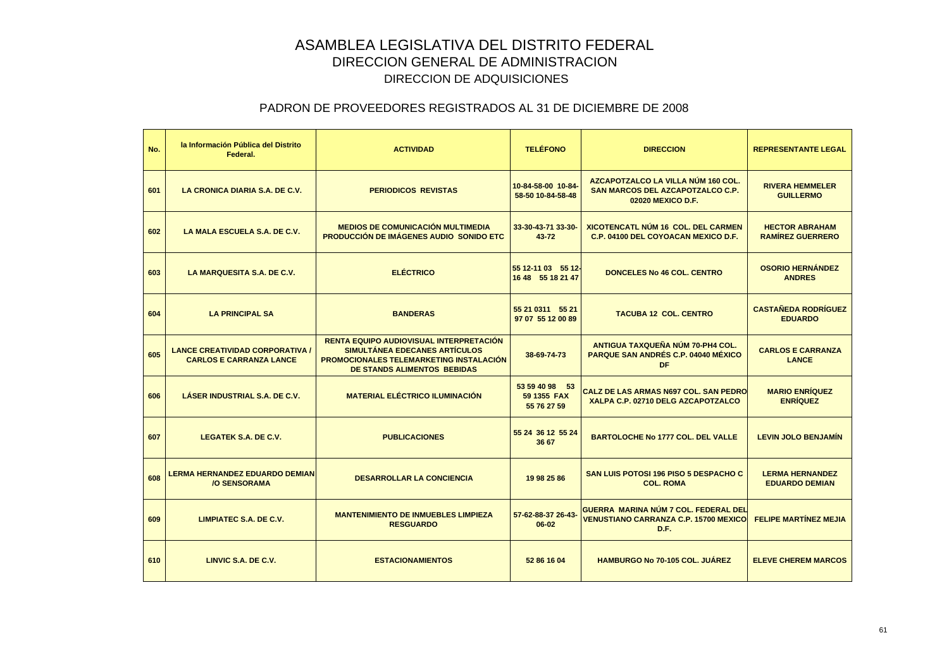| No. | la Información Pública del Distrito<br>Federal.                          | <b>ACTIVIDAD</b>                                                                                                                                          | <b>TELÉFONO</b>                              | <b>DIRECCION</b>                                                                                   | <b>REPRESENTANTE LEGAL</b>                       |
|-----|--------------------------------------------------------------------------|-----------------------------------------------------------------------------------------------------------------------------------------------------------|----------------------------------------------|----------------------------------------------------------------------------------------------------|--------------------------------------------------|
| 601 | LA CRONICA DIARIA S.A. DE C.V.                                           | <b>PERIODICOS REVISTAS</b>                                                                                                                                | 10-84-58-00 10-84-<br>58-50 10-84-58-48      | AZCAPOTZALCO LA VILLA NÚM 160 COL.<br><b>SAN MARCOS DEL AZCAPOTZALCO C.P.</b><br>02020 MEXICO D.F. | <b>RIVERA HEMMELER</b><br><b>GUILLERMO</b>       |
| 602 | LA MALA ESCUELA S.A. DE C.V.                                             | <b>MEDIOS DE COMUNICACIÓN MULTIMEDIA</b><br><b>PRODUCCIÓN DE IMÁGENES AUDIO SONIDO ETC.</b>                                                               | 33-30-43-71 33-30-<br>43-72                  | <b>XICOTENCATL NÚM 16 COL. DEL CARMEN</b><br>C.P. 04100 DEL COYOACAN MEXICO D.F.                   | <b>HECTOR ABRAHAM</b><br><b>RAMIREZ GUERRERO</b> |
| 603 | LA MARQUESITA S.A. DE C.V.                                               | <b>ELÉCTRICO</b>                                                                                                                                          | 55 12-11 03 55 12-<br>16 48 55 18 21 47      | <b>DONCELES No 46 COL. CENTRO</b>                                                                  | <b>OSORIO HERNÁNDEZ</b><br><b>ANDRES</b>         |
| 604 | <b>LA PRINCIPAL SA</b>                                                   | <b>BANDERAS</b>                                                                                                                                           | 55 21 0311 55 21<br>97 07 55 12 00 89        | <b>TACUBA 12 COL. CENTRO</b>                                                                       | <b>CASTAÑEDA RODRÍGUEZ</b><br><b>EDUARDO</b>     |
| 605 | <b>LANCE CREATIVIDAD CORPORATIVA /</b><br><b>CARLOS E CARRANZA LANCE</b> | RENTA EQUIPO AUDIOVISUAL INTERPRETACIÓN<br>SIMULTÁNEA EDECANES ARTÍCULOS<br>PROMOCIONALES TELEMARKETING INSTALACIÓN<br><b>DE STANDS ALIMENTOS BEBIDAS</b> | 38-69-74-73                                  | ANTIGUA TAXQUEÑA NÚM 70-PH4 COL.<br><b>PARQUE SAN ANDRÉS C.P. 04040 MÉXICO</b><br>DF               | <b>CARLOS E CARRANZA</b><br><b>LANCE</b>         |
| 606 | LÁSER INDUSTRIAL S.A. DE C.V.                                            | <b>MATERIAL ELÉCTRICO ILUMINACIÓN</b>                                                                                                                     | 53 59 40 98 53<br>59 1355 FAX<br>55 76 27 59 | CALZ DE LAS ARMAS N697 COL. SAN PEDRO<br>XALPA C.P. 02710 DELG AZCAPOTZALCO                        | <b>MARIO ENRÍQUEZ</b><br><b>ENRÍQUEZ</b>         |
| 607 | <b>LEGATEK S.A. DE C.V.</b>                                              | <b>PUBLICACIONES</b>                                                                                                                                      | 55 24 36 12 55 24<br>36 67                   | <b>BARTOLOCHE No 1777 COL. DEL VALLE</b>                                                           | <b>LEVIN JOLO BENJAMIN</b>                       |
| 608 | <b>LERMA HERNANDEZ EDUARDO DEMIAN</b><br><b>/O SENSORAMA</b>             | <b>DESARROLLAR LA CONCIENCIA</b>                                                                                                                          | 19 98 25 86                                  | <b>SAN LUIS POTOSI 196 PISO 5 DESPACHO C</b><br><b>COL. ROMA</b>                                   | <b>LERMA HERNANDEZ</b><br><b>EDUARDO DEMIAN</b>  |
| 609 | LIMPIATEC S.A. DE C.V.                                                   | <b>MANTENIMIENTO DE INMUEBLES LIMPIEZA</b><br><b>RESGUARDO</b>                                                                                            | 57-62-88-37 26-43-<br>$06 - 02$              | GUERRA MARINA NÚM 7 COL. FEDERAL DEL<br><b>VENUSTIANO CARRANZA C.P. 15700 MEXICO</b><br>D.F.       | <b>FELIPE MARTÍNEZ MEJIA</b>                     |
| 610 | LINVIC S.A. DE C.V.                                                      | <b>ESTACIONAMIENTOS</b>                                                                                                                                   | 52 86 16 04                                  | <b>HAMBURGO No 70-105 COL. JUÁREZ</b>                                                              | <b>ELEVE CHEREM MARCOS</b>                       |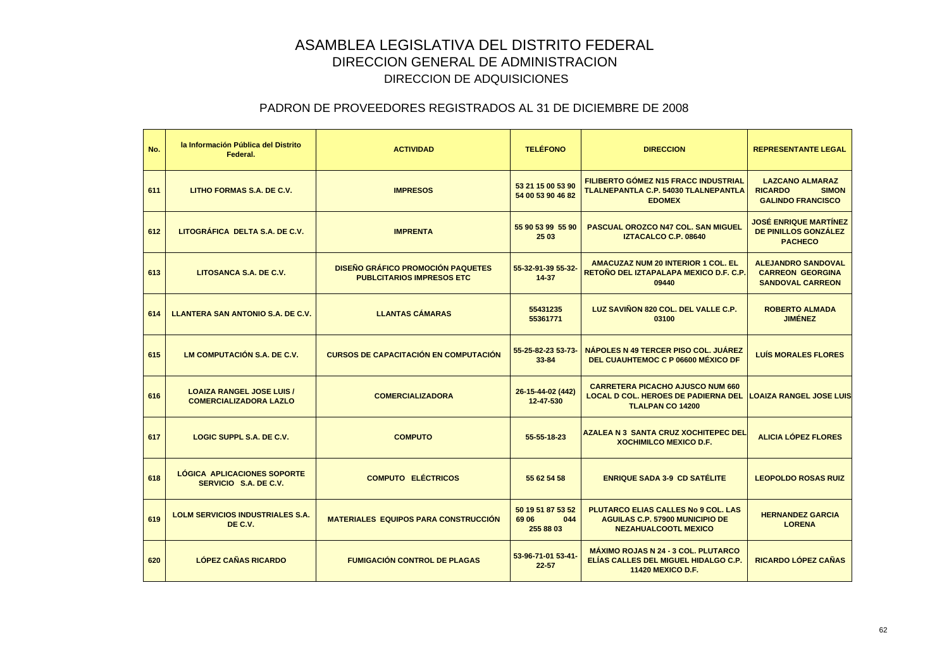| No. | la Información Pública del Distrito<br>Federal.                   | <b>ACTIVIDAD</b>                                                             | <b>TELÉFONO</b>                                | <b>DIRECCION</b>                                                                                                    | <b>REPRESENTANTE LEGAL</b>                                                           |
|-----|-------------------------------------------------------------------|------------------------------------------------------------------------------|------------------------------------------------|---------------------------------------------------------------------------------------------------------------------|--------------------------------------------------------------------------------------|
| 611 | LITHO FORMAS S.A. DE C.V.                                         | <b>IMPRESOS</b>                                                              | 53 21 15 00 53 90<br>54 00 53 90 46 82         | <b>FILIBERTO GÓMEZ N15 FRACC INDUSTRIAL</b><br>TLALNEPANTLA C.P. 54030 TLALNEPANTLA<br><b>EDOMEX</b>                | <b>LAZCANO ALMARAZ</b><br><b>SIMON</b><br><b>RICARDO</b><br><b>GALINDO FRANCISCO</b> |
| 612 | LITOGRÁFICA DELTA S.A. DE C.V.                                    | <b>IMPRENTA</b>                                                              | 55 90 53 99 55 90<br>25 03                     | PASCUAL OROZCO N47 COL. SAN MIGUEL<br><b>IZTACALCO C.P. 08640</b>                                                   | <b>JOSÉ ENRIQUE MARTÍNEZ</b><br>DE PINILLOS GONZÁLEZ<br><b>PACHECO</b>               |
| 613 | LITOSANCA S.A. DE C.V.                                            | <b>DISEÑO GRÁFICO PROMOCIÓN PAQUETES</b><br><b>PUBLCITARIOS IMPRESOS ETC</b> | 55-32-91-39 55-32-<br>14-37                    | <b>AMACUZAZ NUM 20 INTERIOR 1 COL. EL</b><br>RETOÑO DEL IZTAPALAPA MEXICO D.F. C.P.<br>09440                        | <b>ALEJANDRO SANDOVAL</b><br><b>CARREON GEORGINA</b><br><b>SANDOVAL CARREON</b>      |
| 614 | LLANTERA SAN ANTONIO S.A. DE C.V.                                 | <b>LLANTAS CÁMARAS</b>                                                       | 55431235<br>55361771                           | LUZ SAVIÑON 820 COL. DEL VALLE C.P.<br>03100                                                                        | <b>ROBERTO ALMADA</b><br><b>JIMÉNEZ</b>                                              |
| 615 | LM COMPUTACIÓN S.A. DE C.V.                                       | <b>CURSOS DE CAPACITACIÓN EN COMPUTACIÓN</b>                                 | 55-25-82-23 53-73-<br>$33 - 84$                | NÁPOLES N 49 TERCER PISO COL. JUÁREZ<br>DEL CUAUHTEMOC C P 06600 MÉXICO DF                                          | <b>LUÍS MORALES FLORES</b>                                                           |
| 616 | <b>LOAIZA RANGEL JOSE LUIS /</b><br><b>COMERCIALIZADORA LAZLO</b> | <b>COMERCIALIZADORA</b>                                                      | 26-15-44-02 (442)<br>12-47-530                 | <b>CARRETERA PICACHO AJUSCO NUM 660</b><br><b>LOCAL D COL. HEROES DE PADIERNA DEL</b><br>TLALPAN CO 14200           | <b>LOAIZA RANGEL JOSE LUIS</b>                                                       |
| 617 | LOGIC SUPPL S.A. DE C.V.                                          | <b>COMPUTO</b>                                                               | 55-55-18-23                                    | <b>AZALEA N 3 SANTA CRUZ XOCHITEPEC DEL</b><br><b>XOCHIMILCO MEXICO D.F.</b>                                        | <b>ALICIA LÓPEZ FLORES</b>                                                           |
| 618 | LÓGICA APLICACIONES SOPORTE<br>SERVICIO S.A. DE C.V.              | <b>COMPUTO ELÉCTRICOS</b>                                                    | 55 62 54 58                                    | <b>ENRIQUE SADA 3-9 CD SATÉLITE</b>                                                                                 | <b>LEOPOLDO ROSAS RUIZ</b>                                                           |
| 619 | <b>LOLM SERVICIOS INDUSTRIALES S.A.</b><br>DE C.V.                | <b>MATERIALES EQUIPOS PARA CONSTRUCCIÓN</b>                                  | 50 19 51 87 53 52<br>69 06<br>044<br>255 88 03 | <b>PLUTARCO ELIAS CALLES No 9 COL. LAS</b><br><b>AGUILAS C.P. 57900 MUNICIPIO DE</b><br><b>NEZAHUALCOOTL MEXICO</b> | <b>HERNANDEZ GARCIA</b><br><b>LORENA</b>                                             |
| 620 | <b>LÓPEZ CAÑAS RICARDO</b>                                        | <b>FUMIGACIÓN CONTROL DE PLAGAS</b>                                          | 53-96-71-01 53-41-<br>$22 - 57$                | <b>MÁXIMO ROJAS N 24 - 3 COL. PLUTARCO</b><br>ELÍAS CALLES DEL MIGUEL HIDALGO C.P.<br><b>11420 MEXICO D.F.</b>      | RICARDO LÓPEZ CAÑAS                                                                  |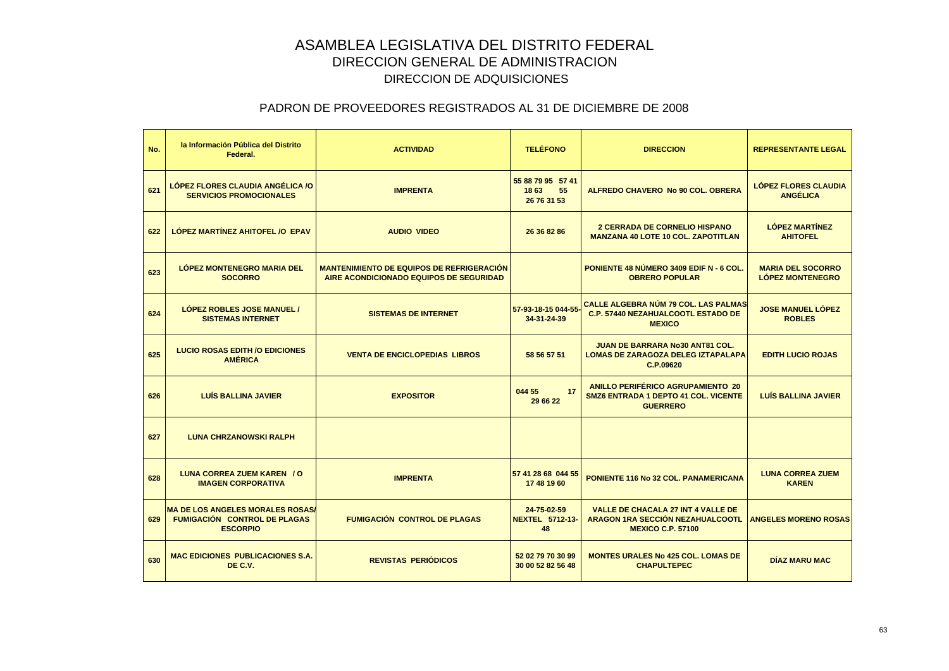| No. | la Información Pública del Distrito<br>Federal.                                                   | <b>ACTIVIDAD</b>                                                                            | <b>TELÉFONO</b>                                | <b>DIRECCION</b>                                                                                          | <b>REPRESENTANTE LEGAL</b>                          |
|-----|---------------------------------------------------------------------------------------------------|---------------------------------------------------------------------------------------------|------------------------------------------------|-----------------------------------------------------------------------------------------------------------|-----------------------------------------------------|
| 621 | LÓPEZ FLORES CLAUDIA ANGÉLICA /O<br><b>SERVICIOS PROMOCIONALES</b>                                | <b>IMPRENTA</b>                                                                             | 55 88 79 95 57 41<br>1863<br>55<br>26 76 31 53 | ALFREDO CHAVERO No 90 COL, OBRERA                                                                         | <b>LÓPEZ FLORES CLAUDIA</b><br><b>ANGÉLICA</b>      |
| 622 | LÓPEZ MARTÍNEZ AHITOFEL / O EPAV                                                                  | <b>AUDIO VIDEO</b>                                                                          | 26 36 82 86                                    | <b>2 CERRADA DE CORNELIO HISPANO</b><br><b>MANZANA 40 LOTE 10 COL. ZAPOTITLAN</b>                         | <b>LÓPEZ MARTÍNEZ</b><br><b>AHITOFEL</b>            |
| 623 | <b>LÓPEZ MONTENEGRO MARIA DEL</b><br><b>SOCORRO</b>                                               | <b>MANTENIMIENTO DE EQUIPOS DE REFRIGERACIÓN</b><br>AIRE ACONDICIONADO EQUIPOS DE SEGURIDAD |                                                | PONIENTE 48 NÚMERO 3409 EDIF N - 6 COL.<br><b>OBRERO POPULAR</b>                                          | <b>MARIA DEL SOCORRO</b><br><b>LÓPEZ MONTENEGRO</b> |
| 624 | <b>LOPEZ ROBLES JOSE MANUEL /</b><br><b>SISTEMAS INTERNET</b>                                     | <b>SISTEMAS DE INTERNET</b>                                                                 | 57-93-18-15 044-55<br>34-31-24-39              | <b>CALLE ALGEBRA NÚM 79 COL. LAS PALMAS</b><br><b>C.P. 57440 NEZAHUALCOOTL ESTADO DE</b><br><b>MEXICO</b> | <b>JOSE MANUEL LÓPEZ</b><br><b>ROBLES</b>           |
| 625 | <b>LUCIO ROSAS EDITH /O EDICIONES</b><br><b>AMÉRICA</b>                                           | <b>VENTA DE ENCICLOPEDIAS LIBROS</b>                                                        | 58 56 57 51                                    | <b>JUAN DE BARRARA No30 ANT81 COL.</b><br>LOMAS DE ZARAGOZA DELEG IZTAPALAPA<br>C.P.09620                 | <b>EDITH LUCIO ROJAS</b>                            |
| 626 | <b>LUÍS BALLINA JAVIER</b>                                                                        | <b>EXPOSITOR</b>                                                                            | 044 55<br>17<br>29 66 22                       | ANILLO PERIFÉRICO AGRUPAMIENTO 20<br><b>SMZ6 ENTRADA 1 DEPTO 41 COL. VICENTE</b><br><b>GUERRERO</b>       | <b>LUÍS BALLINA JAVIER</b>                          |
| 627 | <b>LUNA CHRZANOWSKI RALPH</b>                                                                     |                                                                                             |                                                |                                                                                                           |                                                     |
| 628 | <b>LUNA CORREA ZUEM KAREN / O</b><br><b>IMAGEN CORPORATIVA</b>                                    | <b>IMPRENTA</b>                                                                             | 57 41 28 68 044 55<br>17 48 19 60              | PONIENTE 116 No 32 COL. PANAMERICANA                                                                      | <b>LUNA CORREA ZUEM</b><br><b>KAREN</b>             |
| 629 | <b>MA DE LOS ANGELES MORALES ROSAS/</b><br><b>FUMIGACIÓN CONTROL DE PLAGAS</b><br><b>ESCORPIO</b> | <b>FUMIGACIÓN CONTROL DE PLAGAS</b>                                                         | 24-75-02-59<br><b>NEXTEL 5712-13-</b><br>48    | <b>VALLE DE CHACALA 27 INT 4 VALLE DE</b><br>ARAGON 1RA SECCIÓN NEZAHUALCOOTL<br><b>MEXICO C.P. 57100</b> | <b>ANGELES MORENO ROSAS</b>                         |
| 630 | <b>MAC EDICIONES PUBLICACIONES S.A.</b><br>DE C.V.                                                | <b>REVISTAS PERIÓDICOS</b>                                                                  | 52 02 79 70 30 99<br>30 00 52 82 56 48         | <b>MONTES URALES No 425 COL. LOMAS DE</b><br><b>CHAPULTEPEC</b>                                           | <b>DÍAZ MARU MAC</b>                                |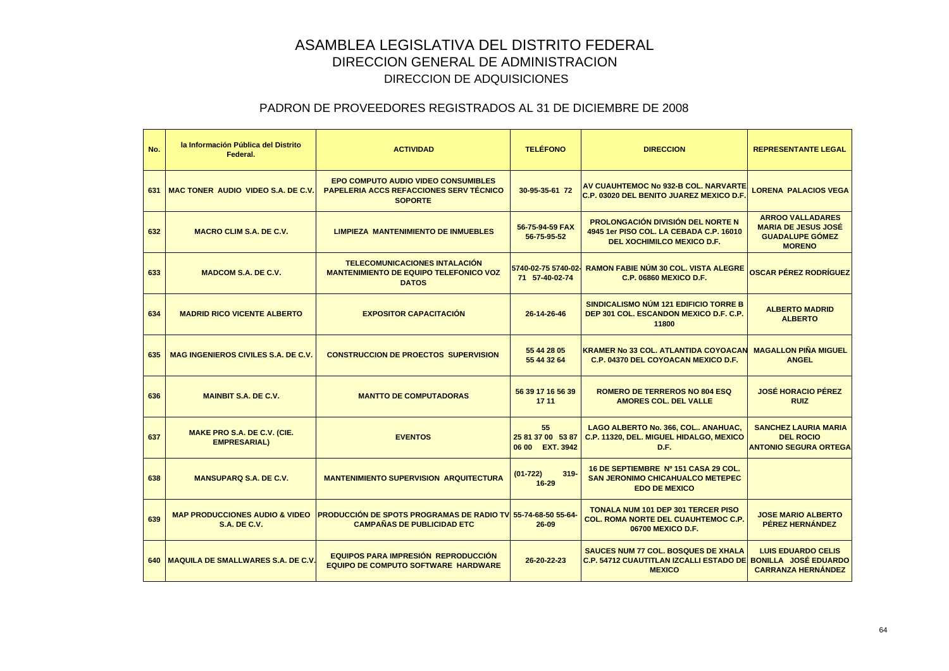| No. | la Información Pública del Distrito<br>Federal.                  | <b>ACTIVIDAD</b>                                                                                          | <b>TELÉFONO</b>                            | <b>DIRECCION</b>                                                                                                                    | <b>REPRESENTANTE LEGAL</b>                                                                       |
|-----|------------------------------------------------------------------|-----------------------------------------------------------------------------------------------------------|--------------------------------------------|-------------------------------------------------------------------------------------------------------------------------------------|--------------------------------------------------------------------------------------------------|
|     | 631   MAC TONER AUDIO VIDEO S.A. DE C.V.                         | <b>EPO COMPUTO AUDIO VIDEO CONSUMIBLES</b><br>PAPELERIA ACCS REFACCIONES SERV TÉCNICO<br><b>SOPORTE</b>   | 30-95-35-61 72                             | AV CUAUHTEMOC No 932-B COL. NARVARTE<br>C.P. 03020 DEL BENITO JUAREZ MEXICO D.F.                                                    | <b>LORENA PALACIOS VEGA</b>                                                                      |
| 632 | <b>MACRO CLIM S.A. DE C.V.</b>                                   | <b>LIMPIEZA MANTENIMIENTO DE INMUEBLES</b>                                                                | 56-75-94-59 FAX<br>56-75-95-52             | <b>PROLONGACIÓN DIVISIÓN DEL NORTE N</b><br>4945 1er PISO COL. LA CEBADA C.P. 16010<br>DEL XOCHIMILCO MEXICO D.F.                   | <b>ARROO VALLADARES</b><br><b>MARIA DE JESUS JOSÉ</b><br><b>GUADALUPE GOMEZ</b><br><b>MORENO</b> |
| 633 | <b>MADCOM S.A. DE C.V.</b>                                       | <b>TELECOMUNICACIONES INTALACIÓN</b><br><b>MANTENIMIENTO DE EQUIPO TELEFONICO VOZ</b><br><b>DATOS</b>     | 5740-02-75 5740-02<br>71 57-40-02-74       | <b>RAMON FABIE NÚM 30 COL. VISTA ALEGRE</b><br><b>C.P. 06860 MEXICO D.F.</b>                                                        | <b>OSCAR PÉREZ RODRÍGUEZ</b>                                                                     |
| 634 | <b>MADRID RICO VICENTE ALBERTO</b>                               | <b>EXPOSITOR CAPACITACIÓN</b>                                                                             | 26-14-26-46                                | SINDICALISMO NÚM 121 EDIFICIO TORRE B<br>DEP 301 COL. ESCANDON MEXICO D.F. C.P.<br>11800                                            | <b>ALBERTO MADRID</b><br><b>ALBERTO</b>                                                          |
| 635 | <b>MAG INGENIEROS CIVILES S.A. DE C.V.</b>                       | <b>CONSTRUCCION DE PROECTOS SUPERVISION</b>                                                               | 55 44 28 05<br>55 44 32 64                 | <b>KRAMER No 33 COL. ATLANTIDA COYOACAN</b><br><b>C.P. 04370 DEL COYOACAN MEXICO D.F.</b>                                           | <b>MAGALLON PIÑA MIGUEL</b><br><b>ANGEL</b>                                                      |
| 636 | <b>MAINBIT S.A. DE C.V.</b>                                      | <b>MANTTO DE COMPUTADORAS</b>                                                                             | 56 39 17 16 56 39<br>17 11                 | <b>ROMERO DE TERREROS NO 804 ESQ</b><br><b>AMORES COL. DEL VALLE</b>                                                                | <b>JOSÉ HORACIO PÉREZ</b><br><b>RUIZ</b>                                                         |
| 637 | MAKE PRO S.A. DE C.V. (CIE.<br><b>EMPRESARIAL)</b>               | <b>EVENTOS</b>                                                                                            | 55<br>25 81 37 00 53 87<br>06 00 EXT. 3942 | LAGO ALBERTO No. 366, COL., ANAHUAC,<br>C.P. 11320, DEL. MIGUEL HIDALGO, MEXICO<br>D.F.                                             | <b>SANCHEZ LAURIA MARIA</b><br><b>DEL ROCIO</b><br><b>ANTONIO SEGURA ORTEGA</b>                  |
| 638 | <b>MANSUPARQ S.A. DE C.V.</b>                                    | <b>MANTENIMIENTO SUPERVISION ARQUITECTURA</b>                                                             | $319 -$<br>$(01 - 722)$<br>$16 - 29$       | 16 DE SEPTIEMBRE Nº 151 CASA 29 COL.<br><b>SAN JERONIMO CHICAHUALCO METEPEC</b><br><b>EDO DE MEXICO</b>                             |                                                                                                  |
| 639 | <b>MAP PRODUCCIONES AUDIO &amp; VIDEO</b><br><b>S.A. DE C.V.</b> | <b>PRODUCCIÓN DE SPOTS PROGRAMAS DE RADIO TVI 55-74-68-50 55-64-</b><br><b>CAMPAÑAS DE PUBLICIDAD ETC</b> | $26 - 09$                                  | TONALA NUM 101 DEP 301 TERCER PISO<br><b>COL. ROMA NORTE DEL CUAUHTEMOC C.P.</b><br>06700 MEXICO D.F.                               | <b>JOSE MARIO ALBERTO</b><br>PÉREZ HERNÁNDEZ                                                     |
|     | 640 MAQUILA DE SMALLWARES S.A. DE C.V.                           | <b>EQUIPOS PARA IMPRESIÓN REPRODUCCIÓN</b><br><b>EQUIPO DE COMPUTO SOFTWARE HARDWARE</b>                  | 26-20-22-23                                | <b>SAUCES NUM 77 COL. BOSQUES DE XHALA</b><br><b>C.P. 54712 CUAUTITLAN IZCALLI ESTADO DEI BONILLA JOSÉ EDUARDO</b><br><b>MEXICO</b> | <b>LUIS EDUARDO CELIS</b><br><b>CARRANZA HERNÁNDEZ</b>                                           |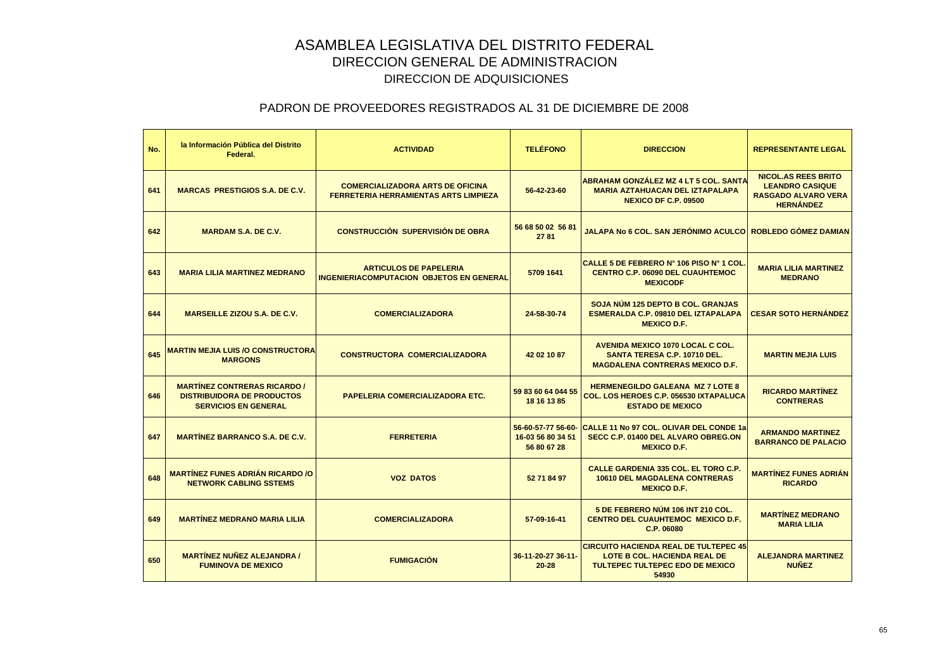| No. | la Información Pública del Distrito<br>Federal.                                                         | <b>ACTIVIDAD</b>                                                                        | <b>TELÉFONO</b>                                        | <b>DIRECCION</b>                                                                                                                       | <b>REPRESENTANTE LEGAL</b>                                                                             |
|-----|---------------------------------------------------------------------------------------------------------|-----------------------------------------------------------------------------------------|--------------------------------------------------------|----------------------------------------------------------------------------------------------------------------------------------------|--------------------------------------------------------------------------------------------------------|
| 641 | <b>MARCAS PRESTIGIOS S.A. DE C.V.</b>                                                                   | <b>COMERCIALIZADORA ARTS DE OFICINA</b><br><b>FERRETERIA HERRAMIENTAS ARTS LIMPIEZA</b> | 56-42-23-60                                            | <b>ABRAHAM GONZÁLEZ MZ 4 LT 5 COL. SANTA</b><br><b>MARIA AZTAHUACAN DEL IZTAPALAPA</b><br><b>NEXICO DF C.P. 09500</b>                  | <b>NICOL.AS REES BRITO</b><br><b>LEANDRO CASIQUE</b><br><b>RASGADO ALVARO VERA</b><br><b>HERNÁNDEZ</b> |
| 642 | <b>MARDAM S.A. DE C.V.</b>                                                                              | <b>CONSTRUCCIÓN SUPERVISIÓN DE OBRA</b>                                                 | 56 68 50 02 56 81<br>2781                              | <u>JALAPA No 6 COL. SAN JERÓNIMO ACULCO  ROBLEDO GÓMEZ DAMIAN </u>                                                                     |                                                                                                        |
| 643 | <b>MARIA LILIA MARTINEZ MEDRANO</b>                                                                     | <b>ARTICULOS DE PAPELERIA</b><br><b>INGENIERIACOMPUTACION OBJETOS EN GENERAL</b>        | 5709 1641                                              | CALLE 5 DE FEBRERO N° 106 PISO N° 1 COL<br><b>CENTRO C.P. 06090 DEL CUAUHTEMOC</b><br><b>MEXICODF</b>                                  | <b>MARIA LILIA MARTINEZ</b><br><b>MEDRANO</b>                                                          |
| 644 | <b>MARSEILLE ZIZOU S.A. DE C.V.</b>                                                                     | <b>COMERCIALIZADORA</b>                                                                 | 24-58-30-74                                            | <b>SOJA NUM 125 DEPTO B COL. GRANJAS</b><br>ESMERALDA C.P. 09810 DEL IZTAPALAPA<br><b>MEXICO D.F.</b>                                  | <b>CESAR SOTO HERNÁNDEZ</b>                                                                            |
| 645 | <b>MARTIN MEJIA LUIS /O CONSTRUCTORA</b><br><b>MARGONS</b>                                              | <b>CONSTRUCTORA COMERCIALIZADORA</b>                                                    | 42 02 10 87                                            | <b>AVENIDA MEXICO 1070 LOCAL C COL.</b><br><b>SANTA TERESA C.P. 10710 DEL.</b><br><b>MAGDALENA CONTRERAS MEXICO D.F.</b>               | <b>MARTIN MEJIA LUIS</b>                                                                               |
| 646 | <b>MARTÍNEZ CONTRERAS RICARDO /</b><br><b>DISTRIBUIDORA DE PRODUCTOS</b><br><b>SERVICIOS EN GENERAL</b> | PAPELERIA COMERCIALIZADORA ETC.                                                         | 59 83 60 64 044 55<br>18 16 13 85                      | <b>HERMENEGILDO GALEANA MZ 7 LOTE 8</b><br>COL. LOS HEROES C.P. 056530 IXTAPALUCA<br><b>ESTADO DE MEXICO</b>                           | <b>RICARDO MARTÍNEZ</b><br><b>CONTRERAS</b>                                                            |
| 647 | <b>MARTINEZ BARRANCO S.A. DE C.V.</b>                                                                   | <b>FERRETERIA</b>                                                                       | 56-60-57-77 56-60-<br>16-03 56 80 34 51<br>56 80 67 28 | <b>CALLE 11 No 97 COL. OLIVAR DEL CONDE 1a</b><br>SECC C.P. 01400 DEL ALVARO OBREG.ON<br><b>MEXICO D.F.</b>                            | <b>ARMANDO MARTINEZ</b><br><b>BARRANCO DE PALACIO</b>                                                  |
| 648 | <b>MARTÍNEZ FUNES ADRIÁN RICARDO /O</b><br><b>NETWORK CABLING SSTEMS</b>                                | <b>VOZ DATOS</b>                                                                        | 52 71 84 97                                            | <b>CALLE GARDENIA 335 COL. EL TORO C.P.</b><br><b>10610 DEL MAGDALENA CONTRERAS</b><br><b>MEXICO D.F.</b>                              | <b>MARTÍNEZ FUNES ADRIÁN</b><br><b>RICARDO</b>                                                         |
| 649 | <b>MARTÍNEZ MEDRANO MARIA LILIA</b>                                                                     | <b>COMERCIALIZADORA</b>                                                                 | 57-09-16-41                                            | 5 DE FEBRERO NÚM 106 INT 210 COL.<br><b>CENTRO DEL CUAUHTEMOC MEXICO D.F.</b><br>C.P. 06080                                            | <b>MARTÍNEZ MEDRANO</b><br><b>MARIA LILIA</b>                                                          |
| 650 | <b>MARTÍNEZ NUÑEZ ALEJANDRA /</b><br><b>FUMINOVA DE MEXICO</b>                                          | <b>FUMIGACIÓN</b>                                                                       | 36-11-20-27 36-11-<br>$20 - 28$                        | <b>CIRCUITO HACIENDA REAL DE TULTEPEC 45</b><br><b>LOTE B COL. HACIENDA REAL DE</b><br><b>TULTEPEC TULTEPEC EDO DE MEXICO</b><br>54930 | <b>ALEJANDRA MARTINEZ</b><br><b>NUÑEZ</b>                                                              |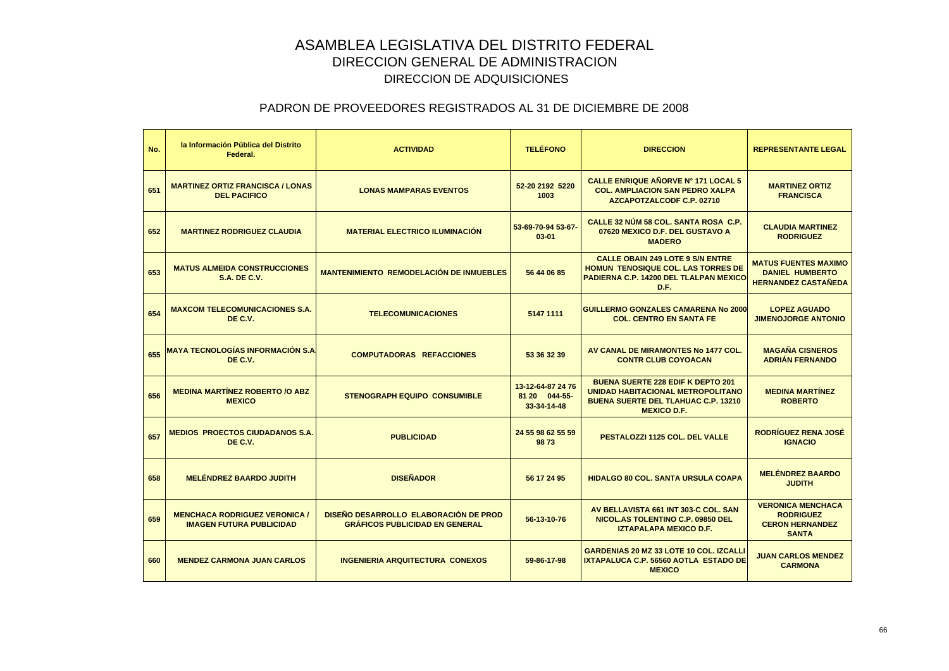| No. | la Información Pública del Distrito<br>Federal.                         | <b>ACTIVIDAD</b>                                                               | <b>TELÉFONO</b>                                   | <b>DIRECCION</b>                                                                                                                                  | <b>REPRESENTANTE LEGAL</b>                                                             |
|-----|-------------------------------------------------------------------------|--------------------------------------------------------------------------------|---------------------------------------------------|---------------------------------------------------------------------------------------------------------------------------------------------------|----------------------------------------------------------------------------------------|
| 651 | <b>MARTINEZ ORTIZ FRANCISCA / LONAS</b><br><b>DEL PACIFICO</b>          | <b>LONAS MAMPARAS EVENTOS</b>                                                  | 52-20 2192 5220<br>1003                           | CALLE ENRIQUE AÑORVE Nº 171 LOCAL 5<br><b>COL. AMPLIACION SAN PEDRO XALPA</b><br>AZCAPOTZALCODF C.P. 02710                                        | <b>MARTINEZ ORTIZ</b><br><b>FRANCISCA</b>                                              |
| 652 | <b>MARTINEZ RODRIGUEZ CLAUDIA</b>                                       | <b>MATERIAL ELECTRICO ILUMINACIÓN</b>                                          | 53-69-70-94 53-67-<br>$03 - 01$                   | CALLE 32 NÚM 58 COL, SANTA ROSA C.P.<br>07620 MEXICO D.F. DEL GUSTAVO A<br><b>MADERO</b>                                                          | <b>CLAUDIA MARTINEZ</b><br><b>RODRIGUEZ</b>                                            |
| 653 | <b>MATUS ALMEIDA CONSTRUCCIONES</b><br><b>S.A. DE C.V.</b>              | <b>MANTENIMIENTO REMODELACIÓN DE INMUEBLES</b>                                 | 56 44 06 85                                       | <b>CALLE OBAIN 249 LOTE 9 S/N ENTRE</b><br><b>HOMUN TENOSIQUE COL. LAS TORRES DE</b><br>PADIERNA C.P. 14200 DEL TLALPAN MEXICO<br>D.F.            | <b>MATUS FUENTES MAXIMO</b><br><b>DANIEL HUMBERTO</b><br><b>HERNANDEZ CASTAÑEDA</b>    |
| 654 | <b>MAXCOM TELECOMUNICACIONES S.A.</b><br>DE C.V.                        | <b>TELECOMUNICACIONES</b>                                                      | 5147 1111                                         | <b>GUILLERMO GONZALES CAMARENA No 2000</b><br><b>COL. CENTRO EN SANTA FE</b>                                                                      | <b>LOPEZ AGUADO</b><br><b>JIMENOJORGE ANTONIO</b>                                      |
| 655 | <b>MAYA TECNOLOGÍAS INFORMACIÓN S.A.</b><br>DE C.V.                     | <b>COMPUTADORAS REFACCIONES</b>                                                | 53 36 32 39                                       | AV CANAL DE MIRAMONTES No 1477 COL.<br><b>CONTR CLUB COYOACAN</b>                                                                                 | <b>MAGAÑA CISNEROS</b><br><b>ADRIÁN FERNANDO</b>                                       |
| 656 | <b>MEDINA MARTINEZ ROBERTO /O ABZ</b><br><b>MEXICO</b>                  | <b>STENOGRAPH EQUIPO CONSUMIBLE</b>                                            | 13-12-64-87 24 76<br>81 20 044-55-<br>33-34-14-48 | <b>BUENA SUERTE 228 EDIF K DEPTO 201</b><br>UNIDAD HABITACIONAL METROPOLITANO<br><b>BUENA SUERTE DEL TLAHUAC C.P. 13210</b><br><b>MEXICO D.F.</b> | <b>MEDINA MARTÍNEZ</b><br><b>ROBERTO</b>                                               |
| 657 | <b>MEDIOS PROECTOS CIUDADANOS S.A.</b><br>DE C.V.                       | <b>PUBLICIDAD</b>                                                              | 24 55 98 62 55 59<br>9873                         | PESTALOZZI 1125 COL. DEL VALLE                                                                                                                    | <b>RODRÍGUEZ RENA JOSÉ</b><br><b>IGNACIO</b>                                           |
| 658 | <b>MELÉNDREZ BAARDO JUDITH</b>                                          | <b>DISEÑADOR</b>                                                               | 56 17 24 95                                       | <b>HIDALGO 80 COL, SANTA URSULA COAPA</b>                                                                                                         | <b>MELÉNDREZ BAARDO</b><br><b>JUDITH</b>                                               |
| 659 | <b>MENCHACA RODRIGUEZ VERONICA /</b><br><b>IMAGEN FUTURA PUBLICIDAD</b> | DISEÑO DESARROLLO ELABORACIÓN DE PROD<br><b>GRAFICOS PUBLICIDAD EN GENERAL</b> | 56-13-10-76                                       | AV BELLAVISTA 661 INT 303-C COL. SAN<br>NICOL.AS TOLENTINO C.P. 09850 DEL<br><b>IZTAPALAPA MEXICO D.F.</b>                                        | <b>VERONICA MENCHACA</b><br><b>RODRIGUEZ</b><br><b>CERON HERNANDEZ</b><br><b>SANTA</b> |
| 660 | <b>MENDEZ CARMONA JUAN CARLOS</b>                                       | <b>INGENIERIA ARQUITECTURA CONEXOS</b>                                         | 59-86-17-98                                       | <b>GARDENIAS 20 MZ 33 LOTE 10 COL. IZCALLI</b><br>IXTAPALUCA C.P. 56560 AOTLA ESTADO DE<br><b>MEXICO</b>                                          | <b>JUAN CARLOS MENDEZ</b><br><b>CARMONA</b>                                            |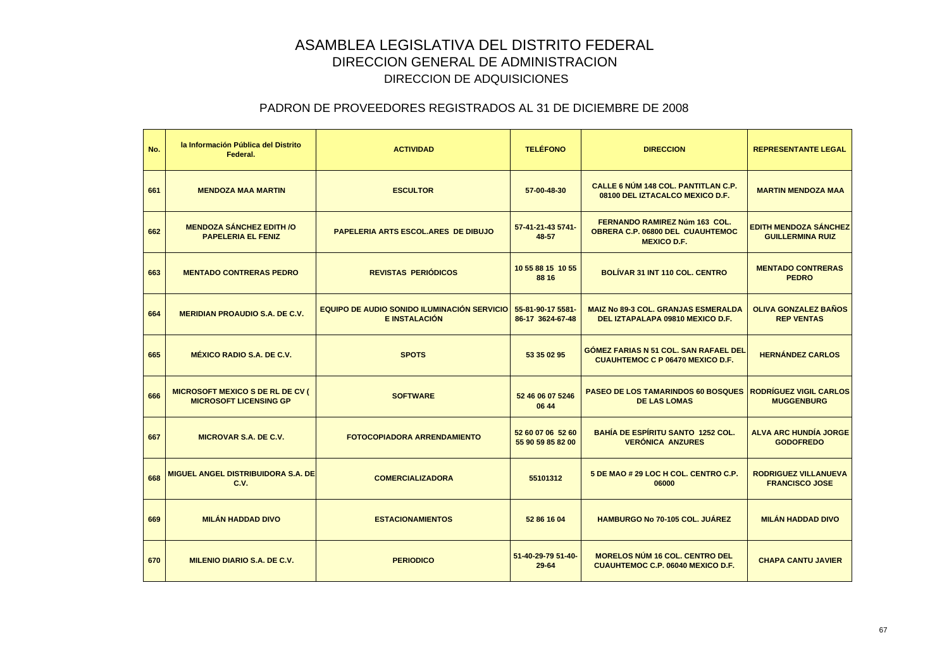| No. | la Información Pública del Distrito<br>Federal.                          | <b>ACTIVIDAD</b>                                                           | <b>TELÉFONO</b>                        | <b>DIRECCION</b>                                                                                      | <b>REPRESENTANTE LEGAL</b>                              |
|-----|--------------------------------------------------------------------------|----------------------------------------------------------------------------|----------------------------------------|-------------------------------------------------------------------------------------------------------|---------------------------------------------------------|
| 661 | <b>MENDOZA MAA MARTIN</b>                                                | <b>ESCULTOR</b>                                                            | 57-00-48-30                            | <b>CALLE 6 NÚM 148 COL. PANTITLAN C.P.</b><br>08100 DEL IZTACALCO MEXICO D.F.                         | <b>MARTIN MENDOZA MAA</b>                               |
| 662 | <b>MENDOZA SÁNCHEZ EDITH /O</b><br><b>PAPELERIA EL FENIZ</b>             | PAPELERIA ARTS ESCOL.ARES DE DIBUJO                                        | 57-41-21-43 5741-<br>48-57             | <b>FERNANDO RAMIREZ Núm 163 COL.</b><br><b>OBRERA C.P. 06800 DEL CUAUHTEMOC</b><br><b>MEXICO D.F.</b> | <b>EDITH MENDOZA SÁNCHEZ</b><br><b>GUILLERMINA RUIZ</b> |
| 663 | <b>MENTADO CONTRERAS PEDRO</b>                                           | <b>REVISTAS PERIÓDICOS</b>                                                 | 10 55 88 15 10 55<br>88 16             | <b>BOLÍVAR 31 INT 110 COL. CENTRO</b>                                                                 | <b>MENTADO CONTRERAS</b><br><b>PEDRO</b>                |
| 664 | <b>MERIDIAN PROAUDIO S.A. DE C.V.</b>                                    | <b>EQUIPO DE AUDIO SONIDO ILUMINACIÓN SERVICIO</b><br><b>E INSTALACIÓN</b> | 55-81-90-17 5581-<br>86-17 3624-67-48  | <b>MAIZ No 89-3 COL. GRANJAS ESMERALDA</b><br>DEL IZTAPALAPA 09810 MEXICO D.F.                        | <b>OLIVA GONZALEZ BAÑOS</b><br><b>REP VENTAS</b>        |
| 665 | <b>MÉXICO RADIO S.A. DE C.V.</b>                                         | <b>SPOTS</b>                                                               | 53 35 02 95                            | <b>GOMEZ FARIAS N 51 COL. SAN RAFAEL DEL</b><br><b>CUAUHTEMOC C P 06470 MEXICO D.F.</b>               | <b>HERNÁNDEZ CARLOS</b>                                 |
| 666 | <b>MICROSOFT MEXICO S DE RL DE CV (</b><br><b>MICROSOFT LICENSING GP</b> | <b>SOFTWARE</b>                                                            | 52 46 06 07 5246<br>06 44              | <b>PASEO DE LOS TAMARINDOS 60 BOSQUES</b><br><b>DE LAS LOMAS</b>                                      | <b>RODRÍGUEZ VIGIL CARLOS</b><br><b>MUGGENBURG</b>      |
| 667 | <b>MICROVAR S.A. DE C.V.</b>                                             | <b>FOTOCOPIADORA ARRENDAMIENTO</b>                                         | 52 60 07 06 52 60<br>55 90 59 85 82 00 | <b>BAHÍA DE ESPÍRITU SANTO 1252 COL.</b><br><b>VERÓNICA ANZURES</b>                                   | <b>ALVA ARC HUNDÍA JORGE</b><br><b>GODOFREDO</b>        |
| 668 | <b>MIGUEL ANGEL DISTRIBUIDORA S.A. DE</b><br>C.V.                        | <b>COMERCIALIZADORA</b>                                                    | 55101312                               | 5 DE MAO # 29 LOC H COL. CENTRO C.P.<br>06000                                                         | <b>RODRIGUEZ VILLANUEVA</b><br><b>FRANCISCO JOSE</b>    |
| 669 | <b>MILÁN HADDAD DIVO</b>                                                 | <b>ESTACIONAMIENTOS</b>                                                    | 52 86 16 04                            | HAMBURGO No 70-105 COL. JUÁREZ                                                                        | <b>MILÁN HADDAD DIVO</b>                                |
| 670 | <b>MILENIO DIARIO S.A. DE C.V.</b>                                       | <b>PERIODICO</b>                                                           | 51-40-29-79 51-40-<br>$29 - 64$        | <b>MORELOS NÚM 16 COL. CENTRO DEL</b><br><b>CUAUHTEMOC C.P. 06040 MEXICO D.F.</b>                     | <b>CHAPA CANTU JAVIER</b>                               |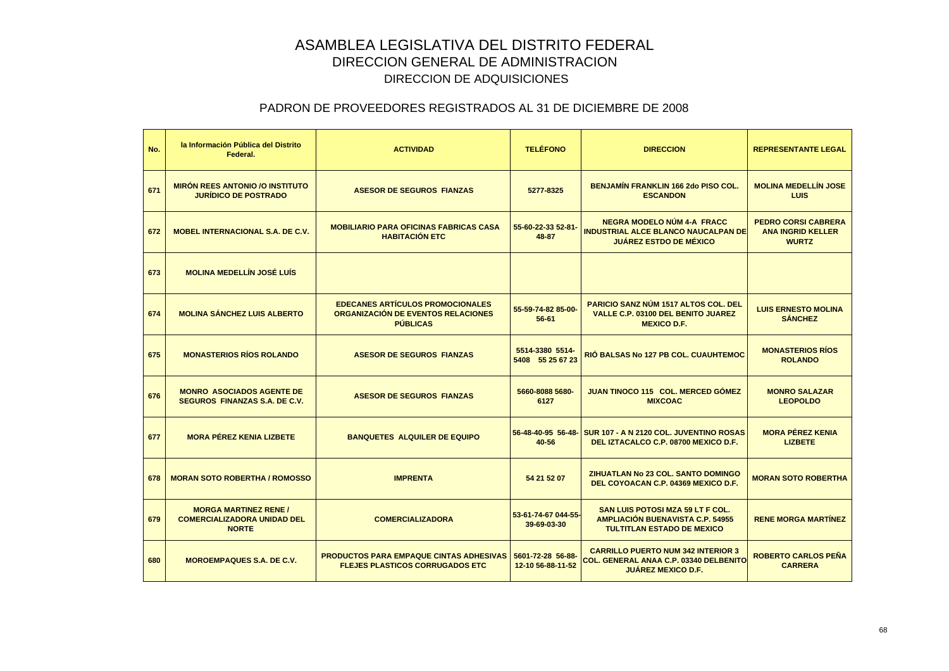| No. | la Información Pública del Distrito<br>Federal.                                    | <b>ACTIVIDAD</b>                                                                                 | <b>TELÉFONO</b>                        | <b>DIRECCION</b>                                                                                                 | <b>REPRESENTANTE LEGAL</b>                                             |
|-----|------------------------------------------------------------------------------------|--------------------------------------------------------------------------------------------------|----------------------------------------|------------------------------------------------------------------------------------------------------------------|------------------------------------------------------------------------|
| 671 | <b>MIRÓN REES ANTONIO /O INSTITUTO</b><br><b>JURÍDICO DE POSTRADO</b>              | <b>ASESOR DE SEGUROS FIANZAS</b>                                                                 | 5277-8325                              | <b>BENJAMIN FRANKLIN 166 2do PISO COL.</b><br><b>ESCANDON</b>                                                    | <b>MOLINA MEDELLÍN JOSE</b><br><b>LUIS</b>                             |
| 672 | <b>MOBEL INTERNACIONAL S.A. DE C.V.</b>                                            | <b>MOBILIARIO PARA OFICINAS FABRICAS CASA</b><br><b>HABITACIÓN ETC</b>                           | 55-60-22-33 52-81-<br>48-87            | <b>NEGRA MODELO NÚM 4-A FRACC</b><br><b>INDUSTRIAL ALCE BLANCO NAUCALPAN DE</b><br><b>JUÁREZ ESTDO DE MÉXICO</b> | <b>PEDRO CORSI CABRERA</b><br><b>ANA INGRID KELLER</b><br><b>WURTZ</b> |
| 673 | <b>MOLINA MEDELLÍN JOSÉ LUÍS</b>                                                   |                                                                                                  |                                        |                                                                                                                  |                                                                        |
| 674 | <b>MOLINA SÁNCHEZ LUIS ALBERTO</b>                                                 | <b>EDECANES ARTÍCULOS PROMOCIONALES</b><br>ORGANIZACIÓN DE EVENTOS RELACIONES<br><b>PUBLICAS</b> | 55-59-74-82 85-00-<br>$56 - 61$        | <b>PARICIO SANZ NÚM 1517 ALTOS COL. DEL</b><br>VALLE C.P. 03100 DEL BENITO JUAREZ<br><b>MEXICO D.F.</b>          | <b>LUIS ERNESTO MOLINA</b><br><b>SÁNCHEZ</b>                           |
| 675 | <b>MONASTERIOS RÍOS ROLANDO</b>                                                    | <b>ASESOR DE SEGUROS FIANZAS</b>                                                                 | 5514-3380 5514-<br>5408 55 25 67 23    | <b>RIÓ BALSAS No 127 PB COL. CUAUHTEMOC</b>                                                                      | <b>MONASTERIOS RÍOS</b><br><b>ROLANDO</b>                              |
| 676 | <b>MONRO ASOCIADOS AGENTE DE</b><br><b>SEGUROS FINANZAS S.A. DE C.V.</b>           | <b>ASESOR DE SEGUROS FIANZAS</b>                                                                 | 5660-8088 5680-<br>6127                | JUAN TINOCO 115 COL. MERCED GÓMEZ<br><b>MIXCOAC</b>                                                              | <b>MONRO SALAZAR</b><br><b>LEOPOLDO</b>                                |
| 677 | <b>MORA PÉREZ KENIA LIZBETE</b>                                                    | <b>BANQUETES ALQUILER DE EQUIPO</b>                                                              | 56-48-40-95 56-48-<br>40-56            | <b>SUR 107 - A N 2120 COL. JUVENTINO ROSAS</b><br>DEL IZTACALCO C.P. 08700 MEXICO D.F.                           | <b>MORA PÉREZ KENIA</b><br><b>LIZBETE</b>                              |
| 678 | <b>MORAN SOTO ROBERTHA / ROMOSSO</b>                                               | <b>IMPRENTA</b>                                                                                  | 54 21 52 07                            | ZIHUATLAN No 23 COL. SANTO DOMINGO<br>DEL COYOACAN C.P. 04369 MEXICO D.F.                                        | <b>MORAN SOTO ROBERTHA</b>                                             |
| 679 | <b>MORGA MARTINEZ RENE /</b><br><b>COMERCIALIZADORA UNIDAD DEL</b><br><b>NORTE</b> | <b>COMERCIALIZADORA</b>                                                                          | 53-61-74-67 044-55-<br>39-69-03-30     | SAN LUIS POTOSI MZA 59 LT F COL.<br><b>AMPLIACIÓN BUENAVISTA C.P. 54955</b><br><b>TULTITLAN ESTADO DE MEXICO</b> | <b>RENE MORGA MARTÍNEZ</b>                                             |
| 680 | <b>MOROEMPAQUES S.A. DE C.V.</b>                                                   | <b>PRODUCTOS PARA EMPAQUE CINTAS ADHESIVAS</b><br><b>FLEJES PLASTICOS CORRUGADOS ETC</b>         | 5601-72-28 56-88-<br>12-10 56-88-11-52 | <b>CARRILLO PUERTO NUM 342 INTERIOR 3</b><br>COL. GENERAL ANAA C.P. 03340 DELBENITO<br><b>JUAREZ MEXICO D.F.</b> | <b>ROBERTO CARLOS PEÑA</b><br><b>CARRERA</b>                           |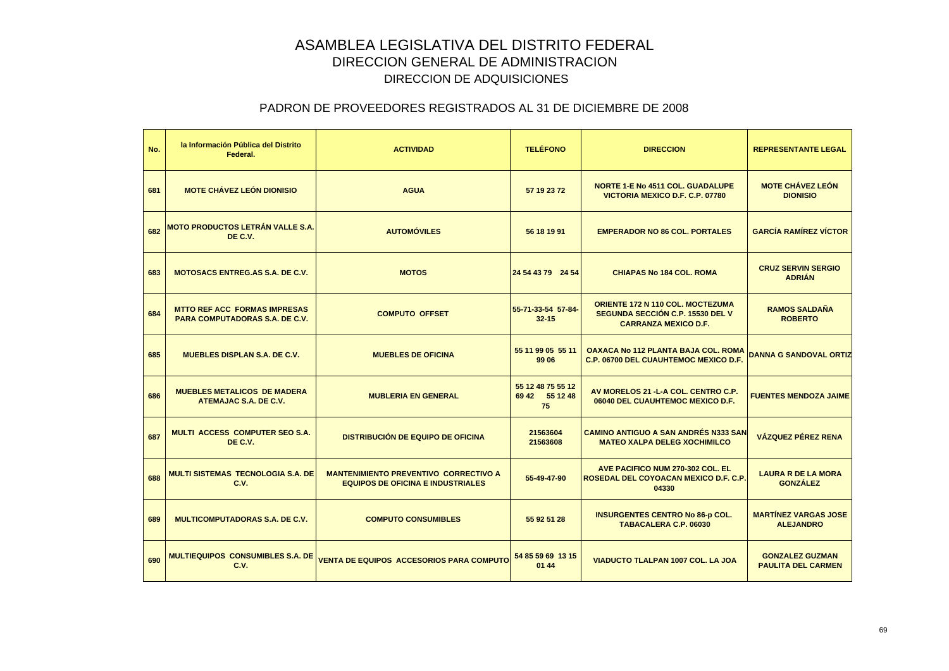| No. | la Información Pública del Distrito<br>Federal.                       | <b>ACTIVIDAD</b>                                                                         | <b>TELÉFONO</b>                           | <b>DIRECCION</b>                                                                                           | <b>REPRESENTANTE LEGAL</b>                          |
|-----|-----------------------------------------------------------------------|------------------------------------------------------------------------------------------|-------------------------------------------|------------------------------------------------------------------------------------------------------------|-----------------------------------------------------|
| 681 | <b>MOTE CHÁVEZ LEÓN DIONISIO</b>                                      | <b>AGUA</b>                                                                              | 57 19 23 72                               | <b>NORTE 1-E No 4511 COL. GUADALUPE</b><br>VICTORIA MEXICO D.F. C.P. 07780                                 | <b>MOTE CHÁVEZ LEÓN</b><br><b>DIONISIO</b>          |
| 682 | <b>MOTO PRODUCTOS LETRÁN VALLE S.A.</b><br>DE C.V.                    | <b>AUTOMÓVILES</b>                                                                       | 56 18 19 91                               | <b>EMPERADOR NO 86 COL. PORTALES</b>                                                                       | <b>GARCÍA RAMÍREZ VÍCTOR</b>                        |
| 683 | <b>MOTOSACS ENTREG.AS S.A. DE C.V.</b>                                | <b>MOTOS</b>                                                                             | 24 54 43 79 24 54                         | <b>CHIAPAS No 184 COL. ROMA</b>                                                                            | <b>CRUZ SERVIN SERGIO</b><br><b>ADRIAN</b>          |
| 684 | <b>MTTO REF ACC FORMAS IMPRESAS</b><br>PARA COMPUTADORAS S.A. DE C.V. | <b>COMPUTO OFFSET</b>                                                                    | 55-71-33-54 57-84-<br>$32 - 15$           | <b>ORIENTE 172 N 110 COL. MOCTEZUMA</b><br>SEGUNDA SECCIÓN C.P. 15530 DEL V<br><b>CARRANZA MEXICO D.F.</b> | <b>RAMOS SALDAÑA</b><br><b>ROBERTO</b>              |
| 685 | <b>MUEBLES DISPLAN S.A. DE C.V.</b>                                   | <b>MUEBLES DE OFICINA</b>                                                                | 55 11 99 05 55 11<br>99 06                | OAXACA No 112 PLANTA BAJA COL. ROMA<br><b>C.P. 06700 DEL CUAUHTEMOC MEXICO D.F.</b>                        | <b>DANNA G SANDOVAL ORTIZ</b>                       |
| 686 | <b>MUEBLES METALICOS DE MADERA</b><br>ATEMAJAC S.A. DE C.V.           | <b>MUBLERIA EN GENERAL</b>                                                               | 55 12 48 75 55 12<br>69 42 55 12 48<br>75 | AV MORELOS 21 - L-A COL. CENTRO C.P.<br>06040 DEL CUAUHTEMOC MEXICO D.F.                                   | <b>FUENTES MENDOZA JAIME</b>                        |
| 687 | <b>MULTI ACCESS COMPUTER SEO S.A.</b><br>DE C.V.                      | <b>DISTRIBUCIÓN DE EQUIPO DE OFICINA</b>                                                 | 21563604<br>21563608                      | <b>CAMINO ANTIGUO A SAN ANDRÉS N333 SAN</b><br><b>MATEO XALPA DELEG XOCHIMILCO</b>                         | <b>VÁZQUEZ PÉREZ RENA</b>                           |
| 688 | <b>MULTI SISTEMAS TECNOLOGIA S.A. DE</b><br>C.V.                      | <b>MANTENIMIENTO PREVENTIVO CORRECTIVO A</b><br><b>EQUIPOS DE OFICINA E INDUSTRIALES</b> | 55-49-47-90                               | AVE PACIFICO NUM 270-302 COL. EL<br>ROSEDAL DEL COYOACAN MEXICO D.F. C.P.<br>04330                         | <b>LAURA R DE LA MORA</b><br><b>GONZÁLEZ</b>        |
| 689 | <b>MULTICOMPUTADORAS S.A. DE C.V.</b>                                 | <b>COMPUTO CONSUMIBLES</b>                                                               | 55 92 51 28                               | <b>INSURGENTES CENTRO No 86-p COL.</b><br><b>TABACALERA C.P. 06030</b>                                     | <b>MARTÍNEZ VARGAS JOSE</b><br><b>ALEJANDRO</b>     |
| 690 | <b>MULTIEQUIPOS CONSUMIBLES S.A. DE</b><br>C.V.                       | <b>VENTA DE EQUIPOS ACCESORIOS PARA COMPUTO</b>                                          | 54 85 59 69 13 15<br>01 44                | VIADUCTO TLALPAN 1007 COL. LA JOA                                                                          | <b>GONZALEZ GUZMAN</b><br><b>PAULITA DEL CARMEN</b> |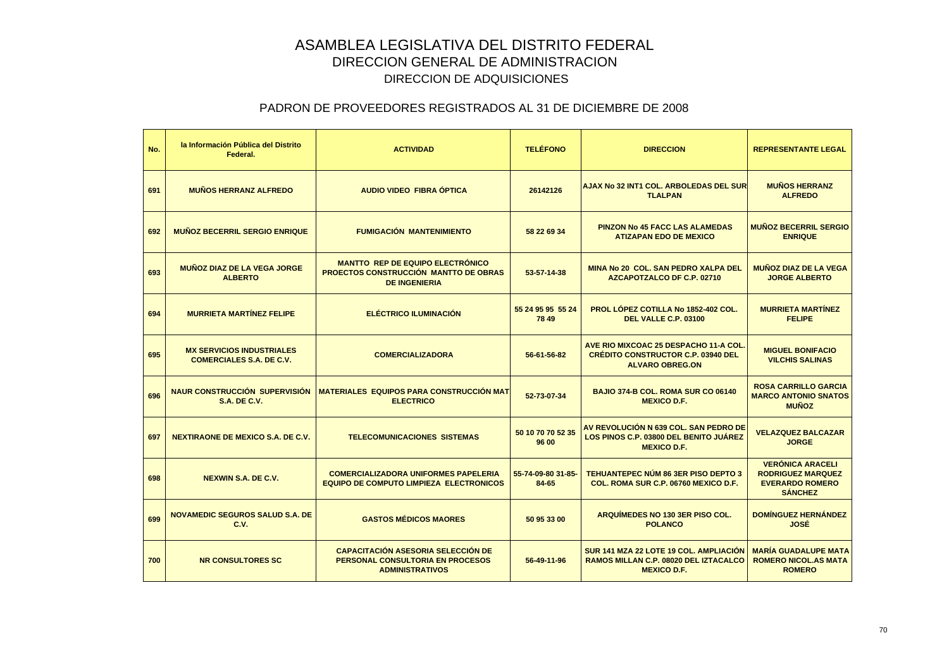| No. | la Información Pública del Distrito<br>Federal.                     | <b>ACTIVIDAD</b>                                                                                                | <b>TELÉFONO</b>             | <b>DIRECCION</b>                                                                                            | <b>REPRESENTANTE LEGAL</b>                                                                      |
|-----|---------------------------------------------------------------------|-----------------------------------------------------------------------------------------------------------------|-----------------------------|-------------------------------------------------------------------------------------------------------------|-------------------------------------------------------------------------------------------------|
| 691 | <b>MUÑOS HERRANZ ALFREDO</b>                                        | AUDIO VIDEO FIBRA ÓPTICA                                                                                        | 26142126                    | AJAX No 32 INT1 COL. ARBOLEDAS DEL SUR<br><b>TLALPAN</b>                                                    | <b>MUÑOS HERRANZ</b><br><b>ALFREDO</b>                                                          |
| 692 | <b>MUÑOZ BECERRIL SERGIO ENRIQUE</b>                                | <b>FUMIGACIÓN MANTENIMIENTO</b>                                                                                 | 58 22 69 34                 | <b>PINZON No 45 FACC LAS ALAMEDAS</b><br><b>ATIZAPAN EDO DE MEXICO</b>                                      | <b>MUÑOZ BECERRIL SERGIO</b><br><b>ENRIQUE</b>                                                  |
| 693 | <b>MUÑOZ DIAZ DE LA VEGA JORGE</b><br><b>ALBERTO</b>                | <b>MANTTO REP DE EQUIPO ELECTRÓNICO</b><br><b>PROECTOS CONSTRUCCIÓN MANTTO DE OBRAS</b><br><b>DE INGENIERIA</b> | 53-57-14-38                 | MINA No 20 COL, SAN PEDRO XALPA DEL<br>AZCAPOTZALCO DF C.P. 02710                                           | <b>MUÑOZ DIAZ DE LA VEGA</b><br><b>JORGE ALBERTO</b>                                            |
| 694 | <b>MURRIETA MARTÍNEZ FELIPE</b>                                     | <b>ELÉCTRICO ILUMINACIÓN</b>                                                                                    | 55 24 95 95 55 24<br>78 49  | PROL LÓPEZ COTILLA No 1852-402 COL.<br>DEL VALLE C.P. 03100                                                 | <b>MURRIETA MARTÍNEZ</b><br><b>FELIPE</b>                                                       |
| 695 | <b>MX SERVICIOS INDUSTRIALES</b><br><b>COMERCIALES S.A. DE C.V.</b> | <b>COMERCIALIZADORA</b>                                                                                         | 56-61-56-82                 | AVE RIO MIXCOAC 25 DESPACHO 11-A COL<br><b>CRÉDITO CONSTRUCTOR C.P. 03940 DEL</b><br><b>ALVARO OBREG.ON</b> | <b>MIGUEL BONIFACIO</b><br><b>VILCHIS SALINAS</b>                                               |
| 696 | <b>NAUR CONSTRUCCIÓN SUPERVISIÓN</b><br><b>S.A. DE C.V.</b>         | <b>MATERIALES EQUIPOS PARA CONSTRUCCIÓN MAT</b><br><b>ELECTRICO</b>                                             | 52-73-07-34                 | BAJIO 374-B COL, ROMA SUR CO 06140<br><b>MEXICO D.F.</b>                                                    | <b>ROSA CARRILLO GARCIA</b><br><b>MARCO ANTONIO SNATOS</b><br><b>MUÑOZ</b>                      |
| 697 | <b>NEXTIRAONE DE MEXICO S.A. DE C.V.</b>                            | <b>TELECOMUNICACIONES SISTEMAS</b>                                                                              | 50 10 70 70 52 35<br>96 00  | AV REVOLUCIÓN N 639 COL. SAN PEDRO DE<br>LOS PINOS C.P. 03800 DEL BENITO JUÁREZ<br><b>MEXICO D.F.</b>       | <b>VELAZQUEZ BALCAZAR</b><br><b>JORGE</b>                                                       |
| 698 | <b>NEXWIN S.A. DE C.V.</b>                                          | <b>COMERCIALIZADORA UNIFORMES PAPELERIA</b><br><b>EQUIPO DE COMPUTO LIMPIEZA ELECTRONICOS</b>                   | 55-74-09-80 31-85-<br>84-65 | <b>TEHUANTEPEC NÚM 86 3ER PISO DEPTO 3</b><br><b>COL. ROMA SUR C.P. 06760 MEXICO D.F.</b>                   | <b>VERÓNICA ARACELI</b><br><b>RODRIGUEZ MARQUEZ</b><br><b>EVERARDO ROMERO</b><br><b>SÁNCHEZ</b> |
| 699 | <b>NOVAMEDIC SEGUROS SALUD S.A. DE</b><br>C.V.                      | <b>GASTOS MÉDICOS MAORES</b>                                                                                    | 50 95 33 00                 | ARQUIMEDES NO 130 3ER PISO COL.<br><b>POLANCO</b>                                                           | <b>DOMÍNGUEZ HERNÁNDEZ</b><br>JOSÉ                                                              |
| 700 | <b>NR CONSULTORES SC</b>                                            | <b>CAPACITACIÓN ASESORIA SELECCIÓN DE</b><br>PERSONAL CONSULTORIA EN PROCESOS<br><b>ADMINISTRATIVOS</b>         | 56-49-11-96                 | SUR 141 MZA 22 LOTE 19 COL. AMPLIACIÓN<br>RAMOS MILLAN C.P. 08020 DEL IZTACALCO<br><b>MEXICO D.F.</b>       | <b>MARÍA GUADALUPE MATA</b><br><b>ROMERO NICOL.AS MATA</b><br><b>ROMERO</b>                     |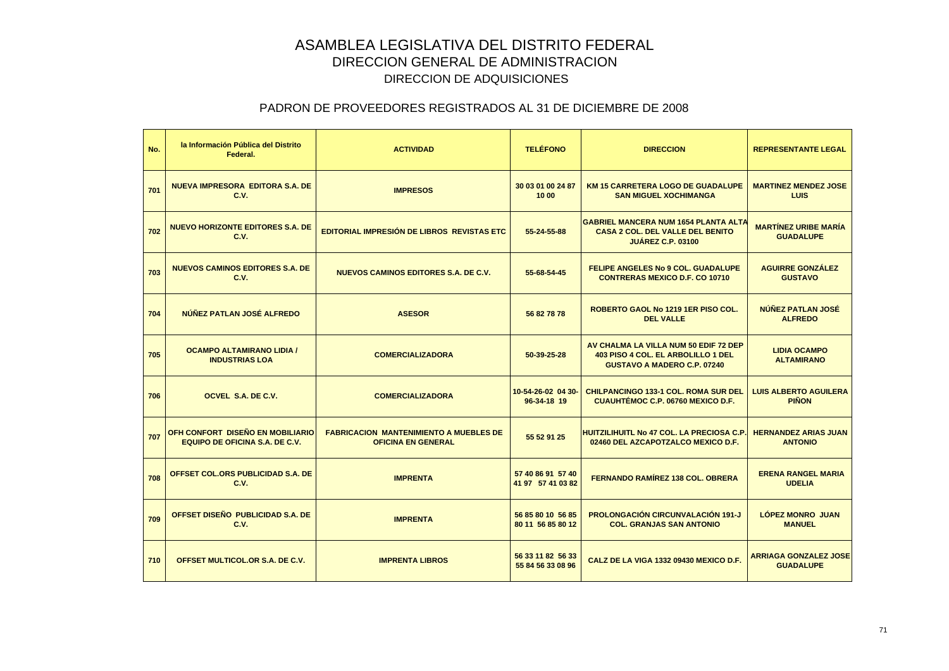| No. | la Información Pública del Distrito<br>Federal.                           | <b>ACTIVIDAD</b>                                                           | <b>TELÉFONO</b>                        | <b>DIRECCION</b>                                                                                                   | <b>REPRESENTANTE LEGAL</b>                       |
|-----|---------------------------------------------------------------------------|----------------------------------------------------------------------------|----------------------------------------|--------------------------------------------------------------------------------------------------------------------|--------------------------------------------------|
| 701 | <b>NUEVA IMPRESORA EDITORA S.A. DE</b><br>C.V.                            | <b>IMPRESOS</b>                                                            | 30 03 01 00 24 87<br>10 00             | <b>KM 15 CARRETERA LOGO DE GUADALUPE</b><br><b>SAN MIGUEL XOCHIMANGA</b>                                           | <b>MARTINEZ MENDEZ JOSE</b><br>LUIS              |
| 702 | <b>NUEVO HORIZONTE EDITORES S.A. DE</b><br>C.V.                           | <b>EDITORIAL IMPRESIÓN DE LIBROS REVISTAS ETC</b>                          | 55-24-55-88                            | <b>GABRIEL MANCERA NUM 1654 PLANTA ALTA</b><br><b>CASA 2 COL. DEL VALLE DEL BENITO</b><br><b>JUÁREZ C.P. 03100</b> | <b>MARTÍNEZ URIBE MARÍA</b><br><b>GUADALUPE</b>  |
| 703 | NUEVOS CAMINOS EDITORES S.A. DE<br>C.V.                                   | NUEVOS CAMINOS EDITORES S.A. DE C.V.                                       | 55-68-54-45                            | <b>FELIPE ANGELES No 9 COL, GUADALUPE</b><br><b>CONTRERAS MEXICO D.F. CO 10710</b>                                 | <b>AGUIRRE GONZALEZ</b><br><b>GUSTAVO</b>        |
| 704 | NÚÑEZ PATLAN JOSÉ ALFREDO                                                 | <b>ASESOR</b>                                                              | 56 82 78 78                            | ROBERTO GAOL No 1219 1ER PISO COL.<br><b>DEL VALLE</b>                                                             | NÚÑEZ PATLAN JOSÉ<br><b>ALFREDO</b>              |
| 705 | <b>OCAMPO ALTAMIRANO LIDIA /</b><br><b>INDUSTRIAS LOA</b>                 | <b>COMERCIALIZADORA</b>                                                    | 50-39-25-28                            | AV CHALMA LA VILLA NUM 50 EDIF 72 DEP<br>403 PISO 4 COL. EL ARBOLILLO 1 DEL<br><b>GUSTAVO A MADERO C.P. 07240</b>  | <b>LIDIA OCAMPO</b><br><b>ALTAMIRANO</b>         |
| 706 | OCVEL S.A. DE C.V.                                                        | <b>COMERCIALIZADORA</b>                                                    | 10-54-26-02 04 30-<br>96-34-18 19      | <b>CHILPANCINGO 133-1 COL, ROMA SUR DEL</b><br>CUAUHTÉMOC C.P. 06760 MEXICO D.F.                                   | <b>LUIS ALBERTO AGUILERA</b><br><b>PIÑON</b>     |
| 707 | OFH CONFORT DISEÑO EN MOBILIARIO<br><b>EQUIPO DE OFICINA S.A. DE C.V.</b> | <b>FABRICACION MANTENIMIENTO A MUEBLES DE</b><br><b>OFICINA EN GENERAL</b> | 55 52 91 25                            | <b>HUITZILIHUITL No 47 COL. LA PRECIOSA C.P</b><br>02460 DEL AZCAPOTZALCO MEXICO D.F.                              | <b>HERNANDEZ ARIAS JUAN</b><br><b>ANTONIO</b>    |
| 708 | OFFSET COL.ORS PUBLICIDAD S.A. DE<br>C.V.                                 | <b>IMPRENTA</b>                                                            | 57 40 86 91 57 40<br>41 97 57 41 03 82 | <b>FERNANDO RAMÍREZ 138 COL, OBRERA</b>                                                                            | <b>ERENA RANGEL MARIA</b><br><b>UDELIA</b>       |
| 709 | OFFSET DISEÑO PUBLICIDAD S.A. DE<br><b>C.V.</b>                           | <b>IMPRENTA</b>                                                            | 56 85 80 10 56 85<br>80 11 56 85 80 12 | <b>PROLONGACIÓN CIRCUNVALACIÓN 191-J</b><br><b>COL. GRANJAS SAN ANTONIO</b>                                        | <b>LÓPEZ MONRO JUAN</b><br><b>MANUEL</b>         |
| 710 | OFFSET MULTICOL.OR S.A. DE C.V.                                           | <b>IMPRENTA LIBROS</b>                                                     | 56 33 11 82 56 33<br>55 84 56 33 08 96 | CALZ DE LA VIGA 1332 09430 MEXICO D.F.                                                                             | <b>ARRIAGA GONZALEZ JOSE</b><br><b>GUADALUPE</b> |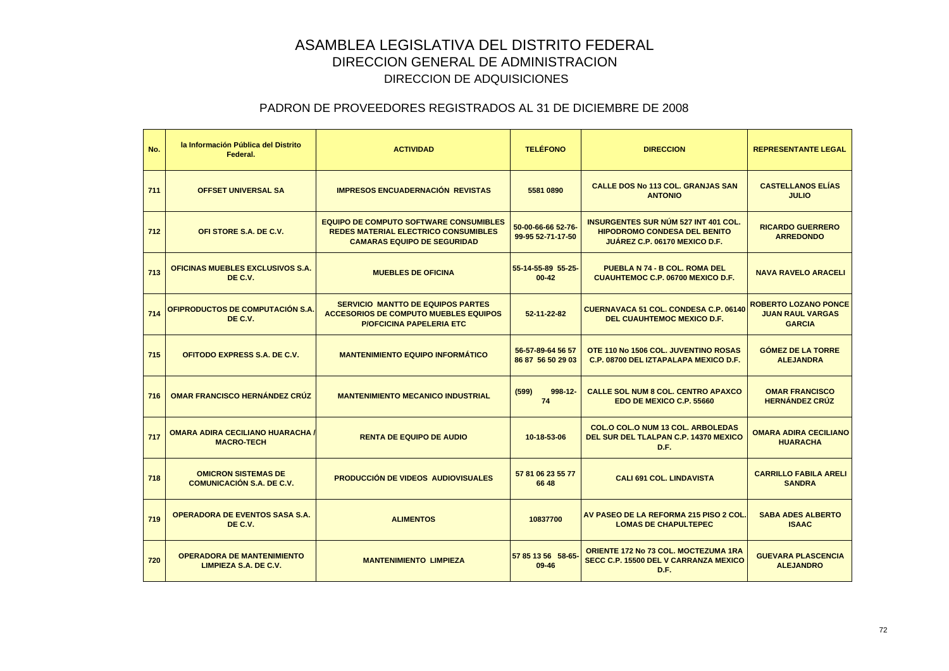| No. | la Información Pública del Distrito<br>Federal.                | <b>ACTIVIDAD</b>                                                                                                                   | <b>TELÉFONO</b>                         | <b>DIRECCION</b>                                                                                                    | <b>REPRESENTANTE LEGAL</b>                                              |
|-----|----------------------------------------------------------------|------------------------------------------------------------------------------------------------------------------------------------|-----------------------------------------|---------------------------------------------------------------------------------------------------------------------|-------------------------------------------------------------------------|
| 711 | <b>OFFSET UNIVERSAL SA</b>                                     | <b>IMPRESOS ENCUADERNACIÓN REVISTAS</b>                                                                                            | 5581 0890                               | <b>CALLE DOS No 113 COL. GRANJAS SAN</b><br><b>ANTONIO</b>                                                          | <b>CASTELLANOS ELÍAS</b><br><b>JULIO</b>                                |
| 712 | OFI STORE S.A. DE C.V.                                         | <b>EQUIPO DE COMPUTO SOFTWARE CONSUMIBLES</b><br><b>REDES MATERIAL ELECTRICO CONSUMIBLES</b><br><b>CAMARAS EQUIPO DE SEGURIDAD</b> | 50-00-66-66 52-76-<br>99-95 52-71-17-50 | <b>INSURGENTES SUR NÚM 527 INT 401 COL.</b><br><b>HIPODROMO CONDESA DEL BENITO</b><br>JUÁREZ C.P. 06170 MEXICO D.F. | <b>RICARDO GUERRERO</b><br><b>ARREDONDO</b>                             |
| 713 | OFICINAS MUEBLES EXCLUSIVOS S.A.<br>DE C.V.                    | <b>MUEBLES DE OFICINA</b>                                                                                                          | 55-14-55-89 55-25-<br>$00 - 42$         | <b>PUEBLA N 74 - B COL. ROMA DEL</b><br><b>CUAUHTEMOC C.P. 06700 MEXICO D.F.</b>                                    | <b>NAVA RAVELO ARACELI</b>                                              |
| 714 | OFIPRODUCTOS DE COMPUTACIÓN S.A.<br>DE C.V.                    | <b>SERVICIO MANTTO DE EQUIPOS PARTES</b><br><b>ACCESORIOS DE COMPUTO MUEBLES EQUIPOS</b><br><b>P/OFCICINA PAPELERIA ETC</b>        | 52-11-22-82                             | <b>CUERNAVACA 51 COL. CONDESA C.P. 06140</b><br><b>DEL CUAUHTEMOC MEXICO D.F.</b>                                   | <b>ROBERTO LOZANO PONCE</b><br><b>JUAN RAUL VARGAS</b><br><b>GARCIA</b> |
| 715 | OFITODO EXPRESS S.A. DE C.V.                                   | <b>MANTENIMIENTO EQUIPO INFORMÁTICO</b>                                                                                            | 56-57-89-64 56 57<br>86 87 56 50 29 03  | OTE 110 No 1506 COL. JUVENTINO ROSAS<br>C.P. 08700 DEL IZTAPALAPA MEXICO D.F.                                       | <b>GÓMEZ DE LA TORRE</b><br><b>ALEJANDRA</b>                            |
| 716 | <b>OMAR FRANCISCO HERNÁNDEZ CRÚZ</b>                           | <b>MANTENIMIENTO MECANICO INDUSTRIAL</b>                                                                                           | (599)<br>$998 - 12$<br>74               | <b>CALLE SOL NUM 8 COL. CENTRO APAXCO</b><br>EDO DE MEXICO C.P. 55660                                               | <b>OMAR FRANCISCO</b><br><b>HERNÁNDEZ CRÚZ</b>                          |
| 717 | <b>OMARA ADIRA CECILIANO HUARACHA /</b><br><b>MACRO-TECH</b>   | <b>RENTA DE EQUIPO DE AUDIO</b>                                                                                                    | 10-18-53-06                             | <b>COL.O COL.O NUM 13 COL. ARBOLEDAS</b><br>DEL SUR DEL TLALPAN C.P. 14370 MEXICO<br>D.F.                           | <b>OMARA ADIRA CECILIANO</b><br><b>HUARACHA</b>                         |
| 718 | <b>OMICRON SISTEMAS DE</b><br><b>COMUNICACIÓN S.A. DE C.V.</b> | PRODUCCIÓN DE VIDEOS AUDIOVISUALES                                                                                                 | 57 81 06 23 55 77<br>66 48              | <b>CALI 691 COL. LINDAVISTA</b>                                                                                     | <b>CARRILLO FABILA ARELI</b><br><b>SANDRA</b>                           |
| 719 | <b>OPERADORA DE EVENTOS SASA S.A.</b><br>DE C.V.               | <b>ALIMENTOS</b>                                                                                                                   | 10837700                                | AV PASEO DE LA REFORMA 215 PISO 2 COL.<br><b>LOMAS DE CHAPULTEPEC</b>                                               | <b>SABA ADES ALBERTO</b><br><b>ISAAC</b>                                |
| 720 | <b>OPERADORA DE MANTENIMIENTO</b><br>LIMPIEZA S.A. DE C.V.     | <b>MANTENIMIENTO LIMPIEZA</b>                                                                                                      | 57 85 13 56 58-65-<br>09-46             | <b>ORIENTE 172 No 73 COL. MOCTEZUMA 1RA</b><br>SECC C.P. 15500 DEL V CARRANZA MEXICO<br>D.F.                        | <b>GUEVARA PLASCENCIA</b><br><b>ALEJANDRO</b>                           |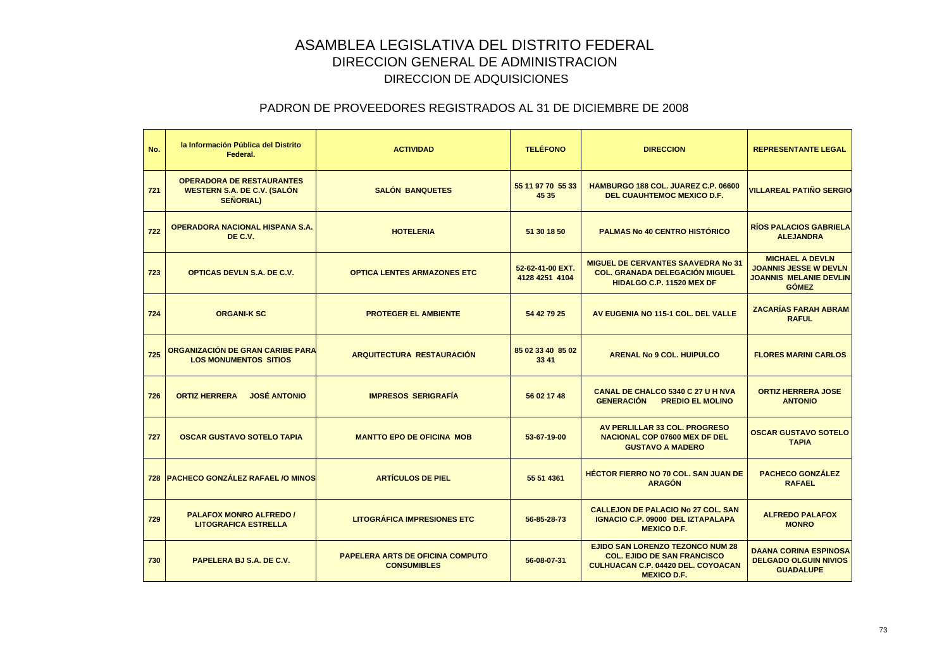| No. | la Información Pública del Distrito<br>Federal.                                            | <b>ACTIVIDAD</b>                                              | <b>TELÉFONO</b>                    | <b>DIRECCION</b>                                                                                                                          | <b>REPRESENTANTE LEGAL</b>                                                                              |
|-----|--------------------------------------------------------------------------------------------|---------------------------------------------------------------|------------------------------------|-------------------------------------------------------------------------------------------------------------------------------------------|---------------------------------------------------------------------------------------------------------|
| 721 | <b>OPERADORA DE RESTAURANTES</b><br><b>WESTERN S.A. DE C.V. (SALÓN</b><br><b>SEÑORIAL)</b> | <b>SALÓN BANQUETES</b>                                        | 55 11 97 70 55 33<br>45 35         | HAMBURGO 188 COL. JUAREZ C.P. 06600<br><b>DEL CUAUHTEMOC MEXICO D.F.</b>                                                                  | <b>VILLAREAL PATIÑO SERGIO</b>                                                                          |
| 722 | <b>OPERADORA NACIONAL HISPANA S.A.</b><br>DE C.V.                                          | <b>HOTELERIA</b>                                              | 51 30 18 50                        | <b>PALMAS No 40 CENTRO HISTÓRICO</b>                                                                                                      | <b>RÍOS PALACIOS GABRIELA</b><br><b>ALEJANDRA</b>                                                       |
| 723 | <b>OPTICAS DEVLN S.A. DE C.V.</b>                                                          | <b>OPTICA LENTES ARMAZONES ETC</b>                            | 52-62-41-00 EXT.<br>4128 4251 4104 | <b>MIGUEL DE CERVANTES SAAVEDRA No 31</b><br><b>COL. GRANADA DELEGACIÓN MIGUEL</b><br>HIDALGO C.P. 11520 MEX DF                           | <b>MICHAEL A DEVLN</b><br><b>JOANNIS JESSE W DEVLN</b><br><b>JOANNIS MELANIE DEVLIN</b><br><b>GÓMEZ</b> |
| 724 | <b>ORGANI-K SC</b>                                                                         | <b>PROTEGER EL AMBIENTE</b>                                   | 54 42 79 25                        | AV EUGENIA NO 115-1 COL. DEL VALLE                                                                                                        | <b>ZACARÍAS FARAH ABRAM</b><br><b>RAFUL</b>                                                             |
| 725 | ORGANIZACIÓN DE GRAN CARIBE PARA<br><b>LOS MONUMENTOS SITIOS</b>                           | <b>ARQUITECTURA RESTAURACIÓN</b>                              | 85 02 33 40 85 02<br>33 41         | <b>ARENAL No 9 COL. HUIPULCO</b>                                                                                                          | <b>FLORES MARINI CARLOS</b>                                                                             |
| 726 | <b>JOSÉ ANTONIO</b><br><b>ORTIZ HERRERA</b>                                                | <b>IMPRESOS SERIGRAFÍA</b>                                    | 56 02 17 48                        | CANAL DE CHALCO 5340 C 27 U H NVA<br><b>GENERACIÓN</b><br><b>PREDIO EL MOLINO</b>                                                         | <b>ORTIZ HERRERA JOSE</b><br><b>ANTONIO</b>                                                             |
| 727 | <b>OSCAR GUSTAVO SOTELO TAPIA</b>                                                          | <b>MANTTO EPO DE OFICINA MOB</b>                              | 53-67-19-00                        | AV PERLILLAR 33 COL. PROGRESO<br><b>NACIONAL COP 07600 MEX DF DEL</b><br><b>GUSTAVO A MADERO</b>                                          | <b>OSCAR GUSTAVO SOTELO</b><br><b>TAPIA</b>                                                             |
|     | 728 PACHECO GONZÁLEZ RAFAEL /O MINOS                                                       | <b>ARTÍCULOS DE PIEL</b>                                      | 55 51 4361                         | <b>HÉCTOR FIERRO NO 70 COL. SAN JUAN DE</b><br><b>ARAGÓN</b>                                                                              | <b>PACHECO GONZÁLEZ</b><br><b>RAFAEL</b>                                                                |
| 729 | <b>PALAFOX MONRO ALFREDO /</b><br><b>LITOGRAFICA ESTRELLA</b>                              | <b>LITOGRÁFICA IMPRESIONES ETC</b>                            | 56-85-28-73                        | <b>CALLEJON DE PALACIO No 27 COL. SAN</b><br><b>IGNACIO C.P. 09000 DEL IZTAPALAPA</b><br><b>MEXICO D.F.</b>                               | <b>ALFREDO PALAFOX</b><br><b>MONRO</b>                                                                  |
| 730 | PAPELERA BJ S.A. DE C.V.                                                                   | <b>PAPELERA ARTS DE OFICINA COMPUTO</b><br><b>CONSUMIBLES</b> | 56-08-07-31                        | EJIDO SAN LORENZO TEZONCO NUM 28<br><b>COL. EJIDO DE SAN FRANCISCO</b><br><b>CULHUACAN C.P. 04420 DEL. COYOACAN</b><br><b>MEXICO D.F.</b> | <b>DAANA CORINA ESPINOSA</b><br><b>DELGADO OLGUIN NIVIOS</b><br><b>GUADALUPE</b>                        |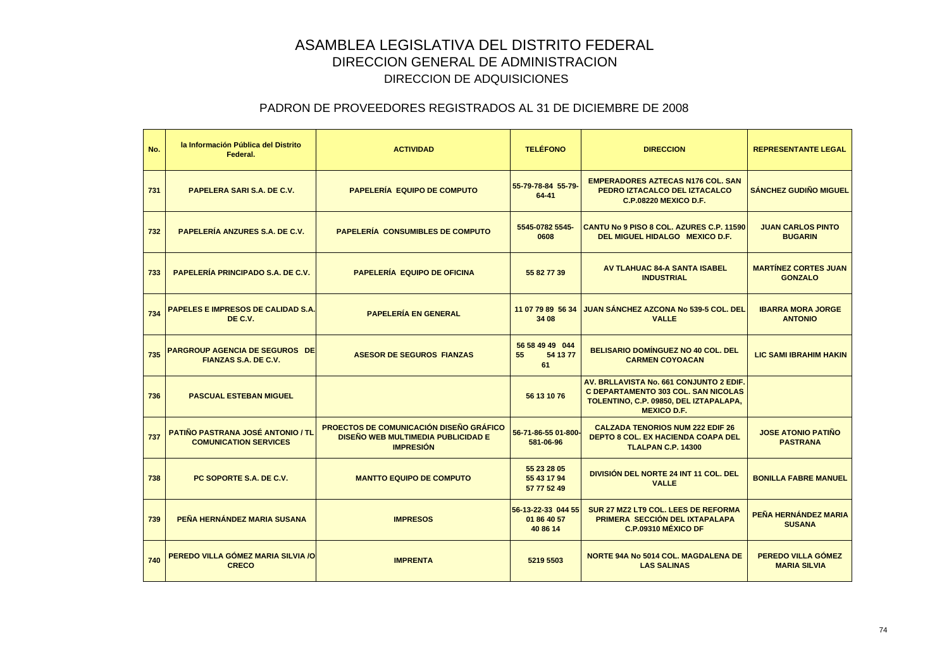| No. | la Información Pública del Distrito<br>Federal.                          | <b>ACTIVIDAD</b>                                                                                         | <b>TELÉFONO</b>                               | <b>DIRECCION</b>                                                                                                                                      | <b>REPRESENTANTE LEGAL</b>                    |
|-----|--------------------------------------------------------------------------|----------------------------------------------------------------------------------------------------------|-----------------------------------------------|-------------------------------------------------------------------------------------------------------------------------------------------------------|-----------------------------------------------|
| 731 | <b>PAPELERA SARI S.A. DE C.V.</b>                                        | <b>PAPELERÍA EQUIPO DE COMPUTO</b>                                                                       | 55-79-78-84 55-79-<br>$64 - 41$               | <b>EMPERADORES AZTECAS N176 COL. SAN</b><br>PEDRO IZTACALCO DEL IZTACALCO<br><b>C.P.08220 MEXICO D.F.</b>                                             | <b>SÁNCHEZ GUDIÑO MIGUEL</b>                  |
| 732 | <b>PAPELERÍA ANZURES S.A. DE C.V.</b>                                    | <b>PAPELERÍA CONSUMIBLES DE COMPUTO</b>                                                                  | 5545-0782 5545-<br>0608                       | CANTU No 9 PISO 8 COL. AZURES C.P. 11590<br>DEL MIGUEL HIDALGO MEXICO D.F.                                                                            | <b>JUAN CARLOS PINTO</b><br><b>BUGARIN</b>    |
| 733 | <b>PAPELERÍA PRINCIPADO S.A. DE C.V.</b>                                 | <b>PAPELERÍA EQUIPO DE OFICINA</b>                                                                       | 55 82 77 39                                   | <b>AV TLAHUAC 84-A SANTA ISABEL</b><br><b>INDUSTRIAL</b>                                                                                              | <b>MARTÍNEZ CORTES JUAN</b><br><b>GONZALO</b> |
| 734 | <b>PAPELES E IMPRESOS DE CALIDAD S.A.</b><br>DE C.V.                     | <b>PAPELERÍA EN GENERAL</b>                                                                              | 11 07 79 89 56 34<br>34 08                    | <b>JUAN SÁNCHEZ AZCONA No 539-5 COL. DEL</b><br><b>VALLE</b>                                                                                          | <b>IBARRA MORA JORGE</b><br><b>ANTONIO</b>    |
| 735 | <b>PARGROUP AGENCIA DE SEGUROS DE</b><br>FIANZAS S.A. DE C.V.            | <b>ASESOR DE SEGUROS FIANZAS</b>                                                                         | 56 58 49 49 044<br>54 13 77<br>55<br>61       | <b>BELISARIO DOMÍNGUEZ NO 40 COL. DEL</b><br><b>CARMEN COYOACAN</b>                                                                                   | <b>LIC SAMI IBRAHIM HAKIN</b>                 |
| 736 | <b>PASCUAL ESTEBAN MIGUEL</b>                                            |                                                                                                          | 56 13 10 76                                   | AV. BRLLAVISTA No. 661 CONJUNTO 2 EDIF.<br><b>C DEPARTAMENTO 303 COL. SAN NICOLAS</b><br>TOLENTINO, C.P. 09850, DEL IZTAPALAPA,<br><b>MEXICO D.F.</b> |                                               |
| 737 | <b>PATIÑO PASTRANA JOSÉ ANTONIO / TL</b><br><b>COMUNICATION SERVICES</b> | <b>PROECTOS DE COMUNICACIÓN DISEÑO GRÁFICO</b><br>DISEÑO WEB MULTIMEDIA PUBLICIDAD E<br><b>IMPRESIÓN</b> | 56-71-86-55 01-800-<br>581-06-96              | <b>CALZADA TENORIOS NUM 222 EDIF 26</b><br><b>DEPTO 8 COL. EX HACIENDA COAPA DEL</b><br><b>TLALPAN C.P. 14300</b>                                     | <b>JOSE ATONIO PATIÑO</b><br><b>PASTRANA</b>  |
| 738 | PC SOPORTE S.A. DE C.V.                                                  | <b>MANTTO EQUIPO DE COMPUTO</b>                                                                          | 55 23 28 05<br>55 43 17 94<br>57 77 52 49     | DIVISIÓN DEL NORTE 24 INT 11 COL. DEL<br><b>VALLE</b>                                                                                                 | <b>BONILLA FABRE MANUEL</b>                   |
| 739 | PEÑA HERNÁNDEZ MARIA SUSANA                                              | <b>IMPRESOS</b>                                                                                          | 56-13-22-33 044 55<br>01 86 40 57<br>40 86 14 | SUR 27 MZ2 LT9 COL. LEES DE REFORMA<br>PRIMERA SECCIÓN DEL IXTAPALAPA<br>C.P.09310 MÉXICO DF                                                          | PEÑA HERNÁNDEZ MARIA<br><b>SUSANA</b>         |
| 740 | PEREDO VILLA GÓMEZ MARIA SILVIA /O<br><b>CRECO</b>                       | <b>IMPRENTA</b>                                                                                          | 5219 5503                                     | <b>NORTE 94A No 5014 COL. MAGDALENA DE</b><br><b>LAS SALINAS</b>                                                                                      | PEREDO VILLA GÓMEZ<br><b>MARIA SILVIA</b>     |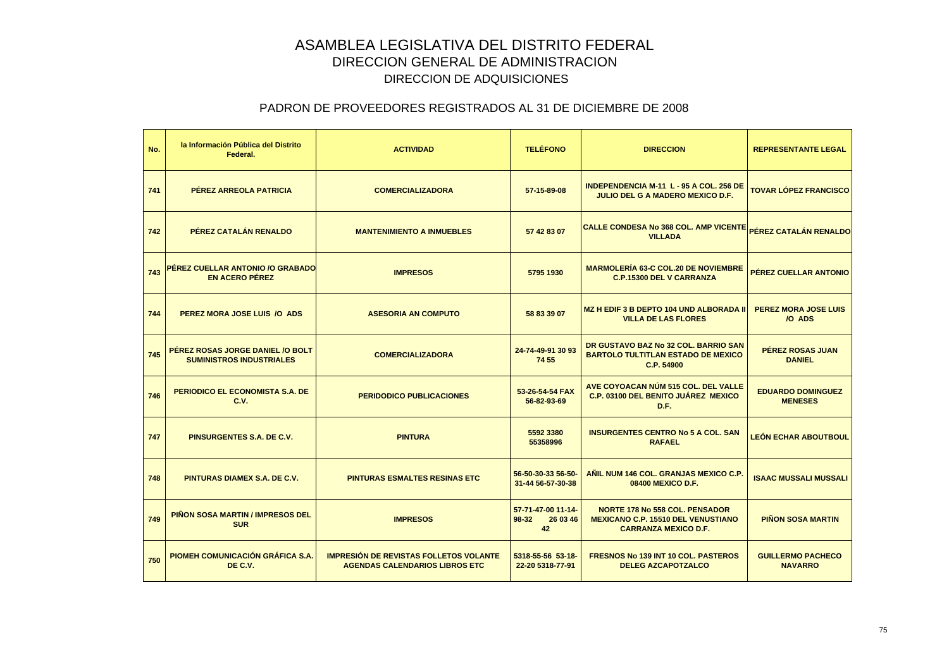| No. | la Información Pública del Distrito<br>Federal.                     | <b>ACTIVIDAD</b>                                                                       | <b>TELÉFONO</b>                               | <b>DIRECCION</b>                                                                                                  | <b>REPRESENTANTE LEGAL</b>                 |
|-----|---------------------------------------------------------------------|----------------------------------------------------------------------------------------|-----------------------------------------------|-------------------------------------------------------------------------------------------------------------------|--------------------------------------------|
| 741 | PÉREZ ARREOLA PATRICIA                                              | <b>COMERCIALIZADORA</b>                                                                | 57-15-89-08                                   | <b>INDEPENDENCIA M-11 L-95 A COL. 256 DE</b><br><b>JULIO DEL G A MADERO MEXICO D.F.</b>                           | <b>TOVAR LÓPEZ FRANCISCO</b>               |
| 742 | PÉREZ CATALÁN RENALDO                                               | <b>MANTENIMIENTO A INMUEBLES</b>                                                       | 57 42 83 07                                   | CALLE CONDESA No 368 COL. AMP VICENTE <sub>PÉREZ</sub> CATALÁN RENALDO<br><b>VILLADA</b>                          |                                            |
| 743 | PÉREZ CUELLAR ANTONIO /O GRABADO<br><b>EN ACERO PÉREZ</b>           | <b>IMPRESOS</b>                                                                        | 5795 1930                                     | <b>MARMOLERÍA 63-C COL.20 DE NOVIEMBRE</b><br><b>C.P.15300 DEL V CARRANZA</b>                                     | PÉREZ CUELLAR ANTONIO                      |
| 744 | PEREZ MORA JOSE LUIS /O ADS                                         | <b>ASESORIA AN COMPUTO</b>                                                             | 58 83 39 07                                   | <b>MZ H EDIF 3 B DEPTO 104 UND ALBORADA II</b><br><b>VILLA DE LAS FLORES</b>                                      | <b>PEREZ MORA JOSE LUIS</b><br>/O ADS      |
| 745 | PÉREZ ROSAS JORGE DANIEL /O BOLT<br><b>SUMINISTROS INDUSTRIALES</b> | <b>COMERCIALIZADORA</b>                                                                | 24-74-49-91 30 93<br>74 55                    | DR GUSTAVO BAZ No 32 COL. BARRIO SAN<br><b>BARTOLO TULTITLAN ESTADO DE MEXICO</b><br>C.P. 54900                   | <b>PÉREZ ROSAS JUAN</b><br><b>DANIEL</b>   |
| 746 | <b>PERIODICO EL ECONOMISTA S.A. DE</b><br>C.V.                      | <b>PERIDODICO PUBLICACIONES</b>                                                        | 53-26-54-54 FAX<br>56-82-93-69                | AVE COYOACAN NÚM 515 COL. DEL VALLE<br>C.P. 03100 DEL BENITO JUÁREZ MEXICO<br>D.F.                                | <b>EDUARDO DOMINGUEZ</b><br><b>MENESES</b> |
| 747 | PINSURGENTES S.A. DE C.V.                                           | <b>PINTURA</b>                                                                         | 5592 3380<br>55358996                         | <b>INSURGENTES CENTRO No 5 A COL. SAN</b><br><b>RAFAEL</b>                                                        | <b>LEÓN ECHAR ABOUTBOUL</b>                |
| 748 | <b>PINTURAS DIAMEX S.A. DE C.V.</b>                                 | <b>PINTURAS ESMALTES RESINAS ETC</b>                                                   | 56-50-30-33 56-50-<br>31-44 56-57-30-38       | AÑIL NUM 146 COL. GRANJAS MEXICO C.P.<br>08400 MEXICO D.F.                                                        | <b>ISAAC MUSSALI MUSSALI</b>               |
| 749 | <b>PIÑON SOSA MARTIN / IMPRESOS DEL</b><br><b>SUR</b>               | <b>IMPRESOS</b>                                                                        | 57-71-47-00 11-14-<br>98-32<br>26 03 46<br>42 | <b>NORTE 178 No 558 COL. PENSADOR</b><br><b>MEXICANO C.P. 15510 DEL VENUSTIANO</b><br><b>CARRANZA MEXICO D.F.</b> | <b>PIÑON SOSA MARTIN</b>                   |
| 750 | <b>PIOMEH COMUNICACIÓN GRÁFICA S.A.</b><br>DE C.V.                  | <b>IMPRESIÓN DE REVISTAS FOLLETOS VOLANTE</b><br><b>AGENDAS CALENDARIOS LIBROS ETC</b> | 5318-55-56 53-18-<br>22-20 5318-77-91         | <b>FRESNOS No 139 INT 10 COL. PASTEROS</b><br><b>DELEG AZCAPOTZALCO</b>                                           | <b>GUILLERMO PACHECO</b><br><b>NAVARRO</b> |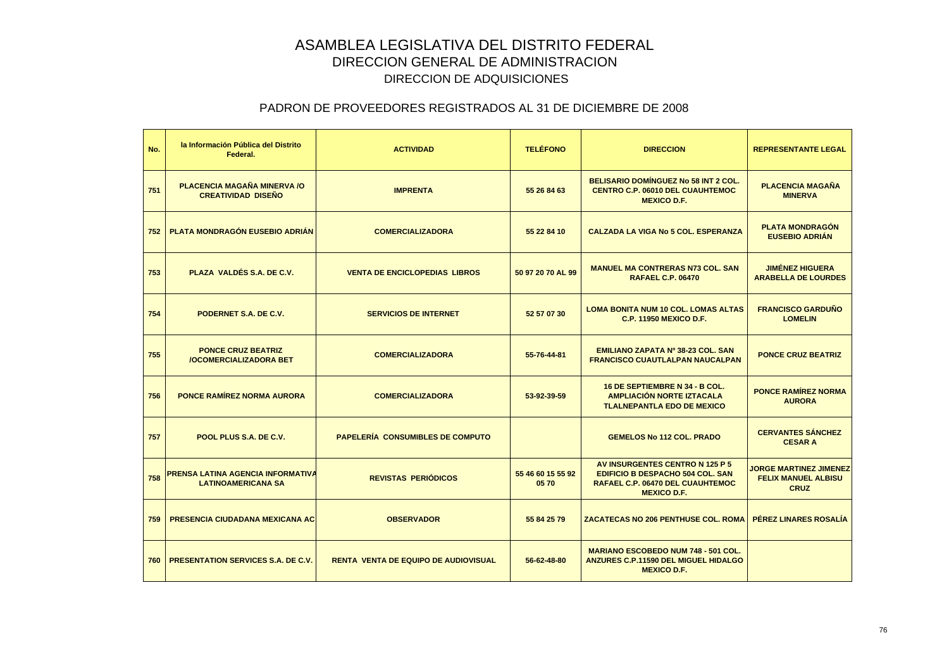| No. | la Información Pública del Distrito<br>Federal.                | <b>ACTIVIDAD</b>                            | <b>TELÉFONO</b>           | <b>DIRECCION</b>                                                                                                              | <b>REPRESENTANTE LEGAL</b>                                                 |
|-----|----------------------------------------------------------------|---------------------------------------------|---------------------------|-------------------------------------------------------------------------------------------------------------------------------|----------------------------------------------------------------------------|
| 751 | PLACENCIA MAGAÑA MINERVA /O<br><b>CREATIVIDAD DISENO</b>       | <b>IMPRENTA</b>                             | 55 26 84 63               | <b>BELISARIO DOMÍNGUEZ No 58 INT 2 COL.</b><br><b>CENTRO C.P. 06010 DEL CUAUHTEMOC</b><br><b>MEXICO D.F.</b>                  | <b>PLACENCIA MAGAÑA</b><br><b>MINERVA</b>                                  |
| 752 | PLATA MONDRAGÓN EUSEBIO ADRIÁN                                 | <b>COMERCIALIZADORA</b>                     | 55 22 84 10               | <b>CALZADA LA VIGA No 5 COL. ESPERANZA</b>                                                                                    | <b>PLATA MONDRAGÓN</b><br><b>EUSEBIO ADRIAN</b>                            |
| 753 | PLAZA VALDÉS S.A. DE C.V.                                      | <b>VENTA DE ENCICLOPEDIAS LIBROS</b>        | 50 97 20 70 AL 99         | <b>MANUEL MA CONTRERAS N73 COL. SAN</b><br><b>RAFAEL C.P. 06470</b>                                                           | <b>JIMÉNEZ HIGUERA</b><br><b>ARABELLA DE LOURDES</b>                       |
| 754 | PODERNET S.A. DE C.V.                                          | <b>SERVICIOS DE INTERNET</b>                | 52 57 07 30               | <b>LOMA BONITA NUM 10 COL. LOMAS ALTAS</b><br><b>C.P. 11950 MEXICO D.F.</b>                                                   | <b>FRANCISCO GARDUÑO</b><br><b>LOMELIN</b>                                 |
| 755 | <b>PONCE CRUZ BEATRIZ</b><br><b>/OCOMERCIALIZADORA BET</b>     | <b>COMERCIALIZADORA</b>                     | 55-76-44-81               | EMILIANO ZAPATA Nº 38-23 COL. SAN<br><b>FRANCISCO CUAUTLALPAN NAUCALPAN</b>                                                   | <b>PONCE CRUZ BEATRIZ</b>                                                  |
| 756 | <b>PONCE RAMÍREZ NORMA AURORA</b>                              | <b>COMERCIALIZADORA</b>                     | 53-92-39-59               | 16 DE SEPTIEMBRE N 34 - B COL.<br><b>AMPLIACIÓN NORTE IZTACALA</b><br><b>TLALNEPANTLA EDO DE MEXICO</b>                       | <b>PONCE RAMÍREZ NORMA</b><br><b>AURORA</b>                                |
| 757 | POOL PLUS S.A. DE C.V.                                         | PAPELERÍA CONSUMIBLES DE COMPUTO            |                           | <b>GEMELOS No 112 COL. PRADO</b>                                                                                              | <b>CERVANTES SÁNCHEZ</b><br><b>CESAR A</b>                                 |
| 758 | PRENSA LATINA AGENCIA INFORMATIVA<br><b>LATINOAMERICANA SA</b> | <b>REVISTAS PERIÓDICOS</b>                  | 55 46 60 15 55 92<br>0570 | AV INSURGENTES CENTRO N 125 P 5<br>EDIFICIO B DESPACHO 504 COL. SAN<br>RAFAEL C.P. 06470 DEL CUAUHTEMOC<br><b>MEXICO D.F.</b> | <b>JORGE MARTINEZ JIMENEZ</b><br><b>FELIX MANUEL ALBISU</b><br><b>CRUZ</b> |
| 759 | <b>PRESENCIA CIUDADANA MEXICANA AC</b>                         | <b>OBSERVADOR</b>                           | 55 84 25 79               | <b>ZACATECAS NO 206 PENTHUSE COL. ROMA</b>                                                                                    | PEREZ LINARES ROSALÍA                                                      |
| 760 | <b>PRESENTATION SERVICES S.A. DE C.V.</b>                      | <b>RENTA VENTA DE EQUIPO DE AUDIOVISUAL</b> | 56-62-48-80               | <b>MARIANO ESCOBEDO NUM 748 - 501 COL.</b><br><b>ANZURES C.P.11590 DEL MIGUEL HIDALGO</b><br><b>MEXICO D.F.</b>               |                                                                            |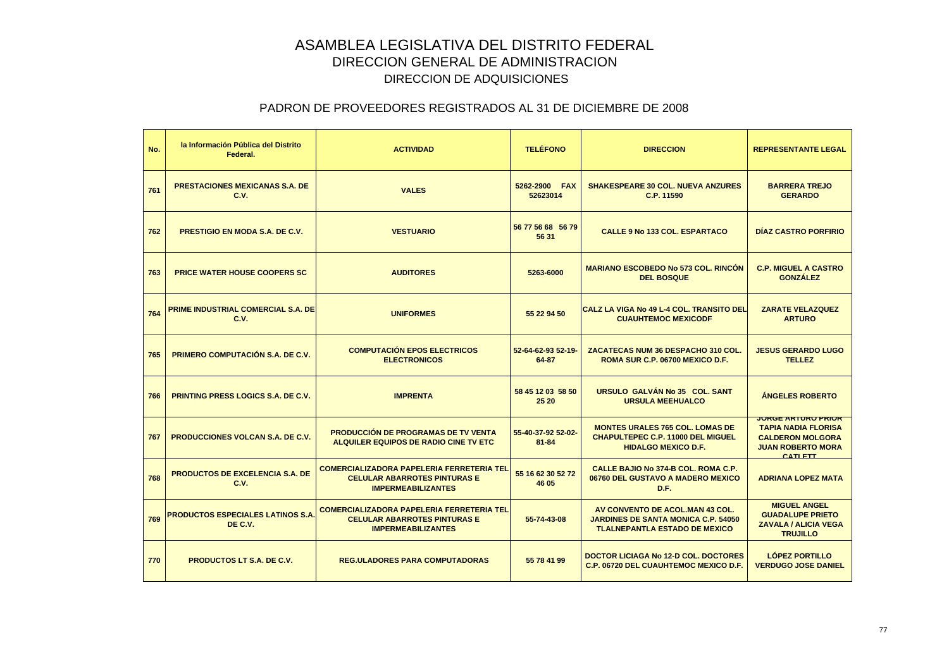| No. | la Información Pública del Distrito<br>Federal. | <b>ACTIVIDAD</b>                                                                                                     | <b>TELÉFONO</b>                 | <b>DIRECCION</b>                                                                                                       | <b>REPRESENTANTE LEGAL</b>                                                                                                       |
|-----|-------------------------------------------------|----------------------------------------------------------------------------------------------------------------------|---------------------------------|------------------------------------------------------------------------------------------------------------------------|----------------------------------------------------------------------------------------------------------------------------------|
| 761 | <b>PRESTACIONES MEXICANAS S.A. DE</b><br>C.V.   | <b>VALES</b>                                                                                                         | 5262-2900 FAX<br>52623014       | <b>SHAKESPEARE 30 COL. NUEVA ANZURES</b><br>C.P. 11590                                                                 | <b>BARRERA TREJO</b><br><b>GERARDO</b>                                                                                           |
| 762 | <b>PRESTIGIO EN MODA S.A. DE C.V.</b>           | <b>VESTUARIO</b>                                                                                                     | 56 77 56 68 56 79<br>56 31      | <b>CALLE 9 No 133 COL. ESPARTACO</b>                                                                                   | <b>DIAZ CASTRO PORFIRIO</b>                                                                                                      |
| 763 | <b>PRICE WATER HOUSE COOPERS SC</b>             | <b>AUDITORES</b>                                                                                                     | 5263-6000                       | <b>MARIANO ESCOBEDO No 573 COL. RINCON</b><br><b>DEL BOSQUE</b>                                                        | <b>C.P. MIGUEL A CASTRO</b><br><b>GONZÁLEZ</b>                                                                                   |
| 764 | PRIME INDUSTRIAL COMERCIAL S.A. DE<br>C.V.      | <b>UNIFORMES</b>                                                                                                     | 55 22 94 50                     | CALZ LA VIGA No 49 L-4 COL. TRANSITO DEL<br><b>CUAUHTEMOC MEXICODF</b>                                                 | <b>ZARATE VELAZQUEZ</b><br><b>ARTURO</b>                                                                                         |
| 765 | <b>PRIMERO COMPUTACIÓN S.A. DE C.V.</b>         | <b>COMPUTACIÓN EPOS ELECTRICOS</b><br><b>ELECTRONICOS</b>                                                            | 52-64-62-93 52-19-<br>64-87     | ZACATECAS NUM 36 DESPACHO 310 COL.<br>ROMA SUR C.P. 06700 MEXICO D.F.                                                  | <b>JESUS GERARDO LUGO</b><br><b>TELLEZ</b>                                                                                       |
| 766 | <b>PRINTING PRESS LOGICS S.A. DE C.V.</b>       | <b>IMPRENTA</b>                                                                                                      | 58 45 12 03 58 50<br>25 20      | URSULO GALVÁN No 35 COL. SANT<br><b>URSULA MEEHUALCO</b>                                                               | <b>ANGELES ROBERTO</b>                                                                                                           |
| 767 | <b>PRODUCCIONES VOLCAN S.A. DE C.V.</b>         | <b>PRODUCCIÓN DE PROGRAMAS DE TV VENTA</b><br>ALQUILER EQUIPOS DE RADIO CINE TV ETC                                  | 55-40-37-92 52-02-<br>$81 - 84$ | <b>MONTES URALES 765 COL. LOMAS DE</b><br><b>CHAPULTEPEC C.P. 11000 DEL MIGUEL</b><br><b>HIDALGO MEXICO D.F.</b>       | <b>JOKGE ARTURO PRIOR</b><br><b>TAPIA NADIA FLORISA</b><br><b>CALDERON MOLGORA</b><br><b>JUAN ROBERTO MORA</b><br><b>CATLETT</b> |
| 768 | <b>PRODUCTOS DE EXCELENCIA S.A. DE</b><br>C.V.  | <b>COMERCIALIZADORA PAPELERIA FERRETERIA TEL</b><br><b>CELULAR ABARROTES PINTURAS E</b><br><b>IMPERMEABILIZANTES</b> | 55 16 62 30 52 72<br>46 05      | CALLE BAJIO No 374-B COL, ROMA C.P.<br>06760 DEL GUSTAVO A MADERO MEXICO<br>D.F.                                       | <b>ADRIANA LOPEZ MATA</b>                                                                                                        |
| 769 | PRODUCTOS ESPECIALES LATINOS S.A.<br>DE C.V.    | <b>COMERCIALIZADORA PAPELERIA FERRETERIA TEL</b><br><b>CELULAR ABARROTES PINTURAS E</b><br><b>IMPERMEABILIZANTES</b> | 55-74-43-08                     | AV CONVENTO DE ACOL. MAN 43 COL.<br><b>JARDINES DE SANTA MONICA C.P. 54050</b><br><b>TLALNEPANTLA ESTADO DE MEXICO</b> | <b>MIGUEL ANGEL</b><br><b>GUADALUPE PRIETO</b><br><b>ZAVALA / ALICIA VEGA</b><br><b>TRUJILLO</b>                                 |
| 770 | <b>PRODUCTOS LT S.A. DE C.V.</b>                | <b>REG.ULADORES PARA COMPUTADORAS</b>                                                                                | 55 78 41 99                     | DOCTOR LICIAGA No 12-D COL. DOCTORES<br><b>C.P. 06720 DEL CUAUHTEMOC MEXICO D.F.</b>                                   | <b>LÓPEZ PORTILLO</b><br><b>VERDUGO JOSE DANIEL</b>                                                                              |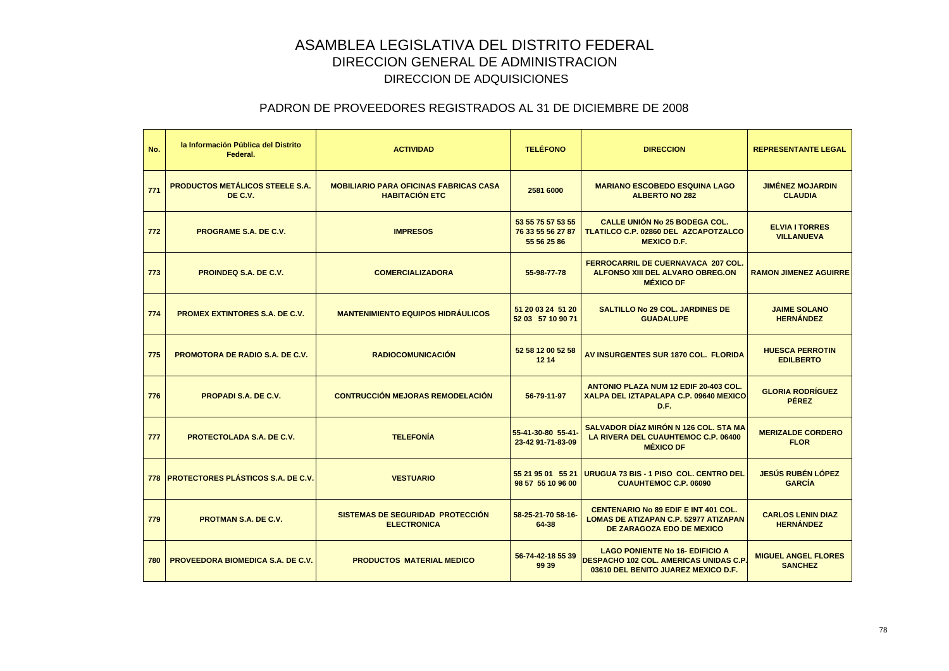| No. | la Información Pública del Distrito<br>Federal.   | <b>ACTIVIDAD</b>                                                       | <b>TELÉFONO</b>                                       | <b>DIRECCION</b>                                                                                                               | <b>REPRESENTANTE LEGAL</b>                   |
|-----|---------------------------------------------------|------------------------------------------------------------------------|-------------------------------------------------------|--------------------------------------------------------------------------------------------------------------------------------|----------------------------------------------|
| 771 | <b>PRODUCTOS METÁLICOS STEELE S.A.</b><br>DE C.V. | <b>MOBILIARIO PARA OFICINAS FABRICAS CASA</b><br><b>HABITACIÓN ETC</b> | 2581 6000                                             | <b>MARIANO ESCOBEDO ESQUINA LAGO</b><br><b>ALBERTO NO 282</b>                                                                  | <b>JIMÉNEZ MOJARDIN</b><br><b>CLAUDIA</b>    |
| 772 | <b>PROGRAME S.A. DE C.V.</b>                      | <b>IMPRESOS</b>                                                        | 53 55 75 57 53 55<br>76 33 55 56 27 87<br>55 56 25 86 | <b>CALLE UNIÓN No 25 BODEGA COL.</b><br><b>TLATILCO C.P. 02860 DEL AZCAPOTZALCO</b><br><b>MEXICO D.F.</b>                      | <b>ELVIA I TORRES</b><br><b>VILLANUEVA</b>   |
| 773 | <b>PROINDEQ S.A. DE C.V.</b>                      | <b>COMERCIALIZADORA</b>                                                | 55-98-77-78                                           | <b>FERROCARRIL DE CUERNAVACA 207 COL.</b><br><b>ALFONSO XIII DEL ALVARO OBREG.ON</b><br><b>MÉXICO DF</b>                       | <b>RAMON JIMENEZ AGUIRRE</b>                 |
| 774 | <b>PROMEX EXTINTORES S.A. DE C.V.</b>             | <b>MANTENIMIENTO EQUIPOS HIDRÁULICOS</b>                               | 51 20 03 24 51 20<br>52 03 57 10 90 71                | <b>SALTILLO No 29 COL. JARDINES DE</b><br><b>GUADALUPE</b>                                                                     | <b>JAIME SOLANO</b><br><b>HERNÁNDEZ</b>      |
| 775 | <b>PROMOTORA DE RADIO S.A. DE C.V.</b>            | <b>RADIOCOMUNICACIÓN</b>                                               | 52 58 12 00 52 58<br>12 14                            | AV INSURGENTES SUR 1870 COL. FLORIDA                                                                                           | <b>HUESCA PERROTIN</b><br><b>EDILBERTO</b>   |
| 776 | <b>PROPADI S.A. DE C.V.</b>                       | <b>CONTRUCCIÓN MEJORAS REMODELACIÓN</b>                                | 56-79-11-97                                           | <b>ANTONIO PLAZA NUM 12 EDIF 20-403 COL.</b><br>XALPA DEL IZTAPALAPA C.P. 09640 MEXICOI<br>D.F.                                | <b>GLORIA RODRÍGUEZ</b><br><b>PÉREZ</b>      |
| 777 | <b>PROTECTOLADA S.A. DE C.V.</b>                  | <b>TELEFONÍA</b>                                                       | 55-41-30-80 55-41-<br>23-42 91-71-83-09               | SALVADOR DÍAZ MIRÓN N 126 COL. STA MA<br>LA RIVERA DEL CUAUHTEMOC C.P. 06400<br><b>MÉXICO DF</b>                               | <b>MERIZALDE CORDERO</b><br><b>FLOR</b>      |
|     | 778 PROTECTORES PLÁSTICOS S.A. DE C.V.            | <b>VESTUARIO</b>                                                       | 55 21 95 01 55 21<br>98 57 55 10 96 00                | URUGUA 73 BIS - 1 PISO COL. CENTRO DEL<br><b>CUAUHTEMOC C.P. 06090</b>                                                         | <b>JESÚS RUBÉN LÓPEZ</b><br><b>GARCÍA</b>    |
| 779 | <b>PROTMAN S.A. DE C.V.</b>                       | SISTEMAS DE SEGURIDAD PROTECCIÓN<br><b>ELECTRONICA</b>                 | 58-25-21-70 58-16-<br>64-38                           | <b>CENTENARIO No 89 EDIF E INT 401 COL.</b><br><b>LOMAS DE ATIZAPAN C.P. 52977 ATIZAPAN</b><br>DE ZARAGOZA EDO DE MEXICO       | <b>CARLOS LENIN DIAZ</b><br><b>HERNÁNDEZ</b> |
| 780 | <b>PROVEEDORA BIOMEDICA S.A. DE C.V.</b>          | <b>PRODUCTOS MATERIAL MEDICO</b>                                       | 56-74-42-18 55 39<br>99 39                            | <b>LAGO PONIENTE No 16- EDIFICIO A</b><br><b>DESPACHO 102 COL. AMERICAS UNIDAS C.P.</b><br>03610 DEL BENITO JUAREZ MEXICO D.F. | <b>MIGUEL ANGEL FLORES</b><br><b>SANCHEZ</b> |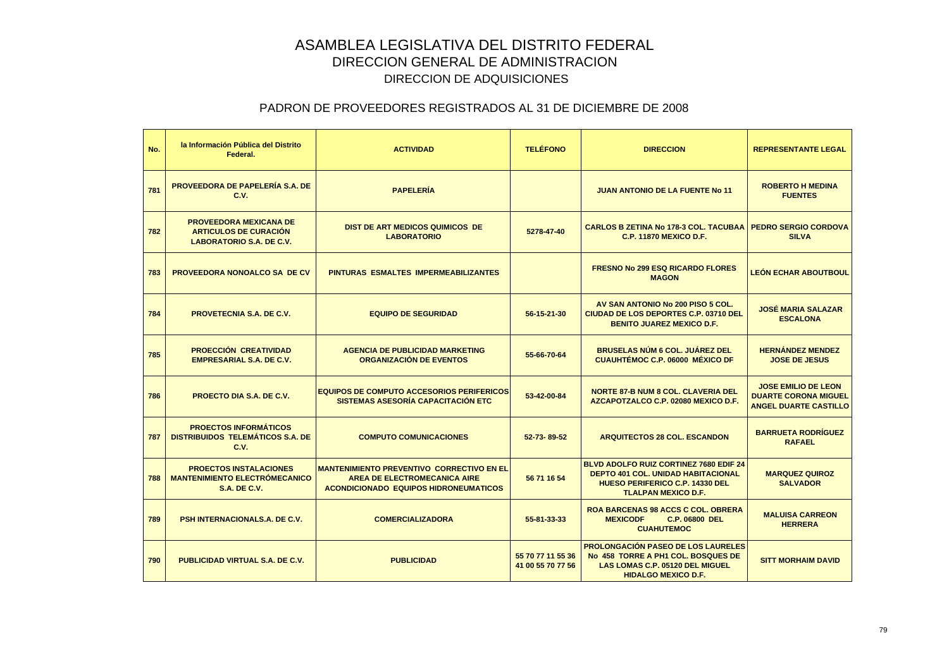| No. | la Información Pública del Distrito<br>Federal.                                                  | <b>ACTIVIDAD</b>                                                                                                                        | <b>TELÉFONO</b>                        | <b>DIRECCION</b>                                                                                                                                                   | <b>REPRESENTANTE LEGAL</b>                                                                |
|-----|--------------------------------------------------------------------------------------------------|-----------------------------------------------------------------------------------------------------------------------------------------|----------------------------------------|--------------------------------------------------------------------------------------------------------------------------------------------------------------------|-------------------------------------------------------------------------------------------|
| 781 | <b>PROVEEDORA DE PAPELERÍA S.A. DE</b><br>C.V.                                                   | <b>PAPELERÍA</b>                                                                                                                        |                                        | <b>JUAN ANTONIO DE LA FUENTE No 11</b>                                                                                                                             | <b>ROBERTO H MEDINA</b><br><b>FUENTES</b>                                                 |
| 782 | <b>PROVEEDORA MEXICANA DE</b><br><b>ARTICULOS DE CURACIÓN</b><br><b>LABORATORIO S.A. DE C.V.</b> | <b>DIST DE ART MEDICOS QUIMICOS DE</b><br><b>LABORATORIO</b>                                                                            | 5278-47-40                             | <b>CARLOS B ZETINA No 178-3 COL. TACUBAA</b><br><b>C.P. 11870 MEXICO D.F.</b>                                                                                      | <b>PEDRO SERGIO CORDOVA</b><br><b>SILVA</b>                                               |
| 783 | <b>PROVEEDORA NONOALCO SA DE CV</b>                                                              | PINTURAS ESMALTES IMPERMEABILIZANTES                                                                                                    |                                        | <b>FRESNO No 299 ESQ RICARDO FLORES</b><br><b>MAGON</b>                                                                                                            | <b>LEÓN ECHAR ABOUTBOUL</b>                                                               |
| 784 | <b>PROVETECNIA S.A. DE C.V.</b>                                                                  | <b>EQUIPO DE SEGURIDAD</b>                                                                                                              | 56-15-21-30                            | AV SAN ANTONIO No 200 PISO 5 COL.<br><b>CIUDAD DE LOS DEPORTES C.P. 03710 DEL</b><br><b>BENITO JUAREZ MEXICO D.F.</b>                                              | <b>JOSÉ MARIA SALAZAR</b><br><b>ESCALONA</b>                                              |
| 785 | <b>PROECCIÓN CREATIVIDAD</b><br><b>EMPRESARIAL S.A. DE C.V.</b>                                  | <b>AGENCIA DE PUBLICIDAD MARKETING</b><br><b>ORGANIZACIÓN DE EVENTOS</b>                                                                | 55-66-70-64                            | <b>BRUSELAS NÚM 6 COL. JUÁREZ DEL</b><br><b>CUAUHTÉMOC C.P. 06000 MÉXICO DF</b>                                                                                    | <b>HERNÁNDEZ MENDEZ</b><br><b>JOSE DE JESUS</b>                                           |
| 786 | <b>PROECTO DIA S.A. DE C.V.</b>                                                                  | <b>EQUIPOS DE COMPUTO ACCESORIOS PERIFERICOS</b><br>SISTEMAS ASESORÍA CAPACITACIÓN ETC                                                  | 53-42-00-84                            | <b>NORTE 87-B NUM 8 COL. CLAVERIA DEL</b><br>AZCAPOTZALCO C.P. 02080 MEXICO D.F.                                                                                   | <b>JOSE EMILIO DE LEON</b><br><b>DUARTE CORONA MIGUEL</b><br><b>ANGEL DUARTE CASTILLO</b> |
| 787 | <b>PROECTOS INFORMÁTICOS</b><br><b>DISTRIBUIDOS TELEMÁTICOS S.A. DE</b><br>C.V.                  | <b>COMPUTO COMUNICACIONES</b>                                                                                                           | 52-73-89-52                            | <b>ARQUITECTOS 28 COL. ESCANDON</b>                                                                                                                                | <b>BARRUETA RODRÍGUEZ</b><br><b>RAFAEL</b>                                                |
| 788 | <b>PROECTOS INSTALACIONES</b><br><b>MANTENIMIENTO ELECTRÓMECANICO</b><br><b>S.A. DE C.V.</b>     | <b>MANTENIMIENTO PREVENTIVO CORRECTIVO EN EL</b><br><b>AREA DE ELECTROMECANICA AIRE</b><br><b>ACONDICIONADO EQUIPOS HIDRONEUMATICOS</b> | 56 71 16 54                            | <b>BLVD ADOLFO RUIZ CORTINEZ 7680 EDIF 24</b><br><b>DEPTO 401 COL. UNIDAD HABITACIONAL</b><br><b>HUESO PERIFERICO C.P. 14330 DEL</b><br><b>TLALPAN MEXICO D.F.</b> | <b>MARQUEZ QUIROZ</b><br><b>SALVADOR</b>                                                  |
| 789 | <b>PSH INTERNACIONALS.A. DE C.V.</b>                                                             | <b>COMERCIALIZADORA</b>                                                                                                                 | 55-81-33-33                            | <b>ROA BARCENAS 98 ACCS C COL. OBRERA</b><br><b>MEXICODF</b><br><b>C.P. 06800 DEL</b><br><b>CUAHUTEMOC</b>                                                         | <b>MALUISA CARREON</b><br><b>HERRERA</b>                                                  |
| 790 | <b>PUBLICIDAD VIRTUAL S.A. DE C.V.</b>                                                           | <b>PUBLICIDAD</b>                                                                                                                       | 55 70 77 11 55 36<br>41 00 55 70 77 56 | <b>PROLONGACIÓN PASEO DE LOS LAURELES</b><br>No. 458 TORRE A PH1 COL. BOSQUES DE<br>LAS LOMAS C.P. 05120 DEL MIGUEL<br><b>HIDALGO MEXICO D.F.</b>                  | <b>SITT MORHAIM DAVID</b>                                                                 |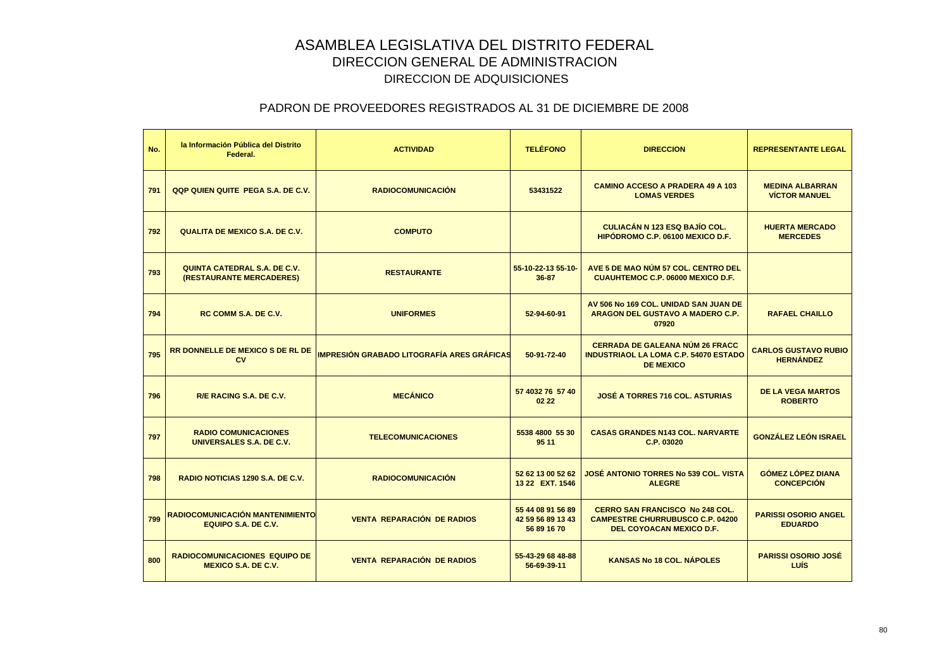| No. | la Información Pública del Distrito<br>Federal.                    | <b>ACTIVIDAD</b>                                  | <b>TELÉFONO</b>                                       | <b>DIRECCION</b>                                                                                              | <b>REPRESENTANTE LEGAL</b>                      |
|-----|--------------------------------------------------------------------|---------------------------------------------------|-------------------------------------------------------|---------------------------------------------------------------------------------------------------------------|-------------------------------------------------|
| 791 | QQP QUIEN QUITE PEGA S.A. DE C.V.                                  | <b>RADIOCOMUNICACIÓN</b>                          | 53431522                                              | <b>CAMINO ACCESO A PRADERA 49 A 103</b><br><b>LOMAS VERDES</b>                                                | <b>MEDINA ALBARRAN</b><br><b>VÍCTOR MANUEL</b>  |
| 792 | <b>QUALITA DE MEXICO S.A. DE C.V.</b>                              | <b>COMPUTO</b>                                    |                                                       | <b>CULIACÁN N 123 ESQ BAJÍO COL.</b><br>HIPÓDROMO C.P. 06100 MEXICO D.F.                                      | <b>HUERTA MERCADO</b><br><b>MERCEDES</b>        |
| 793 | QUINTA CATEDRAL S.A. DE C.V.<br>(RESTAURANTE MERCADERES)           | <b>RESTAURANTE</b>                                | 55-10-22-13 55-10-<br>36-87                           | AVE 5 DE MAO NÚM 57 COL. CENTRO DEL<br><b>CUAUHTEMOC C.P. 06000 MEXICO D.F.</b>                               |                                                 |
| 794 | <b>RC COMM S.A. DE C.V.</b>                                        | <b>UNIFORMES</b>                                  | 52-94-60-91                                           | AV 506 No 169 COL. UNIDAD SAN JUAN DE<br>ARAGON DEL GUSTAVO A MADERO C.P.<br>07920                            | <b>RAFAEL CHAILLO</b>                           |
| 795 | <b>RR DONNELLE DE MEXICO S DE RL DE</b><br>CV                      | <b>IMPRESIÓN GRABADO LITOGRAFÍA ARES GRÁFICAS</b> | 50-91-72-40                                           | <b>CERRADA DE GALEANA NÚM 26 FRACC</b><br><b>INDUSTRIAOL LA LOMA C.P. 54070 ESTADO</b><br><b>DE MEXICO</b>    | <b>CARLOS GUSTAVO RUBIO</b><br><b>HERNÁNDEZ</b> |
| 796 | R/E RACING S.A. DE C.V.                                            | <b>MECÁNICO</b>                                   | 57 4032 76 57 40<br>02 22                             | <b>JOSÉ A TORRES 716 COL. ASTURIAS</b>                                                                        | <b>DE LA VEGA MARTOS</b><br><b>ROBERTO</b>      |
| 797 | <b>RADIO COMUNICACIONES</b><br>UNIVERSALES S.A. DE C.V.            | <b>TELECOMUNICACIONES</b>                         | 5538 4800 55 30<br>95 11                              | <b>CASAS GRANDES N143 COL. NARVARTE</b><br>C.P. 03020                                                         | <b>GONZÁLEZ LEÓN ISRAEL</b>                     |
| 798 | RADIO NOTICIAS 1290 S.A. DE C.V.                                   | <b>RADIOCOMUNICACIÓN</b>                          | 52 62 13 00 52 62<br>13 22 EXT. 1546                  | JOSÉ ANTONIO TORRES Nº 539 COL. VISTA<br><b>ALEGRE</b>                                                        | <b>GÓMEZ LÓPEZ DIANA</b><br><b>CONCEPCIÓN</b>   |
| 799 | RADIOCOMUNICACIÓN MANTENIMIENTO<br><b>EQUIPO S.A. DE C.V.</b>      | <b>VENTA REPARACIÓN DE RADIOS</b>                 | 55 44 08 91 56 89<br>42 59 56 89 13 43<br>56 89 16 70 | <b>CERRO SAN FRANCISCO No 248 COL.</b><br><b>CAMPESTRE CHURRUBUSCO C.P. 04200</b><br>DEL COYOACAN MEXICO D.F. | <b>PARISSI OSORIO ANGEL</b><br><b>EDUARDO</b>   |
| 800 | <b>RADIOCOMUNICACIONES EQUIPO DE</b><br><b>MEXICO S.A. DE C.V.</b> | <b>VENTA REPARACIÓN DE RADIOS</b>                 | 55-43-29 68 48-88<br>56-69-39-11                      | <b>KANSAS No 18 COL. NÁPOLES</b>                                                                              | <b>PARISSI OSORIO JOSÉ</b><br>LUÍS              |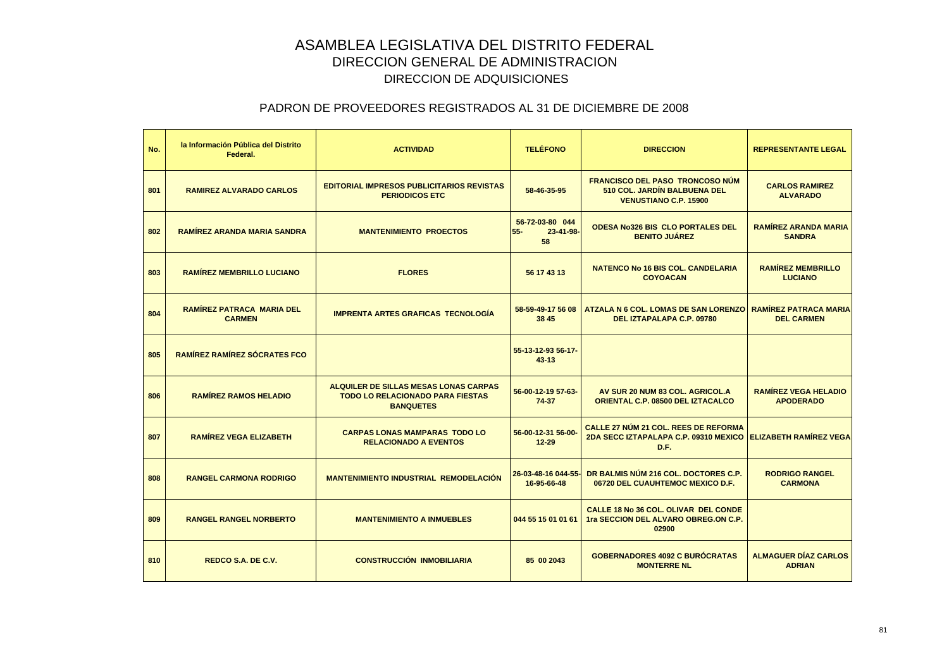| No. | la Información Pública del Distrito<br>Federal.   | <b>ACTIVIDAD</b>                                                                                            | <b>TELÉFONO</b>                              | <b>DIRECCION</b>                                                                                                    | <b>REPRESENTANTE LEGAL</b>                      |
|-----|---------------------------------------------------|-------------------------------------------------------------------------------------------------------------|----------------------------------------------|---------------------------------------------------------------------------------------------------------------------|-------------------------------------------------|
| 801 | <b>RAMIREZ ALVARADO CARLOS</b>                    | <b>EDITORIAL IMPRESOS PUBLICITARIOS REVISTAS</b><br><b>PERIODICOS ETC</b>                                   | 58-46-35-95                                  | <b>FRANCISCO DEL PASO TRONCOSO NÚM</b><br>510 COL. JARDÍN BALBUENA DEL<br><b>VENUSTIANO C.P. 15900</b>              | <b>CARLOS RAMIREZ</b><br><b>ALVARADO</b>        |
| 802 | <b>RAMÍREZ ARANDA MARIA SANDRA</b>                | <b>MANTENIMIENTO PROECTOS</b>                                                                               | 56-72-03-80 044<br>$55 -$<br>23-41-98-<br>58 | <b>ODESA No326 BIS CLO PORTALES DEL</b><br><b>BENITO JUAREZ</b>                                                     | <b>RAMÍREZ ARANDA MARIA</b><br><b>SANDRA</b>    |
| 803 | <b>RAMÍREZ MEMBRILLO LUCIANO</b>                  | <b>FLORES</b>                                                                                               | 56 17 43 13                                  | <b>NATENCO No 16 BIS COL. CANDELARIA</b><br><b>COYOACAN</b>                                                         | <b>RAMÍREZ MEMBRILLO</b><br><b>LUCIANO</b>      |
| 804 | <b>RAMÍREZ PATRACA MARIA DEL</b><br><b>CARMEN</b> | <b>IMPRENTA ARTES GRAFICAS TECNOLOGÍA</b>                                                                   | 58-59-49-17 56 08<br>38 45                   | <b>ATZALA N 6 COL. LOMAS DE SAN LORENZO   RAMÍREZ PATRACA MARIA</b><br>DEL IZTAPALAPA C.P. 09780                    | <b>DEL CARMEN</b>                               |
| 805 | <b>RAMÍREZ RAMÍREZ SÓCRATES FCO</b>               |                                                                                                             | 55-13-12-93 56-17-<br>$43 - 13$              |                                                                                                                     |                                                 |
| 806 | <b>RAMIREZ RAMOS HELADIO</b>                      | <b>ALQUILER DE SILLAS MESAS LONAS CARPAS</b><br><b>TODO LO RELACIONADO PARA FIESTAS</b><br><b>BANQUETES</b> | 56-00-12-19 57-63-<br>74-37                  | AV SUR 20 NUM 83 COL. AGRICOL.A<br><b>ORIENTAL C.P. 08500 DEL IZTACALCO</b>                                         | <b>RAMÍREZ VEGA HELADIO</b><br><b>APODERADO</b> |
| 807 | <b>RAMÍREZ VEGA ELIZABETH</b>                     | <b>CARPAS LONAS MAMPARAS TODO LO</b><br><b>RELACIONADO A EVENTOS</b>                                        | 56-00-12-31 56-00-<br>$12 - 29$              | <b>CALLE 27 NÚM 21 COL. REES DE REFORMA</b><br>2DA SECC IZTAPALAPA C.P. 09310 MEXICO ELIZABETH RAMÍREZ VEGA<br>D.F. |                                                 |
| 808 | <b>RANGEL CARMONA RODRIGO</b>                     | <b>MANTENIMIENTO INDUSTRIAL REMODELACIÓN</b>                                                                | 26-03-48-16 044-55-<br>16-95-66-48           | DR BALMIS NÚM 216 COL. DOCTORES C.P.<br>06720 DEL CUAUHTEMOC MEXICO D.F.                                            | <b>RODRIGO RANGEL</b><br><b>CARMONA</b>         |
| 809 | <b>RANGEL RANGEL NORBERTO</b>                     | <b>MANTENIMIENTO A INMUEBLES</b>                                                                            | 044 55 15 01 01 61                           | CALLE 18 No 36 COL. OLIVAR DEL CONDE<br>1ra SECCION DEL ALVARO OBREG.ON C.P.<br>02900                               |                                                 |
| 810 | <b>REDCO S.A. DE C.V.</b>                         | <b>CONSTRUCCIÓN INMOBILIARIA</b>                                                                            | 85 00 2043                                   | <b>GOBERNADORES 4092 C BURÓCRATAS</b><br><b>MONTERRE NL</b>                                                         | <b>ALMAGUER DÍAZ CARLOS</b><br><b>ADRIAN</b>    |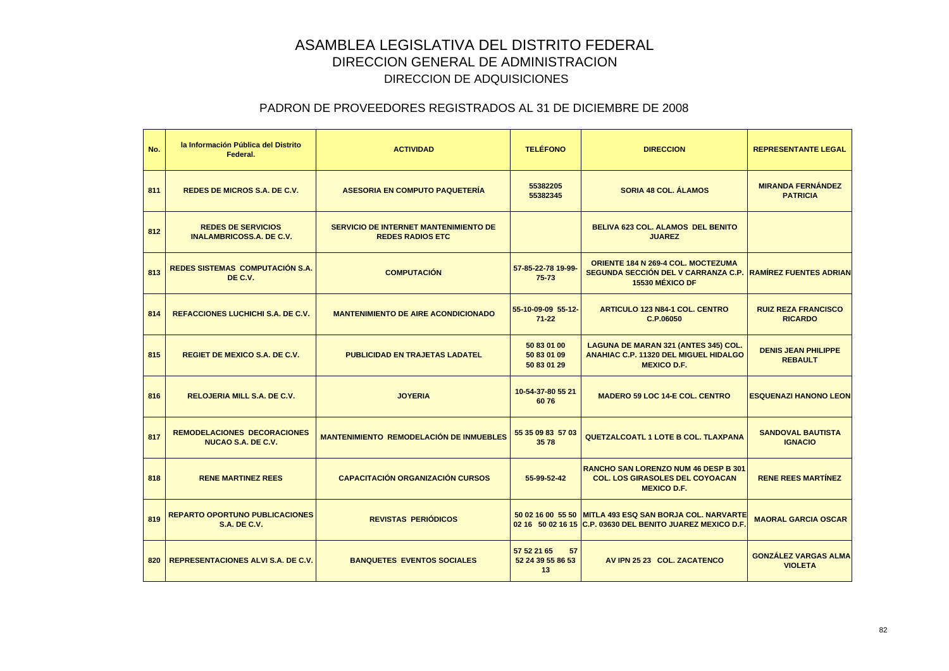| No. | la Información Pública del Distrito<br>Federal.                 | <b>ACTIVIDAD</b>                                                        | <b>TELÉFONO</b>                              | <b>DIRECCION</b>                                                                                                      | <b>REPRESENTANTE LEGAL</b>                    |
|-----|-----------------------------------------------------------------|-------------------------------------------------------------------------|----------------------------------------------|-----------------------------------------------------------------------------------------------------------------------|-----------------------------------------------|
| 811 | <b>REDES DE MICROS S.A. DE C.V.</b>                             | <b>ASESORIA EN COMPUTO PAQUETERÍA</b>                                   | 55382205<br>55382345                         | <b>SORIA 48 COL. ÁLAMOS</b>                                                                                           | <b>MIRANDA FERNÁNDEZ</b><br><b>PATRICIA</b>   |
| 812 | <b>REDES DE SERVICIOS</b><br><b>INALAMBRICOSS.A. DE C.V.</b>    | <b>SERVICIO DE INTERNET MANTENIMIENTO DE</b><br><b>REDES RADIOS ETC</b> |                                              | BELIVA 623 COL. ALAMOS DEL BENITO<br><b>JUAREZ</b>                                                                    |                                               |
| 813 | REDES SISTEMAS COMPUTACIÓN S.A.<br>DE C.V.                      | <b>COMPUTACIÓN</b>                                                      | 57-85-22-78 19-99-<br>$75 - 73$              | ORIENTE 184 N 269-4 COL. MOCTEZUMA<br>SEGUNDA SECCIÓN DEL V CARRANZA C.P. RAMÍREZ FUENTES ADRIAN<br>15530 MÉXICO DF   |                                               |
| 814 | <b>REFACCIONES LUCHICHI S.A. DE C.V.</b>                        | <b>MANTENIMIENTO DE AIRE ACONDICIONADO</b>                              | 55-10-09-09 55-12-<br>$71 - 22$              | <b>ARTICULO 123 N84-1 COL. CENTRO</b><br>C.P.06050                                                                    | <b>RUIZ REZA FRANCISCO</b><br><b>RICARDO</b>  |
| 815 | <b>REGIET DE MEXICO S.A. DE C.V.</b>                            | <b>PUBLICIDAD EN TRAJETAS LADATEL</b>                                   | 50 83 01 00<br>50 83 01 09<br>50 83 01 29    | LAGUNA DE MARAN 321 (ANTES 345) COL.<br><b>ANAHIAC C.P. 11320 DEL MIGUEL HIDALGO</b><br><b>MEXICO D.F.</b>            | <b>DENIS JEAN PHILIPPE</b><br><b>REBAULT</b>  |
| 816 | <b>RELOJERIA MILL S.A. DE C.V.</b>                              | <b>JOYERIA</b>                                                          | 10-54-37-80 55 21<br>6076                    | <b>MADERO 59 LOC 14-E COL. CENTRO</b>                                                                                 | <b>ESQUENAZI HANONO LEON</b>                  |
| 817 | <b>REMODELACIONES DECORACIONES</b><br><b>NUCAO S.A. DE C.V.</b> | <b>MANTENIMIENTO REMODELACIÓN DE INMUEBLES</b>                          | 55 35 09 83 57 03<br>3578                    | <b>QUETZALCOATL 1 LOTE B COL. TLAXPANA</b>                                                                            | <b>SANDOVAL BAUTISTA</b><br><b>IGNACIO</b>    |
| 818 | <b>RENE MARTINEZ REES</b>                                       | <b>CAPACITACIÓN ORGANIZACIÓN CURSOS</b>                                 | 55-99-52-42                                  | <b>RANCHO SAN LORENZO NUM 46 DESP B 301</b><br><b>COL. LOS GIRASOLES DEL COYOACAN</b><br><b>MEXICO D.F.</b>           | <b>RENE REES MARTÍNEZ</b>                     |
| 819 | <b>REPARTO OPORTUNO PUBLICACIONES</b><br><b>S.A. DE C.V.</b>    | <b>REVISTAS PERIÓDICOS</b>                                              |                                              | 50 02 16 00 55 50 MITLA 493 ESQ SAN BORJA COL. NARVARTE<br>02 16 50 02 16 15 C.P. 03630 DEL BENITO JUAREZ MEXICO D.F. | <b>MAORAL GARCIA OSCAR</b>                    |
| 820 | <b>REPRESENTACIONES ALVI S.A. DE C.V.</b>                       | <b>BANQUETES EVENTOS SOCIALES</b>                                       | 57 52 21 65<br>57<br>52 24 39 55 86 53<br>13 | AV IPN 25 23 COL. ZACATENCO                                                                                           | <b>GONZALEZ VARGAS ALMA</b><br><b>VIOLETA</b> |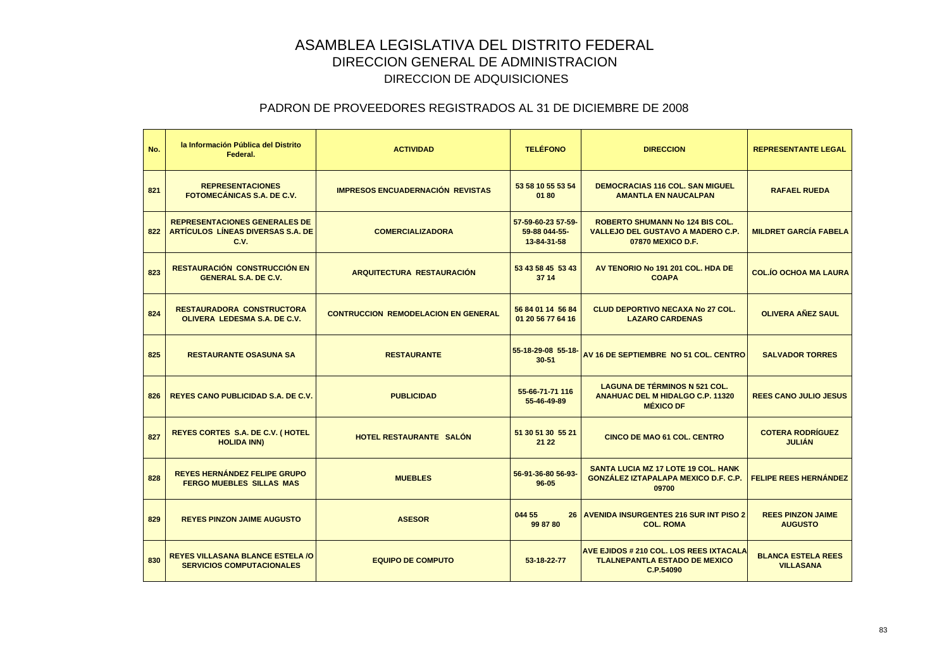| No. | la Información Pública del Distrito<br>Federal.                                   | <b>ACTIVIDAD</b>                           | <b>TELÉFONO</b>                                    | <b>DIRECCION</b>                                                                                        | <b>REPRESENTANTE LEGAL</b>                    |
|-----|-----------------------------------------------------------------------------------|--------------------------------------------|----------------------------------------------------|---------------------------------------------------------------------------------------------------------|-----------------------------------------------|
| 821 | <b>REPRESENTACIONES</b><br><b>FOTOMECÁNICAS S.A. DE C.V.</b>                      | <b>IMPRESOS ENCUADERNACIÓN REVISTAS</b>    | 53 58 10 55 53 54<br>0180                          | <b>DEMOCRACIAS 116 COL. SAN MIGUEL</b><br><b>AMANTLA EN NAUCALPAN</b>                                   | <b>RAFAEL RUEDA</b>                           |
| 822 | <b>REPRESENTACIONES GENERALES DE</b><br>ARTÍCULOS LÍNEAS DIVERSAS S.A. DE<br>C.V. | <b>COMERCIALIZADORA</b>                    | 57-59-60-23 57-59-<br>59-88 044-55-<br>13-84-31-58 | <b>ROBERTO SHUMANN No 124 BIS COL.</b><br><b>VALLEJO DEL GUSTAVO A MADERO C.P.</b><br>07870 MEXICO D.F. | <b>MILDRET GARCÍA FABELA</b>                  |
| 823 | <b>RESTAURACIÓN CONSTRUCCIÓN EN</b><br><b>GENERAL S.A. DE C.V.</b>                | <b>ARQUITECTURA RESTAURACIÓN</b>           | 53 43 58 45 53 43<br>37 14                         | AV TENORIO No 191 201 COL. HDA DE<br><b>COAPA</b>                                                       | <b>COL.ÍO OCHOA MA LAURA</b>                  |
| 824 | <b>RESTAURADORA CONSTRUCTORA</b><br>OLIVERA LEDESMA S.A. DE C.V.                  | <b>CONTRUCCION REMODELACION EN GENERAL</b> | 56 84 01 14 56 84<br>01 20 56 77 64 16             | <b>CLUD DEPORTIVO NECAXA No 27 COL.</b><br><b>LAZARO CARDENAS</b>                                       | <b>OLIVERA AÑEZ SAUL</b>                      |
| 825 | <b>RESTAURANTE OSASUNA SA</b>                                                     | <b>RESTAURANTE</b>                         | 55-18-29-08 55-18-<br>$30 - 51$                    | AV 16 DE SEPTIEMBRE NO 51 COL. CENTRO                                                                   | <b>SALVADOR TORRES</b>                        |
| 826 | <b>REYES CANO PUBLICIDAD S.A. DE C.V.</b>                                         | <b>PUBLICIDAD</b>                          | 55-66-71-71 116<br>55-46-49-89                     | <b>LAGUNA DE TÉRMINOS N 521 COL.</b><br><b>ANAHUAC DEL M HIDALGO C.P. 11320</b><br><b>MÉXICO DF</b>     | <b>REES CANO JULIO JESUS</b>                  |
| 827 | <b>REYES CORTES S.A. DE C.V. (HOTEL</b><br><b>HOLIDA INN)</b>                     | <b>HOTEL RESTAURANTE SALON</b>             | 51 30 51 30 55 21<br>21 22                         | <b>CINCO DE MAO 61 COL. CENTRO</b>                                                                      | <b>COTERA RODRÍGUEZ</b><br><b>JULIÁN</b>      |
| 828 | <b>REYES HERNÁNDEZ FELIPE GRUPO</b><br><b>FERGO MUEBLES SILLAS MAS</b>            | <b>MUEBLES</b>                             | 56-91-36-80 56-93-<br>$96 - 05$                    | <b>SANTA LUCIA MZ 17 LOTE 19 COL. HANK</b><br>GONZÁLEZ IZTAPALAPA MEXICO D.F. C.P.<br>09700             | <b>FELIPE REES HERNÁNDEZ</b>                  |
| 829 | <b>REYES PINZON JAIME AUGUSTO</b>                                                 | <b>ASESOR</b>                              | 044 55<br>99 87 80                                 | <b>26 AVENIDA INSURGENTES 216 SUR INT PISO 2</b><br><b>COL. ROMA</b>                                    | <b>REES PINZON JAIME</b><br><b>AUGUSTO</b>    |
| 830 | <b>REYES VILLASANA BLANCE ESTELA /O</b><br><b>SERVICIOS COMPUTACIONALES</b>       | <b>EQUIPO DE COMPUTO</b>                   | 53-18-22-77                                        | <b>AVE EJIDOS # 210 COL. LOS REES IXTACALA</b><br><b>TLALNEPANTLA ESTADO DE MEXICO</b><br>C.P.54090     | <b>BLANCA ESTELA REES</b><br><b>VILLASANA</b> |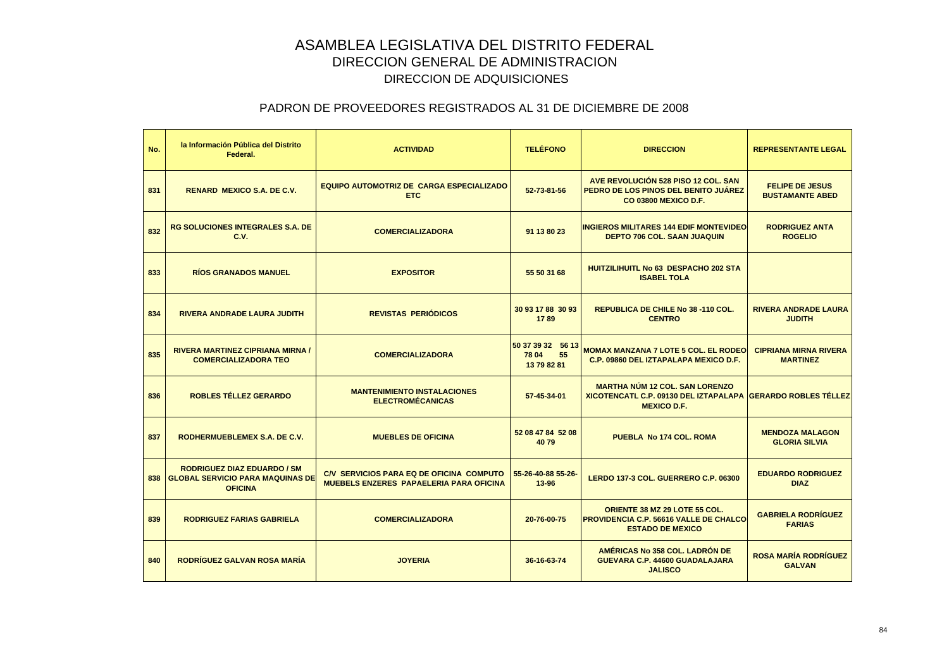| No. | la Información Pública del Distrito<br>Federal.                                                 | <b>ACTIVIDAD</b>                                                                           | <b>TELÉFONO</b>                                 | <b>DIRECCION</b>                                                                                                                  | <b>REPRESENTANTE LEGAL</b>                       |
|-----|-------------------------------------------------------------------------------------------------|--------------------------------------------------------------------------------------------|-------------------------------------------------|-----------------------------------------------------------------------------------------------------------------------------------|--------------------------------------------------|
| 831 | <b>RENARD MEXICO S.A. DE C.V.</b>                                                               | EQUIPO AUTOMOTRIZ DE CARGA ESPECIALIZADO<br><b>ETC</b>                                     | 52-73-81-56                                     | AVE REVOLUCIÓN 528 PISO 12 COL, SAN<br>PEDRO DE LOS PINOS DEL BENITO JUÁREZ<br><b>CO 03800 MEXICO D.F.</b>                        | <b>FELIPE DE JESUS</b><br><b>BUSTAMANTE ABED</b> |
| 832 | <b>RG SOLUCIONES INTEGRALES S.A. DE</b><br>C.V.                                                 | <b>COMERCIALIZADORA</b>                                                                    | 91 13 80 23                                     | <b>INGIEROS MILITARES 144 EDIF MONTEVIDEO</b><br><b>DEPTO 706 COL. SAAN JUAQUIN</b>                                               | <b>RODRIGUEZ ANTA</b><br><b>ROGELIO</b>          |
| 833 | <b>RÍOS GRANADOS MANUEL</b>                                                                     | <b>EXPOSITOR</b>                                                                           | 55 50 31 68                                     | <b>HUITZILIHUITL No 63 DESPACHO 202 STA</b><br><b>ISABEL TOLA</b>                                                                 |                                                  |
| 834 | <b>RIVERA ANDRADE LAURA JUDITH</b>                                                              | <b>REVISTAS PERIÓDICOS</b>                                                                 | 30 93 17 88 30 93<br>1789                       | REPUBLICA DE CHILE No 38 -110 COL.<br><b>CENTRO</b>                                                                               | <b>RIVERA ANDRADE LAURA</b><br><b>JUDITH</b>     |
| 835 | <b>RIVERA MARTINEZ CIPRIANA MIRNA /</b><br><b>COMERCIALIZADORA TEO</b>                          | <b>COMERCIALIZADORA</b>                                                                    | 50 37 39 32 56 13<br>78 04<br>55<br>13 79 82 81 | <b>MOMAX MANZANA 7 LOTE 5 COL. EL RODEO</b><br>C.P. 09860 DEL IZTAPALAPA MEXICO D.F.                                              | <b>CIPRIANA MIRNA RIVERA</b><br><b>MARTINEZ</b>  |
| 836 | <b>ROBLES TÉLLEZ GERARDO</b>                                                                    | <b>MANTENIMIENTO INSTALACIONES</b><br><b>ELECTROMÉCANICAS</b>                              | 57-45-34-01                                     | <b>MARTHA NÚM 12 COL. SAN LORENZO</b><br><b>XICOTENCATL C.P. 09130 DEL IZTAPALAPA GERARDO ROBLES TÉLLEZ</b><br><b>MEXICO D.F.</b> |                                                  |
| 837 | RODHERMUEBLEMEX S.A. DE C.V.                                                                    | <b>MUEBLES DE OFICINA</b>                                                                  | 52 08 47 84 52 08<br>4079                       | PUEBLA No 174 COL. ROMA                                                                                                           | <b>MENDOZA MALAGON</b><br><b>GLORIA SILVIA</b>   |
| 838 | <b>RODRIGUEZ DIAZ EDUARDO / SM</b><br><b>GLOBAL SERVICIO PARA MAQUINAS DE</b><br><b>OFICINA</b> | C/V SERVICIOS PARA EQ DE OFICINA COMPUTO<br><b>MUEBELS ENZERES PAPAELERIA PARA OFICINA</b> | 55-26-40-88 55-26-<br>$13 - 96$                 | LERDO 137-3 COL. GUERRERO C.P. 06300                                                                                              | <b>EDUARDO RODRIGUEZ</b><br><b>DIAZ</b>          |
| 839 | <b>RODRIGUEZ FARIAS GABRIELA</b>                                                                | <b>COMERCIALIZADORA</b>                                                                    | 20-76-00-75                                     | ORIENTE 38 MZ 29 LOTE 55 COL.<br><b>PROVIDENCIA C.P. 56616 VALLE DE CHALCO</b><br><b>ESTADO DE MEXICO</b>                         | <b>GABRIELA RODRÍGUEZ</b><br><b>FARIAS</b>       |
| 840 | RODRIGUEZ GALVAN ROSA MARÍA                                                                     | <b>JOYERIA</b>                                                                             | 36-16-63-74                                     | AMÉRICAS No 358 COL. LADRÓN DE<br>GUEVARA C.P. 44600 GUADALAJARA<br><b>JALISCO</b>                                                | <b>ROSA MARÍA RODRÍGUEZ</b><br><b>GALVAN</b>     |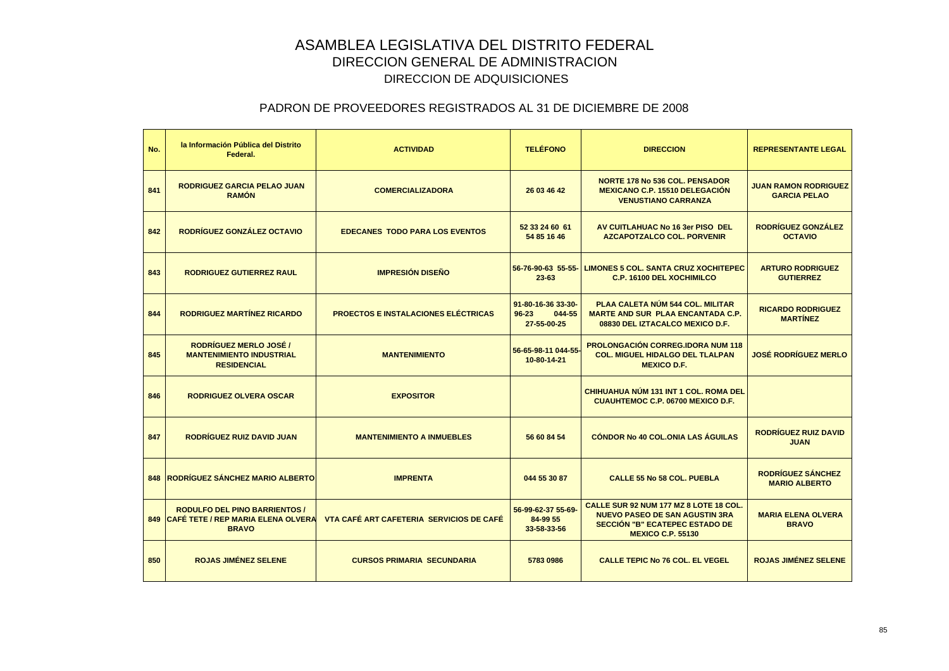| No. | la Información Pública del Distrito<br>Federal.                                                | <b>ACTIVIDAD</b>                           | <b>TELÉFONO</b>                                          | <b>DIRECCION</b>                                                                                                                              | <b>REPRESENTANTE LEGAL</b>                         |
|-----|------------------------------------------------------------------------------------------------|--------------------------------------------|----------------------------------------------------------|-----------------------------------------------------------------------------------------------------------------------------------------------|----------------------------------------------------|
| 841 | <b>RODRIGUEZ GARCIA PELAO JUAN</b><br><b>RAMON</b>                                             | <b>COMERCIALIZADORA</b>                    | 26 03 46 42                                              | <b>NORTE 178 No 536 COL. PENSADOR</b><br><b>MEXICANO C.P. 15510 DELEGACIÓN</b><br><b>VENUSTIANO CARRANZA</b>                                  | <b>JUAN RAMON RODRIGUEZ</b><br><b>GARCIA PELAO</b> |
| 842 | RODRÍGUEZ GONZÁLEZ OCTAVIO                                                                     | <b>EDECANES TODO PARA LOS EVENTOS</b>      | 52 33 24 60 61<br>54 85 16 46                            | AV CUITLAHUAC No 16 3er PISO DEL<br><b>AZCAPOTZALCO COL. PORVENIR</b>                                                                         | <b>RODRÍGUEZ GONZÁLEZ</b><br><b>OCTAVIO</b>        |
| 843 | <b>RODRIGUEZ GUTIERREZ RAUL</b>                                                                | <b>IMPRESIÓN DISEÑO</b>                    | 56-76-90-63 55-55-<br>$23 - 63$                          | <b>LIMONES 5 COL. SANTA CRUZ XOCHITEPEC</b><br><b>C.P. 16100 DEL XOCHIMILCO</b>                                                               | <b>ARTURO RODRIGUEZ</b><br><b>GUTIERREZ</b>        |
| 844 | <b>RODRIGUEZ MARTÍNEZ RICARDO</b>                                                              | <b>PROECTOS E INSTALACIONES ELÉCTRICAS</b> | 91-80-16-36 33-30-<br>$96 - 23$<br>044-55<br>27-55-00-25 | PLAA CALETA NÚM 544 COL. MILITAR<br><b>MARTE AND SUR PLAA ENCANTADA C.P.</b><br>08830 DEL IZTACALCO MEXICO D.F.                               | <b>RICARDO RODRIGUEZ</b><br><b>MARTÍNEZ</b>        |
| 845 | <b>RODRÍGUEZ MERLO JOSÉ /</b><br><b>MANTENIMIENTO INDUSTRIAL</b><br><b>RESIDENCIAL</b>         | <b>MANTENIMIENTO</b>                       | 56-65-98-11 044-55-<br>10-80-14-21                       | <b>PROLONGACIÓN CORREG.IDORA NUM 118</b><br><b>COL. MIGUEL HIDALGO DEL TLALPAN</b><br><b>MEXICO D.F.</b>                                      | <b>JOSÉ RODRÍGUEZ MERLO</b>                        |
| 846 | <b>RODRIGUEZ OLVERA OSCAR</b>                                                                  | <b>EXPOSITOR</b>                           |                                                          | <b>CHIHUAHUA NÚM 131 INT 1 COL. ROMA DEL</b><br><b>CUAUHTEMOC C.P. 06700 MEXICO D.F.</b>                                                      |                                                    |
| 847 | RODRÍGUEZ RUIZ DAVID JUAN                                                                      | <b>MANTENIMIENTO A INMUEBLES</b>           | 56 60 84 54                                              | <b>CÓNDOR No 40 COL.ONIA LAS ÁGUILAS</b>                                                                                                      | <b>RODRÍGUEZ RUIZ DAVID</b><br><b>JUAN</b>         |
|     | 848 RODRÍGUEZ SÁNCHEZ MARIO ALBERTO                                                            | <b>IMPRENTA</b>                            | 044 55 30 87                                             | <b>CALLE 55 No 58 COL. PUEBLA</b>                                                                                                             | <b>RODRÍGUEZ SÁNCHEZ</b><br><b>MARIO ALBERTO</b>   |
|     | <b>RODULFO DEL PINO BARRIENTOS /</b><br>849 CAFÉ TETE / REP MARIA ELENA OLVERA<br><b>BRAVO</b> | VTA CAFÉ ART CAFETERIA SERVICIOS DE CAFÉ   | 56-99-62-37 55-69-<br>84-99 55<br>33-58-33-56            | CALLE SUR 92 NUM 177 MZ 8 LOTE 18 COL.<br><b>NUEVO PASEO DE SAN AGUSTIN 3RA</b><br>SECCIÓN "B" ECATEPEC ESTADO DE<br><b>MEXICO C.P. 55130</b> | <b>MARIA ELENA OLVERA</b><br><b>BRAVO</b>          |
| 850 | <b>ROJAS JIMÉNEZ SELENE</b>                                                                    | <b>CURSOS PRIMARIA SECUNDARIA</b>          | 5783 0986                                                | <b>CALLE TEPIC No 76 COL. EL VEGEL</b>                                                                                                        | <b>ROJAS JIMÉNEZ SELENE</b>                        |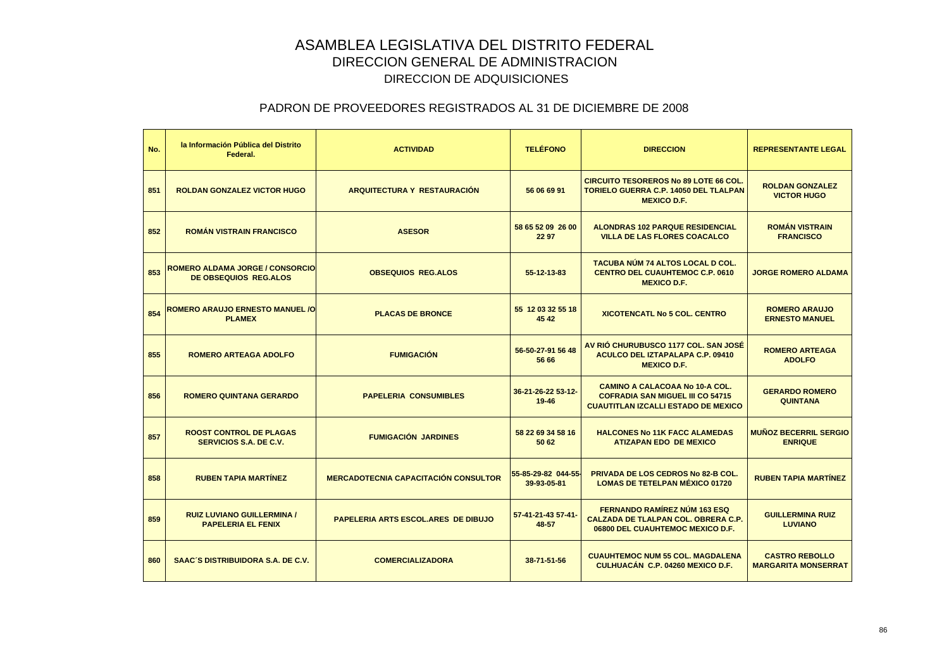| No. | la Información Pública del Distrito<br>Federal.                        | <b>ACTIVIDAD</b>                            | <b>TELÉFONO</b>                    | <b>DIRECCION</b>                                                                                                               | <b>REPRESENTANTE LEGAL</b>                          |
|-----|------------------------------------------------------------------------|---------------------------------------------|------------------------------------|--------------------------------------------------------------------------------------------------------------------------------|-----------------------------------------------------|
| 851 | <b>ROLDAN GONZALEZ VICTOR HUGO</b>                                     | <b>ARQUITECTURA Y RESTAURACIÓN</b>          | 56 06 69 91                        | <b>CIRCUITO TESOREROS No 89 LOTE 66 COL.</b><br><b>TORIELO GUERRA C.P. 14050 DEL TLALPAN</b><br><b>MEXICO D.F.</b>             | <b>ROLDAN GONZALEZ</b><br><b>VICTOR HUGO</b>        |
| 852 | <b>ROMÁN VISTRAIN FRANCISCO</b>                                        | <b>ASESOR</b>                               | 58 65 52 09 26 00<br>22 97         | <b>ALONDRAS 102 PARQUE RESIDENCIAL</b><br><b>VILLA DE LAS FLORES COACALCO</b>                                                  | <b>ROMÁN VISTRAIN</b><br><b>FRANCISCO</b>           |
| 853 | <b>ROMERO ALDAMA JORGE / CONSORCIO</b><br><b>DE OBSEQUIOS REG.ALOS</b> | <b>OBSEQUIOS REG.ALOS</b>                   | 55-12-13-83                        | TACUBA NÚM 74 ALTOS LOCAL D COL.<br><b>CENTRO DEL CUAUHTEMOC C.P. 0610</b><br><b>MEXICO D.F.</b>                               | <b>JORGE ROMERO ALDAMA</b>                          |
| 854 | <b>ROMERO ARAUJO ERNESTO MANUEL /O</b><br><b>PLAMEX</b>                | <b>PLACAS DE BRONCE</b>                     | 55 12 03 32 55 18<br>45 42         | <b>XICOTENCATL No 5 COL. CENTRO</b>                                                                                            | <b>ROMERO ARAUJO</b><br><b>ERNESTO MANUEL</b>       |
| 855 | <b>ROMERO ARTEAGA ADOLFO</b>                                           | <b>FUMIGACIÓN</b>                           | 56-50-27-91 56 48<br>56 66         | AV RIÓ CHURUBUSCO 1177 COL. SAN JOSÉ<br><b>ACULCO DEL IZTAPALAPA C.P. 09410</b><br><b>MEXICO D.F.</b>                          | <b>ROMERO ARTEAGA</b><br><b>ADOLFO</b>              |
| 856 | <b>ROMERO QUINTANA GERARDO</b>                                         | <b>PAPELERIA CONSUMIBLES</b>                | 36-21-26-22 53-12-<br>19-46        | <b>CAMINO A CALACOAA No 10-A COL.</b><br><b>COFRADIA SAN MIGUEL III CO 54715</b><br><b>CUAUTITLAN IZCALLI ESTADO DE MEXICO</b> | <b>GERARDO ROMERO</b><br><b>QUINTANA</b>            |
| 857 | <b>ROOST CONTROL DE PLAGAS</b><br><b>SERVICIOS S.A. DE C.V.</b>        | <b>FUMIGACIÓN JARDINES</b>                  | 58 22 69 34 58 16<br>50 62         | <b>HALCONES No 11K FACC ALAMEDAS</b><br><b>ATIZAPAN EDO DE MEXICO</b>                                                          | <b>MUÑOZ BECERRIL SERGIO</b><br><b>ENRIQUE</b>      |
| 858 | <b>RUBEN TAPIA MARTÍNEZ</b>                                            | <b>MERCADOTECNIA CAPACITACIÓN CONSULTOR</b> | 55-85-29-82 044-55-<br>39-93-05-81 | PRIVADA DE LOS CEDROS No 82-B COL.<br><b>LOMAS DE TETELPAN MÉXICO 01720</b>                                                    | <b>RUBEN TAPIA MARTÍNEZ</b>                         |
| 859 | <b>RUIZ LUVIANO GUILLERMINA /</b><br><b>PAPELERIA EL FENIX</b>         | <b>PAPELERIA ARTS ESCOL.ARES DE DIBUJO</b>  | 57-41-21-43 57-41-<br>48-57        | FERNANDO RAMÍREZ NÚM 163 ESQ<br><b>CALZADA DE TLALPAN COL. OBRERA C.P.</b><br>06800 DEL CUAUHTEMOC MEXICO D.F.                 | <b>GUILLERMINA RUIZ</b><br><b>LUVIANO</b>           |
| 860 | <b>SAAC'S DISTRIBUIDORA S.A. DE C.V.</b>                               | <b>COMERCIALIZADORA</b>                     | 38-71-51-56                        | <b>CUAUHTEMOC NUM 55 COL. MAGDALENA</b><br>CULHUACÁN C.P. 04260 MEXICO D.F.                                                    | <b>CASTRO REBOLLO</b><br><b>MARGARITA MONSERRAT</b> |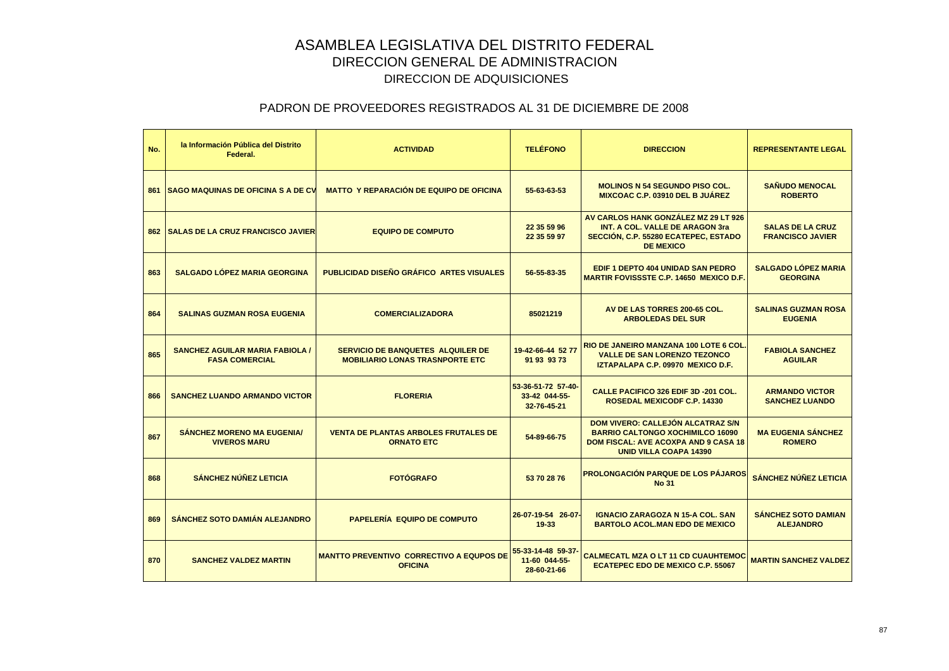| No. | la Información Pública del Distrito<br>Federal.                 | <b>ACTIVIDAD</b>                                                                   | <b>TELÉFONO</b>                                    | <b>DIRECCION</b>                                                                                                                                             | <b>REPRESENTANTE LEGAL</b>                         |
|-----|-----------------------------------------------------------------|------------------------------------------------------------------------------------|----------------------------------------------------|--------------------------------------------------------------------------------------------------------------------------------------------------------------|----------------------------------------------------|
|     | <b>861 SAGO MAQUINAS DE OFICINA S A DE CV</b>                   | <b>MATTO Y REPARACIÓN DE EQUIPO DE OFICINA</b>                                     | 55-63-63-53                                        | <b>MOLINOS N 54 SEGUNDO PISO COL.</b><br><b>MIXCOAC C.P. 03910 DEL B JUÁREZ</b>                                                                              | <b>SAÑUDO MENOCAL</b><br><b>ROBERTO</b>            |
|     | <b>862 I SALAS DE LA CRUZ FRANCISCO JAVIER</b>                  | <b>EQUIPO DE COMPUTO</b>                                                           | 22 35 59 96<br>22 35 59 97                         | AV CARLOS HANK GONZÁLEZ MZ 29 LT 926<br><b>INT. A COL. VALLE DE ARAGON 3ra</b><br>SECCIÓN, C.P. 55280 ECATEPEC, ESTADO<br><b>DE MEXICO</b>                   | <b>SALAS DE LA CRUZ</b><br><b>FRANCISCO JAVIER</b> |
| 863 | <b>SALGADO LÓPEZ MARIA GEORGINA</b>                             | PUBLICIDAD DISEÑO GRÁFICO ARTES VISUALES                                           | 56-55-83-35                                        | EDIF 1 DEPTO 404 UNIDAD SAN PEDRO<br><b>MARTIR FOVISSSTE C.P. 14650 MEXICO D.F.</b>                                                                          | <b>SALGADO LÓPEZ MARIA</b><br><b>GEORGINA</b>      |
| 864 | <b>SALINAS GUZMAN ROSA EUGENIA</b>                              | <b>COMERCIALIZADORA</b>                                                            | 85021219                                           | AV DE LAS TORRES 200-65 COL.<br><b>ARBOLEDAS DEL SUR</b>                                                                                                     | <b>SALINAS GUZMAN ROSA</b><br><b>EUGENIA</b>       |
| 865 | <b>SANCHEZ AGUILAR MARIA FABIOLA /</b><br><b>FASA COMERCIAL</b> | <b>SERVICIO DE BANQUETES ALQUILER DE</b><br><b>MOBILIARIO LONAS TRASNPORTE ETC</b> | 19-42-66-44 52 77<br>91 93 93 73                   | RIO DE JANEIRO MANZANA 100 LOTE 6 COL.<br><b>VALLE DE SAN LORENZO TEZONCO</b><br>IZTAPALAPA C.P. 09970 MEXICO D.F.                                           | <b>FABIOLA SANCHEZ</b><br><b>AGUILAR</b>           |
| 866 | <b>SANCHEZ LUANDO ARMANDO VICTOR</b>                            | <b>FLORERIA</b>                                                                    | 53-36-51-72 57-40-<br>33-42 044-55-<br>32-76-45-21 | <b>CALLE PACIFICO 326 EDIF 3D -201 COL.</b><br><b>ROSEDAL MEXICODF C.P. 14330</b>                                                                            | <b>ARMANDO VICTOR</b><br><b>SANCHEZ LUANDO</b>     |
| 867 | <b>SÁNCHEZ MORENO MA EUGENIA/</b><br><b>VIVEROS MARU</b>        | <b>VENTA DE PLANTAS ARBOLES FRUTALES DE</b><br><b>ORNATO ETC</b>                   | 54-89-66-75                                        | DOM VIVERO: CALLEJÓN ALCATRAZ S/N<br><b>BARRIO CALTONGO XOCHIMILCO 16090</b><br><b>DOM FISCAL: AVE ACOXPA AND 9 CASA 18</b><br><b>UNID VILLA COAPA 14390</b> | <b>MA EUGENIA SÁNCHEZ</b><br><b>ROMERO</b>         |
| 868 | <b>SÁNCHEZ NÚÑEZ LETICIA</b>                                    | <b>FOTÓGRAFO</b>                                                                   | 53 70 28 76                                        | <b>PROLONGACIÓN PARQUE DE LOS PÁJAROS</b><br><b>No 31</b>                                                                                                    | <b>SÁNCHEZ NÚÑEZ LETICIA</b>                       |
| 869 | <b>SÁNCHEZ SOTO DAMIÁN ALEJANDRO</b>                            | <b>PAPELERÍA EQUIPO DE COMPUTO</b>                                                 | 26-07-19-54 26-07-<br>$19 - 33$                    | <b>IGNACIO ZARAGOZA N 15-A COL. SAN</b><br><b>BARTOLO ACOL.MAN EDO DE MEXICO</b>                                                                             | <b>SÁNCHEZ SOTO DAMIAN</b><br><b>ALEJANDRO</b>     |
| 870 | <b>SANCHEZ VALDEZ MARTIN</b>                                    | <b>MANTTO PREVENTIVO CORRECTIVO A EQUPOS DE</b><br><b>OFICINA</b>                  | 55-33-14-48 59-37<br>11-60 044-55-<br>28-60-21-66  | <b>CALMECATL MZA O LT 11 CD CUAUHTEMOC</b><br><b>ECATEPEC EDO DE MEXICO C.P. 55067</b>                                                                       | <b>MARTIN SANCHEZ VALDEZ</b>                       |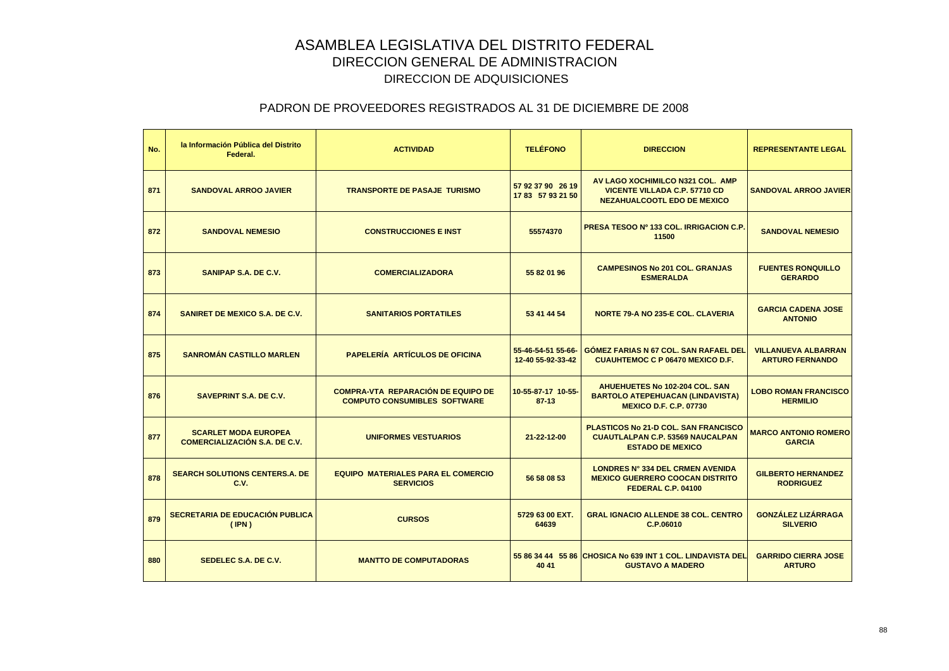| No. | la Información Pública del Distrito<br>Federal.                     | <b>ACTIVIDAD</b>                                                                 | <b>TELÉFONO</b>                         | <b>DIRECCION</b>                                                                                                  | <b>REPRESENTANTE LEGAL</b>                           |
|-----|---------------------------------------------------------------------|----------------------------------------------------------------------------------|-----------------------------------------|-------------------------------------------------------------------------------------------------------------------|------------------------------------------------------|
| 871 | <b>SANDOVAL ARROO JAVIER</b>                                        | <b>TRANSPORTE DE PASAJE TURISMO</b>                                              | 57 92 37 90 26 19<br>17 83 57 93 21 50  | AV LAGO XOCHIMILCO N321 COL. AMP<br><b>VICENTE VILLADA C.P. 57710 CD</b><br><b>NEZAHUALCOOTL EDO DE MEXICO</b>    | <b>SANDOVAL ARROO JAVIER</b>                         |
| 872 | <b>SANDOVAL NEMESIO</b>                                             | <b>CONSTRUCCIONES E INST</b>                                                     | 55574370                                | <b>PRESA TESOO Nº 133 COL. IRRIGACION C.P.</b><br>11500                                                           | <b>SANDOVAL NEMESIO</b>                              |
| 873 | SANIPAP S.A. DE C.V.                                                | <b>COMERCIALIZADORA</b>                                                          | 55 82 01 96                             | <b>CAMPESINOS No 201 COL. GRANJAS</b><br><b>ESMERALDA</b>                                                         | <b>FUENTES RONQUILLO</b><br><b>GERARDO</b>           |
| 874 | <b>SANIRET DE MEXICO S.A. DE C.V.</b>                               | <b>SANITARIOS PORTATILES</b>                                                     | 53 41 44 54                             | <b>NORTE 79-A NO 235-E COL. CLAVERIA</b>                                                                          | <b>GARCIA CADENA JOSE</b><br><b>ANTONIO</b>          |
| 875 | <b>SANROMÁN CASTILLO MARLEN</b>                                     | <b>PAPELERÍA ARTÍCULOS DE OFICINA</b>                                            | 55-46-54-51 55-66-<br>12-40 55-92-33-42 | <b>GÓMEZ FARIAS N 67 COL. SAN RAFAEL DEL</b><br><b>CUAUHTEMOC C P 06470 MEXICO D.F.</b>                           | <b>VILLANUEVA ALBARRAN</b><br><b>ARTURO FERNANDO</b> |
| 876 | <b>SAVEPRINT S.A. DE C.V.</b>                                       | <b>COMPRA-VTA REPARACIÓN DE EQUIPO DE</b><br><b>COMPUTO CONSUMIBLES SOFTWARE</b> | 10-55-87-17 10-55-<br>87-13             | <b>AHUEHUETES No 102-204 COL, SAN</b><br><b>BARTOLO ATEPEHUACAN (LINDAVISTA)</b><br><b>MEXICO D.F. C.P. 07730</b> | <b>LOBO ROMAN FRANCISCO</b><br><b>HERMILIO</b>       |
| 877 | <b>SCARLET MODA EUROPEA</b><br><b>COMERCIALIZACIÓN S.A. DE C.V.</b> | <b>UNIFORMES VESTUARIOS</b>                                                      | 21-22-12-00                             | PLASTICOS No 21-D COL. SAN FRANCISCO<br><b>CUAUTLALPAN C.P. 53569 NAUCALPAN</b><br><b>ESTADO DE MEXICO</b>        | <b>MARCO ANTONIO ROMERO</b><br><b>GARCIA</b>         |
| 878 | <b>SEARCH SOLUTIONS CENTERS.A. DE</b><br>C.V.                       | <b>EQUIPO MATERIALES PARA EL COMERCIO</b><br><b>SERVICIOS</b>                    | 56 58 08 53                             | <b>LONDRES Nº 334 DEL CRMEN AVENIDA</b><br><b>MEXICO GUERRERO COOCAN DISTRITO</b><br>FEDERAL C.P. 04100           | <b>GILBERTO HERNANDEZ</b><br><b>RODRIGUEZ</b>        |
| 879 | SECRETARIA DE EDUCACIÓN PUBLICA<br>(IPN)                            | <b>CURSOS</b>                                                                    | 5729 63 00 EXT.<br>64639                | <b>GRAL IGNACIO ALLENDE 38 COL. CENTRO</b><br>C.P.06010                                                           | <b>GONZÁLEZ LIZÁRRAGA</b><br><b>SILVERIO</b>         |
| 880 | SEDELEC S.A. DE C.V.                                                | <b>MANTTO DE COMPUTADORAS</b>                                                    | 40 41                                   | 55 86 34 44 55 86 CHOSICA No 639 INT 1 COL. LINDAVISTA DEL<br><b>GUSTAVO A MADERO</b>                             | <b>GARRIDO CIERRA JOSE</b><br><b>ARTURO</b>          |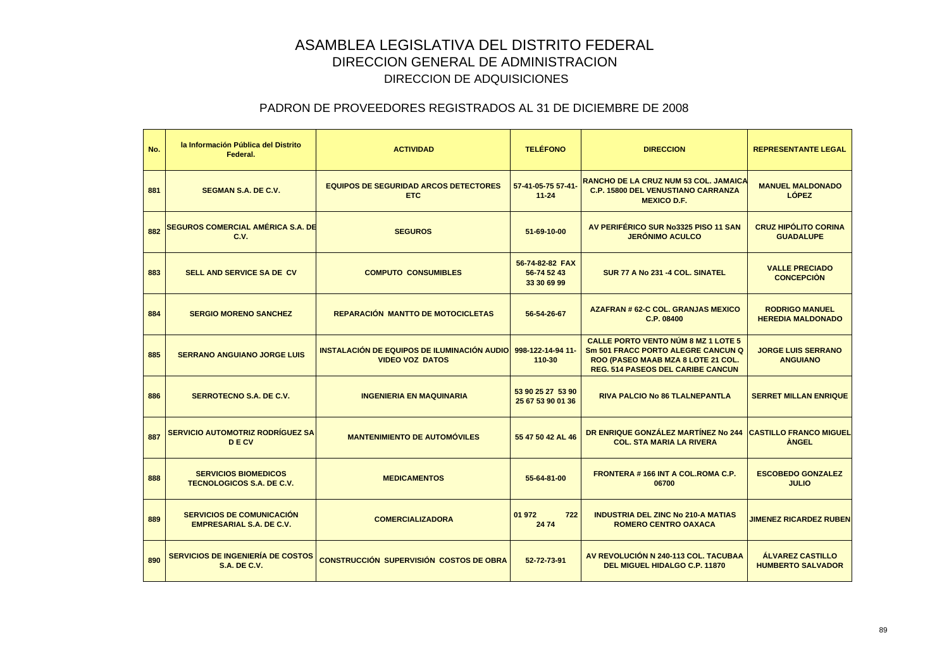| No. | la Información Pública del Distrito<br>Federal.                     | <b>ACTIVIDAD</b>                                                      | <b>TELÉFONO</b>                               | <b>DIRECCION</b>                                                                                                                                                   | <b>REPRESENTANTE LEGAL</b>                          |
|-----|---------------------------------------------------------------------|-----------------------------------------------------------------------|-----------------------------------------------|--------------------------------------------------------------------------------------------------------------------------------------------------------------------|-----------------------------------------------------|
| 881 | <b>SEGMAN S.A. DE C.V.</b>                                          | <b>EQUIPOS DE SEGURIDAD ARCOS DETECTORES</b><br><b>ETC</b>            | 57-41-05-75 57-41-<br>$11 - 24$               | <b>RANCHO DE LA CRUZ NUM 53 COL. JAMAICA</b><br><b>C.P. 15800 DEL VENUSTIANO CARRANZA</b><br><b>MEXICO D.F.</b>                                                    | <b>MANUEL MALDONADO</b><br><b>LÓPEZ</b>             |
| 882 | <b>SEGUROS COMERCIAL AMÉRICA S.A. DE</b><br>C.V.                    | <b>SEGUROS</b>                                                        | 51-69-10-00                                   | AV PERIFÉRICO SUR No3325 PISO 11 SAN<br><b>JERÓNIMO ACULCO</b>                                                                                                     | <b>CRUZ HIPÓLITO CORINA</b><br><b>GUADALUPE</b>     |
| 883 | <b>SELL AND SERVICE SA DE CV</b>                                    | <b>COMPUTO CONSUMIBLES</b>                                            | 56-74-82-82 FAX<br>56-74 52 43<br>33 30 69 99 | SUR 77 A No 231 -4 COL. SINATEL                                                                                                                                    | <b>VALLE PRECIADO</b><br><b>CONCEPCIÓN</b>          |
| 884 | <b>SERGIO MORENO SANCHEZ</b>                                        | <b>REPARACIÓN MANTTO DE MOTOCICLETAS</b>                              | 56-54-26-67                                   | <b>AZAFRAN # 62-C COL, GRANJAS MEXICO</b><br>C.P. 08400                                                                                                            | <b>RODRIGO MANUEL</b><br><b>HEREDIA MALDONADO</b>   |
| 885 | <b>SERRANO ANGUIANO JORGE LUIS</b>                                  | INSTALACIÓN DE EQUIPOS DE ILUMINACIÓN AUDIO<br><b>VIDEO VOZ DATOS</b> | 998-122-14-94 11-<br>110-30                   | <b>CALLE PORTO VENTO NÚM 8 MZ 1 LOTE 5</b><br>Sm 501 FRACC PORTO ALEGRE CANCUN Q<br>ROO (PASEO MAAB MZA 8 LOTE 21 COL.<br><b>REG. 514 PASEOS DEL CARIBE CANCUN</b> | <b>JORGE LUIS SERRANO</b><br><b>ANGUIANO</b>        |
| 886 | <b>SERROTECNO S.A. DE C.V.</b>                                      | <b>INGENIERIA EN MAQUINARIA</b>                                       | 53 90 25 27 53 90<br>25 67 53 90 01 36        | RIVA PALCIO No 86 TLALNEPANTLA                                                                                                                                     | <b>SERRET MILLAN ENRIQUE</b>                        |
| 887 | SERVICIO AUTOMOTRIZ RODRÍGUEZ SA<br><b>DECV</b>                     | <b>MANTENIMIENTO DE AUTOMÓVILES</b>                                   | 55 47 50 42 AL 46                             | DR ENRIQUE GONZÁLEZ MARTÍNEZ No 244<br><b>COL. STA MARIA LA RIVERA</b>                                                                                             | <b>CASTILLO FRANCO MIGUEL</b><br><b>ANGEL</b>       |
| 888 | <b>SERVICIOS BIOMEDICOS</b><br><b>TECNOLOGICOS S.A. DE C.V.</b>     | <b>MEDICAMENTOS</b>                                                   | 55-64-81-00                                   | <b>FRONTERA #166 INT A COL. ROMA C.P.</b><br>06700                                                                                                                 | <b>ESCOBEDO GONZALEZ</b><br><b>JULIO</b>            |
| 889 | <b>SERVICIOS DE COMUNICACIÓN</b><br><b>EMPRESARIAL S.A. DE C.V.</b> | <b>COMERCIALIZADORA</b>                                               | 01 972<br>722<br>2474                         | <b>INDUSTRIA DEL ZINC No 210-A MATIAS</b><br><b>ROMERO CENTRO OAXACA</b>                                                                                           | <b>JIMENEZ RICARDEZ RUBEN</b>                       |
| 890 | <b>SERVICIOS DE INGENIERÍA DE COSTOS</b><br><b>S.A. DE C.V.</b>     | <b>CONSTRUCCIÓN SUPERVISIÓN COSTOS DE OBRA</b>                        | 52-72-73-91                                   | AV REVOLUCIÓN N 240-113 COL. TACUBAA<br>DEL MIGUEL HIDALGO C.P. 11870                                                                                              | <b>ÁLVAREZ CASTILLO</b><br><b>HUMBERTO SALVADOR</b> |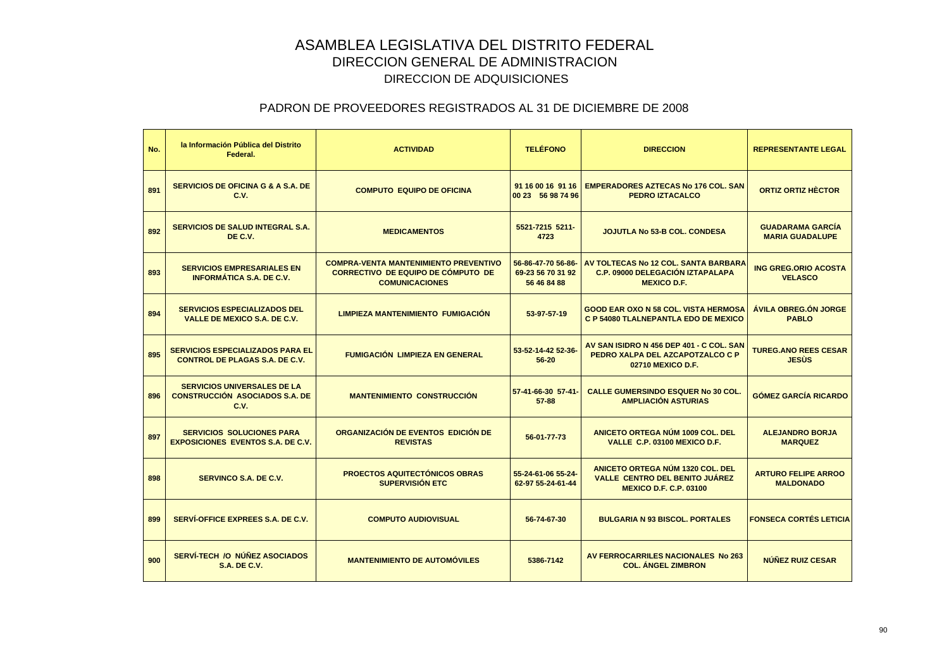| No. | la Información Pública del Distrito<br>Federal.                                     | <b>ACTIVIDAD</b>                                                                                                   | <b>TELÉFONO</b>                                        | <b>DIRECCION</b>                                                                                           | <b>REPRESENTANTE LEGAL</b>                        |
|-----|-------------------------------------------------------------------------------------|--------------------------------------------------------------------------------------------------------------------|--------------------------------------------------------|------------------------------------------------------------------------------------------------------------|---------------------------------------------------|
| 891 | <b>SERVICIOS DE OFICINA G &amp; A S.A. DE</b><br>C.V.                               | <b>COMPUTO EQUIPO DE OFICINA</b>                                                                                   | 91 16 00 16 91 16<br>00 23 56 98 74 96                 | <b>EMPERADORES AZTECAS No 176 COL. SAN</b><br><b>PEDRO IZTACALCO</b>                                       | <b>ORTIZ ORTIZ HÈCTOR</b>                         |
| 892 | <b>SERVICIOS DE SALUD INTEGRAL S.A.</b><br>DE C.V.                                  | <b>MEDICAMENTOS</b>                                                                                                | 5521-7215 5211-<br>4723                                | <b>JOJUTLA No 53-B COL. CONDESA</b>                                                                        | <b>GUADARAMA GARCÍA</b><br><b>MARIA GUADALUPE</b> |
| 893 | <b>SERVICIOS EMPRESARIALES EN</b><br><b>INFORMATICA S.A. DE C.V.</b>                | <b>COMPRA-VENTA MANTENIMIENTO PREVENTIVO</b><br><b>CORRECTIVO DE EQUIPO DE COMPUTO DE</b><br><b>COMUNICACIONES</b> | 56-86-47-70 56-86-<br>69-23 56 70 31 92<br>56 46 84 88 | AV TOLTECAS No 12 COL, SANTA BARBARA<br><b>C.P. 09000 DELEGACIÓN IZTAPALAPA</b><br><b>MEXICO D.F.</b>      | <b>ING GREG.ORIO ACOSTA</b><br><b>VELASCO</b>     |
| 894 | <b>SERVICIOS ESPECIALIZADOS DEL</b><br><b>VALLE DE MEXICO S.A. DE C.V.</b>          | <b>LIMPIEZA MANTENIMIENTO FUMIGACIÓN</b>                                                                           | 53-97-57-19                                            | <b>GOOD EAR OXO N 58 COL. VISTA HERMOSA</b><br><b>C P 54080 TLALNEPANTLA EDO DE MEXICO</b>                 | <b>ÁVILA OBREG.ÓN JORGE</b><br><b>PABLO</b>       |
| 895 | <b>SERVICIOS ESPECIALIZADOS PARA EL</b><br><b>CONTROL DE PLAGAS S.A. DE C.V.</b>    | <b>FUMIGACIÓN LIMPIEZA EN GENERAL</b>                                                                              | 53-52-14-42 52-36-<br>56-20                            | AV SAN ISIDRO N 456 DEP 401 - C COL, SAN<br>PEDRO XALPA DEL AZCAPOTZALCO C P<br>02710 MEXICO D.F.          | <b>TUREG.ANO REES CESAR</b><br><b>JESUS</b>       |
| 896 | <b>SERVICIOS UNIVERSALES DE LA</b><br><b>CONSTRUCCIÓN ASOCIADOS S.A. DE</b><br>C.V. | <b>MANTENIMIENTO CONSTRUCCIÓN</b>                                                                                  | 57-41-66-30 57-41-<br>$57 - 88$                        | <b>CALLE GUMERSINDO ESQUER No 30 COL.</b><br><b>AMPLIACIÓN ASTURIAS</b>                                    | <b>GÓMEZ GARCÍA RICARDO</b>                       |
| 897 | <b>SERVICIOS SOLUCIONES PARA</b><br><b>EXPOSICIONES EVENTOS S.A. DE C.V.</b>        | ORGANIZACIÓN DE EVENTOS EDICIÓN DE<br><b>REVISTAS</b>                                                              | 56-01-77-73                                            | ANICETO ORTEGA NÚM 1009 COL. DEL<br>VALLE C.P. 03100 MEXICO D.F.                                           | <b>ALEJANDRO BORJA</b><br><b>MARQUEZ</b>          |
| 898 | <b>SERVINCO S.A. DE C.V.</b>                                                        | <b>PROECTOS AQUITECTÓNICOS OBRAS</b><br><b>SUPERVISIÓN ETC</b>                                                     | 55-24-61-06 55-24-<br>62-97 55-24-61-44                | ANICETO ORTEGA NÚM 1320 COL. DEL<br><b>VALLE CENTRO DEL BENITO JUAREZ</b><br><b>MEXICO D.F. C.P. 03100</b> | <b>ARTURO FELIPE ARROO</b><br><b>MALDONADO</b>    |
| 899 | SERVÍ-OFFICE EXPREES S.A. DE C.V.                                                   | <b>COMPUTO AUDIOVISUAL</b>                                                                                         | 56-74-67-30                                            | <b>BULGARIA N 93 BISCOL, PORTALES</b>                                                                      | <b>FONSECA CORTÉS LETICIA</b>                     |
| 900 | <b>SERVÍ-TECH /O NÚÑEZ ASOCIADOS</b><br><b>S.A. DE C.V.</b>                         | <b>MANTENIMIENTO DE AUTOMÓVILES</b>                                                                                | 5386-7142                                              | AV FERROCARRILES NACIONALES No 263<br><b>COL. ANGEL ZIMBRON</b>                                            | <b>NÚÑEZ RUIZ CESAR</b>                           |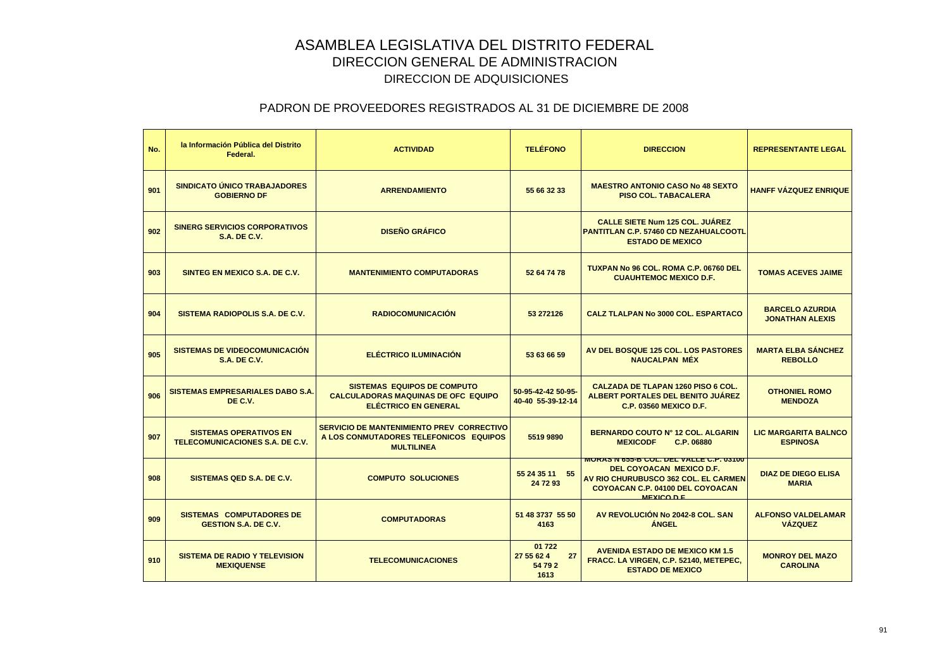| No. | la Información Pública del Distrito<br>Federal.                  | <b>ACTIVIDAD</b>                                                                                                | <b>TELÉFONO</b>                               | <b>DIRECCION</b>                                                                                                                                                             | <b>REPRESENTANTE LEGAL</b>                       |
|-----|------------------------------------------------------------------|-----------------------------------------------------------------------------------------------------------------|-----------------------------------------------|------------------------------------------------------------------------------------------------------------------------------------------------------------------------------|--------------------------------------------------|
| 901 | <b>SINDICATO ÚNICO TRABAJADORES</b><br><b>GOBIERNO DF</b>        | <b>ARRENDAMIENTO</b>                                                                                            | 55 66 32 33                                   | <b>MAESTRO ANTONIO CASO No 48 SEXTO</b><br><b>PISO COL. TABACALERA</b>                                                                                                       | <b>HANFF VÁZQUEZ ENRIQUE</b>                     |
| 902 | <b>SINERG SERVICIOS CORPORATIVOS</b><br><b>S.A. DE C.V.</b>      | <b>DISEÑO GRÁFICO</b>                                                                                           |                                               | <b>CALLE SIETE Num 125 COL. JUÁREZ</b><br>PANTITLAN C.P. 57460 CD NEZAHUALCOOTL<br><b>ESTADO DE MEXICO</b>                                                                   |                                                  |
| 903 | SINTEG EN MEXICO S.A. DE C.V.                                    | <b>MANTENIMIENTO COMPUTADORAS</b>                                                                               | 52 64 74 78                                   | TUXPAN No 96 COL, ROMA C.P. 06760 DEL<br><b>CUAUHTEMOC MEXICO D.F.</b>                                                                                                       | <b>TOMAS ACEVES JAIME</b>                        |
| 904 | <b>SISTEMA RADIOPOLIS S.A. DE C.V.</b>                           | <b>RADIOCOMUNICACIÓN</b>                                                                                        | 53 27 21 26                                   | <b>CALZ TLALPAN No 3000 COL. ESPARTACO</b>                                                                                                                                   | <b>BARCELO AZURDIA</b><br><b>JONATHAN ALEXIS</b> |
| 905 | <b>SISTEMAS DE VIDEOCOMUNICACIÓN</b><br><b>S.A. DE C.V.</b>      | <b>ELÉCTRICO ILUMINACIÓN</b>                                                                                    | 53 63 66 59                                   | AV DEL BOSQUE 125 COL. LOS PASTORES<br><b>NAUCALPAN MÉX</b>                                                                                                                  | <b>MARTA ELBA SÁNCHEZ</b><br><b>REBOLLO</b>      |
| 906 | <b>SISTEMAS EMPRESARIALES DABO S.A.</b><br>DE C.V.               | <b>SISTEMAS EQUIPOS DE COMPUTO</b><br><b>CALCULADORAS MAQUINAS DE OFC EQUIPO</b><br><b>ELÉCTRICO EN GENERAL</b> | 50-95-42-42 50-95-<br>40-40 55-39-12-14       | CALZADA DE TLAPAN 1260 PISO 6 COL.<br>ALBERT PORTALES DEL BENITO JUÁREZ<br><b>C.P. 03560 MEXICO D.F.</b>                                                                     | <b>OTHONIEL ROMO</b><br><b>MENDOZA</b>           |
| 907 | <b>SISTEMAS OPERATIVOS EN</b><br>TELECOMUNICACIONES S.A. DE C.V. | SERVICIO DE MANTENIMIENTO PREV CORRECTIVO<br>A LOS CONMUTADORES TELEFONICOS EQUIPOS<br><b>MULTILINEA</b>        | 5519 9890                                     | BERNARDO COUTO Nº 12 COL. ALGARIN<br><b>MEXICODF</b><br>C.P. 06880                                                                                                           | <b>LIC MARGARITA BALNCO</b><br><b>ESPINOSA</b>   |
| 908 | SISTEMAS QED S.A. DE C.V.                                        | <b>COMPUTO SOLUCIONES</b>                                                                                       | 55 24 35 11 55<br>24 72 93                    | <b>MURAS N 633-B GUL, DEL VALLE G.P. USTUU</b><br>DEL COYOACAN MEXICO D.F.<br>AV RIO CHURUBUSCO 362 COL. EL CARMEN<br>COYOACAN C.P. 04100 DEL COYOACAN<br><b>MEXICO D.E.</b> | <b>DIAZ DE DIEGO ELISA</b><br><b>MARIA</b>       |
| 909 | <b>SISTEMAS COMPUTADORES DE</b><br><b>GESTION S.A. DE C.V.</b>   | <b>COMPUTADORAS</b>                                                                                             | 51 48 3737 55 50<br>4163                      | AV REVOLUCIÓN No 2042-8 COL. SAN<br><b>ÁNGEL</b>                                                                                                                             | <b>ALFONSO VALDELAMAR</b><br><b>VÁZQUEZ</b>      |
| 910 | <b>SISTEMA DE RADIO Y TELEVISION</b><br><b>MEXIQUENSE</b>        | <b>TELECOMUNICACIONES</b>                                                                                       | 01 722<br>27 55 62 4<br>27<br>54 79 2<br>1613 | <b>AVENIDA ESTADO DE MEXICO KM 1.5</b><br>FRACC. LA VIRGEN, C.P. 52140, METEPEC,<br><b>ESTADO DE MEXICO</b>                                                                  | <b>MONROY DEL MAZO</b><br><b>CAROLINA</b>        |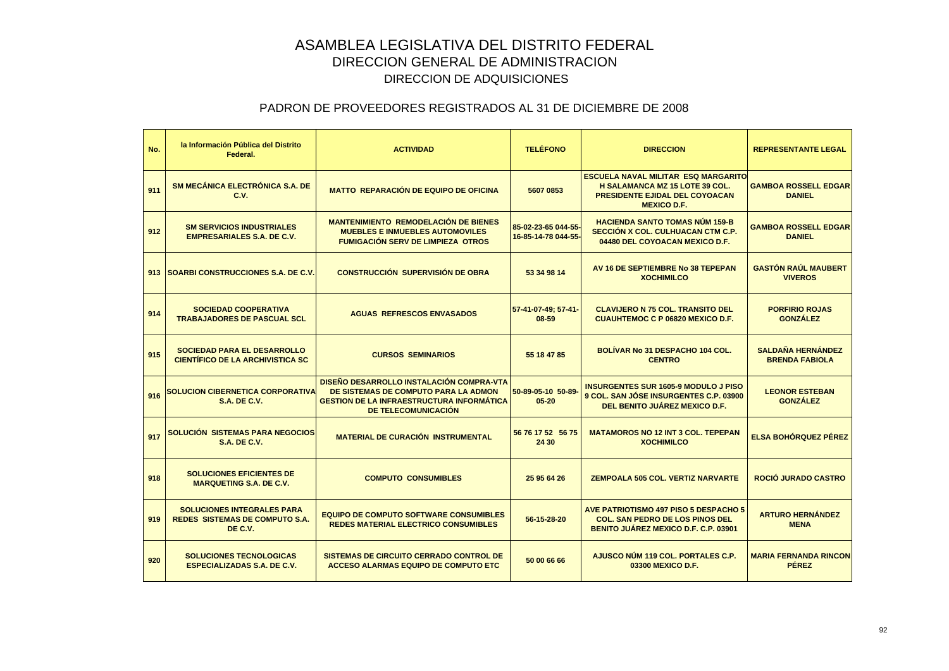| No. | la Información Pública del Distrito<br>Federal.                                       | <b>ACTIVIDAD</b>                                                                                                                                                   | <b>TELÉFONO</b>                            | <b>DIRECCION</b>                                                                                                                                   | <b>REPRESENTANTE LEGAL</b>                        |
|-----|---------------------------------------------------------------------------------------|--------------------------------------------------------------------------------------------------------------------------------------------------------------------|--------------------------------------------|----------------------------------------------------------------------------------------------------------------------------------------------------|---------------------------------------------------|
| 911 | SM MECÁNICA ELECTRÓNICA S.A. DE<br>C.V.                                               | <b>MATTO REPARACIÓN DE EQUIPO DE OFICINA</b>                                                                                                                       | 5607 0853                                  | <b>ESCUELA NAVAL MILITAR ESQ MARGARITO</b><br><b>H SALAMANCA MZ 15 LOTE 39 COL.</b><br><b>PRESIDENTE EJIDAL DEL COYOACAN</b><br><b>MEXICO D.F.</b> | <b>GAMBOA ROSSELL EDGAR</b><br><b>DANIEL</b>      |
| 912 | <b>SM SERVICIOS INDUSTRIALES</b><br><b>EMPRESARIALES S.A. DE C.V.</b>                 | <b>MANTENIMIENTO REMODELACIÓN DE BIENES</b><br><b>MUEBLES E INMUEBLES AUTOMOVILES</b><br><b>FUMIGACIÓN SERV DE LIMPIEZA OTROS</b>                                  | 85-02-23-65 044-55-<br>16-85-14-78 044-55- | <b>HACIENDA SANTO TOMAS NÚM 159-B</b><br>SECCIÓN X COL. CULHUACAN CTM C.P.<br>04480 DEL COYOACAN MEXICO D.F.                                       | <b>GAMBOA ROSSELL EDGAR</b><br><b>DANIEL</b>      |
|     | 913 SOARBI CONSTRUCCIONES S.A. DE C.V.                                                | <b>CONSTRUCCIÓN SUPERVISIÓN DE OBRA</b>                                                                                                                            | 53 34 98 14                                | AV 16 DE SEPTIEMBRE No 38 TEPEPAN<br><b>XOCHIMILCO</b>                                                                                             | <b>GASTÓN RAÚL MAUBERT</b><br><b>VIVEROS</b>      |
| 914 | <b>SOCIEDAD COOPERATIVA</b><br><b>TRABAJADORES DE PASCUAL SCL</b>                     | <b>AGUAS REFRESCOS ENVASADOS</b>                                                                                                                                   | 57-41-07-49; 57-41-<br>08-59               | <b>CLAVIJERO N 75 COL. TRANSITO DEL</b><br><b>CUAUHTEMOC C P 06820 MEXICO D.F.</b>                                                                 | <b>PORFIRIO ROJAS</b><br><b>GONZÁLEZ</b>          |
| 915 | <b>SOCIEDAD PARA EL DESARROLLO</b><br><b>CIENTÍFICO DE LA ARCHIVISTICA SC</b>         | <b>CURSOS SEMINARIOS</b>                                                                                                                                           | 55 18 47 85                                | BOLÍVAR No 31 DESPACHO 104 COL.<br><b>CENTRO</b>                                                                                                   | <b>SALDAÑA HERNÁNDEZ</b><br><b>BRENDA FABIOLA</b> |
| 916 | <b>SOLUCION CIBERNETICA CORPORATIVA</b><br><b>S.A. DE C.V.</b>                        | DISEÑO DESARROLLO INSTALACIÓN COMPRA-VTA<br>DE SISTEMAS DE COMPUTO PARA LA ADMON<br><b>GESTION DE LA INFRAESTRUCTURA INFORMÁTICA</b><br><b>DE TELECOMUNICACIÓN</b> | 50-89-05-10 50-89-<br>$05 - 20$            | <b>INSURGENTES SUR 1605-9 MODULO J PISO</b><br>9 COL. SAN JÓSE INSURGENTES C.P. 03900<br>DEL BENITO JUÁREZ MEXICO D.F.                             | <b>LEONOR ESTEBAN</b><br><b>GONZÁLEZ</b>          |
| 917 | SOLUCIÓN SISTEMAS PARA NEGOCIOS<br><b>S.A. DE C.V.</b>                                | <b>MATERIAL DE CURACIÓN INSTRUMENTAL</b>                                                                                                                           | 56 76 17 52 56 75<br>24 30                 | <b>MATAMOROS NO 12 INT 3 COL. TEPEPAN</b><br><b>XOCHIMILCO</b>                                                                                     | <b>ELSA BOHÓRQUEZ PÉREZ</b>                       |
| 918 | <b>SOLUCIONES EFICIENTES DE</b><br><b>MARQUETING S.A. DE C.V.</b>                     | <b>COMPUTO CONSUMIBLES</b>                                                                                                                                         | 25 95 64 26                                | <b>ZEMPOALA 505 COL. VERTIZ NARVARTE</b>                                                                                                           | ROCIÓ JURADO CASTRO                               |
| 919 | <b>SOLUCIONES INTEGRALES PARA</b><br><b>REDES SISTEMAS DE COMPUTO S.A.</b><br>DE C.V. | <b>EQUIPO DE COMPUTO SOFTWARE CONSUMIBLES</b><br><b>REDES MATERIAL ELECTRICO CONSUMIBLES</b>                                                                       | 56-15-28-20                                | <b>AVE PATRIOTISMO 497 PISO 5 DESPACHO 5</b><br><b>COL. SAN PEDRO DE LOS PINOS DEL</b><br>BENITO JUÁREZ MEXICO D.F. C.P. 03901                     | <b>ARTURO HERNÁNDEZ</b><br><b>MENA</b>            |
| 920 | <b>SOLUCIONES TECNOLOGICAS</b><br><b>ESPECIALIZADAS S.A. DE C.V.</b>                  | <b>SISTEMAS DE CIRCUITO CERRADO CONTROL DE</b><br><b>ACCESO ALARMAS EQUIPO DE COMPUTO ETC</b>                                                                      | 50 00 66 66                                | AJUSCO NÚM 119 COL. PORTALES C.P.<br>03300 MEXICO D.F.                                                                                             | <b>MARIA FERNANDA RINCON</b><br><b>PÉREZ</b>      |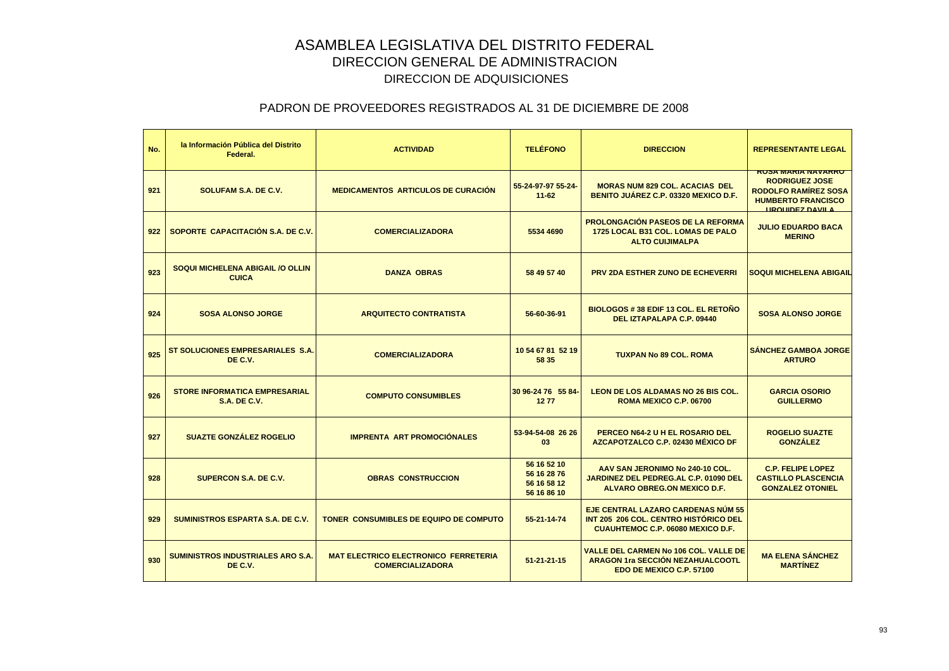| No. | la Información Pública del Distrito<br>Federal.             | <b>ACTIVIDAD</b>                                                       | <b>TELÉFONO</b>                                          | <b>DIRECCION</b>                                                                                                        | <b>REPRESENTANTE LEGAL</b>                                                                                                                |
|-----|-------------------------------------------------------------|------------------------------------------------------------------------|----------------------------------------------------------|-------------------------------------------------------------------------------------------------------------------------|-------------------------------------------------------------------------------------------------------------------------------------------|
| 921 | <b>SOLUFAM S.A. DE C.V.</b>                                 | <b>MEDICAMENTOS ARTICULOS DE CURACIÓN</b>                              | 55-24-97-97 55-24-<br>$11 - 62$                          | <b>MORAS NUM 829 COL. ACACIAS DEL</b><br><b>BENITO JUAREZ C.P. 03320 MEXICO D.F.</b>                                    | <b>RUSA MARIA NAVARRU</b><br><b>RODRIGUEZ JOSE</b><br><b>RODOLFO RAMIREZ SOSA</b><br><b>HUMBERTO FRANCISCO</b><br><b>HROHIDEZ DAVIL A</b> |
| 922 | SOPORTE CAPACITACIÓN S.A. DE C.V.                           | <b>COMERCIALIZADORA</b>                                                | 5534 4690                                                | <b>PROLONGACIÓN PASEOS DE LA REFORMA</b><br>1725 LOCAL B31 COL. LOMAS DE PALO<br><b>ALTO CUIJIMALPA</b>                 | <b>JULIO EDUARDO BACA</b><br><b>MERINO</b>                                                                                                |
| 923 | SOQUI MICHELENA ABIGAIL /O OLLIN<br><b>CUICA</b>            | <b>DANZA OBRAS</b>                                                     | 58 49 57 40                                              | <b>PRV 2DA ESTHER ZUNO DE ECHEVERRI</b>                                                                                 | <b>SOQUI MICHELENA ABIGAIL</b>                                                                                                            |
| 924 | <b>SOSA ALONSO JORGE</b>                                    | <b>ARQUITECTO CONTRATISTA</b>                                          | 56-60-36-91                                              | BIOLOGOS # 38 EDIF 13 COL. EL RETOÑO<br>DEL IZTAPALAPA C.P. 09440                                                       | <b>SOSA ALONSO JORGE</b>                                                                                                                  |
| 925 | ST SOLUCIONES EMPRESARIALES S.A.<br>DE C.V.                 | <b>COMERCIALIZADORA</b>                                                | 10 54 67 81 52 19<br>58 35                               | <b>TUXPAN No 89 COL. ROMA</b>                                                                                           | <b>SÁNCHEZ GAMBOA JORGE</b><br><b>ARTURO</b>                                                                                              |
| 926 | <b>STORE INFORMATICA EMPRESARIAL</b><br><b>S.A. DE C.V.</b> | <b>COMPUTO CONSUMIBLES</b>                                             | 30 96-24 76 55 84<br>1277                                | <b>LEON DE LOS ALDAMAS NO 26 BIS COL.</b><br>ROMA MEXICO C.P. 06700                                                     | <b>GARCIA OSORIO</b><br><b>GUILLERMO</b>                                                                                                  |
| 927 | <b>SUAZTE GONZÁLEZ ROGELIO</b>                              | <b>IMPRENTA ART PROMOCIÓNALES</b>                                      | 53-94-54-08 26 26<br>03                                  | PERCEO N64-2 U H EL ROSARIO DEL<br>AZCAPOTZALCO C.P. 02430 MÉXICO DF                                                    | <b>ROGELIO SUAZTE</b><br><b>GONZÁLEZ</b>                                                                                                  |
| 928 | <b>SUPERCON S.A. DE C.V.</b>                                | <b>OBRAS CONSTRUCCION</b>                                              | 56 16 52 10<br>56 16 28 76<br>56 16 58 12<br>56 16 86 10 | AAV SAN JERONIMO No 240-10 COL.<br>JARDINEZ DEL PEDREG.AL C.P. 01090 DEL<br><b>ALVARO OBREG.ON MEXICO D.F.</b>          | <b>C.P. FELIPE LOPEZ</b><br><b>CASTILLO PLASCENCIA</b><br><b>GONZALEZ OTONIEL</b>                                                         |
| 929 | <b>SUMINISTROS ESPARTA S.A. DE C.V.</b>                     | <b>TONER CONSUMIBLES DE EQUIPO DE COMPUTO</b>                          | 55-21-14-74                                              | EJE CENTRAL LAZARO CARDENAS NÚM 55<br>INT 205 206 COL. CENTRO HISTÓRICO DEL<br><b>CUAUHTEMOC C.P. 06080 MEXICO D.F.</b> |                                                                                                                                           |
| 930 | <b>SUMINISTROS INDUSTRIALES ARO S.A.</b><br>DE C.V.         | <b>MAT ELECTRICO ELECTRONICO FERRETERIA</b><br><b>COMERCIALIZADORA</b> | $51 - 21 - 21 - 15$                                      | <b>VALLE DEL CARMEN No 106 COL. VALLE DE</b><br><b>ARAGON 1ra SECCIÓN NEZAHUALCOOTL</b><br>EDO DE MEXICO C.P. 57100     | <b>MA ELENA SÁNCHEZ</b><br><b>MARTÍNEZ</b>                                                                                                |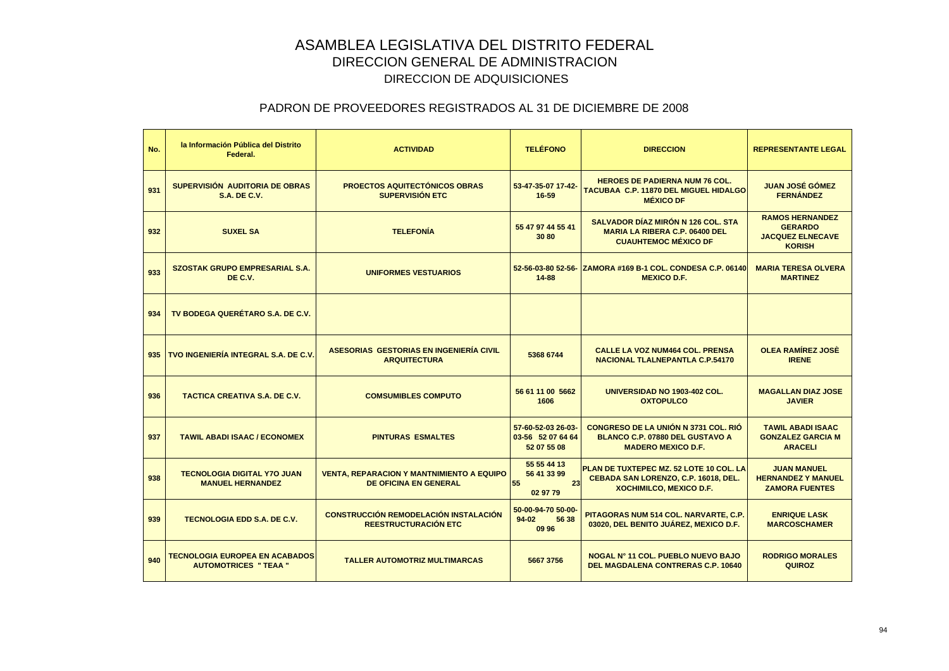| No. | la Información Pública del Distrito<br>Federal.                       | <b>ACTIVIDAD</b>                                                                 | <b>TELÉFONO</b>                                        | <b>DIRECCION</b>                                                                                                   | <b>REPRESENTANTE LEGAL</b>                                                           |
|-----|-----------------------------------------------------------------------|----------------------------------------------------------------------------------|--------------------------------------------------------|--------------------------------------------------------------------------------------------------------------------|--------------------------------------------------------------------------------------|
| 931 | SUPERVISIÓN AUDITORIA DE OBRAS<br><b>S.A. DE C.V.</b>                 | <b>PROECTOS AQUITECTÓNICOS OBRAS</b><br><b>SUPERVISIÓN ETC</b>                   | 53-47-35-07 17-42-<br>16-59                            | <b>HEROES DE PADIERNA NUM 76 COL.</b><br>TACUBAA C.P. 11870 DEL MIGUEL HIDALGO<br><b>MÉXICO DF</b>                 | <b>JUAN JOSÉ GÓMEZ</b><br><b>FERNÁNDEZ</b>                                           |
| 932 | <b>SUXEL SA</b>                                                       | <b>TELEFONÍA</b>                                                                 | 55 47 97 44 55 41<br>30 80                             | <b>SALVADOR DÍAZ MIRÓN N 126 COL. STA</b><br><b>MARIA LA RIBERA C.P. 06400 DEL</b><br><b>CUAUHTEMOC MÉXICO DF</b>  | <b>RAMOS HERNANDEZ</b><br><b>GERARDO</b><br><b>JACQUEZ ELNECAVE</b><br><b>KORISH</b> |
| 933 | <b>SZOSTAK GRUPO EMPRESARIAL S.A.</b><br>DE C.V.                      | <b>UNIFORMES VESTUARIOS</b>                                                      | 52-56-03-80 52-56-<br>$14 - 88$                        | ZAMORA #169 B-1 COL, CONDESA C.P. 06140<br><b>MEXICO D.F.</b>                                                      | <b>MARIA TERESA OLVERA</b><br><b>MARTINEZ</b>                                        |
| 934 | TV BODEGA QUERÉTARO S.A. DE C.V.                                      |                                                                                  |                                                        |                                                                                                                    |                                                                                      |
| 935 | TVO INGENIERÍA INTEGRAL S.A. DE C.V.                                  | ASESORIAS GESTORIAS EN INGENIERÍA CIVIL<br><b>ARQUITECTURA</b>                   | 5368 6744                                              | <b>CALLE LA VOZ NUM464 COL. PRENSA</b><br><b>NACIONAL TLALNEPANTLA C.P.54170</b>                                   | <b>OLEA RAMÍREZ JOSÈ</b><br><b>IRENE</b>                                             |
| 936 | <b>TACTICA CREATIVA S.A. DE C.V.</b>                                  | <b>COMSUMIBLES COMPUTO</b>                                                       | 56 61 11 00 5662<br>1606                               | UNIVERSIDAD NO 1903-402 COL.<br><b>OXTOPULCO</b>                                                                   | <b>MAGALLAN DIAZ JOSE</b><br><b>JAVIER</b>                                           |
| 937 | <b>TAWIL ABADI ISAAC / ECONOMEX</b>                                   | <b>PINTURAS ESMALTES</b>                                                         | 57-60-52-03 26-03-<br>03-56 52 07 64 64<br>52 07 55 08 | <b>CONGRESO DE LA UNIÓN N 3731 COL. RIÓ</b><br><b>BLANCO C.P. 07880 DEL GUSTAVO A</b><br><b>MADERO MEXICO D.F.</b> | <b>TAWIL ABADI ISAAC</b><br><b>GONZALEZ GARCIA M</b><br><b>ARACELI</b>               |
| 938 | <b>TECNOLOGIA DIGITAL Y7O JUAN</b><br><b>MANUEL HERNANDEZ</b>         | <b>VENTA, REPARACION Y MANTNIMIENTO A EQUIPO</b><br><b>DE OFICINA EN GENERAL</b> | 55 55 44 13<br>56 41 33 99<br>55<br>23<br>02 97 79     | PLAN DE TUXTEPEC MZ. 52 LOTE 10 COL. LA<br>CEBADA SAN LORENZO, C.P. 16018, DEL.<br><b>XOCHIMILCO, MEXICO D.F.</b>  | <b>JUAN MANUEL</b><br><b>HERNANDEZ Y MANUEL</b><br><b>ZAMORA FUENTES</b>             |
| 939 | <b>TECNOLOGIA EDD S.A. DE C.V.</b>                                    | <b>CONSTRUCCIÓN REMODELACIÓN INSTALACIÓN</b><br>REESTRUCTURACIÓN ETC             | 50-00-94-70 50-00-<br>$94-02$<br>56 38<br>09 96        | PITAGORAS NUM 514 COL. NARVARTE, C.P.<br>03020, DEL BENITO JUÁREZ, MEXICO D.F.                                     | <b>ENRIQUE LASK</b><br><b>MARCOSCHAMER</b>                                           |
| 940 | <b>TECNOLOGIA EUROPEA EN ACABADOS</b><br><b>AUTOMOTRICES " TEAA "</b> | <b>TALLER AUTOMOTRIZ MULTIMARCAS</b>                                             | 5667 3756                                              | NOGAL Nº 11 COL. PUEBLO NUEVO BAJO<br><b>DEL MAGDALENA CONTRERAS C.P. 10640</b>                                    | <b>RODRIGO MORALES</b><br><b>QUIROZ</b>                                              |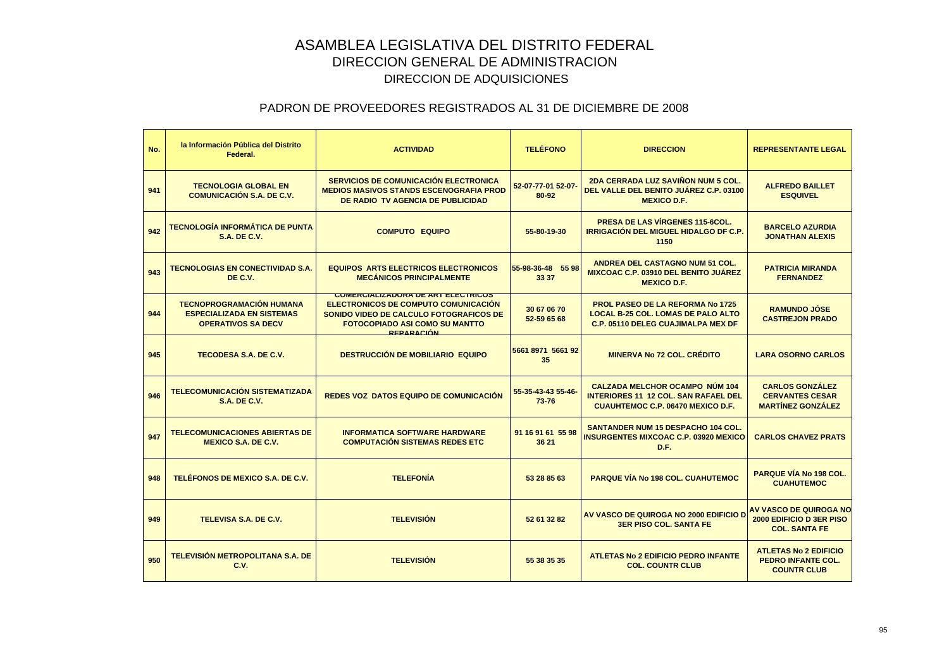| No. | la Información Pública del Distrito<br>Federal.                                                  | <b>ACTIVIDAD</b>                                                                                                                                                                          | <b>TELÉFONO</b>             | <b>DIRECCION</b>                                                                                                                  | <b>REPRESENTANTE LEGAL</b>                                                        |
|-----|--------------------------------------------------------------------------------------------------|-------------------------------------------------------------------------------------------------------------------------------------------------------------------------------------------|-----------------------------|-----------------------------------------------------------------------------------------------------------------------------------|-----------------------------------------------------------------------------------|
| 941 | <b>TECNOLOGIA GLOBAL EN</b><br><b>COMUNICACIÓN S.A. DE C.V.</b>                                  | <b>SERVICIOS DE COMUNICACIÓN ELECTRONICA</b><br><b>MEDIOS MASIVOS STANDS ESCENOGRAFIA PROD</b><br>DE RADIO TV AGENCIA DE PUBLICIDAD                                                       | 52-07-77-01 52-07-<br>80-92 | 2DA CERRADA LUZ SAVIÑON NUM 5 COL.<br>DEL VALLE DEL BENITO JUÁREZ C.P. 03100<br><b>MEXICO D.F.</b>                                | <b>ALFREDO BAILLET</b><br><b>ESQUIVEL</b>                                         |
| 942 | <b>TECNOLOGÍA INFORMÁTICA DE PUNTA</b><br><b>S.A. DE C.V.</b>                                    | <b>COMPUTO EQUIPO</b>                                                                                                                                                                     | 55-80-19-30                 | <b>PRESA DE LAS VÍRGENES 115-6COL.</b><br><b>IRRIGACIÓN DEL MIGUEL HIDALGO DF C.P.</b><br>1150                                    | <b>BARCELO AZURDIA</b><br><b>JONATHAN ALEXIS</b>                                  |
| 943 | <b>TECNOLOGIAS EN CONECTIVIDAD S.A.</b><br>DE C.V.                                               | <b>EQUIPOS ARTS ELECTRICOS ELECTRONICOS</b><br><b>MECÁNICOS PRINCIPALMENTE</b>                                                                                                            | 55-98-36-48 55 98<br>33 37  | <b>ANDREA DEL CASTAGNO NUM 51 COL.</b><br>MIXCOAC C.P. 03910 DEL BENITO JUÁREZ<br><b>MEXICO D.F.</b>                              | <b>PATRICIA MIRANDA</b><br><b>FERNANDEZ</b>                                       |
| 944 | <b>TECNOPROGRAMACIÓN HUMANA</b><br><b>ESPECIALIZADA EN SISTEMAS</b><br><b>OPERATIVOS SA DECV</b> | <b>COMERCIALIZADORA DE ARTELECTRICOS</b><br>ELECTRONICOS DE COMPUTO COMUNICACIÓN<br>SONIDO VIDEO DE CALCULO FOTOGRAFICOS DE<br><b>FOTOCOPIADO ASI COMO SU MANTTO</b><br><b>REPARACIÓN</b> | 30 67 06 70<br>52-59 65 68  | <b>PROL PASEO DE LA REFORMA No 1725</b><br><b>LOCAL B-25 COL. LOMAS DE PALO ALTO</b><br><b>C.P. 05110 DELEG CUAJIMALPA MEX DF</b> | <b>RAMUNDO JÓSE</b><br><b>CASTREJON PRADO</b>                                     |
| 945 | <b>TECODESA S.A. DE C.V.</b>                                                                     | <b>DESTRUCCIÓN DE MOBILIARIO EQUIPO</b>                                                                                                                                                   | 5661 8971 5661 92<br>35     | <b>MINERVA No 72 COL. CRÉDITO</b>                                                                                                 | <b>LARA OSORNO CARLOS</b>                                                         |
| 946 | <b>TELECOMUNICACIÓN SISTEMATIZADA</b><br><b>S.A. DE C.V.</b>                                     | <b>REDES VOZ DATOS EQUIPO DE COMUNICACIÓN</b>                                                                                                                                             | 55-35-43-43 55-46-<br>73-76 | <b>CALZADA MELCHOR OCAMPO NÚM 104</b><br><b>INTERIORES 11 12 COL. SAN RAFAEL DEL</b><br><b>CUAUHTEMOC C.P. 06470 MEXICO D.F.</b>  | <b>CARLOS GONZÁLEZ</b><br><b>CERVANTES CESAR</b><br><b>MARTÍNEZ GONZÁLEZ</b>      |
| 947 | <b>TELECOMUNICACIONES ABIERTAS DE</b><br><b>MEXICO S.A. DE C.V.</b>                              | <b>INFORMATICA SOFTWARE HARDWARE</b><br><b>COMPUTACIÓN SISTEMAS REDES ETC</b>                                                                                                             | 91 16 91 61 55 98<br>36 21  | <b>SANTANDER NUM 15 DESPACHO 104 COL.</b><br><b>INSURGENTES MIXCOAC C.P. 03920 MEXICO</b><br>D.F.                                 | <b>CARLOS CHAVEZ PRATS</b>                                                        |
| 948 | TELÉFONOS DE MEXICO S.A. DE C.V.                                                                 | <b>TELEFONÍA</b>                                                                                                                                                                          | 53 28 85 63                 | <b>PARQUE VÍA No 198 COL. CUAHUTEMOC</b>                                                                                          | <b>PARQUE VÍA No 198 COL.</b><br><b>CUAHUTEMOC</b>                                |
| 949 | <b>TELEVISA S.A. DE C.V.</b>                                                                     | <b>TELEVISIÓN</b>                                                                                                                                                                         | 52 61 32 82                 | AV VASCO DE QUIROGA NO 2000 EDIFICIO D<br><b>3ER PISO COL. SANTA FE</b>                                                           | <b>AV VASCO DE QUIROGA NO</b><br>2000 EDIFICIO D 3ER PISO<br><b>COL. SANTA FE</b> |
| 950 | <b>TELEVISIÓN METROPOLITANA S.A. DE</b><br>C.V.                                                  | <b>TELEVISIÓN</b>                                                                                                                                                                         | 55 38 35 35                 | <b>ATLETAS No 2 EDIFICIO PEDRO INFANTE</b><br><b>COL. COUNTR CLUB</b>                                                             | <b>ATLETAS No 2 EDIFICIO</b><br><b>PEDRO INFANTE COL.</b><br><b>COUNTR CLUB</b>   |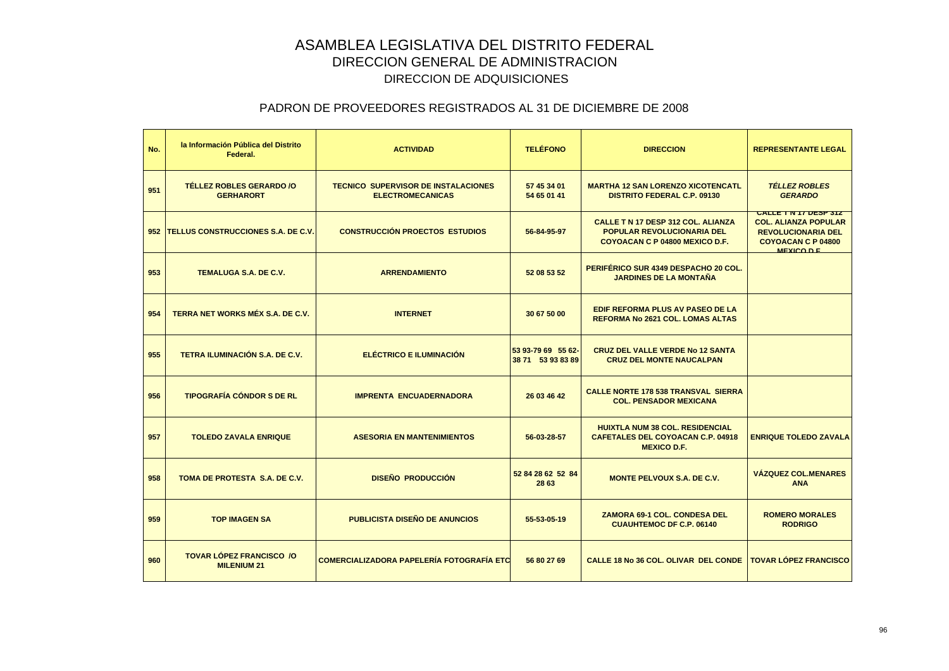| No. | la Información Pública del Distrito<br>Federal.       | <b>ACTIVIDAD</b>                                                      | <b>TELÉFONO</b>                         | <b>DIRECCION</b>                                                                                                 | <b>REPRESENTANTE LEGAL</b>                                                                                                           |
|-----|-------------------------------------------------------|-----------------------------------------------------------------------|-----------------------------------------|------------------------------------------------------------------------------------------------------------------|--------------------------------------------------------------------------------------------------------------------------------------|
| 951 | <b>TÉLLEZ ROBLES GERARDO /O</b><br><b>GERHARORT</b>   | <b>TECNICO SUPERVISOR DE INSTALACIONES</b><br><b>ELECTROMECANICAS</b> | 57 45 34 01<br>54 65 01 41              | <b>MARTHA 12 SAN LORENZO XICOTENCATL</b><br><b>DISTRITO FEDERAL C.P. 09130</b>                                   | <b>TELLEZ ROBLES</b><br><b>GERARDO</b>                                                                                               |
|     | 952 TELLUS CONSTRUCCIONES S.A. DE C.V.                | <b>CONSTRUCCIÓN PROECTOS ESTUDIOS</b>                                 | 56-84-95-97                             | <b>CALLE T N 17 DESP 312 COL. ALIANZA</b><br><b>POPULAR REVOLUCIONARIA DEL</b><br>COYOACAN C P 04800 MEXICO D.F. | <b>CALLE TIN 17 DESP 312</b><br><b>COL. ALIANZA POPULAR</b><br><b>REVOLUCIONARIA DEL</b><br><b>COYOACAN C P 04800</b><br>MEXICO D.E. |
| 953 | <b>TEMALUGA S.A. DE C.V.</b>                          | <b>ARRENDAMIENTO</b>                                                  | 52 08 53 52                             | PERIFÉRICO SUR 4349 DESPACHO 20 COL.<br><b>JARDINES DE LA MONTAÑA</b>                                            |                                                                                                                                      |
| 954 | <b>TERRA NET WORKS MÉX S.A. DE C.V.</b>               | <b>INTERNET</b>                                                       | 30 67 50 00                             | <b>EDIF REFORMA PLUS AV PASEO DE LA</b><br><b>REFORMA No 2621 COL. LOMAS ALTAS</b>                               |                                                                                                                                      |
| 955 | TETRA ILUMINACIÓN S.A. DE C.V.                        | <b>ELÉCTRICO E ILUMINACIÓN</b>                                        | 53 93-79 69 55 62-<br>38 71 53 93 83 89 | <b>CRUZ DEL VALLE VERDE No 12 SANTA</b><br><b>CRUZ DEL MONTE NAUCALPAN</b>                                       |                                                                                                                                      |
| 956 | <b>TIPOGRAFÍA CÓNDOR S DE RL</b>                      | <b>IMPRENTA ENCUADERNADORA</b>                                        | 26 03 46 42                             | <b>CALLE NORTE 178 538 TRANSVAL SIERRA</b><br><b>COL. PENSADOR MEXICANA</b>                                      |                                                                                                                                      |
| 957 | <b>TOLEDO ZAVALA ENRIQUE</b>                          | <b>ASESORIA EN MANTENIMIENTOS</b>                                     | 56-03-28-57                             | <b>HUIXTLA NUM 38 COL. RESIDENCIAL</b><br><b>CAFETALES DEL COYOACAN C.P. 04918</b><br><b>MEXICO D.F.</b>         | <b>ENRIQUE TOLEDO ZAVALA</b>                                                                                                         |
| 958 | TOMA DE PROTESTA S.A. DE C.V.                         | <b>DISEÑO PRODUCCIÓN</b>                                              | 52 84 28 62 52 84<br>28 63              | <b>MONTE PELVOUX S.A. DE C.V.</b>                                                                                | <b>VÁZQUEZ COL.MENARES</b><br><b>ANA</b>                                                                                             |
| 959 | <b>TOP IMAGEN SA</b>                                  | <b>PUBLICISTA DISEÑO DE ANUNCIOS</b>                                  | 55-53-05-19                             | <b>ZAMORA 69-1 COL. CONDESA DEL</b><br><b>CUAUHTEMOC DF C.P. 06140</b>                                           | <b>ROMERO MORALES</b><br><b>RODRIGO</b>                                                                                              |
| 960 | <b>TOVAR LÓPEZ FRANCISCO /O</b><br><b>MILENIUM 21</b> | <b>COMERCIALIZADORA PAPELERÍA FOTOGRAFÍA ETC</b>                      | 56 80 27 69                             | CALLE 18 No 36 COL. OLIVAR DEL CONDE                                                                             | <b>TOVAR LÓPEZ FRANCISCO</b>                                                                                                         |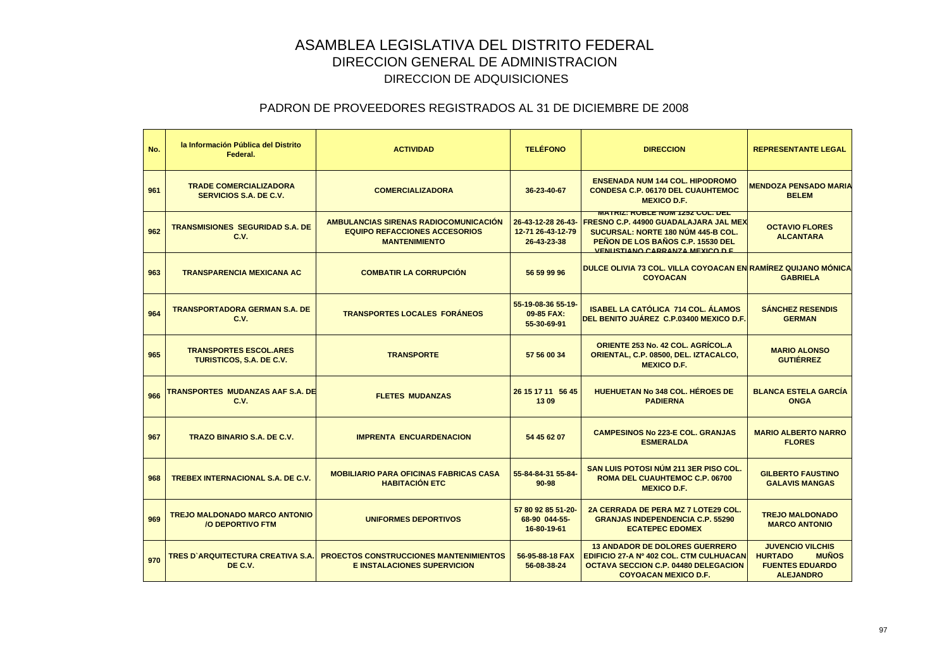| No. | la Información Pública del Distrito<br>Federal.                 | <b>ACTIVIDAD</b>                                                                                             | <b>TELÉFONO</b>                                        | <b>DIRECCION</b>                                                                                                                                                                                     | <b>REPRESENTANTE LEGAL</b>                                                                              |
|-----|-----------------------------------------------------------------|--------------------------------------------------------------------------------------------------------------|--------------------------------------------------------|------------------------------------------------------------------------------------------------------------------------------------------------------------------------------------------------------|---------------------------------------------------------------------------------------------------------|
| 961 | <b>TRADE COMERCIALIZADORA</b><br><b>SERVICIOS S.A. DE C.V.</b>  | <b>COMERCIALIZADORA</b>                                                                                      | 36-23-40-67                                            | <b>ENSENADA NUM 144 COL. HIPODROMO</b><br><b>CONDESA C.P. 06170 DEL CUAUHTEMOC</b><br><b>MEXICO D.F.</b>                                                                                             | <b>MENDOZA PENSADO MARIA</b><br><b>BELEM</b>                                                            |
| 962 | <b>TRANSMISIONES SEGURIDAD S.A. DE</b><br>C.V.                  | <b>AMBULANCIAS SIRENAS RADIOCOMUNICACIÓN</b><br><b>EQUIPO REFACCIONES ACCESORIOS</b><br><b>MANTENIMIENTO</b> | 26-43-12-28 26-43-<br>12-71 26-43-12-79<br>26-43-23-38 | <b>MATRIZ: RUBLE NUM 1232 COL. DEL</b><br><b>FRESNO C.P. 44900 GUADALAJARA JAL MEX</b><br>SUCURSAL: NORTE 180 NÚM 445-B COL.<br>PEÑON DE LOS BAÑOS C.P. 15530 DEL<br>VENUSTIANO CARRANZA MEXICO D.E. | <b>OCTAVIO FLORES</b><br><b>ALCANTARA</b>                                                               |
| 963 | <b>TRANSPARENCIA MEXICANA AC</b>                                | <b>COMBATIR LA CORRUPCIÓN</b>                                                                                | 56 59 99 96                                            | DULCE OLIVIA 73 COL. VILLA COYOACAN EN RAMÍREZ QUIJANO MÓNICA<br><b>COYOACAN</b>                                                                                                                     | <b>GABRIELA</b>                                                                                         |
| 964 | <b>TRANSPORTADORA GERMAN S.A. DE</b><br>C.V.                    | <b>TRANSPORTES LOCALES FORÁNEOS</b>                                                                          | 55-19-08-36 55-19-<br>09-85 FAX:<br>55-30-69-91        | <b>ISABEL LA CATÓLICA 714 COL. ÁLAMOS</b><br>DEL BENITO JUÁREZ C.P.03400 MEXICO D.F.                                                                                                                 | <b>SÁNCHEZ RESENDIS</b><br><b>GERMAN</b>                                                                |
| 965 | <b>TRANSPORTES ESCOL.ARES</b><br>TURISTICOS, S.A. DE C.V.       | <b>TRANSPORTE</b>                                                                                            | 57 56 00 34                                            | <b>ORIENTE 253 No. 42 COL. AGRÍCOL.A</b><br>ORIENTAL, C.P. 08500, DEL. IZTACALCO,<br><b>MEXICO D.F.</b>                                                                                              | <b>MARIO ALONSO</b><br><b>GUTIÉRREZ</b>                                                                 |
| 966 | TRANSPORTES MUDANZAS AAF S.A. DE<br>C.V.                        | <b>FLETES MUDANZAS</b>                                                                                       | 26 15 17 11 56 45<br>1309                              | <b>HUEHUETAN No 348 COL. HÉROES DE</b><br><b>PADIERNA</b>                                                                                                                                            | <b>BLANCA ESTELA GARCIA</b><br><b>ONGA</b>                                                              |
| 967 | <b>TRAZO BINARIO S.A. DE C.V.</b>                               | <b>IMPRENTA ENCUARDENACION</b>                                                                               | 54 45 62 07                                            | <b>CAMPESINOS No 223-E COL. GRANJAS</b><br><b>ESMERALDA</b>                                                                                                                                          | <b>MARIO ALBERTO NARRO</b><br><b>FLORES</b>                                                             |
| 968 | <b>TREBEX INTERNACIONAL S.A. DE C.V.</b>                        | <b>MOBILIARIO PARA OFICINAS FABRICAS CASA</b><br><b>HABITACIÓN ETC</b>                                       | 55-84-84-31 55-84-<br>$90 - 98$                        | SAN LUIS POTOSI NÚM 211 3ER PISO COL.<br>ROMA DEL CUAUHTEMOC C.P. 06700<br><b>MEXICO D.F.</b>                                                                                                        | <b>GILBERTO FAUSTINO</b><br><b>GALAVIS MANGAS</b>                                                       |
| 969 | <b>TREJO MALDONADO MARCO ANTONIO</b><br><b>/O DEPORTIVO FTM</b> | <b>UNIFORMES DEPORTIVOS</b>                                                                                  | 57 80 92 85 51-20-<br>68-90 044-55-<br>16-80-19-61     | 2A CERRADA DE PERA MZ 7 LOTE29 COL.<br><b>GRANJAS INDEPENDENCIA C.P. 55290</b><br><b>ECATEPEC EDOMEX</b>                                                                                             | <b>TREJO MALDONADO</b><br><b>MARCO ANTONIO</b>                                                          |
| 970 | <b>TRES D'ARQUITECTURA CREATIVA S.A.</b><br>DE C.V.             | <b>PROECTOS CONSTRUCCIONES MANTENIMIENTOS</b><br><b>E INSTALACIONES SUPERVICION</b>                          | 56-95-88-18 FAX<br>56-08-38-24                         | <b>13 ANDADOR DE DOLORES GUERRERO</b><br>EDIFICIO 27-A Nº 402 COL. CTM CULHUACAN<br><b>OCTAVA SECCION C.P. 04480 DELEGACION</b><br><b>COYOACAN MEXICO D.F.</b>                                       | <b>JUVENCIO VILCHIS</b><br><b>HURTADO</b><br><b>MUÑOS</b><br><b>FUENTES EDUARDO</b><br><b>ALEJANDRO</b> |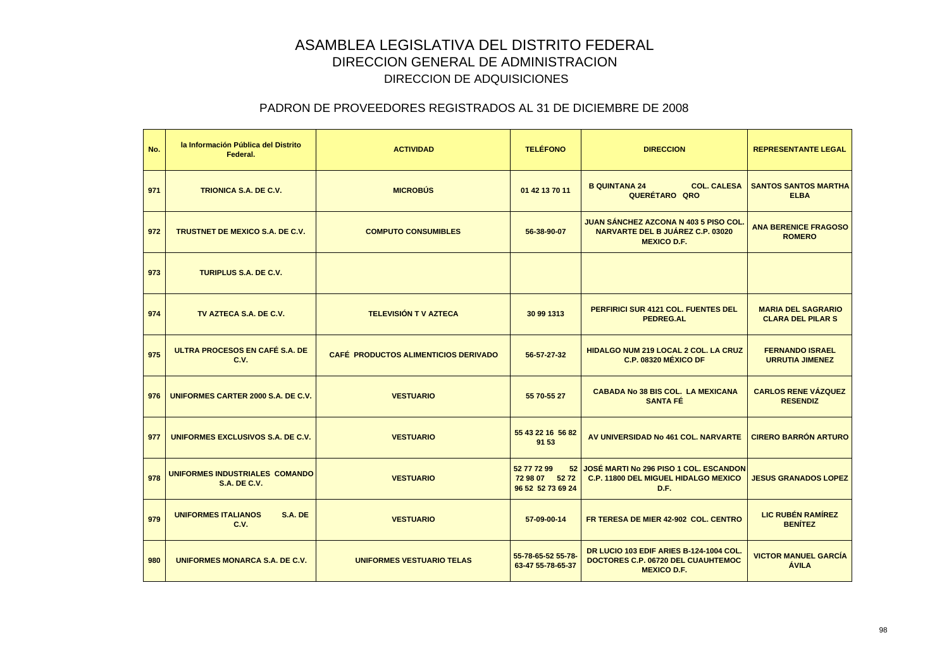| No. | la Información Pública del Distrito<br>Federal.       | <b>ACTIVIDAD</b>                     | <b>TELÉFONO</b>                                          | <b>DIRECCION</b>                                                                                      | <b>REPRESENTANTE LEGAL</b>                            |
|-----|-------------------------------------------------------|--------------------------------------|----------------------------------------------------------|-------------------------------------------------------------------------------------------------------|-------------------------------------------------------|
| 971 | <b>TRIONICA S.A. DE C.V.</b>                          | <b>MICROBÚS</b>                      | 01 42 13 70 11                                           | <b>COL. CALESA</b><br><b>B QUINTANA 24</b><br>QUERÉTARO QRO                                           | <b>SANTOS SANTOS MARTHA</b><br><b>ELBA</b>            |
| 972 | <b>TRUSTNET DE MEXICO S.A. DE C.V.</b>                | <b>COMPUTO CONSUMIBLES</b>           | 56-38-90-07                                              | <b>JUAN SÁNCHEZ AZCONA N 403 5 PISO COL</b><br>NARVARTE DEL B JUÁREZ C.P. 03020<br><b>MEXICO D.F.</b> | <b>ANA BERENICE FRAGOSO</b><br><b>ROMERO</b>          |
| 973 | <b>TURIPLUS S.A. DE C.V.</b>                          |                                      |                                                          |                                                                                                       |                                                       |
| 974 | TV AZTECA S.A. DE C.V.                                | <b>TELEVISIÓN T V AZTECA</b>         | 30 99 1313                                               | <b>PERFIRICI SUR 4121 COL. FUENTES DEL</b><br><b>PEDREG.AL</b>                                        | <b>MARIA DEL SAGRARIO</b><br><b>CLARA DEL PILAR S</b> |
| 975 | ULTRA PROCESOS EN CAFÉ S.A. DE<br>C.V.                | CAFÉ PRODUCTOS ALIMENTICIOS DERIVADO | 56-57-27-32                                              | <b>HIDALGO NUM 219 LOCAL 2 COL. LA CRUZ</b><br><b>C.P. 08320 MÉXICO DF</b>                            | <b>FERNANDO ISRAEL</b><br><b>URRUTIA JIMENEZ</b>      |
| 976 | UNIFORMES CARTER 2000 S.A. DE C.V.                    | <b>VESTUARIO</b>                     | 55 70-55 27                                              | <b>CABADA No 38 BIS COL. LA MEXICANA</b><br><b>SANTA FÉ</b>                                           | <b>CARLOS RENE VÁZQUEZ</b><br><b>RESENDIZ</b>         |
| 977 | UNIFORMES EXCLUSIVOS S.A. DE C.V.                     | <b>VESTUARIO</b>                     | 55 43 22 16 56 82<br>91 53                               | AV UNIVERSIDAD No 461 COL. NARVARTE                                                                   | <b>CIRERO BARRÓN ARTURO</b>                           |
| 978 | UNIFORMES INDUSTRIALES COMANDO<br><b>S.A. DE C.V.</b> | <b>VESTUARIO</b>                     | 52 77 72 99<br>52<br>72 98 07 52 72<br>96 52 52 73 69 24 | JOSÉ MARTI No 296 PISO 1 COL. ESCANDON<br><b>C.P. 11800 DEL MIGUEL HIDALGO MEXICO</b><br>D.F.         | <b>JESUS GRANADOS LOPEZ</b>                           |
| 979 | <b>UNIFORMES ITALIANOS</b><br>S.A. DE<br><b>C.V.</b>  | <b>VESTUARIO</b>                     | 57-09-00-14                                              | FR TERESA DE MIER 42-902 COL. CENTRO                                                                  | <b>LIC RUBÉN RAMÍREZ</b><br><b>BENÍTEZ</b>            |
| 980 | <b>UNIFORMES MONARCA S.A. DE C.V.</b>                 | <b>UNIFORMES VESTUARIO TELAS</b>     | 55-78-65-52 55-78-<br>63-47 55-78-65-37                  | DR LUCIO 103 EDIF ARIES B-124-1004 COL.<br>DOCTORES C.P. 06720 DEL CUAUHTEMOC<br><b>MEXICO D.F.</b>   | <b>VICTOR MANUEL GARCÍA</b><br><b>ÁVILA</b>           |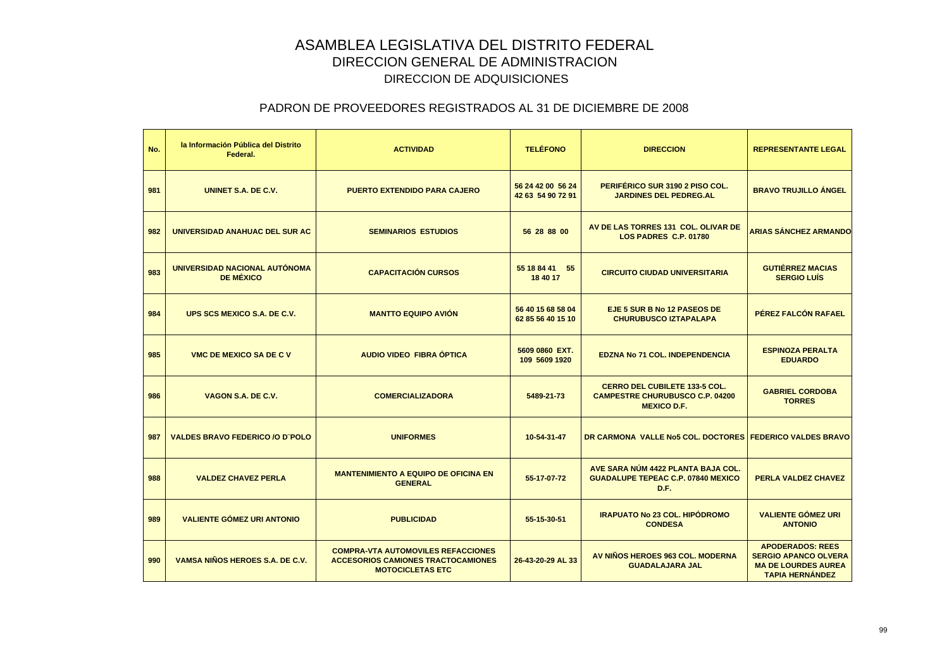| No. | la Información Pública del Distrito<br>Federal.   | <b>ACTIVIDAD</b>                                                                                                  | <b>TELÉFONO</b>                        | <b>DIRECCION</b>                                                                                     | <b>REPRESENTANTE LEGAL</b>                                                                                     |
|-----|---------------------------------------------------|-------------------------------------------------------------------------------------------------------------------|----------------------------------------|------------------------------------------------------------------------------------------------------|----------------------------------------------------------------------------------------------------------------|
| 981 | UNINET S.A. DE C.V.                               | <b>PUERTO EXTENDIDO PARA CAJERO</b>                                                                               | 56 24 42 00 56 24<br>42 63 54 90 72 91 | PERIFÉRICO SUR 3190 2 PISO COL.<br><b>JARDINES DEL PEDREG.AL</b>                                     | <b>BRAVO TRUJILLO ÁNGEL</b>                                                                                    |
| 982 | UNIVERSIDAD ANAHUAC DEL SUR AC                    | <b>SEMINARIOS ESTUDIOS</b>                                                                                        | 56 28 88 00                            | AV DE LAS TORRES 131 COL. OLIVAR DE<br>LOS PADRES C.P. 01780                                         | <b>ARIAS SÁNCHEZ ARMANDO</b>                                                                                   |
| 983 | UNIVERSIDAD NACIONAL AUTÓNOMA<br><b>DE MÉXICO</b> | <b>CAPACITACIÓN CURSOS</b>                                                                                        | 55 18 84 41<br>55<br>18 40 17          | <b>CIRCUITO CIUDAD UNIVERSITARIA</b>                                                                 | <b>GUTIÉRREZ MACIAS</b><br><b>SERGIO LUÍS</b>                                                                  |
| 984 | UPS SCS MEXICO S.A. DE C.V.                       | <b>MANTTO EQUIPO AVIÓN</b>                                                                                        | 56 40 15 68 58 04<br>62 85 56 40 15 10 | EJE 5 SUR B No 12 PASEOS DE<br><b>CHURUBUSCO IZTAPALAPA</b>                                          | PÉREZ FALCÓN RAFAEL                                                                                            |
| 985 | <b>VMC DE MEXICO SA DE C V</b>                    | AUDIO VIDEO FIBRA ÓPTICA                                                                                          | 5609 0860 EXT.<br>109 5609 1920        | <b>EDZNA No 71 COL. INDEPENDENCIA</b>                                                                | <b>ESPINOZA PERALTA</b><br><b>EDUARDO</b>                                                                      |
| 986 | VAGON S.A. DE C.V.                                | <b>COMERCIALIZADORA</b>                                                                                           | 5489-21-73                             | <b>CERRO DEL CUBILETE 133-5 COL.</b><br><b>CAMPESTRE CHURUBUSCO C.P. 04200</b><br><b>MEXICO D.F.</b> | <b>GABRIEL CORDOBA</b><br><b>TORRES</b>                                                                        |
| 987 | <b>VALDES BRAVO FEDERICO /O D'POLO</b>            | <b>UNIFORMES</b>                                                                                                  | 10-54-31-47                            | DR CARMONA VALLE No5 COL. DOCTORES FEDERICO VALDES BRAVO                                             |                                                                                                                |
| 988 | <b>VALDEZ CHAVEZ PERLA</b>                        | <b>MANTENIMIENTO A EQUIPO DE OFICINA EN</b><br><b>GENERAL</b>                                                     | 55-17-07-72                            | AVE SARA NÚM 4422 PLANTA BAJA COL.<br><b>GUADALUPE TEPEAC C.P. 07840 MEXICO</b><br>D.F.              | PERLA VALDEZ CHAVEZ                                                                                            |
| 989 | <b>VALIENTE GÓMEZ URI ANTONIO</b>                 | <b>PUBLICIDAD</b>                                                                                                 | 55-15-30-51                            | <b>IRAPUATO No 23 COL. HIPÓDROMO</b><br><b>CONDESA</b>                                               | <b>VALIENTE GÓMEZ URI</b><br><b>ANTONIO</b>                                                                    |
| 990 | VAMSA NIÑOS HEROES S.A. DE C.V.                   | <b>COMPRA-VTA AUTOMOVILES REFACCIONES</b><br><b>ACCESORIOS CAMIONES TRACTOCAMIONES</b><br><b>MOTOCICLETAS ETC</b> | 26-43-20-29 AL 33                      | AV NIÑOS HEROES 963 COL. MODERNA<br><b>GUADALAJARA JAL</b>                                           | <b>APODERADOS: REES</b><br><b>SERGIO APANCO OLVERA</b><br><b>MA DE LOURDES AUREA</b><br><b>TAPIA HERNÁNDEZ</b> |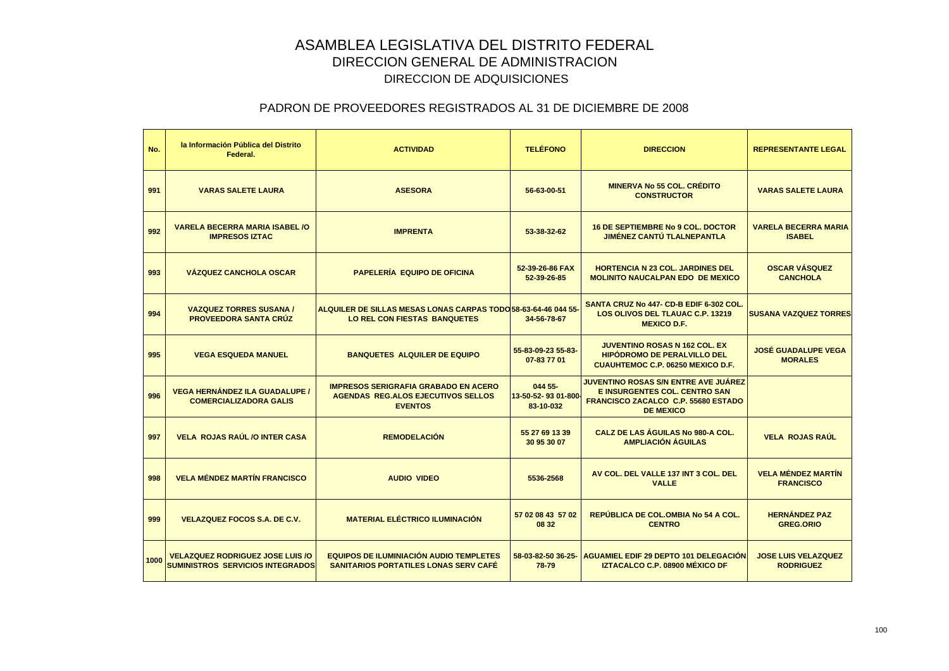| No.  | la Información Pública del Distrito<br>Federal.                                    | <b>ACTIVIDAD</b>                                                                                           | <b>TELÉFONO</b>                             | <b>DIRECCION</b>                                                                                                                               | <b>REPRESENTANTE LEGAL</b>                     |
|------|------------------------------------------------------------------------------------|------------------------------------------------------------------------------------------------------------|---------------------------------------------|------------------------------------------------------------------------------------------------------------------------------------------------|------------------------------------------------|
| 991  | <b>VARAS SALETE LAURA</b>                                                          | <b>ASESORA</b>                                                                                             | 56-63-00-51                                 | <b>MINERVA No 55 COL. CRÉDITO</b><br><b>CONSTRUCTOR</b>                                                                                        | <b>VARAS SALETE LAURA</b>                      |
| 992  | <b>VARELA BECERRA MARIA ISABEL /O</b><br><b>IMPRESOS IZTAC</b>                     | <b>IMPRENTA</b>                                                                                            | 53-38-32-62                                 | <b>16 DE SEPTIEMBRE No 9 COL. DOCTOR</b><br><b>JIMÉNEZ CANTU TLALNEPANTLA</b>                                                                  | <b>VARELA BECERRA MARIA</b><br><b>ISABEL</b>   |
| 993  | <b>VÁZQUEZ CANCHOLA OSCAR</b>                                                      | <b>PAPELERÍA EQUIPO DE OFICINA</b>                                                                         | 52-39-26-86 FAX<br>52-39-26-85              | <b>HORTENCIA N 23 COL. JARDINES DEL</b><br><b>MOLINITO NAUCALPAN EDO DE MEXICO</b>                                                             | <b>OSCAR VÁSQUEZ</b><br><b>CANCHOLA</b>        |
| 994  | <b>VAZQUEZ TORRES SUSANA /</b><br><b>PROVEEDORA SANTA CRÚZ</b>                     | ALQUILER DE SILLAS MESAS LONAS CARPAS TODO 58-63-64-46 044 55<br><b>LO REL CON FIESTAS BANQUETES</b>       | 34-56-78-67                                 | SANTA CRUZ No 447- CD-B EDIF 6-302 COL.<br>LOS OLIVOS DEL TLAUAC C.P. 13219<br><b>MEXICO D.F.</b>                                              | <b>SUSANA VAZQUEZ TORRES</b>                   |
| 995  | <b>VEGA ESQUEDA MANUEL</b>                                                         | <b>BANQUETES ALQUILER DE EQUIPO</b>                                                                        | 55-83-09-23 55-83-<br>07-83 77 01           | <b>JUVENTINO ROSAS N 162 COL. EX</b><br><b>HIPODROMO DE PERALVILLO DEL</b><br><b>CUAUHTEMOC C.P. 06250 MEXICO D.F.</b>                         | <b>JOSÉ GUADALUPE VEGA</b><br><b>MORALES</b>   |
| 996  | <b>VEGA HERNÁNDEZ ILA GUADALUPE /</b><br><b>COMERCIALIZADORA GALIS</b>             | <b>IMPRESOS SERIGRAFIA GRABADO EN ACERO</b><br><b>AGENDAS REG.ALOS EJECUTIVOS SELLOS</b><br><b>EVENTOS</b> | 044 55-<br>13-50-52-93 01-800-<br>83-10-032 | <b>JUVENTINO ROSAS S/N ENTRE AVE JUÁREZ</b><br><b>E INSURGENTES COL. CENTRO SAN</b><br>FRANCISCO ZACALCO C.P. 55680 ESTADO<br><b>DE MEXICO</b> |                                                |
| 997  | <b>VELA ROJAS RAÚL /O INTER CASA</b>                                               | <b>REMODELACIÓN</b>                                                                                        | 55 27 69 13 39<br>30 95 30 07               | <b>CALZ DE LAS ÁGUILAS No 980-A COL.</b><br><b>AMPLIACIÓN ÁGUILAS</b>                                                                          | <b>VELA ROJAS RAÚL</b>                         |
| 998  | <b>VELA MÉNDEZ MARTÍN FRANCISCO</b>                                                | <b>AUDIO VIDEO</b>                                                                                         | 5536-2568                                   | AV COL. DEL VALLE 137 INT 3 COL. DEL<br><b>VALLE</b>                                                                                           | <b>VELA MÉNDEZ MARTÍN</b><br><b>FRANCISCO</b>  |
| 999  | <b>VELAZQUEZ FOCOS S.A. DE C.V.</b>                                                | <b>MATERIAL ELÉCTRICO ILUMINACIÓN</b>                                                                      | 57 02 08 43 57 02<br>08 32                  | REPÚBLICA DE COL.OMBIA No 54 A COL.<br><b>CENTRO</b>                                                                                           | <b>HERNÁNDEZ PAZ</b><br><b>GREG.ORIO</b>       |
| 1000 | <b>VELAZQUEZ RODRIGUEZ JOSE LUIS /O</b><br><b>SUMINISTROS SERVICIOS INTEGRADOS</b> | <b>EQUIPOS DE ILUMINIACIÓN AUDIO TEMPLETES</b><br><b>SANITARIOS PORTATILES LONAS SERV CAFÉ</b>             | 58-03-82-50 36-25-<br>78-79                 | <b>AGUAMIEL EDIF 29 DEPTO 101 DELEGACIÓN</b><br>IZTACALCO C.P. 08900 MÉXICO DF                                                                 | <b>JOSE LUIS VELAZQUEZ</b><br><b>RODRIGUEZ</b> |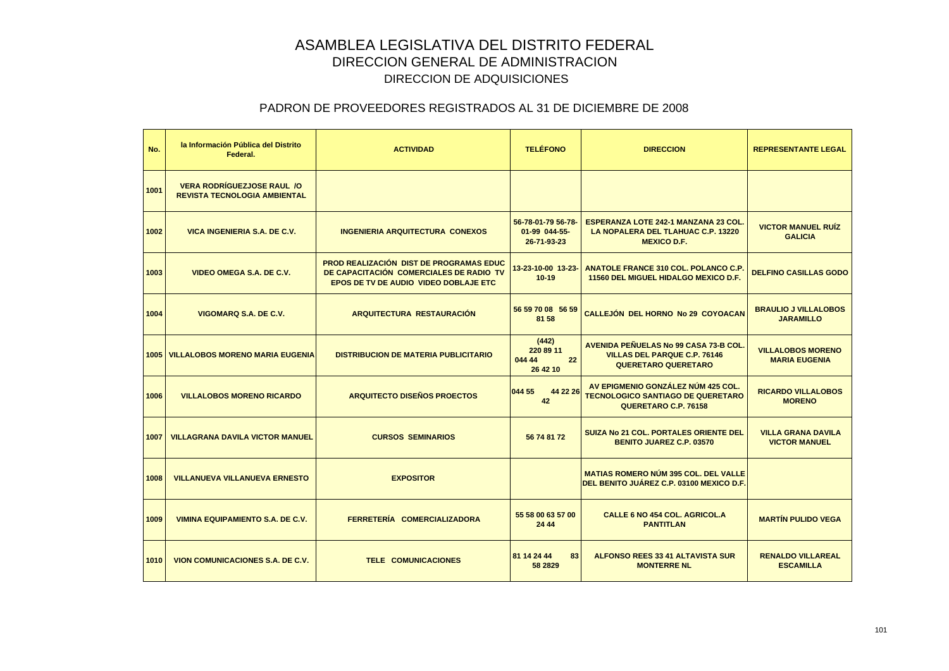| No.  | la Información Pública del Distrito<br>Federal.                          | <b>ACTIVIDAD</b>                                                                                                                          | <b>TELÉFONO</b>                                    | <b>DIRECCION</b>                                                                                               | <b>REPRESENTANTE LEGAL</b>                        |
|------|--------------------------------------------------------------------------|-------------------------------------------------------------------------------------------------------------------------------------------|----------------------------------------------------|----------------------------------------------------------------------------------------------------------------|---------------------------------------------------|
| 1001 | <b>VERA RODRÍGUEZJOSE RAUL /O</b><br><b>REVISTA TECNOLOGIA AMBIENTAL</b> |                                                                                                                                           |                                                    |                                                                                                                |                                                   |
| 1002 | <b>VICA INGENIERIA S.A. DE C.V.</b>                                      | <b>INGENIERIA ARQUITECTURA CONEXOS</b>                                                                                                    | 56-78-01-79 56-78-<br>01-99 044-55-<br>26-71-93-23 | <b>ESPERANZA LOTE 242-1 MANZANA 23 COL.</b><br><b>LA NOPALERA DEL TLAHUAC C.P. 13220</b><br><b>MEXICO D.F.</b> | <b>VICTOR MANUEL RUÍZ</b><br><b>GALICIA</b>       |
| 1003 | <b>VIDEO OMEGA S.A. DE C.V.</b>                                          | <b>PROD REALIZACIÓN DIST DE PROGRAMAS EDUC</b><br>DE CAPACITACIÓN COMERCIALES DE RADIO TV<br><b>EPOS DE TV DE AUDIO VIDEO DOBLAJE ETC</b> | 13-23-10-00 13-23-<br>$10 - 19$                    | <b>ANATOLE FRANCE 310 COL. POLANCO C.P.</b><br>11560 DEL MIGUEL HIDALGO MEXICO D.F.                            | <b>DELFINO CASILLAS GODO</b>                      |
| 1004 | VIGOMARQ S.A. DE C.V.                                                    | <b>ARQUITECTURA RESTAURACIÓN</b>                                                                                                          | 56 59 70 08 56 59<br>81 58                         | CALLEJÓN DEL HORNO No 29 COYOACAN                                                                              | <b>BRAULIO J VILLALOBOS</b><br><b>JARAMILLO</b>   |
|      | 1005   VILLALOBOS MORENO MARIA EUGENIA                                   | <b>DISTRIBUCION DE MATERIA PUBLICITARIO</b>                                                                                               | (442)<br>220 89 11<br>044 44<br>22<br>26 42 10     | AVENIDA PEÑUELAS No 99 CASA 73-B COL.<br><b>VILLAS DEL PARQUE C.P. 76146</b><br><b>QUERETARO QUERETARO</b>     | <b>VILLALOBOS MORENO</b><br><b>MARIA EUGENIA</b>  |
| 1006 | <b>VILLALOBOS MORENO RICARDO</b>                                         | <b>ARQUITECTO DISEÑOS PROECTOS</b>                                                                                                        | 044 55<br>44 22 26<br>42                           | AV EPIGMENIO GONZÁLEZ NÚM 425 COL.<br><b>TECNOLOGICO SANTIAGO DE QUERETARO</b><br>QUERETARO C.P. 76158         | <b>RICARDO VILLALOBOS</b><br><b>MORENO</b>        |
| 1007 | <b>VILLAGRANA DAVILA VICTOR MANUEL</b>                                   | <b>CURSOS SEMINARIOS</b>                                                                                                                  | 56 74 81 72                                        | <b>SUIZA No 21 COL. PORTALES ORIENTE DEL</b><br><b>BENITO JUAREZ C.P. 03570</b>                                | <b>VILLA GRANA DAVILA</b><br><b>VICTOR MANUEL</b> |
| 1008 | <b>VILLANUEVA VILLANUEVA ERNESTO</b>                                     | <b>EXPOSITOR</b>                                                                                                                          |                                                    | <b>MATIAS ROMERO NÚM 395 COL. DEL VALLE</b><br>DEL BENITO JUÁREZ C.P. 03100 MEXICO D.F.                        |                                                   |
| 1009 | <b>VIMINA EQUIPAMIENTO S.A. DE C.V.</b>                                  | FERRETERÍA COMERCIALIZADORA                                                                                                               | 55 58 00 63 57 00<br>24 44                         | <b>CALLE 6 NO 454 COL. AGRICOL.A</b><br><b>PANTITLAN</b>                                                       | <b>MARTÍN PULIDO VEGA</b>                         |
| 1010 | <b>VION COMUNICACIONES S.A. DE C.V.</b>                                  | <b>TELE COMUNICACIONES</b>                                                                                                                | 81 14 24 44<br>83<br>58 28 29                      | <b>ALFONSO REES 33 41 ALTAVISTA SUR</b><br><b>MONTERRE NL</b>                                                  | <b>RENALDO VILLAREAL</b><br><b>ESCAMILLA</b>      |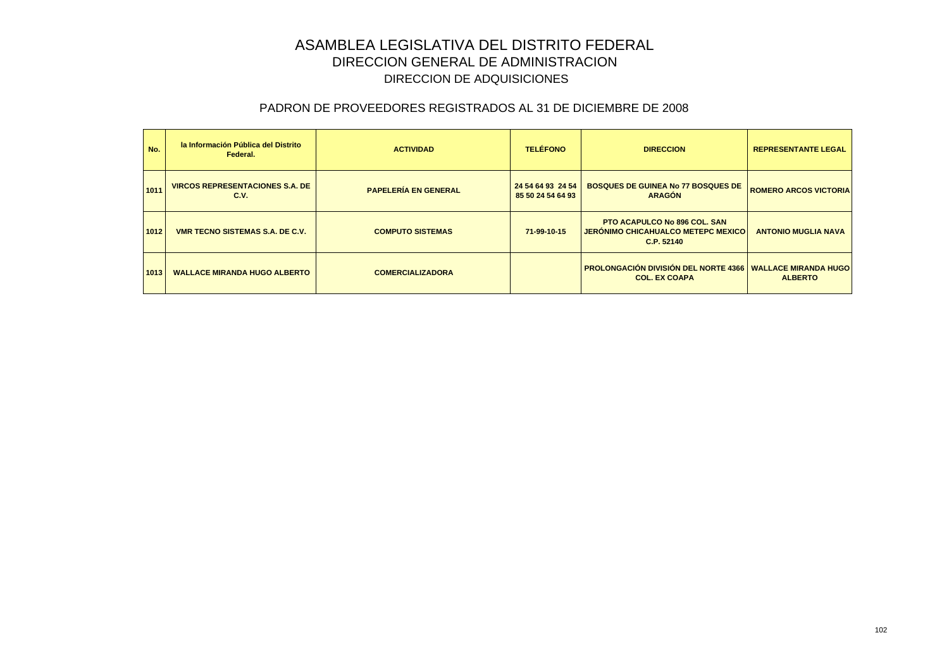| No.  | la Información Pública del Distrito<br>Federal. | <b>ACTIVIDAD</b>            | <b>TELÉFONO</b>                        | <b>DIRECCION</b>                                                                               | <b>REPRESENTANTE LEGAL</b>   |
|------|-------------------------------------------------|-----------------------------|----------------------------------------|------------------------------------------------------------------------------------------------|------------------------------|
| 1011 | <b>VIRCOS REPRESENTACIONES S.A. DE</b><br>C.V.  | <b>PAPELERÍA EN GENERAL</b> | 24 54 64 93 24 54<br>85 50 24 54 64 93 | <b>BOSQUES DE GUINEA No 77 BOSQUES DE</b><br><b>ARAGÓN</b>                                     | <b>ROMERO ARCOS VICTORIA</b> |
| 1012 | <b>VMR TECNO SISTEMAS S.A. DE C.V.</b>          | <b>COMPUTO SISTEMAS</b>     | 71-99-10-15                            | <b>PTO ACAPULCO No 896 COL, SAN</b><br><b>JERÓNIMO CHICAHUALCO METEPC MEXICO</b><br>C.P. 52140 | <b>ANTONIO MUGLIA NAVA</b>   |
| 1013 | <b>WALLACE MIRANDA HUGO ALBERTO</b>             | <b>COMERCIALIZADORA</b>     |                                        | <b>PROLONGACIÓN DIVISIÓN DEL NORTE 4366 WALLACE MIRANDA HUGO</b><br><b>COL. EX COAPA</b>       | <b>ALBERTO</b>               |